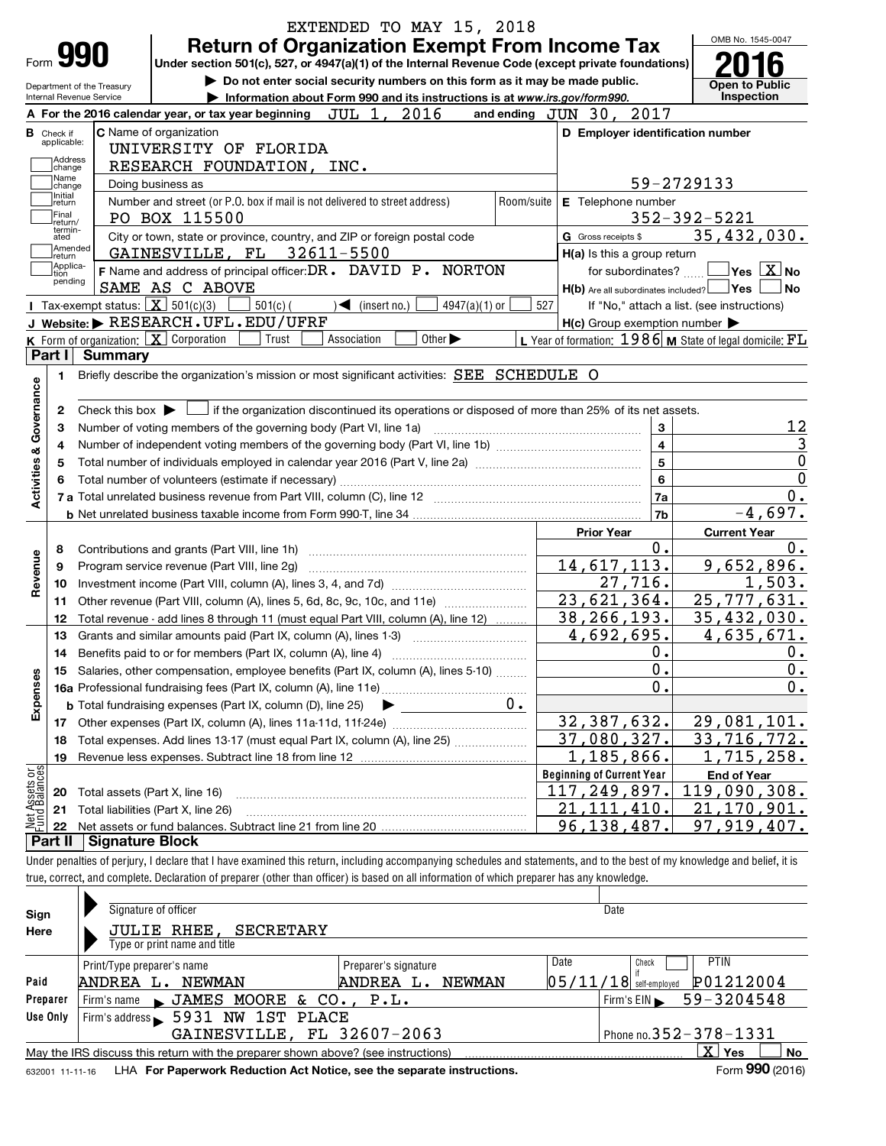|                                    |                              |                                                        | EXTENDED TO MAY 15, 2018                                                                                                                                                   |            |                                                     | OMB No. 1545-0047                                       |
|------------------------------------|------------------------------|--------------------------------------------------------|----------------------------------------------------------------------------------------------------------------------------------------------------------------------------|------------|-----------------------------------------------------|---------------------------------------------------------|
|                                    |                              | 990                                                    | <b>Return of Organization Exempt From Income Tax</b><br>Under section 501(c), 527, or 4947(a)(1) of the Internal Revenue Code (except private foundations)                 |            |                                                     |                                                         |
|                                    |                              |                                                        | Do not enter social security numbers on this form as it may be made public.                                                                                                |            |                                                     |                                                         |
|                                    |                              | Department of the Treasury<br>Internal Revenue Service | Information about Form 990 and its instructions is at www.irs.gov/form990.                                                                                                 |            |                                                     | <b>Open to Public</b><br>Inspection                     |
|                                    |                              |                                                        | A For the 2016 calendar year, or tax year beginning JUL 1, 2016                                                                                                            |            | and ending JUN 30, 2017                             |                                                         |
| <b>B</b> Check if                  |                              |                                                        | C Name of organization                                                                                                                                                     |            | D Employer identification number                    |                                                         |
|                                    | applicable:                  |                                                        | UNIVERSITY OF FLORIDA                                                                                                                                                      |            |                                                     |                                                         |
|                                    | Address<br>change            |                                                        | RESEARCH FOUNDATION, INC.                                                                                                                                                  |            |                                                     |                                                         |
|                                    | Name<br>lchange              |                                                        | Doing business as                                                                                                                                                          |            |                                                     | 59-2729133                                              |
|                                    | Ilnitial<br>return           |                                                        | Number and street (or P.O. box if mail is not delivered to street address)                                                                                                 | Room/suite | E Telephone number                                  |                                                         |
|                                    | Final                        |                                                        | PO BOX 115500                                                                                                                                                              |            |                                                     | $352 - 392 - 5221$                                      |
|                                    | lreturn/<br>termin-<br>ated  |                                                        | City or town, state or province, country, and ZIP or foreign postal code                                                                                                   |            | G Gross receipts \$                                 | 35,432,030.                                             |
|                                    |                              | Amended                                                | GAINESVILLE, FL 32611-5500                                                                                                                                                 |            | H(a) Is this a group return                         |                                                         |
|                                    | Ireturn<br> Applica-<br>tion |                                                        | F Name and address of principal officer: DR. DAVID P. NORTON                                                                                                               |            | for subordinates?                                   | $\sqrt{}$ Yes $\sqrt{}$ X $\sqrt{}$ No                  |
|                                    | pending                      |                                                        | SAME AS C ABOVE                                                                                                                                                            |            | H(b) Are all subordinates included?                 | ⊥No                                                     |
|                                    |                              | Tax-exempt status: $X \over 301(c)(3)$                 | $501(c)$ (<br>$\blacktriangleleft$ (insert no.)<br>$4947(a)(1)$ or                                                                                                         | 527        |                                                     | If "No," attach a list. (see instructions)              |
|                                    |                              |                                                        | J Website: RESEARCH. UFL. EDU/UFRF                                                                                                                                         |            | $H(c)$ Group exemption number $\blacktriangleright$ |                                                         |
|                                    |                              |                                                        | Other $\blacktriangleright$<br><b>K</b> Form of organization: $\boxed{\mathbf{X}}$ Corporation<br>Association<br>Trust                                                     |            |                                                     | L Year of formation: 1986 M State of legal domicile: FL |
|                                    | Part I                       | <b>Summary</b>                                         |                                                                                                                                                                            |            |                                                     |                                                         |
|                                    | 1                            |                                                        | Briefly describe the organization's mission or most significant activities: SEE SCHEDULE O                                                                                 |            |                                                     |                                                         |
|                                    |                              |                                                        |                                                                                                                                                                            |            |                                                     |                                                         |
| <b>Activities &amp; Governance</b> | 2                            |                                                        | Check this box $\blacktriangleright \Box$ if the organization discontinued its operations or disposed of more than 25% of its net assets.                                  |            |                                                     |                                                         |
|                                    | 3                            |                                                        | Number of voting members of the governing body (Part VI, line 1a)                                                                                                          |            | 3                                                   | 12                                                      |
|                                    | 4                            |                                                        |                                                                                                                                                                            |            | $\overline{\mathbf{4}}$                             |                                                         |
|                                    | 5                            |                                                        |                                                                                                                                                                            |            | 5                                                   | $\mathbf 0$                                             |
|                                    | 6                            |                                                        |                                                                                                                                                                            |            | 6                                                   | $\mathbf 0$                                             |
|                                    |                              |                                                        |                                                                                                                                                                            |            | 7a                                                  | 0.                                                      |
|                                    |                              |                                                        |                                                                                                                                                                            | 7b         | $-4,697.$                                           |                                                         |
|                                    |                              |                                                        |                                                                                                                                                                            |            | <b>Prior Year</b>                                   | <b>Current Year</b>                                     |
|                                    | 8                            |                                                        | Contributions and grants (Part VIII, line 1h)                                                                                                                              |            | 0.                                                  | 0.                                                      |
| Revenue                            | 9                            |                                                        | Program service revenue (Part VIII, line 2g)                                                                                                                               |            | 14,617,113.                                         | 9,652,896.                                              |
|                                    | 10                           |                                                        |                                                                                                                                                                            |            | 27,716.                                             | 1,503.                                                  |
|                                    | 11                           |                                                        | Other revenue (Part VIII, column (A), lines 5, 6d, 8c, 9c, 10c, and 11e)                                                                                                   |            | $\overline{23}$ , 621, 364.                         | 25, 777, 631.                                           |
|                                    | 12                           |                                                        | Total revenue - add lines 8 through 11 (must equal Part VIII, column (A), line 12)                                                                                         |            | 38, 266, 193.                                       | 35,432,030.                                             |
|                                    | 13                           |                                                        | Grants and similar amounts paid (Part IX, column (A), lines 1-3)                                                                                                           |            | 4,692,695.                                          | 4,635,671.                                              |
|                                    | 14                           |                                                        | Benefits paid to or for members (Part IX, column (A), line 4)                                                                                                              |            | 0.                                                  | 0.                                                      |
|                                    | 15                           |                                                        | Salaries, other compensation, employee benefits (Part IX, column (A), lines 5-10)                                                                                          |            | 0.                                                  | 0.                                                      |
| Expenses                           |                              |                                                        |                                                                                                                                                                            |            | 0.                                                  | 0.                                                      |
|                                    |                              |                                                        | <b>b</b> Total fundraising expenses (Part IX, column (D), line 25)                                                                                                         | $0 \cdot$  |                                                     |                                                         |
|                                    | 17                           |                                                        |                                                                                                                                                                            |            | 32, 387, 632.                                       | 29,081,101.                                             |
|                                    | 18                           |                                                        | Total expenses. Add lines 13-17 (must equal Part IX, column (A), line 25)                                                                                                  |            | 37,080,327.                                         | 33,716,772.                                             |
|                                    | 19                           |                                                        |                                                                                                                                                                            |            | 1,185,866.                                          | 1,715,258.                                              |
|                                    |                              |                                                        |                                                                                                                                                                            |            | <b>Beginning of Current Year</b>                    | <b>End of Year</b>                                      |
| Net Assets or<br>Fund Balances     | 20                           |                                                        | Total assets (Part X, line 16)                                                                                                                                             |            | 117,249,897.                                        | 119,090,308.                                            |
|                                    | 21                           |                                                        | Total liabilities (Part X, line 26)                                                                                                                                        |            | 21,111,410.                                         | 21,170,901.                                             |
|                                    | 22                           |                                                        |                                                                                                                                                                            |            | 96,138,487.                                         | 97,919,407.                                             |
|                                    | Part II                      | <b>Signature Block</b>                                 |                                                                                                                                                                            |            |                                                     |                                                         |
|                                    |                              |                                                        | Under penalties of perjury, I declare that I have examined this return, including accompanying schedules and statements, and to the best of my knowledge and belief, it is |            |                                                     |                                                         |
|                                    |                              |                                                        | true, correct, and complete. Declaration of preparer (other than officer) is based on all information of which preparer has any knowledge.                                 |            |                                                     |                                                         |
|                                    |                              |                                                        |                                                                                                                                                                            |            |                                                     |                                                         |
| Sign                               |                              |                                                        | Signature of officer                                                                                                                                                       |            | Date                                                |                                                         |
| Here                               |                              |                                                        | JULIE RHEE,<br><b>SECRETARY</b>                                                                                                                                            |            |                                                     |                                                         |
|                                    |                              |                                                        | Type or print name and title                                                                                                                                               |            |                                                     |                                                         |
|                                    |                              | Print/Type preparer's name                             | Preparer's signature                                                                                                                                                       |            | Date<br>Check                                       | <b>PTIN</b>                                             |
| Paid                               |                              |                                                        | ANDREA L. NEWMAN<br>ANDREA L. NEWMAN                                                                                                                                       |            | $05/11/18$ self-employed                            | P01212004                                               |
| Preparer                           |                              | Firm's name                                            | $\blacktriangleright$ JAMES MOORE & CO.,<br>P.L.                                                                                                                           |            | Firm's $EIN$                                        | 59-3204548                                              |
| Use Only                           |                              |                                                        | Firm's address 5931 NW 1ST<br>PLACE                                                                                                                                        |            |                                                     |                                                         |
|                                    |                              |                                                        | GAINESVILLE, FL 32607-2063                                                                                                                                                 |            |                                                     | Phone no. 352 - 378 - 1331                              |
|                                    |                              |                                                        | May the IRS discuss this return with the preparer shown above? (see instructions)                                                                                          |            |                                                     | $X$ Yes<br><b>No</b>                                    |
|                                    |                              | 632001 11-11-16                                        | LHA For Paperwork Reduction Act Notice, see the separate instructions.                                                                                                     |            |                                                     | Form 990 (2016)                                         |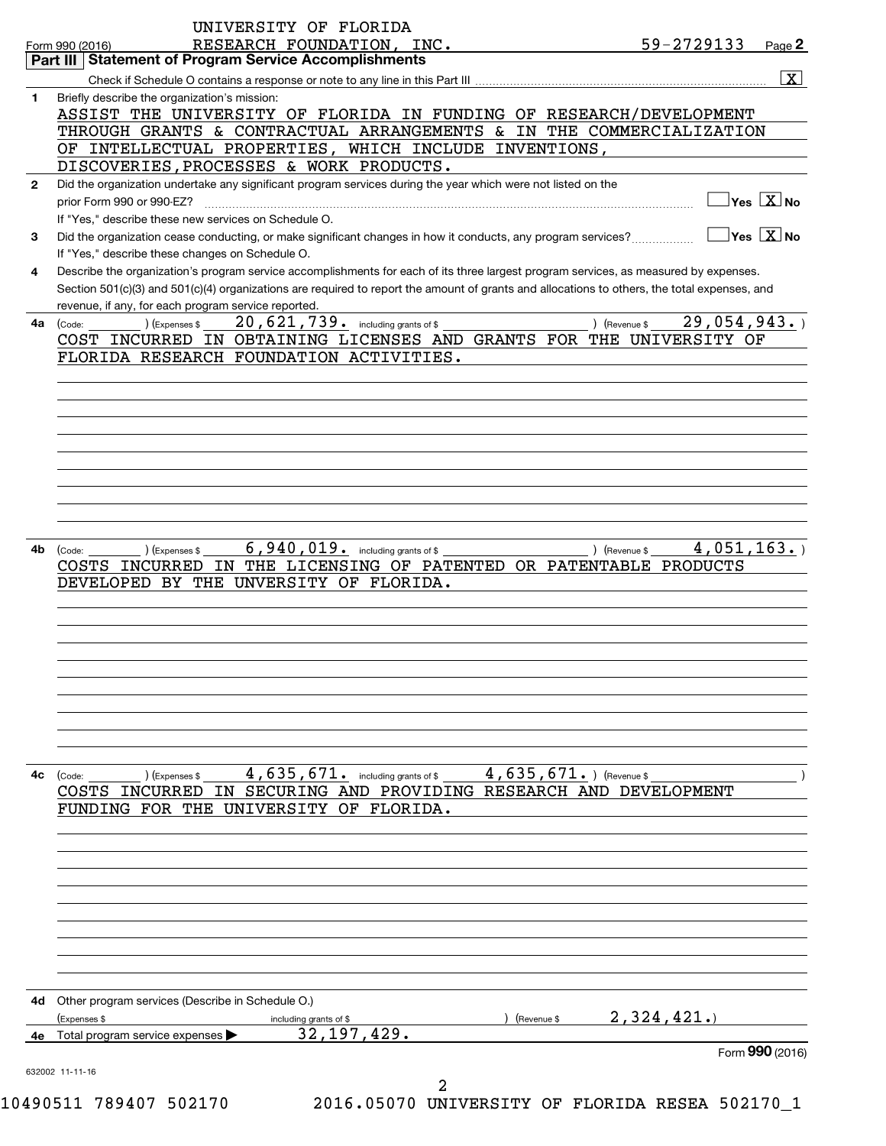|              | UNIVERSITY OF FLORIDA<br>59-2729133<br>RESEARCH FOUNDATION, INC.<br>Page 2<br>Form 990 (2016)                                                |
|--------------|----------------------------------------------------------------------------------------------------------------------------------------------|
|              | Part III   Statement of Program Service Accomplishments                                                                                      |
|              | $\overline{\mathbf{X}}$                                                                                                                      |
|              | Briefly describe the organization's mission:                                                                                                 |
|              | ASSIST THE UNIVERSITY OF FLORIDA IN FUNDING OF RESEARCH/DEVELOPMENT                                                                          |
|              | THROUGH GRANTS & CONTRACTUAL ARRANGEMENTS & IN THE COMMERCIALIZATION                                                                         |
|              | OF INTELLECTUAL PROPERTIES, WHICH INCLUDE INVENTIONS,                                                                                        |
|              | DISCOVERIES, PROCESSES & WORK PRODUCTS.                                                                                                      |
| $\mathbf{2}$ | Did the organization undertake any significant program services during the year which were not listed on the                                 |
|              | $Yes$ $X no$<br>prior Form 990 or 990-EZ?                                                                                                    |
|              | If "Yes." describe these new services on Schedule O.                                                                                         |
| 3            | $Yes \quad X \quad No$<br>Did the organization cease conducting, or make significant changes in how it conducts, any program services?       |
|              | If "Yes," describe these changes on Schedule O.                                                                                              |
| 4            | Describe the organization's program service accomplishments for each of its three largest program services, as measured by expenses.         |
|              | Section 501(c)(3) and 501(c)(4) organizations are required to report the amount of grants and allocations to others, the total expenses, and |
|              | revenue, if any, for each program service reported.                                                                                          |
|              | 20, 621, 739. including grants of \$<br>29,054,943.<br>) (Expenses \$<br>4a (Code:<br>) (Revenue \$                                          |
|              | COST INCURRED IN OBTAINING LICENSES AND GRANTS FOR THE UNIVERSITY OF                                                                         |
|              | FLORIDA RESEARCH FOUNDATION ACTIVITIES.                                                                                                      |
|              |                                                                                                                                              |
|              |                                                                                                                                              |
|              |                                                                                                                                              |
|              |                                                                                                                                              |
|              |                                                                                                                                              |
|              |                                                                                                                                              |
|              |                                                                                                                                              |
|              |                                                                                                                                              |
|              |                                                                                                                                              |
|              |                                                                                                                                              |
| 4b           | 6,940,019. including grants of \$<br>4,051,163.<br>(Code:<br>) (Expenses \$<br>) (Revenue \$                                                 |
|              | COSTS INCURRED IN THE LICENSING OF PATENTED OR PATENTABLE PRODUCTS                                                                           |
|              | DEVELOPED BY THE UNVERSITY OF FLORIDA.                                                                                                       |
|              |                                                                                                                                              |
|              |                                                                                                                                              |
|              |                                                                                                                                              |
|              |                                                                                                                                              |
|              |                                                                                                                                              |
|              |                                                                                                                                              |
|              |                                                                                                                                              |
|              |                                                                                                                                              |
|              |                                                                                                                                              |
|              |                                                                                                                                              |
|              |                                                                                                                                              |
|              |                                                                                                                                              |
|              | $4,635,671$ and including grants of \$<br>$4,635,671.$ ) (Revenue \$<br>) (Expenses \$<br>(Code:                                             |
|              | COSTS INCURRED IN SECURING AND PROVIDING RESEARCH AND DEVELOPMENT                                                                            |
|              | FUNDING FOR THE UNIVERSITY OF FLORIDA.                                                                                                       |
|              |                                                                                                                                              |
|              |                                                                                                                                              |
|              |                                                                                                                                              |
|              |                                                                                                                                              |
|              |                                                                                                                                              |
|              |                                                                                                                                              |
|              |                                                                                                                                              |
|              |                                                                                                                                              |
|              |                                                                                                                                              |
|              |                                                                                                                                              |
|              |                                                                                                                                              |
|              | 4d Other program services (Describe in Schedule O.)<br>(Revenue \$                                                                           |
| 4с<br>4e.    | 2,324,421.<br>(Expenses \$<br>including grants of \$                                                                                         |
|              | 32, 197, 429.<br>Total program service expenses                                                                                              |
|              | Form 990 (2016)<br>632002 11-11-16                                                                                                           |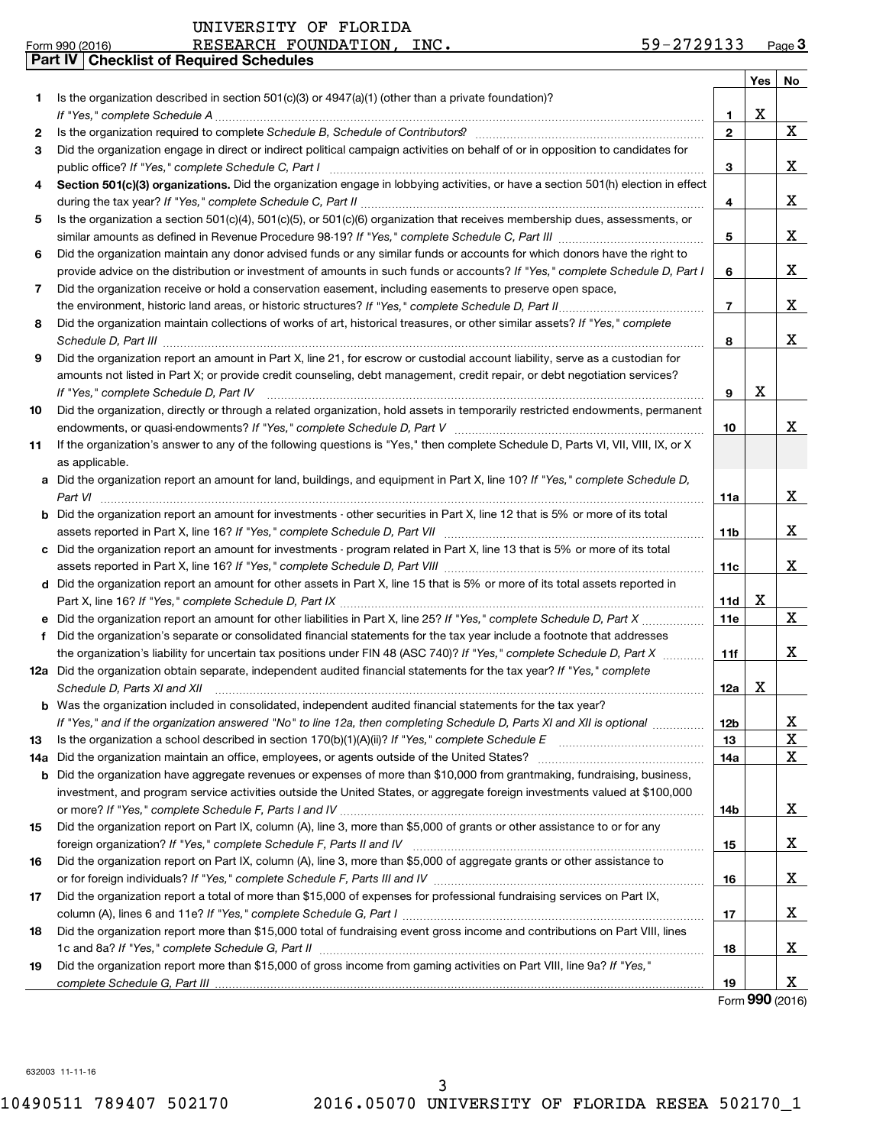|    | Part IV   Checklist of Required Schedules                                                                                                                                                                                                                    |                 |     |    |
|----|--------------------------------------------------------------------------------------------------------------------------------------------------------------------------------------------------------------------------------------------------------------|-----------------|-----|----|
|    |                                                                                                                                                                                                                                                              |                 | Yes | No |
| 1  | Is the organization described in section 501(c)(3) or $4947(a)(1)$ (other than a private foundation)?                                                                                                                                                        |                 |     |    |
|    |                                                                                                                                                                                                                                                              | 1               | х   |    |
| 2  |                                                                                                                                                                                                                                                              | $\overline{2}$  |     | X  |
| 3  | Did the organization engage in direct or indirect political campaign activities on behalf of or in opposition to candidates for                                                                                                                              |                 |     |    |
|    |                                                                                                                                                                                                                                                              | З               |     | x  |
| 4  | Section 501(c)(3) organizations. Did the organization engage in lobbying activities, or have a section 501(h) election in effect                                                                                                                             |                 |     |    |
|    |                                                                                                                                                                                                                                                              | 4               |     | x  |
| 5  | Is the organization a section 501(c)(4), 501(c)(5), or 501(c)(6) organization that receives membership dues, assessments, or                                                                                                                                 |                 |     |    |
|    |                                                                                                                                                                                                                                                              | 5               |     | X  |
| 6  | Did the organization maintain any donor advised funds or any similar funds or accounts for which donors have the right to                                                                                                                                    |                 |     |    |
|    | provide advice on the distribution or investment of amounts in such funds or accounts? If "Yes," complete Schedule D, Part I                                                                                                                                 | 6               |     | x  |
| 7  | Did the organization receive or hold a conservation easement, including easements to preserve open space,                                                                                                                                                    |                 |     |    |
|    |                                                                                                                                                                                                                                                              | $\overline{7}$  |     | x  |
| 8  | Did the organization maintain collections of works of art, historical treasures, or other similar assets? If "Yes," complete                                                                                                                                 |                 |     |    |
|    |                                                                                                                                                                                                                                                              |                 |     | x  |
|    | Schedule D, Part III <b>Marting Commission Commission Commission</b> Commission Commission Commission Commission Commission<br>Did the organization report an amount in Part X, line 21, for escrow or custodial account liability, serve as a custodian for | 8               |     |    |
| 9  |                                                                                                                                                                                                                                                              |                 |     |    |
|    | amounts not listed in Part X; or provide credit counseling, debt management, credit repair, or debt negotiation services?                                                                                                                                    |                 |     |    |
|    | If "Yes," complete Schedule D, Part IV                                                                                                                                                                                                                       | 9               | х   |    |
| 10 | Did the organization, directly or through a related organization, hold assets in temporarily restricted endowments, permanent                                                                                                                                |                 |     |    |
|    |                                                                                                                                                                                                                                                              | 10              |     | x  |
| 11 | If the organization's answer to any of the following questions is "Yes," then complete Schedule D, Parts VI, VII, VIII, IX, or X                                                                                                                             |                 |     |    |
|    | as applicable.                                                                                                                                                                                                                                               |                 |     |    |
|    | a Did the organization report an amount for land, buildings, and equipment in Part X, line 10? If "Yes," complete Schedule D,                                                                                                                                |                 |     |    |
|    | Part VI                                                                                                                                                                                                                                                      | <b>11a</b>      |     | x  |
|    | <b>b</b> Did the organization report an amount for investments - other securities in Part X, line 12 that is 5% or more of its total                                                                                                                         |                 |     |    |
|    |                                                                                                                                                                                                                                                              | 11 <sub>b</sub> |     | x  |
|    | c Did the organization report an amount for investments - program related in Part X, line 13 that is 5% or more of its total                                                                                                                                 |                 |     |    |
|    |                                                                                                                                                                                                                                                              | 11c             |     | x  |
|    | d Did the organization report an amount for other assets in Part X, line 15 that is 5% or more of its total assets reported in                                                                                                                               |                 |     |    |
|    |                                                                                                                                                                                                                                                              | 11d             | х   |    |
|    |                                                                                                                                                                                                                                                              | 11e             |     | X  |
| f  | Did the organization's separate or consolidated financial statements for the tax year include a footnote that addresses                                                                                                                                      |                 |     |    |
|    | the organization's liability for uncertain tax positions under FIN 48 (ASC 740)? If "Yes," complete Schedule D, Part X                                                                                                                                       | 11f             |     | x  |
|    | 12a Did the organization obtain separate, independent audited financial statements for the tax year? If "Yes," complete                                                                                                                                      |                 |     |    |
|    | Schedule D, Parts XI and XII <b>construction and construction of the Construction</b> and Construction and Construction                                                                                                                                      | 12a             | x   |    |
|    | <b>b</b> Was the organization included in consolidated, independent audited financial statements for the tax year?                                                                                                                                           |                 |     |    |
|    | If "Yes," and if the organization answered "No" to line 12a, then completing Schedule D, Parts XI and XII is optional                                                                                                                                        | 12 <sub>b</sub> |     | x  |
| 13 |                                                                                                                                                                                                                                                              | 13              |     | Χ  |
|    | 14a Did the organization maintain an office, employees, or agents outside of the United States?                                                                                                                                                              | 14a             |     | X  |
|    | <b>b</b> Did the organization have aggregate revenues or expenses of more than \$10,000 from grantmaking, fundraising, business,                                                                                                                             |                 |     |    |
|    | investment, and program service activities outside the United States, or aggregate foreign investments valued at \$100,000                                                                                                                                   |                 |     |    |
|    |                                                                                                                                                                                                                                                              | 14b             |     | X. |
| 15 | Did the organization report on Part IX, column (A), line 3, more than \$5,000 of grants or other assistance to or for any                                                                                                                                    |                 |     |    |
|    |                                                                                                                                                                                                                                                              | 15              |     | X. |
| 16 | Did the organization report on Part IX, column (A), line 3, more than \$5,000 of aggregate grants or other assistance to                                                                                                                                     |                 |     |    |
|    | or for foreign individuals? If "Yes," complete Schedule F, Parts III and IV [11] married to the manufacture in                                                                                                                                               | 16              |     | x  |
| 17 | Did the organization report a total of more than \$15,000 of expenses for professional fundraising services on Part IX,                                                                                                                                      |                 |     |    |
|    |                                                                                                                                                                                                                                                              | 17              |     | X. |
| 18 | Did the organization report more than \$15,000 total of fundraising event gross income and contributions on Part VIII, lines                                                                                                                                 |                 |     |    |
|    |                                                                                                                                                                                                                                                              | 18              |     | x  |
| 19 | Did the organization report more than \$15,000 of gross income from gaming activities on Part VIII, line 9a? If "Yes,"                                                                                                                                       |                 |     |    |
|    |                                                                                                                                                                                                                                                              | 19              |     | x  |
|    |                                                                                                                                                                                                                                                              |                 |     |    |

Form (2016) **990**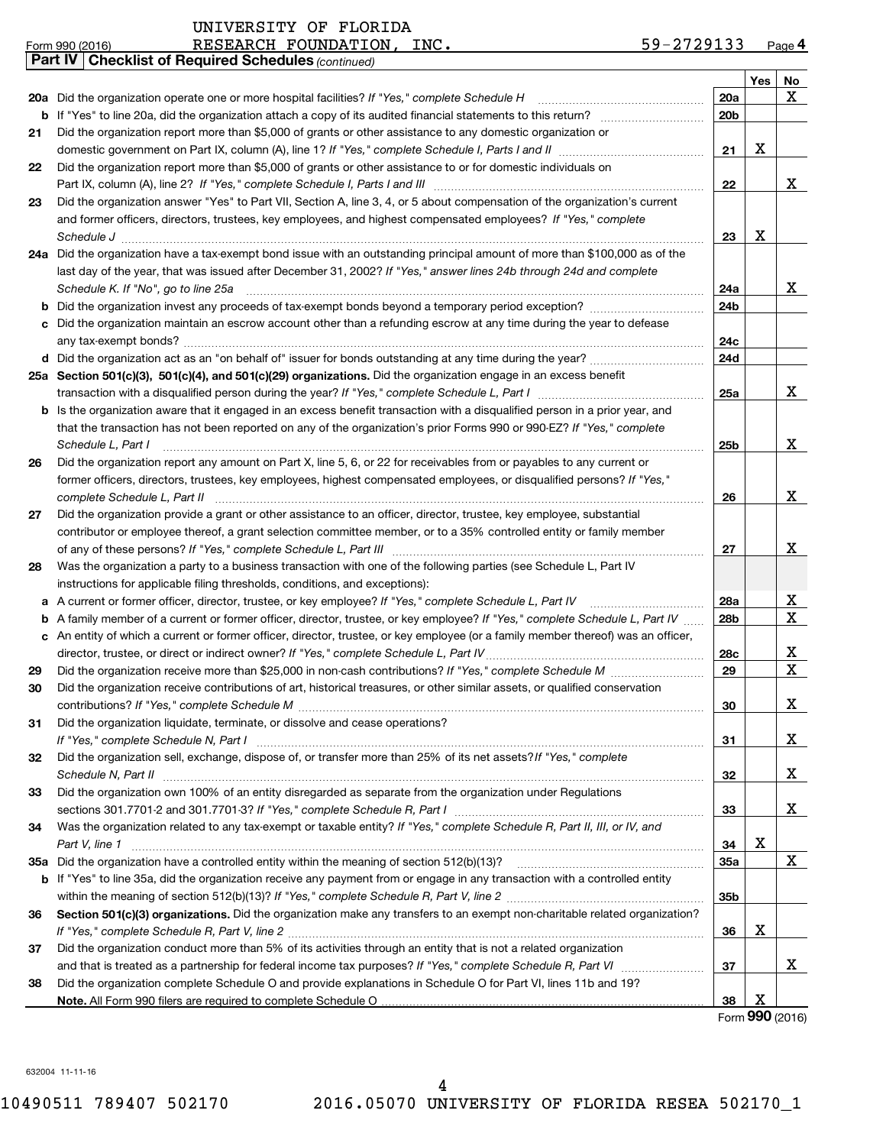| Part IV<br>Yes<br>No<br>X<br>20a Did the organization operate one or more hospital facilities? If "Yes," complete Schedule H<br>20a<br>20 <sub>b</sub><br>b<br>Did the organization report more than \$5,000 of grants or other assistance to any domestic organization or<br>21<br>X<br>21<br>Did the organization report more than \$5,000 of grants or other assistance to or for domestic individuals on<br>22<br>X<br>22<br>Did the organization answer "Yes" to Part VII, Section A, line 3, 4, or 5 about compensation of the organization's current<br>23<br>and former officers, directors, trustees, key employees, and highest compensated employees? If "Yes," complete<br>X<br>23<br>Schedule J <b>Execute Schedule J Execute Schedule J</b><br>24a Did the organization have a tax-exempt bond issue with an outstanding principal amount of more than \$100,000 as of the<br>last day of the year, that was issued after December 31, 2002? If "Yes," answer lines 24b through 24d and complete<br>X<br>Schedule K. If "No", go to line 25a<br>24a<br>24b<br>b<br>c Did the organization maintain an escrow account other than a refunding escrow at any time during the year to defease<br>24c<br>d Did the organization act as an "on behalf of" issuer for bonds outstanding at any time during the year?<br>24d<br>25a Section 501(c)(3), 501(c)(4), and 501(c)(29) organizations. Did the organization engage in an excess benefit<br>X<br>25a<br>b Is the organization aware that it engaged in an excess benefit transaction with a disqualified person in a prior year, and<br>that the transaction has not been reported on any of the organization's prior Forms 990 or 990-EZ? If "Yes," complete<br>X.<br>Schedule L, Part I<br>25b<br>Did the organization report any amount on Part X, line 5, 6, or 22 for receivables from or payables to any current or<br>26<br>former officers, directors, trustees, key employees, highest compensated employees, or disqualified persons? If "Yes,"<br>X.<br>26<br>Did the organization provide a grant or other assistance to an officer, director, trustee, key employee, substantial<br>27<br>contributor or employee thereof, a grant selection committee member, or to a 35% controlled entity or family member<br>X<br>27<br>Was the organization a party to a business transaction with one of the following parties (see Schedule L, Part IV<br>28<br>instructions for applicable filing thresholds, conditions, and exceptions):<br>X<br>A current or former officer, director, trustee, or key employee? If "Yes," complete Schedule L, Part IV<br><b>28a</b><br>а<br>X<br>28 <sub>b</sub><br>A family member of a current or former officer, director, trustee, or key employee? If "Yes," complete Schedule L, Part IV<br>b<br>c An entity of which a current or former officer, director, trustee, or key employee (or a family member thereof) was an officer,<br>X<br>28c<br>X<br>29<br>29<br>Did the organization receive contributions of art, historical treasures, or other similar assets, or qualified conservation<br>30<br>X<br>30<br>Did the organization liquidate, terminate, or dissolve and cease operations?<br>31<br>x<br>31<br>Did the organization sell, exchange, dispose of, or transfer more than 25% of its net assets? If "Yes," complete<br>32<br>x<br>32<br>Did the organization own 100% of an entity disregarded as separate from the organization under Regulations<br>33<br>X<br>33<br>Was the organization related to any tax-exempt or taxable entity? If "Yes," complete Schedule R, Part II, III, or IV, and<br>34<br>х<br>34<br>Part V, line 1<br>X<br>35a<br>35а<br>If "Yes" to line 35a, did the organization receive any payment from or engage in any transaction with a controlled entity<br>b<br>35b<br>Section 501(c)(3) organizations. Did the organization make any transfers to an exempt non-charitable related organization?<br>36<br>х<br>36<br>Did the organization conduct more than 5% of its activities through an entity that is not a related organization<br>37<br>X<br>37<br>Did the organization complete Schedule O and provide explanations in Schedule O for Part VI, lines 11b and 19?<br>38<br>x<br>38 | 59-2729133<br>RESEARCH FOUNDATION, INC.<br>Form 990 (2016) |  | Page 4 |
|-------------------------------------------------------------------------------------------------------------------------------------------------------------------------------------------------------------------------------------------------------------------------------------------------------------------------------------------------------------------------------------------------------------------------------------------------------------------------------------------------------------------------------------------------------------------------------------------------------------------------------------------------------------------------------------------------------------------------------------------------------------------------------------------------------------------------------------------------------------------------------------------------------------------------------------------------------------------------------------------------------------------------------------------------------------------------------------------------------------------------------------------------------------------------------------------------------------------------------------------------------------------------------------------------------------------------------------------------------------------------------------------------------------------------------------------------------------------------------------------------------------------------------------------------------------------------------------------------------------------------------------------------------------------------------------------------------------------------------------------------------------------------------------------------------------------------------------------------------------------------------------------------------------------------------------------------------------------------------------------------------------------------------------------------------------------------------------------------------------------------------------------------------------------------------------------------------------------------------------------------------------------------------------------------------------------------------------------------------------------------------------------------------------------------------------------------------------------------------------------------------------------------------------------------------------------------------------------------------------------------------------------------------------------------------------------------------------------------------------------------------------------------------------------------------------------------------------------------------------------------------------------------------------------------------------------------------------------------------------------------------------------------------------------------------------------------------------------------------------------------------------------------------------------------------------------------------------------------------------------------------------------------------------------------------------------------------------------------------------------------------------------------------------------------------------------------------------------------------------------------------------------------------------------------------------------------------------------------------------------------------------------------------------------------------------------------------------------------------------------------------------------------------------------------------------------------------------------------------------------------------------------------------------------------------------------------------------------------------------------------------------------------------------------------------------------------------------------------------------------------------------------------------------------------------------------------------------------------------------------------------|------------------------------------------------------------|--|--------|
|                                                                                                                                                                                                                                                                                                                                                                                                                                                                                                                                                                                                                                                                                                                                                                                                                                                                                                                                                                                                                                                                                                                                                                                                                                                                                                                                                                                                                                                                                                                                                                                                                                                                                                                                                                                                                                                                                                                                                                                                                                                                                                                                                                                                                                                                                                                                                                                                                                                                                                                                                                                                                                                                                                                                                                                                                                                                                                                                                                                                                                                                                                                                                                                                                                                                                                                                                                                                                                                                                                                                                                                                                                                                                                                                                                                                                                                                                                                                                                                                                                                                                                                                                                                                                                                       | <b>Checklist of Required Schedules (continued)</b>         |  |        |
|                                                                                                                                                                                                                                                                                                                                                                                                                                                                                                                                                                                                                                                                                                                                                                                                                                                                                                                                                                                                                                                                                                                                                                                                                                                                                                                                                                                                                                                                                                                                                                                                                                                                                                                                                                                                                                                                                                                                                                                                                                                                                                                                                                                                                                                                                                                                                                                                                                                                                                                                                                                                                                                                                                                                                                                                                                                                                                                                                                                                                                                                                                                                                                                                                                                                                                                                                                                                                                                                                                                                                                                                                                                                                                                                                                                                                                                                                                                                                                                                                                                                                                                                                                                                                                                       |                                                            |  |        |
|                                                                                                                                                                                                                                                                                                                                                                                                                                                                                                                                                                                                                                                                                                                                                                                                                                                                                                                                                                                                                                                                                                                                                                                                                                                                                                                                                                                                                                                                                                                                                                                                                                                                                                                                                                                                                                                                                                                                                                                                                                                                                                                                                                                                                                                                                                                                                                                                                                                                                                                                                                                                                                                                                                                                                                                                                                                                                                                                                                                                                                                                                                                                                                                                                                                                                                                                                                                                                                                                                                                                                                                                                                                                                                                                                                                                                                                                                                                                                                                                                                                                                                                                                                                                                                                       |                                                            |  |        |
|                                                                                                                                                                                                                                                                                                                                                                                                                                                                                                                                                                                                                                                                                                                                                                                                                                                                                                                                                                                                                                                                                                                                                                                                                                                                                                                                                                                                                                                                                                                                                                                                                                                                                                                                                                                                                                                                                                                                                                                                                                                                                                                                                                                                                                                                                                                                                                                                                                                                                                                                                                                                                                                                                                                                                                                                                                                                                                                                                                                                                                                                                                                                                                                                                                                                                                                                                                                                                                                                                                                                                                                                                                                                                                                                                                                                                                                                                                                                                                                                                                                                                                                                                                                                                                                       |                                                            |  |        |
|                                                                                                                                                                                                                                                                                                                                                                                                                                                                                                                                                                                                                                                                                                                                                                                                                                                                                                                                                                                                                                                                                                                                                                                                                                                                                                                                                                                                                                                                                                                                                                                                                                                                                                                                                                                                                                                                                                                                                                                                                                                                                                                                                                                                                                                                                                                                                                                                                                                                                                                                                                                                                                                                                                                                                                                                                                                                                                                                                                                                                                                                                                                                                                                                                                                                                                                                                                                                                                                                                                                                                                                                                                                                                                                                                                                                                                                                                                                                                                                                                                                                                                                                                                                                                                                       |                                                            |  |        |
|                                                                                                                                                                                                                                                                                                                                                                                                                                                                                                                                                                                                                                                                                                                                                                                                                                                                                                                                                                                                                                                                                                                                                                                                                                                                                                                                                                                                                                                                                                                                                                                                                                                                                                                                                                                                                                                                                                                                                                                                                                                                                                                                                                                                                                                                                                                                                                                                                                                                                                                                                                                                                                                                                                                                                                                                                                                                                                                                                                                                                                                                                                                                                                                                                                                                                                                                                                                                                                                                                                                                                                                                                                                                                                                                                                                                                                                                                                                                                                                                                                                                                                                                                                                                                                                       |                                                            |  |        |
|                                                                                                                                                                                                                                                                                                                                                                                                                                                                                                                                                                                                                                                                                                                                                                                                                                                                                                                                                                                                                                                                                                                                                                                                                                                                                                                                                                                                                                                                                                                                                                                                                                                                                                                                                                                                                                                                                                                                                                                                                                                                                                                                                                                                                                                                                                                                                                                                                                                                                                                                                                                                                                                                                                                                                                                                                                                                                                                                                                                                                                                                                                                                                                                                                                                                                                                                                                                                                                                                                                                                                                                                                                                                                                                                                                                                                                                                                                                                                                                                                                                                                                                                                                                                                                                       |                                                            |  |        |
|                                                                                                                                                                                                                                                                                                                                                                                                                                                                                                                                                                                                                                                                                                                                                                                                                                                                                                                                                                                                                                                                                                                                                                                                                                                                                                                                                                                                                                                                                                                                                                                                                                                                                                                                                                                                                                                                                                                                                                                                                                                                                                                                                                                                                                                                                                                                                                                                                                                                                                                                                                                                                                                                                                                                                                                                                                                                                                                                                                                                                                                                                                                                                                                                                                                                                                                                                                                                                                                                                                                                                                                                                                                                                                                                                                                                                                                                                                                                                                                                                                                                                                                                                                                                                                                       |                                                            |  |        |
|                                                                                                                                                                                                                                                                                                                                                                                                                                                                                                                                                                                                                                                                                                                                                                                                                                                                                                                                                                                                                                                                                                                                                                                                                                                                                                                                                                                                                                                                                                                                                                                                                                                                                                                                                                                                                                                                                                                                                                                                                                                                                                                                                                                                                                                                                                                                                                                                                                                                                                                                                                                                                                                                                                                                                                                                                                                                                                                                                                                                                                                                                                                                                                                                                                                                                                                                                                                                                                                                                                                                                                                                                                                                                                                                                                                                                                                                                                                                                                                                                                                                                                                                                                                                                                                       |                                                            |  |        |
|                                                                                                                                                                                                                                                                                                                                                                                                                                                                                                                                                                                                                                                                                                                                                                                                                                                                                                                                                                                                                                                                                                                                                                                                                                                                                                                                                                                                                                                                                                                                                                                                                                                                                                                                                                                                                                                                                                                                                                                                                                                                                                                                                                                                                                                                                                                                                                                                                                                                                                                                                                                                                                                                                                                                                                                                                                                                                                                                                                                                                                                                                                                                                                                                                                                                                                                                                                                                                                                                                                                                                                                                                                                                                                                                                                                                                                                                                                                                                                                                                                                                                                                                                                                                                                                       |                                                            |  |        |
|                                                                                                                                                                                                                                                                                                                                                                                                                                                                                                                                                                                                                                                                                                                                                                                                                                                                                                                                                                                                                                                                                                                                                                                                                                                                                                                                                                                                                                                                                                                                                                                                                                                                                                                                                                                                                                                                                                                                                                                                                                                                                                                                                                                                                                                                                                                                                                                                                                                                                                                                                                                                                                                                                                                                                                                                                                                                                                                                                                                                                                                                                                                                                                                                                                                                                                                                                                                                                                                                                                                                                                                                                                                                                                                                                                                                                                                                                                                                                                                                                                                                                                                                                                                                                                                       |                                                            |  |        |
|                                                                                                                                                                                                                                                                                                                                                                                                                                                                                                                                                                                                                                                                                                                                                                                                                                                                                                                                                                                                                                                                                                                                                                                                                                                                                                                                                                                                                                                                                                                                                                                                                                                                                                                                                                                                                                                                                                                                                                                                                                                                                                                                                                                                                                                                                                                                                                                                                                                                                                                                                                                                                                                                                                                                                                                                                                                                                                                                                                                                                                                                                                                                                                                                                                                                                                                                                                                                                                                                                                                                                                                                                                                                                                                                                                                                                                                                                                                                                                                                                                                                                                                                                                                                                                                       |                                                            |  |        |
|                                                                                                                                                                                                                                                                                                                                                                                                                                                                                                                                                                                                                                                                                                                                                                                                                                                                                                                                                                                                                                                                                                                                                                                                                                                                                                                                                                                                                                                                                                                                                                                                                                                                                                                                                                                                                                                                                                                                                                                                                                                                                                                                                                                                                                                                                                                                                                                                                                                                                                                                                                                                                                                                                                                                                                                                                                                                                                                                                                                                                                                                                                                                                                                                                                                                                                                                                                                                                                                                                                                                                                                                                                                                                                                                                                                                                                                                                                                                                                                                                                                                                                                                                                                                                                                       |                                                            |  |        |
|                                                                                                                                                                                                                                                                                                                                                                                                                                                                                                                                                                                                                                                                                                                                                                                                                                                                                                                                                                                                                                                                                                                                                                                                                                                                                                                                                                                                                                                                                                                                                                                                                                                                                                                                                                                                                                                                                                                                                                                                                                                                                                                                                                                                                                                                                                                                                                                                                                                                                                                                                                                                                                                                                                                                                                                                                                                                                                                                                                                                                                                                                                                                                                                                                                                                                                                                                                                                                                                                                                                                                                                                                                                                                                                                                                                                                                                                                                                                                                                                                                                                                                                                                                                                                                                       |                                                            |  |        |
|                                                                                                                                                                                                                                                                                                                                                                                                                                                                                                                                                                                                                                                                                                                                                                                                                                                                                                                                                                                                                                                                                                                                                                                                                                                                                                                                                                                                                                                                                                                                                                                                                                                                                                                                                                                                                                                                                                                                                                                                                                                                                                                                                                                                                                                                                                                                                                                                                                                                                                                                                                                                                                                                                                                                                                                                                                                                                                                                                                                                                                                                                                                                                                                                                                                                                                                                                                                                                                                                                                                                                                                                                                                                                                                                                                                                                                                                                                                                                                                                                                                                                                                                                                                                                                                       |                                                            |  |        |
|                                                                                                                                                                                                                                                                                                                                                                                                                                                                                                                                                                                                                                                                                                                                                                                                                                                                                                                                                                                                                                                                                                                                                                                                                                                                                                                                                                                                                                                                                                                                                                                                                                                                                                                                                                                                                                                                                                                                                                                                                                                                                                                                                                                                                                                                                                                                                                                                                                                                                                                                                                                                                                                                                                                                                                                                                                                                                                                                                                                                                                                                                                                                                                                                                                                                                                                                                                                                                                                                                                                                                                                                                                                                                                                                                                                                                                                                                                                                                                                                                                                                                                                                                                                                                                                       |                                                            |  |        |
|                                                                                                                                                                                                                                                                                                                                                                                                                                                                                                                                                                                                                                                                                                                                                                                                                                                                                                                                                                                                                                                                                                                                                                                                                                                                                                                                                                                                                                                                                                                                                                                                                                                                                                                                                                                                                                                                                                                                                                                                                                                                                                                                                                                                                                                                                                                                                                                                                                                                                                                                                                                                                                                                                                                                                                                                                                                                                                                                                                                                                                                                                                                                                                                                                                                                                                                                                                                                                                                                                                                                                                                                                                                                                                                                                                                                                                                                                                                                                                                                                                                                                                                                                                                                                                                       |                                                            |  |        |
|                                                                                                                                                                                                                                                                                                                                                                                                                                                                                                                                                                                                                                                                                                                                                                                                                                                                                                                                                                                                                                                                                                                                                                                                                                                                                                                                                                                                                                                                                                                                                                                                                                                                                                                                                                                                                                                                                                                                                                                                                                                                                                                                                                                                                                                                                                                                                                                                                                                                                                                                                                                                                                                                                                                                                                                                                                                                                                                                                                                                                                                                                                                                                                                                                                                                                                                                                                                                                                                                                                                                                                                                                                                                                                                                                                                                                                                                                                                                                                                                                                                                                                                                                                                                                                                       |                                                            |  |        |
|                                                                                                                                                                                                                                                                                                                                                                                                                                                                                                                                                                                                                                                                                                                                                                                                                                                                                                                                                                                                                                                                                                                                                                                                                                                                                                                                                                                                                                                                                                                                                                                                                                                                                                                                                                                                                                                                                                                                                                                                                                                                                                                                                                                                                                                                                                                                                                                                                                                                                                                                                                                                                                                                                                                                                                                                                                                                                                                                                                                                                                                                                                                                                                                                                                                                                                                                                                                                                                                                                                                                                                                                                                                                                                                                                                                                                                                                                                                                                                                                                                                                                                                                                                                                                                                       |                                                            |  |        |
|                                                                                                                                                                                                                                                                                                                                                                                                                                                                                                                                                                                                                                                                                                                                                                                                                                                                                                                                                                                                                                                                                                                                                                                                                                                                                                                                                                                                                                                                                                                                                                                                                                                                                                                                                                                                                                                                                                                                                                                                                                                                                                                                                                                                                                                                                                                                                                                                                                                                                                                                                                                                                                                                                                                                                                                                                                                                                                                                                                                                                                                                                                                                                                                                                                                                                                                                                                                                                                                                                                                                                                                                                                                                                                                                                                                                                                                                                                                                                                                                                                                                                                                                                                                                                                                       |                                                            |  |        |
|                                                                                                                                                                                                                                                                                                                                                                                                                                                                                                                                                                                                                                                                                                                                                                                                                                                                                                                                                                                                                                                                                                                                                                                                                                                                                                                                                                                                                                                                                                                                                                                                                                                                                                                                                                                                                                                                                                                                                                                                                                                                                                                                                                                                                                                                                                                                                                                                                                                                                                                                                                                                                                                                                                                                                                                                                                                                                                                                                                                                                                                                                                                                                                                                                                                                                                                                                                                                                                                                                                                                                                                                                                                                                                                                                                                                                                                                                                                                                                                                                                                                                                                                                                                                                                                       |                                                            |  |        |
|                                                                                                                                                                                                                                                                                                                                                                                                                                                                                                                                                                                                                                                                                                                                                                                                                                                                                                                                                                                                                                                                                                                                                                                                                                                                                                                                                                                                                                                                                                                                                                                                                                                                                                                                                                                                                                                                                                                                                                                                                                                                                                                                                                                                                                                                                                                                                                                                                                                                                                                                                                                                                                                                                                                                                                                                                                                                                                                                                                                                                                                                                                                                                                                                                                                                                                                                                                                                                                                                                                                                                                                                                                                                                                                                                                                                                                                                                                                                                                                                                                                                                                                                                                                                                                                       |                                                            |  |        |
|                                                                                                                                                                                                                                                                                                                                                                                                                                                                                                                                                                                                                                                                                                                                                                                                                                                                                                                                                                                                                                                                                                                                                                                                                                                                                                                                                                                                                                                                                                                                                                                                                                                                                                                                                                                                                                                                                                                                                                                                                                                                                                                                                                                                                                                                                                                                                                                                                                                                                                                                                                                                                                                                                                                                                                                                                                                                                                                                                                                                                                                                                                                                                                                                                                                                                                                                                                                                                                                                                                                                                                                                                                                                                                                                                                                                                                                                                                                                                                                                                                                                                                                                                                                                                                                       |                                                            |  |        |
|                                                                                                                                                                                                                                                                                                                                                                                                                                                                                                                                                                                                                                                                                                                                                                                                                                                                                                                                                                                                                                                                                                                                                                                                                                                                                                                                                                                                                                                                                                                                                                                                                                                                                                                                                                                                                                                                                                                                                                                                                                                                                                                                                                                                                                                                                                                                                                                                                                                                                                                                                                                                                                                                                                                                                                                                                                                                                                                                                                                                                                                                                                                                                                                                                                                                                                                                                                                                                                                                                                                                                                                                                                                                                                                                                                                                                                                                                                                                                                                                                                                                                                                                                                                                                                                       |                                                            |  |        |
|                                                                                                                                                                                                                                                                                                                                                                                                                                                                                                                                                                                                                                                                                                                                                                                                                                                                                                                                                                                                                                                                                                                                                                                                                                                                                                                                                                                                                                                                                                                                                                                                                                                                                                                                                                                                                                                                                                                                                                                                                                                                                                                                                                                                                                                                                                                                                                                                                                                                                                                                                                                                                                                                                                                                                                                                                                                                                                                                                                                                                                                                                                                                                                                                                                                                                                                                                                                                                                                                                                                                                                                                                                                                                                                                                                                                                                                                                                                                                                                                                                                                                                                                                                                                                                                       |                                                            |  |        |
|                                                                                                                                                                                                                                                                                                                                                                                                                                                                                                                                                                                                                                                                                                                                                                                                                                                                                                                                                                                                                                                                                                                                                                                                                                                                                                                                                                                                                                                                                                                                                                                                                                                                                                                                                                                                                                                                                                                                                                                                                                                                                                                                                                                                                                                                                                                                                                                                                                                                                                                                                                                                                                                                                                                                                                                                                                                                                                                                                                                                                                                                                                                                                                                                                                                                                                                                                                                                                                                                                                                                                                                                                                                                                                                                                                                                                                                                                                                                                                                                                                                                                                                                                                                                                                                       |                                                            |  |        |
|                                                                                                                                                                                                                                                                                                                                                                                                                                                                                                                                                                                                                                                                                                                                                                                                                                                                                                                                                                                                                                                                                                                                                                                                                                                                                                                                                                                                                                                                                                                                                                                                                                                                                                                                                                                                                                                                                                                                                                                                                                                                                                                                                                                                                                                                                                                                                                                                                                                                                                                                                                                                                                                                                                                                                                                                                                                                                                                                                                                                                                                                                                                                                                                                                                                                                                                                                                                                                                                                                                                                                                                                                                                                                                                                                                                                                                                                                                                                                                                                                                                                                                                                                                                                                                                       |                                                            |  |        |
|                                                                                                                                                                                                                                                                                                                                                                                                                                                                                                                                                                                                                                                                                                                                                                                                                                                                                                                                                                                                                                                                                                                                                                                                                                                                                                                                                                                                                                                                                                                                                                                                                                                                                                                                                                                                                                                                                                                                                                                                                                                                                                                                                                                                                                                                                                                                                                                                                                                                                                                                                                                                                                                                                                                                                                                                                                                                                                                                                                                                                                                                                                                                                                                                                                                                                                                                                                                                                                                                                                                                                                                                                                                                                                                                                                                                                                                                                                                                                                                                                                                                                                                                                                                                                                                       |                                                            |  |        |
|                                                                                                                                                                                                                                                                                                                                                                                                                                                                                                                                                                                                                                                                                                                                                                                                                                                                                                                                                                                                                                                                                                                                                                                                                                                                                                                                                                                                                                                                                                                                                                                                                                                                                                                                                                                                                                                                                                                                                                                                                                                                                                                                                                                                                                                                                                                                                                                                                                                                                                                                                                                                                                                                                                                                                                                                                                                                                                                                                                                                                                                                                                                                                                                                                                                                                                                                                                                                                                                                                                                                                                                                                                                                                                                                                                                                                                                                                                                                                                                                                                                                                                                                                                                                                                                       |                                                            |  |        |
|                                                                                                                                                                                                                                                                                                                                                                                                                                                                                                                                                                                                                                                                                                                                                                                                                                                                                                                                                                                                                                                                                                                                                                                                                                                                                                                                                                                                                                                                                                                                                                                                                                                                                                                                                                                                                                                                                                                                                                                                                                                                                                                                                                                                                                                                                                                                                                                                                                                                                                                                                                                                                                                                                                                                                                                                                                                                                                                                                                                                                                                                                                                                                                                                                                                                                                                                                                                                                                                                                                                                                                                                                                                                                                                                                                                                                                                                                                                                                                                                                                                                                                                                                                                                                                                       |                                                            |  |        |
|                                                                                                                                                                                                                                                                                                                                                                                                                                                                                                                                                                                                                                                                                                                                                                                                                                                                                                                                                                                                                                                                                                                                                                                                                                                                                                                                                                                                                                                                                                                                                                                                                                                                                                                                                                                                                                                                                                                                                                                                                                                                                                                                                                                                                                                                                                                                                                                                                                                                                                                                                                                                                                                                                                                                                                                                                                                                                                                                                                                                                                                                                                                                                                                                                                                                                                                                                                                                                                                                                                                                                                                                                                                                                                                                                                                                                                                                                                                                                                                                                                                                                                                                                                                                                                                       |                                                            |  |        |
|                                                                                                                                                                                                                                                                                                                                                                                                                                                                                                                                                                                                                                                                                                                                                                                                                                                                                                                                                                                                                                                                                                                                                                                                                                                                                                                                                                                                                                                                                                                                                                                                                                                                                                                                                                                                                                                                                                                                                                                                                                                                                                                                                                                                                                                                                                                                                                                                                                                                                                                                                                                                                                                                                                                                                                                                                                                                                                                                                                                                                                                                                                                                                                                                                                                                                                                                                                                                                                                                                                                                                                                                                                                                                                                                                                                                                                                                                                                                                                                                                                                                                                                                                                                                                                                       |                                                            |  |        |
|                                                                                                                                                                                                                                                                                                                                                                                                                                                                                                                                                                                                                                                                                                                                                                                                                                                                                                                                                                                                                                                                                                                                                                                                                                                                                                                                                                                                                                                                                                                                                                                                                                                                                                                                                                                                                                                                                                                                                                                                                                                                                                                                                                                                                                                                                                                                                                                                                                                                                                                                                                                                                                                                                                                                                                                                                                                                                                                                                                                                                                                                                                                                                                                                                                                                                                                                                                                                                                                                                                                                                                                                                                                                                                                                                                                                                                                                                                                                                                                                                                                                                                                                                                                                                                                       |                                                            |  |        |
|                                                                                                                                                                                                                                                                                                                                                                                                                                                                                                                                                                                                                                                                                                                                                                                                                                                                                                                                                                                                                                                                                                                                                                                                                                                                                                                                                                                                                                                                                                                                                                                                                                                                                                                                                                                                                                                                                                                                                                                                                                                                                                                                                                                                                                                                                                                                                                                                                                                                                                                                                                                                                                                                                                                                                                                                                                                                                                                                                                                                                                                                                                                                                                                                                                                                                                                                                                                                                                                                                                                                                                                                                                                                                                                                                                                                                                                                                                                                                                                                                                                                                                                                                                                                                                                       |                                                            |  |        |
|                                                                                                                                                                                                                                                                                                                                                                                                                                                                                                                                                                                                                                                                                                                                                                                                                                                                                                                                                                                                                                                                                                                                                                                                                                                                                                                                                                                                                                                                                                                                                                                                                                                                                                                                                                                                                                                                                                                                                                                                                                                                                                                                                                                                                                                                                                                                                                                                                                                                                                                                                                                                                                                                                                                                                                                                                                                                                                                                                                                                                                                                                                                                                                                                                                                                                                                                                                                                                                                                                                                                                                                                                                                                                                                                                                                                                                                                                                                                                                                                                                                                                                                                                                                                                                                       |                                                            |  |        |
|                                                                                                                                                                                                                                                                                                                                                                                                                                                                                                                                                                                                                                                                                                                                                                                                                                                                                                                                                                                                                                                                                                                                                                                                                                                                                                                                                                                                                                                                                                                                                                                                                                                                                                                                                                                                                                                                                                                                                                                                                                                                                                                                                                                                                                                                                                                                                                                                                                                                                                                                                                                                                                                                                                                                                                                                                                                                                                                                                                                                                                                                                                                                                                                                                                                                                                                                                                                                                                                                                                                                                                                                                                                                                                                                                                                                                                                                                                                                                                                                                                                                                                                                                                                                                                                       |                                                            |  |        |
|                                                                                                                                                                                                                                                                                                                                                                                                                                                                                                                                                                                                                                                                                                                                                                                                                                                                                                                                                                                                                                                                                                                                                                                                                                                                                                                                                                                                                                                                                                                                                                                                                                                                                                                                                                                                                                                                                                                                                                                                                                                                                                                                                                                                                                                                                                                                                                                                                                                                                                                                                                                                                                                                                                                                                                                                                                                                                                                                                                                                                                                                                                                                                                                                                                                                                                                                                                                                                                                                                                                                                                                                                                                                                                                                                                                                                                                                                                                                                                                                                                                                                                                                                                                                                                                       |                                                            |  |        |
|                                                                                                                                                                                                                                                                                                                                                                                                                                                                                                                                                                                                                                                                                                                                                                                                                                                                                                                                                                                                                                                                                                                                                                                                                                                                                                                                                                                                                                                                                                                                                                                                                                                                                                                                                                                                                                                                                                                                                                                                                                                                                                                                                                                                                                                                                                                                                                                                                                                                                                                                                                                                                                                                                                                                                                                                                                                                                                                                                                                                                                                                                                                                                                                                                                                                                                                                                                                                                                                                                                                                                                                                                                                                                                                                                                                                                                                                                                                                                                                                                                                                                                                                                                                                                                                       |                                                            |  |        |
|                                                                                                                                                                                                                                                                                                                                                                                                                                                                                                                                                                                                                                                                                                                                                                                                                                                                                                                                                                                                                                                                                                                                                                                                                                                                                                                                                                                                                                                                                                                                                                                                                                                                                                                                                                                                                                                                                                                                                                                                                                                                                                                                                                                                                                                                                                                                                                                                                                                                                                                                                                                                                                                                                                                                                                                                                                                                                                                                                                                                                                                                                                                                                                                                                                                                                                                                                                                                                                                                                                                                                                                                                                                                                                                                                                                                                                                                                                                                                                                                                                                                                                                                                                                                                                                       |                                                            |  |        |
|                                                                                                                                                                                                                                                                                                                                                                                                                                                                                                                                                                                                                                                                                                                                                                                                                                                                                                                                                                                                                                                                                                                                                                                                                                                                                                                                                                                                                                                                                                                                                                                                                                                                                                                                                                                                                                                                                                                                                                                                                                                                                                                                                                                                                                                                                                                                                                                                                                                                                                                                                                                                                                                                                                                                                                                                                                                                                                                                                                                                                                                                                                                                                                                                                                                                                                                                                                                                                                                                                                                                                                                                                                                                                                                                                                                                                                                                                                                                                                                                                                                                                                                                                                                                                                                       |                                                            |  |        |
|                                                                                                                                                                                                                                                                                                                                                                                                                                                                                                                                                                                                                                                                                                                                                                                                                                                                                                                                                                                                                                                                                                                                                                                                                                                                                                                                                                                                                                                                                                                                                                                                                                                                                                                                                                                                                                                                                                                                                                                                                                                                                                                                                                                                                                                                                                                                                                                                                                                                                                                                                                                                                                                                                                                                                                                                                                                                                                                                                                                                                                                                                                                                                                                                                                                                                                                                                                                                                                                                                                                                                                                                                                                                                                                                                                                                                                                                                                                                                                                                                                                                                                                                                                                                                                                       |                                                            |  |        |
|                                                                                                                                                                                                                                                                                                                                                                                                                                                                                                                                                                                                                                                                                                                                                                                                                                                                                                                                                                                                                                                                                                                                                                                                                                                                                                                                                                                                                                                                                                                                                                                                                                                                                                                                                                                                                                                                                                                                                                                                                                                                                                                                                                                                                                                                                                                                                                                                                                                                                                                                                                                                                                                                                                                                                                                                                                                                                                                                                                                                                                                                                                                                                                                                                                                                                                                                                                                                                                                                                                                                                                                                                                                                                                                                                                                                                                                                                                                                                                                                                                                                                                                                                                                                                                                       |                                                            |  |        |
|                                                                                                                                                                                                                                                                                                                                                                                                                                                                                                                                                                                                                                                                                                                                                                                                                                                                                                                                                                                                                                                                                                                                                                                                                                                                                                                                                                                                                                                                                                                                                                                                                                                                                                                                                                                                                                                                                                                                                                                                                                                                                                                                                                                                                                                                                                                                                                                                                                                                                                                                                                                                                                                                                                                                                                                                                                                                                                                                                                                                                                                                                                                                                                                                                                                                                                                                                                                                                                                                                                                                                                                                                                                                                                                                                                                                                                                                                                                                                                                                                                                                                                                                                                                                                                                       |                                                            |  |        |
|                                                                                                                                                                                                                                                                                                                                                                                                                                                                                                                                                                                                                                                                                                                                                                                                                                                                                                                                                                                                                                                                                                                                                                                                                                                                                                                                                                                                                                                                                                                                                                                                                                                                                                                                                                                                                                                                                                                                                                                                                                                                                                                                                                                                                                                                                                                                                                                                                                                                                                                                                                                                                                                                                                                                                                                                                                                                                                                                                                                                                                                                                                                                                                                                                                                                                                                                                                                                                                                                                                                                                                                                                                                                                                                                                                                                                                                                                                                                                                                                                                                                                                                                                                                                                                                       |                                                            |  |        |
|                                                                                                                                                                                                                                                                                                                                                                                                                                                                                                                                                                                                                                                                                                                                                                                                                                                                                                                                                                                                                                                                                                                                                                                                                                                                                                                                                                                                                                                                                                                                                                                                                                                                                                                                                                                                                                                                                                                                                                                                                                                                                                                                                                                                                                                                                                                                                                                                                                                                                                                                                                                                                                                                                                                                                                                                                                                                                                                                                                                                                                                                                                                                                                                                                                                                                                                                                                                                                                                                                                                                                                                                                                                                                                                                                                                                                                                                                                                                                                                                                                                                                                                                                                                                                                                       |                                                            |  |        |
|                                                                                                                                                                                                                                                                                                                                                                                                                                                                                                                                                                                                                                                                                                                                                                                                                                                                                                                                                                                                                                                                                                                                                                                                                                                                                                                                                                                                                                                                                                                                                                                                                                                                                                                                                                                                                                                                                                                                                                                                                                                                                                                                                                                                                                                                                                                                                                                                                                                                                                                                                                                                                                                                                                                                                                                                                                                                                                                                                                                                                                                                                                                                                                                                                                                                                                                                                                                                                                                                                                                                                                                                                                                                                                                                                                                                                                                                                                                                                                                                                                                                                                                                                                                                                                                       |                                                            |  |        |
|                                                                                                                                                                                                                                                                                                                                                                                                                                                                                                                                                                                                                                                                                                                                                                                                                                                                                                                                                                                                                                                                                                                                                                                                                                                                                                                                                                                                                                                                                                                                                                                                                                                                                                                                                                                                                                                                                                                                                                                                                                                                                                                                                                                                                                                                                                                                                                                                                                                                                                                                                                                                                                                                                                                                                                                                                                                                                                                                                                                                                                                                                                                                                                                                                                                                                                                                                                                                                                                                                                                                                                                                                                                                                                                                                                                                                                                                                                                                                                                                                                                                                                                                                                                                                                                       |                                                            |  |        |
|                                                                                                                                                                                                                                                                                                                                                                                                                                                                                                                                                                                                                                                                                                                                                                                                                                                                                                                                                                                                                                                                                                                                                                                                                                                                                                                                                                                                                                                                                                                                                                                                                                                                                                                                                                                                                                                                                                                                                                                                                                                                                                                                                                                                                                                                                                                                                                                                                                                                                                                                                                                                                                                                                                                                                                                                                                                                                                                                                                                                                                                                                                                                                                                                                                                                                                                                                                                                                                                                                                                                                                                                                                                                                                                                                                                                                                                                                                                                                                                                                                                                                                                                                                                                                                                       |                                                            |  |        |
|                                                                                                                                                                                                                                                                                                                                                                                                                                                                                                                                                                                                                                                                                                                                                                                                                                                                                                                                                                                                                                                                                                                                                                                                                                                                                                                                                                                                                                                                                                                                                                                                                                                                                                                                                                                                                                                                                                                                                                                                                                                                                                                                                                                                                                                                                                                                                                                                                                                                                                                                                                                                                                                                                                                                                                                                                                                                                                                                                                                                                                                                                                                                                                                                                                                                                                                                                                                                                                                                                                                                                                                                                                                                                                                                                                                                                                                                                                                                                                                                                                                                                                                                                                                                                                                       |                                                            |  |        |
|                                                                                                                                                                                                                                                                                                                                                                                                                                                                                                                                                                                                                                                                                                                                                                                                                                                                                                                                                                                                                                                                                                                                                                                                                                                                                                                                                                                                                                                                                                                                                                                                                                                                                                                                                                                                                                                                                                                                                                                                                                                                                                                                                                                                                                                                                                                                                                                                                                                                                                                                                                                                                                                                                                                                                                                                                                                                                                                                                                                                                                                                                                                                                                                                                                                                                                                                                                                                                                                                                                                                                                                                                                                                                                                                                                                                                                                                                                                                                                                                                                                                                                                                                                                                                                                       |                                                            |  |        |
|                                                                                                                                                                                                                                                                                                                                                                                                                                                                                                                                                                                                                                                                                                                                                                                                                                                                                                                                                                                                                                                                                                                                                                                                                                                                                                                                                                                                                                                                                                                                                                                                                                                                                                                                                                                                                                                                                                                                                                                                                                                                                                                                                                                                                                                                                                                                                                                                                                                                                                                                                                                                                                                                                                                                                                                                                                                                                                                                                                                                                                                                                                                                                                                                                                                                                                                                                                                                                                                                                                                                                                                                                                                                                                                                                                                                                                                                                                                                                                                                                                                                                                                                                                                                                                                       |                                                            |  |        |
|                                                                                                                                                                                                                                                                                                                                                                                                                                                                                                                                                                                                                                                                                                                                                                                                                                                                                                                                                                                                                                                                                                                                                                                                                                                                                                                                                                                                                                                                                                                                                                                                                                                                                                                                                                                                                                                                                                                                                                                                                                                                                                                                                                                                                                                                                                                                                                                                                                                                                                                                                                                                                                                                                                                                                                                                                                                                                                                                                                                                                                                                                                                                                                                                                                                                                                                                                                                                                                                                                                                                                                                                                                                                                                                                                                                                                                                                                                                                                                                                                                                                                                                                                                                                                                                       |                                                            |  |        |
|                                                                                                                                                                                                                                                                                                                                                                                                                                                                                                                                                                                                                                                                                                                                                                                                                                                                                                                                                                                                                                                                                                                                                                                                                                                                                                                                                                                                                                                                                                                                                                                                                                                                                                                                                                                                                                                                                                                                                                                                                                                                                                                                                                                                                                                                                                                                                                                                                                                                                                                                                                                                                                                                                                                                                                                                                                                                                                                                                                                                                                                                                                                                                                                                                                                                                                                                                                                                                                                                                                                                                                                                                                                                                                                                                                                                                                                                                                                                                                                                                                                                                                                                                                                                                                                       |                                                            |  |        |
|                                                                                                                                                                                                                                                                                                                                                                                                                                                                                                                                                                                                                                                                                                                                                                                                                                                                                                                                                                                                                                                                                                                                                                                                                                                                                                                                                                                                                                                                                                                                                                                                                                                                                                                                                                                                                                                                                                                                                                                                                                                                                                                                                                                                                                                                                                                                                                                                                                                                                                                                                                                                                                                                                                                                                                                                                                                                                                                                                                                                                                                                                                                                                                                                                                                                                                                                                                                                                                                                                                                                                                                                                                                                                                                                                                                                                                                                                                                                                                                                                                                                                                                                                                                                                                                       |                                                            |  |        |
|                                                                                                                                                                                                                                                                                                                                                                                                                                                                                                                                                                                                                                                                                                                                                                                                                                                                                                                                                                                                                                                                                                                                                                                                                                                                                                                                                                                                                                                                                                                                                                                                                                                                                                                                                                                                                                                                                                                                                                                                                                                                                                                                                                                                                                                                                                                                                                                                                                                                                                                                                                                                                                                                                                                                                                                                                                                                                                                                                                                                                                                                                                                                                                                                                                                                                                                                                                                                                                                                                                                                                                                                                                                                                                                                                                                                                                                                                                                                                                                                                                                                                                                                                                                                                                                       |                                                            |  |        |
|                                                                                                                                                                                                                                                                                                                                                                                                                                                                                                                                                                                                                                                                                                                                                                                                                                                                                                                                                                                                                                                                                                                                                                                                                                                                                                                                                                                                                                                                                                                                                                                                                                                                                                                                                                                                                                                                                                                                                                                                                                                                                                                                                                                                                                                                                                                                                                                                                                                                                                                                                                                                                                                                                                                                                                                                                                                                                                                                                                                                                                                                                                                                                                                                                                                                                                                                                                                                                                                                                                                                                                                                                                                                                                                                                                                                                                                                                                                                                                                                                                                                                                                                                                                                                                                       |                                                            |  |        |

Form (2016) **990**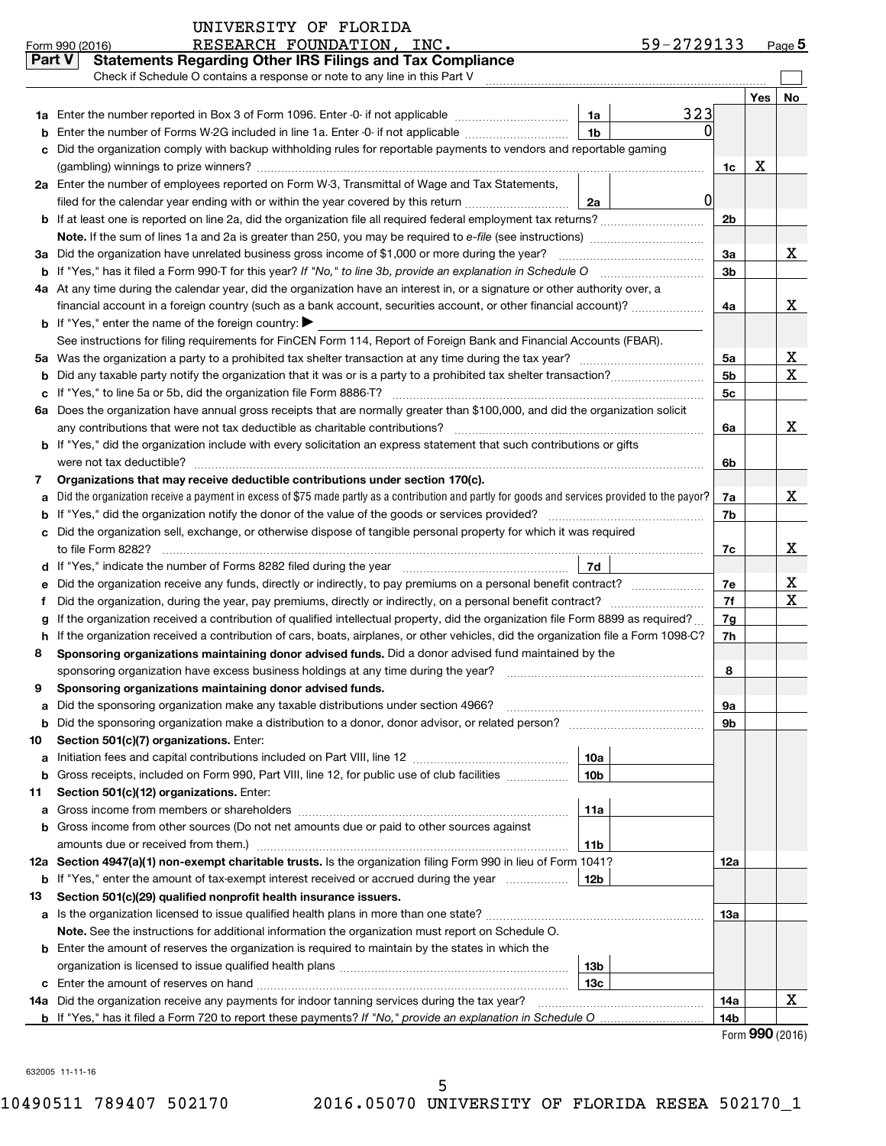| Part V | <b>Statements Regarding Other IRS Filings and Tax Compliance</b>                                                                                                                                                                                 |                 |     |             |  |  |  |  |  |  |
|--------|--------------------------------------------------------------------------------------------------------------------------------------------------------------------------------------------------------------------------------------------------|-----------------|-----|-------------|--|--|--|--|--|--|
|        | Check if Schedule O contains a response or note to any line in this Part V                                                                                                                                                                       |                 |     |             |  |  |  |  |  |  |
|        |                                                                                                                                                                                                                                                  |                 | Yes | No          |  |  |  |  |  |  |
|        | 323<br>1a Enter the number reported in Box 3 of Form 1096. Enter -0- if not applicable<br>1a                                                                                                                                                     |                 |     |             |  |  |  |  |  |  |
| b      | Enter the number of Forms W-2G included in line 1a. Enter -0- if not applicable<br>1b                                                                                                                                                            |                 |     |             |  |  |  |  |  |  |
| c      | Did the organization comply with backup withholding rules for reportable payments to vendors and reportable gaming                                                                                                                               |                 |     |             |  |  |  |  |  |  |
|        |                                                                                                                                                                                                                                                  | 1c              | х   |             |  |  |  |  |  |  |
|        | 2a Enter the number of employees reported on Form W-3, Transmittal of Wage and Tax Statements,                                                                                                                                                   |                 |     |             |  |  |  |  |  |  |
|        | 0<br>filed for the calendar year ending with or within the year covered by this return<br>2a                                                                                                                                                     |                 |     |             |  |  |  |  |  |  |
|        | <b>b</b> If at least one is reported on line 2a, did the organization file all required federal employment tax returns?                                                                                                                          | 2 <sub>b</sub>  |     |             |  |  |  |  |  |  |
|        | Note. If the sum of lines 1a and 2a is greater than 250, you may be required to e-file (see instructions) <i></i>                                                                                                                                |                 |     |             |  |  |  |  |  |  |
|        | 3a Did the organization have unrelated business gross income of \$1,000 or more during the year?                                                                                                                                                 | 3a              |     | x           |  |  |  |  |  |  |
|        | <b>b</b> If "Yes," has it filed a Form 990-T for this year? If "No," to line 3b, provide an explanation in Schedule O                                                                                                                            | 3 <sub>b</sub>  |     |             |  |  |  |  |  |  |
|        | 4a At any time during the calendar year, did the organization have an interest in, or a signature or other authority over, a                                                                                                                     |                 |     |             |  |  |  |  |  |  |
|        | financial account in a foreign country (such as a bank account, securities account, or other financial account)?                                                                                                                                 | 4a              |     | x           |  |  |  |  |  |  |
|        | <b>b</b> If "Yes," enter the name of the foreign country: $\blacktriangleright$                                                                                                                                                                  |                 |     |             |  |  |  |  |  |  |
|        | See instructions for filing requirements for FinCEN Form 114, Report of Foreign Bank and Financial Accounts (FBAR).                                                                                                                              |                 |     |             |  |  |  |  |  |  |
|        |                                                                                                                                                                                                                                                  | 5a              |     | х           |  |  |  |  |  |  |
|        |                                                                                                                                                                                                                                                  | 5 <sub>b</sub>  |     | $\mathbf X$ |  |  |  |  |  |  |
|        |                                                                                                                                                                                                                                                  | 5 <sub>c</sub>  |     |             |  |  |  |  |  |  |
|        | 6a Does the organization have annual gross receipts that are normally greater than \$100,000, and did the organization solicit                                                                                                                   |                 |     |             |  |  |  |  |  |  |
|        | any contributions that were not tax deductible as charitable contributions?                                                                                                                                                                      | 6а              |     | x           |  |  |  |  |  |  |
|        | b If "Yes," did the organization include with every solicitation an express statement that such contributions or gifts                                                                                                                           |                 |     |             |  |  |  |  |  |  |
|        | were not tax deductible?                                                                                                                                                                                                                         | 6b              |     |             |  |  |  |  |  |  |
| 7      | Organizations that may receive deductible contributions under section 170(c).                                                                                                                                                                    |                 |     |             |  |  |  |  |  |  |
| a      | Did the organization receive a payment in excess of \$75 made partly as a contribution and partly for goods and services provided to the payor?                                                                                                  | 7a              |     | X           |  |  |  |  |  |  |
|        | <b>b</b> If "Yes," did the organization notify the donor of the value of the goods or services provided?                                                                                                                                         | 7b              |     |             |  |  |  |  |  |  |
|        | c Did the organization sell, exchange, or otherwise dispose of tangible personal property for which it was required                                                                                                                              |                 |     |             |  |  |  |  |  |  |
|        | to file Form 8282?                                                                                                                                                                                                                               | 7c              |     | X           |  |  |  |  |  |  |
|        | 7d<br>d If "Yes," indicate the number of Forms 8282 filed during the year manufactured in the set of the number of Forms 8282 filed during the year                                                                                              |                 |     |             |  |  |  |  |  |  |
| е      | Did the organization receive any funds, directly or indirectly, to pay premiums on a personal benefit contract?                                                                                                                                  | 7e<br>7f        |     | х<br>X      |  |  |  |  |  |  |
| f      | Did the organization, during the year, pay premiums, directly or indirectly, on a personal benefit contract?<br>If the organization received a contribution of qualified intellectual property, did the organization file Form 8899 as required? |                 |     |             |  |  |  |  |  |  |
| g      | h If the organization received a contribution of cars, boats, airplanes, or other vehicles, did the organization file a Form 1098-C?                                                                                                             | 7g<br>7h        |     |             |  |  |  |  |  |  |
| 8      | Sponsoring organizations maintaining donor advised funds. Did a donor advised fund maintained by the                                                                                                                                             |                 |     |             |  |  |  |  |  |  |
|        | sponsoring organization have excess business holdings at any time during the year?                                                                                                                                                               | 8               |     |             |  |  |  |  |  |  |
| 9      | Sponsoring organizations maintaining donor advised funds.                                                                                                                                                                                        |                 |     |             |  |  |  |  |  |  |
| а      | Did the sponsoring organization make any taxable distributions under section 4966?                                                                                                                                                               | 9а              |     |             |  |  |  |  |  |  |
| b      |                                                                                                                                                                                                                                                  | 9b              |     |             |  |  |  |  |  |  |
| 10     | Section 501(c)(7) organizations. Enter:                                                                                                                                                                                                          |                 |     |             |  |  |  |  |  |  |
| a      | 10a                                                                                                                                                                                                                                              |                 |     |             |  |  |  |  |  |  |
| b      | Gross receipts, included on Form 990, Part VIII, line 12, for public use of club facilities<br>10 <sub>b</sub>                                                                                                                                   |                 |     |             |  |  |  |  |  |  |
| 11     | Section 501(c)(12) organizations. Enter:                                                                                                                                                                                                         |                 |     |             |  |  |  |  |  |  |
| a      | 11a                                                                                                                                                                                                                                              |                 |     |             |  |  |  |  |  |  |
|        | <b>b</b> Gross income from other sources (Do not net amounts due or paid to other sources against                                                                                                                                                |                 |     |             |  |  |  |  |  |  |
|        | 11b                                                                                                                                                                                                                                              |                 |     |             |  |  |  |  |  |  |
|        | 12a Section 4947(a)(1) non-exempt charitable trusts. Is the organization filing Form 990 in lieu of Form 1041?                                                                                                                                   | 12a             |     |             |  |  |  |  |  |  |
|        | <b>b</b> If "Yes," enter the amount of tax-exempt interest received or accrued during the year<br>12b                                                                                                                                            |                 |     |             |  |  |  |  |  |  |
| 13     | Section 501(c)(29) qualified nonprofit health insurance issuers.                                                                                                                                                                                 |                 |     |             |  |  |  |  |  |  |
|        | a Is the organization licensed to issue qualified health plans in more than one state?                                                                                                                                                           | 1За             |     |             |  |  |  |  |  |  |
|        | Note. See the instructions for additional information the organization must report on Schedule O.                                                                                                                                                |                 |     |             |  |  |  |  |  |  |
|        | <b>b</b> Enter the amount of reserves the organization is required to maintain by the states in which the                                                                                                                                        |                 |     |             |  |  |  |  |  |  |
|        | 13b                                                                                                                                                                                                                                              |                 |     |             |  |  |  |  |  |  |
|        | 13c                                                                                                                                                                                                                                              |                 |     |             |  |  |  |  |  |  |
|        | 14a Did the organization receive any payments for indoor tanning services during the tax year?                                                                                                                                                   | 14a             |     | Χ           |  |  |  |  |  |  |
|        | <b>b</b> If "Yes," has it filed a Form 720 to report these payments? If "No," provide an explanation in Schedule O.                                                                                                                              | 14 <sub>b</sub> |     |             |  |  |  |  |  |  |

Form (2016) **990**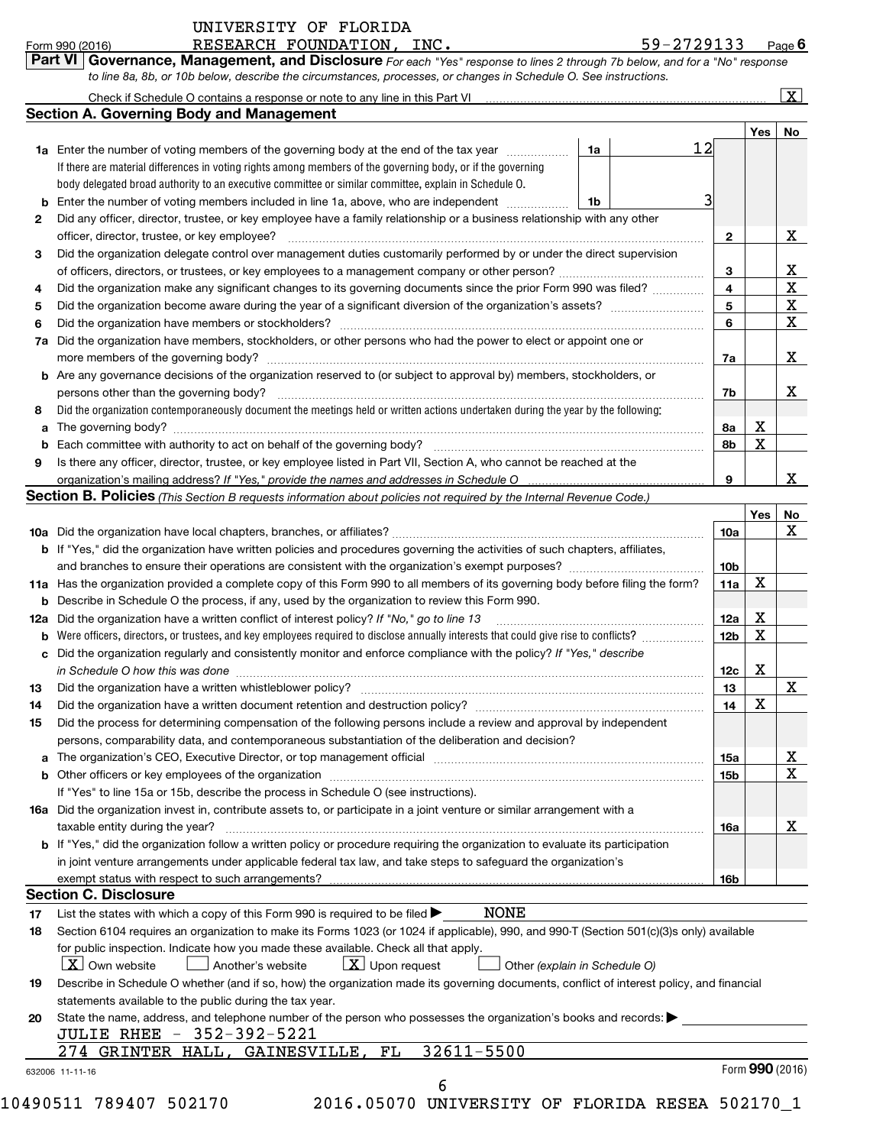| UNIVERSITY OF FLORIDA |  |
|-----------------------|--|
|                       |  |

### Form 990 (2016) **Page 12.5 RESEARCH FOUNDATION, INC.** The set of the set of the set of the set of the set of the set of the set of the set of the set of the set of the set of the set of the set of the set of the set of th

|  |  | 59-2729133 | Page 6 |
|--|--|------------|--------|
|  |  |            |        |

Check if Schedule O contains a response or note to any line in this Part VI

**Part VI** Governance, Management, and Disclosure For each "Yes" response to lines 2 through 7b below, and for a "No" response *to line 8a, 8b, or 10b below, describe the circumstances, processes, or changes in Schedule O. See instructions.*

| Check if Schedule O contains a response or note to any line in this Part VI |  |
|-----------------------------------------------------------------------------|--|
| Section A. Governing Body and Management                                    |  |

 $\lfloor x \rfloor$ 

|    |                                                                                                                                                                                                                                |    |    |                 | Yes | No              |  |  |  |  |  |  |  |
|----|--------------------------------------------------------------------------------------------------------------------------------------------------------------------------------------------------------------------------------|----|----|-----------------|-----|-----------------|--|--|--|--|--|--|--|
|    | <b>1a</b> Enter the number of voting members of the governing body at the end of the tax year <i>manumum</i>                                                                                                                   | 1a | 12 |                 |     |                 |  |  |  |  |  |  |  |
|    | If there are material differences in voting rights among members of the governing body, or if the governing                                                                                                                    |    |    |                 |     |                 |  |  |  |  |  |  |  |
|    | body delegated broad authority to an executive committee or similar committee, explain in Schedule O.                                                                                                                          |    |    |                 |     |                 |  |  |  |  |  |  |  |
| b  | Enter the number of voting members included in line 1a, above, who are independent<br>1b                                                                                                                                       |    |    |                 |     |                 |  |  |  |  |  |  |  |
| 2  | Did any officer, director, trustee, or key employee have a family relationship or a business relationship with any other                                                                                                       |    |    |                 |     |                 |  |  |  |  |  |  |  |
|    |                                                                                                                                                                                                                                |    |    |                 |     |                 |  |  |  |  |  |  |  |
| 3  | Did the organization delegate control over management duties customarily performed by or under the direct supervision                                                                                                          |    |    |                 |     |                 |  |  |  |  |  |  |  |
|    |                                                                                                                                                                                                                                |    |    |                 |     |                 |  |  |  |  |  |  |  |
| 4  | Did the organization make any significant changes to its governing documents since the prior Form 990 was filed?                                                                                                               |    |    |                 |     |                 |  |  |  |  |  |  |  |
| 5  | Did the organization become aware during the year of a significant diversion of the organization's assets?                                                                                                                     |    |    |                 |     |                 |  |  |  |  |  |  |  |
| 6  | Did the organization have members or stockholders?                                                                                                                                                                             |    |    |                 |     |                 |  |  |  |  |  |  |  |
| 7а | Did the organization have members, stockholders, or other persons who had the power to elect or appoint one or                                                                                                                 |    |    |                 |     |                 |  |  |  |  |  |  |  |
|    | more members of the governing body?                                                                                                                                                                                            |    |    | 7a              |     | x               |  |  |  |  |  |  |  |
|    | <b>b</b> Are any governance decisions of the organization reserved to (or subject to approval by) members, stockholders, or                                                                                                    |    |    |                 |     |                 |  |  |  |  |  |  |  |
|    | persons other than the governing body?                                                                                                                                                                                         |    |    | 7b              |     | X               |  |  |  |  |  |  |  |
| 8  | Did the organization contemporaneously document the meetings held or written actions undertaken during the year by the following:                                                                                              |    |    |                 |     |                 |  |  |  |  |  |  |  |
| a  |                                                                                                                                                                                                                                |    |    | 8а              | Χ   |                 |  |  |  |  |  |  |  |
| b  |                                                                                                                                                                                                                                |    |    | 8b              | X   |                 |  |  |  |  |  |  |  |
| 9  | Is there any officer, director, trustee, or key employee listed in Part VII, Section A, who cannot be reached at the                                                                                                           |    |    |                 |     |                 |  |  |  |  |  |  |  |
|    | organization's mailing address? If "Yes," provide the names and addresses in Schedule O                                                                                                                                        |    |    | 9               |     | x               |  |  |  |  |  |  |  |
|    | Section B. Policies (This Section B requests information about policies not required by the Internal Revenue Code.)                                                                                                            |    |    |                 |     |                 |  |  |  |  |  |  |  |
|    |                                                                                                                                                                                                                                |    |    |                 | Yes | No              |  |  |  |  |  |  |  |
|    | <b>10a</b> Did the organization have local chapters, branches, or affiliates?                                                                                                                                                  |    |    | 10a             |     | x               |  |  |  |  |  |  |  |
|    | b If "Yes," did the organization have written policies and procedures governing the activities of such chapters, affiliates,                                                                                                   |    |    |                 |     |                 |  |  |  |  |  |  |  |
|    |                                                                                                                                                                                                                                |    |    | 10 <sub>b</sub> |     |                 |  |  |  |  |  |  |  |
|    | 11a Has the organization provided a complete copy of this Form 990 to all members of its governing body before filing the form?                                                                                                |    |    | 11a             | Χ   |                 |  |  |  |  |  |  |  |
| b  | Describe in Schedule O the process, if any, used by the organization to review this Form 990.                                                                                                                                  |    |    |                 |     |                 |  |  |  |  |  |  |  |
|    | 12a Did the organization have a written conflict of interest policy? If "No," go to line 13                                                                                                                                    |    |    | 12a             | х   |                 |  |  |  |  |  |  |  |
|    | <b>b</b> Were officers, directors, or trustees, and key employees required to disclose annually interests that could give rise to conflicts?                                                                                   |    |    | 12 <sub>b</sub> | х   |                 |  |  |  |  |  |  |  |
| c  | Did the organization regularly and consistently monitor and enforce compliance with the policy? If "Yes," describe                                                                                                             |    |    |                 |     |                 |  |  |  |  |  |  |  |
|    | in Schedule O how this was done manufactured and an architecture of the state of the state of the state of the                                                                                                                 |    |    | 12c             | х   |                 |  |  |  |  |  |  |  |
| 13 | Did the organization have a written whistleblower policy?                                                                                                                                                                      |    |    | 13              |     | x               |  |  |  |  |  |  |  |
| 14 |                                                                                                                                                                                                                                |    |    | 14              | х   |                 |  |  |  |  |  |  |  |
| 15 | Did the process for determining compensation of the following persons include a review and approval by independent                                                                                                             |    |    |                 |     |                 |  |  |  |  |  |  |  |
|    | persons, comparability data, and contemporaneous substantiation of the deliberation and decision?                                                                                                                              |    |    |                 |     |                 |  |  |  |  |  |  |  |
|    | a The organization's CEO, Executive Director, or top management official manufactured content in the organization's CEO, Executive Director, or top management official manufactured in the state of the state of the state of |    |    | 15a             |     | X,              |  |  |  |  |  |  |  |
|    | b Other officers or key employees of the organization manufactured content to the original content of the organization manufactured content of the organization manufactured content of the organization manufactured content  |    |    | 15b             |     | x               |  |  |  |  |  |  |  |
|    | If "Yes" to line 15a or 15b, describe the process in Schedule O (see instructions).                                                                                                                                            |    |    |                 |     |                 |  |  |  |  |  |  |  |
|    | 16a Did the organization invest in, contribute assets to, or participate in a joint venture or similar arrangement with a                                                                                                      |    |    |                 |     |                 |  |  |  |  |  |  |  |
|    | taxable entity during the year?                                                                                                                                                                                                |    |    | 16a             |     | x               |  |  |  |  |  |  |  |
|    | <b>b</b> If "Yes," did the organization follow a written policy or procedure requiring the organization to evaluate its participation                                                                                          |    |    |                 |     |                 |  |  |  |  |  |  |  |
|    | in joint venture arrangements under applicable federal tax law, and take steps to safeguard the organization's                                                                                                                 |    |    |                 |     |                 |  |  |  |  |  |  |  |
|    | exempt status with respect to such arrangements?                                                                                                                                                                               |    |    | 16b             |     |                 |  |  |  |  |  |  |  |
|    | <b>Section C. Disclosure</b>                                                                                                                                                                                                   |    |    |                 |     |                 |  |  |  |  |  |  |  |
| 17 | <b>NONE</b><br>List the states with which a copy of this Form 990 is required to be filed >                                                                                                                                    |    |    |                 |     |                 |  |  |  |  |  |  |  |
| 18 | Section 6104 requires an organization to make its Forms 1023 (or 1024 if applicable), 990, and 990-T (Section 501(c)(3)s only) available                                                                                       |    |    |                 |     |                 |  |  |  |  |  |  |  |
|    | for public inspection. Indicate how you made these available. Check all that apply.                                                                                                                                            |    |    |                 |     |                 |  |  |  |  |  |  |  |
|    | <b>X</b> Own website<br>$\lfloor x \rfloor$ Upon request<br>Another's website<br>Other (explain in Schedule O)                                                                                                                 |    |    |                 |     |                 |  |  |  |  |  |  |  |
| 19 | Describe in Schedule O whether (and if so, how) the organization made its governing documents, conflict of interest policy, and financial                                                                                      |    |    |                 |     |                 |  |  |  |  |  |  |  |
|    | statements available to the public during the tax year.                                                                                                                                                                        |    |    |                 |     |                 |  |  |  |  |  |  |  |
| 20 | State the name, address, and telephone number of the person who possesses the organization's books and records:                                                                                                                |    |    |                 |     |                 |  |  |  |  |  |  |  |
|    | <b>JULIE RHEE - 352-392-5221</b>                                                                                                                                                                                               |    |    |                 |     |                 |  |  |  |  |  |  |  |
|    | 32611-5500<br>GRINTER HALL,<br>GAINESVILLE,<br>FL<br>274                                                                                                                                                                       |    |    |                 |     |                 |  |  |  |  |  |  |  |
|    | 632006 11-11-16                                                                                                                                                                                                                |    |    |                 |     | Form 990 (2016) |  |  |  |  |  |  |  |
|    | 6                                                                                                                                                                                                                              |    |    |                 |     |                 |  |  |  |  |  |  |  |

10490511 789407 502170 2016.05070 UNIVERSITY OF FLORIDA RESEA 502170\_1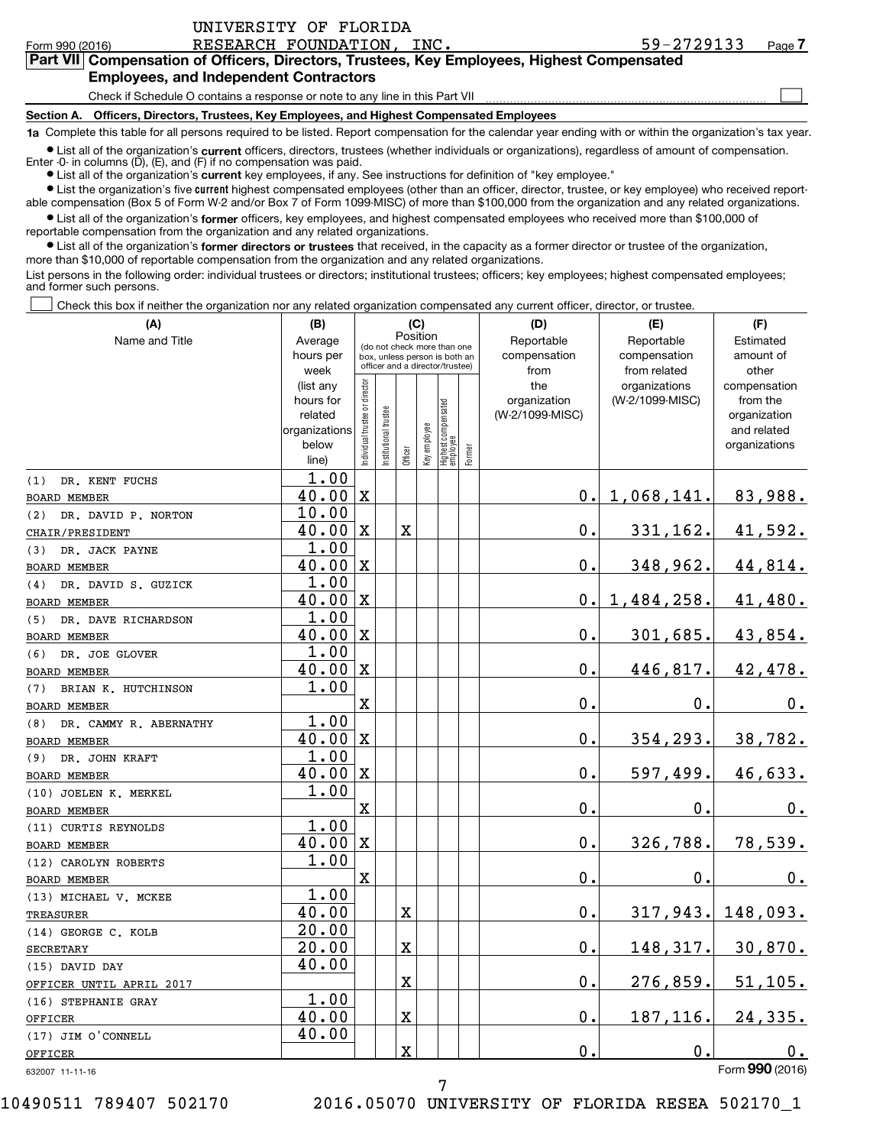| UNIVERSITY OF FLORIDA                                                                                                                                      |            |        |  |  |  |  |  |  |  |  |  |
|------------------------------------------------------------------------------------------------------------------------------------------------------------|------------|--------|--|--|--|--|--|--|--|--|--|
| RESEARCH FOUNDATION, INC.<br>Form 990 (2016)                                                                                                               | 59-2729133 | Page 7 |  |  |  |  |  |  |  |  |  |
| Part VII Compensation of Officers, Directors, Trustees, Key Employees, Highest Compensated                                                                 |            |        |  |  |  |  |  |  |  |  |  |
| <b>Employees, and Independent Contractors</b>                                                                                                              |            |        |  |  |  |  |  |  |  |  |  |
| Check if Schedule O contains a response or note to any line in this Part VII                                                                               |            |        |  |  |  |  |  |  |  |  |  |
| Section A. Officers, Directors, Trustees, Key Employees, and Highest Compensated Employees                                                                 |            |        |  |  |  |  |  |  |  |  |  |
| 1a Complete this table for all persons required to be listed. Report compensation for the calendar year ending with or within the organization's tax year. |            |        |  |  |  |  |  |  |  |  |  |
|                                                                                                                                                            |            |        |  |  |  |  |  |  |  |  |  |

● List all of the organization's **current** officers, directors, trustees (whether individuals or organizations), regardless of amount of compensation.<br>Enter -0- in columns (D), (E), and (F) if no compensation was paid.

**•** List all of the organization's current key employees, if any. See instructions for definition of "key employee."

**•** List the organization's five current highest compensated employees (other than an officer, director, trustee, or key employee) who received reportable compensation (Box 5 of Form W-2 and/or Box 7 of Form 1099-MISC) of more than \$100,000 from the organization and any related organizations.

**•** List all of the organization's former officers, key employees, and highest compensated employees who received more than \$100,000 of reportable compensation from the organization and any related organizations.

**•** List all of the organization's former directors or trustees that received, in the capacity as a former director or trustee of the organization, more than \$10,000 of reportable compensation from the organization and any related organizations.

List persons in the following order: individual trustees or directors; institutional trustees; officers; key employees; highest compensated employees; and former such persons.

Check this box if neither the organization nor any related organization compensated any current officer, director, or trustee.  $\overline{\phantom{a}}$ 

| (A)                                          | (B)                    |                                         |                                 | (C)                     |              |                                 |        | (D)             | (E)             | (F)                          |
|----------------------------------------------|------------------------|-----------------------------------------|---------------------------------|-------------------------|--------------|---------------------------------|--------|-----------------|-----------------|------------------------------|
| Name and Title                               | Average                | Position<br>(do not check more than one |                                 |                         |              |                                 |        | Reportable      | Reportable      | Estimated                    |
|                                              | hours per              |                                         | box, unless person is both an   |                         |              |                                 |        | compensation    | compensation    | amount of                    |
|                                              | week                   |                                         | officer and a director/trustee) |                         |              |                                 |        | from            | from related    | other                        |
|                                              | (list any              |                                         |                                 |                         |              |                                 |        | the             | organizations   | compensation                 |
|                                              | hours for              |                                         |                                 |                         |              |                                 |        | organization    | (W-2/1099-MISC) | from the                     |
|                                              | related                |                                         |                                 |                         |              |                                 |        | (W-2/1099-MISC) |                 | organization                 |
|                                              | organizations<br>below |                                         |                                 |                         |              |                                 |        |                 |                 | and related<br>organizations |
|                                              | line)                  | Individual trustee or director          | nstitutional trustee            | Officer                 | Key employee | Highest compensated<br>employee | Former |                 |                 |                              |
|                                              | 1.00                   |                                         |                                 |                         |              |                                 |        |                 |                 |                              |
| DR. KENT FUCHS<br>(1)<br><b>BOARD MEMBER</b> | 40.00                  | $\mathbf X$                             |                                 |                         |              |                                 |        | о.              | 1,068,141.      | 83,988.                      |
| DR. DAVID P. NORTON                          | 10.00                  |                                         |                                 |                         |              |                                 |        |                 |                 |                              |
| (2)<br>CHAIR/PRESIDENT                       | 40.00                  | $\mathbf{x}$                            |                                 | $\mathbf X$             |              |                                 |        | 0.              | 331,162.        | 41,592.                      |
| DR. JACK PAYNE<br>(3)                        | 1.00                   |                                         |                                 |                         |              |                                 |        |                 |                 |                              |
| BOARD MEMBER                                 | $40.00 \, \text{X}$    |                                         |                                 |                         |              |                                 |        | $\mathbf 0$ .   | 348,962.        | 44,814.                      |
| (4)<br>DR. DAVID S. GUZICK                   | 1.00                   |                                         |                                 |                         |              |                                 |        |                 |                 |                              |
| <b>BOARD MEMBER</b>                          | $40.00 \, \mathrm{X}$  |                                         |                                 |                         |              |                                 |        | О.              | 1,484,258.      | 41,480.                      |
| DR. DAVE RICHARDSON<br>(5)                   | 1.00                   |                                         |                                 |                         |              |                                 |        |                 |                 |                              |
| <b>BOARD MEMBER</b>                          | $40.00 \, \text{X}$    |                                         |                                 |                         |              |                                 |        | 0.              | 301,685.        | 43,854.                      |
| DR. JOE GLOVER<br>(6)                        | 1.00                   |                                         |                                 |                         |              |                                 |        |                 |                 |                              |
| <b>BOARD MEMBER</b>                          | $40.00 \, \text{X}$    |                                         |                                 |                         |              |                                 |        | 0.              | 446,817.        | 42,478.                      |
| BRIAN K. HUTCHINSON<br>(7)                   | 1.00                   |                                         |                                 |                         |              |                                 |        |                 |                 |                              |
| <b>BOARD MEMBER</b>                          |                        | X                                       |                                 |                         |              |                                 |        | 0.              | 0.              | 0.                           |
| DR. CAMMY R. ABERNATHY<br>(8)                | 1.00                   |                                         |                                 |                         |              |                                 |        |                 |                 |                              |
| <b>BOARD MEMBER</b>                          | $40.00 \, \text{X}$    |                                         |                                 |                         |              |                                 |        | О.              | 354, 293.       | 38,782.                      |
| (9) DR. JOHN KRAFT                           | 1.00                   |                                         |                                 |                         |              |                                 |        |                 |                 |                              |
| <b>BOARD MEMBER</b>                          | $40.00 \, \mathrm{X}$  |                                         |                                 |                         |              |                                 |        | 0.              | 597,499.        | 46,633.                      |
| (10) JOELEN K. MERKEL                        | 1.00                   |                                         |                                 |                         |              |                                 |        |                 |                 |                              |
| <b>BOARD MEMBER</b>                          |                        | $\mathbf X$                             |                                 |                         |              |                                 |        | $\mathbf 0$ .   | 0.              | $0_{.}$                      |
| (11) CURTIS REYNOLDS                         | 1.00                   |                                         |                                 |                         |              |                                 |        |                 |                 |                              |
| <b>BOARD MEMBER</b>                          | 40.00                  | $\mathbf X$                             |                                 |                         |              |                                 |        | 0.              | 326,788.        | 78,539.                      |
| (12) CAROLYN ROBERTS                         | 1.00                   |                                         |                                 |                         |              |                                 |        |                 |                 |                              |
| <b>BOARD MEMBER</b>                          |                        | X                                       |                                 |                         |              |                                 |        | $\mathbf 0$ .   | $\mathbf 0$ .   | 0.                           |
| (13) MICHAEL V. MCKEE                        | 1.00                   |                                         |                                 |                         |              |                                 |        |                 |                 |                              |
| TREASURER                                    | 40.00                  |                                         |                                 | $\mathbf X$             |              |                                 |        | 0.              | 317,943.        | 148,093.                     |
| (14) GEORGE C. KOLB                          | 20.00                  |                                         |                                 |                         |              |                                 |        |                 |                 |                              |
| <b>SECRETARY</b>                             | 20.00                  |                                         |                                 | $\mathbf x$             |              |                                 |        | $\mathbf 0$ .   | 148,317.        | 30,870.                      |
| (15) DAVID DAY                               | 40.00                  |                                         |                                 |                         |              |                                 |        |                 |                 |                              |
| OFFICER UNTIL APRIL 2017                     |                        |                                         |                                 | $\mathbf X$             |              |                                 |        | Ο.              | 276,859.        | 51, 105.                     |
| (16) STEPHANIE GRAY                          | 1.00                   |                                         |                                 |                         |              |                                 |        |                 |                 |                              |
| OFFICER                                      | 40.00                  |                                         |                                 | $\mathbf x$             |              |                                 |        | 0.              | 187,116.        | 24,335.                      |
| (17) JIM O'CONNELL                           | 40.00                  |                                         |                                 |                         |              |                                 |        |                 |                 |                              |
| OFFICER                                      |                        |                                         |                                 | $\overline{\mathbf{X}}$ |              |                                 |        | $\mathbf 0$ .   | 0.              | 0 <u>.</u>                   |
| 632007 11-11-16                              |                        |                                         |                                 |                         |              |                                 |        |                 |                 | Form 990 (2016)              |

10490511 789407 502170 2016.05070 UNIVERSITY OF FLORIDA RESEA 502170\_1

7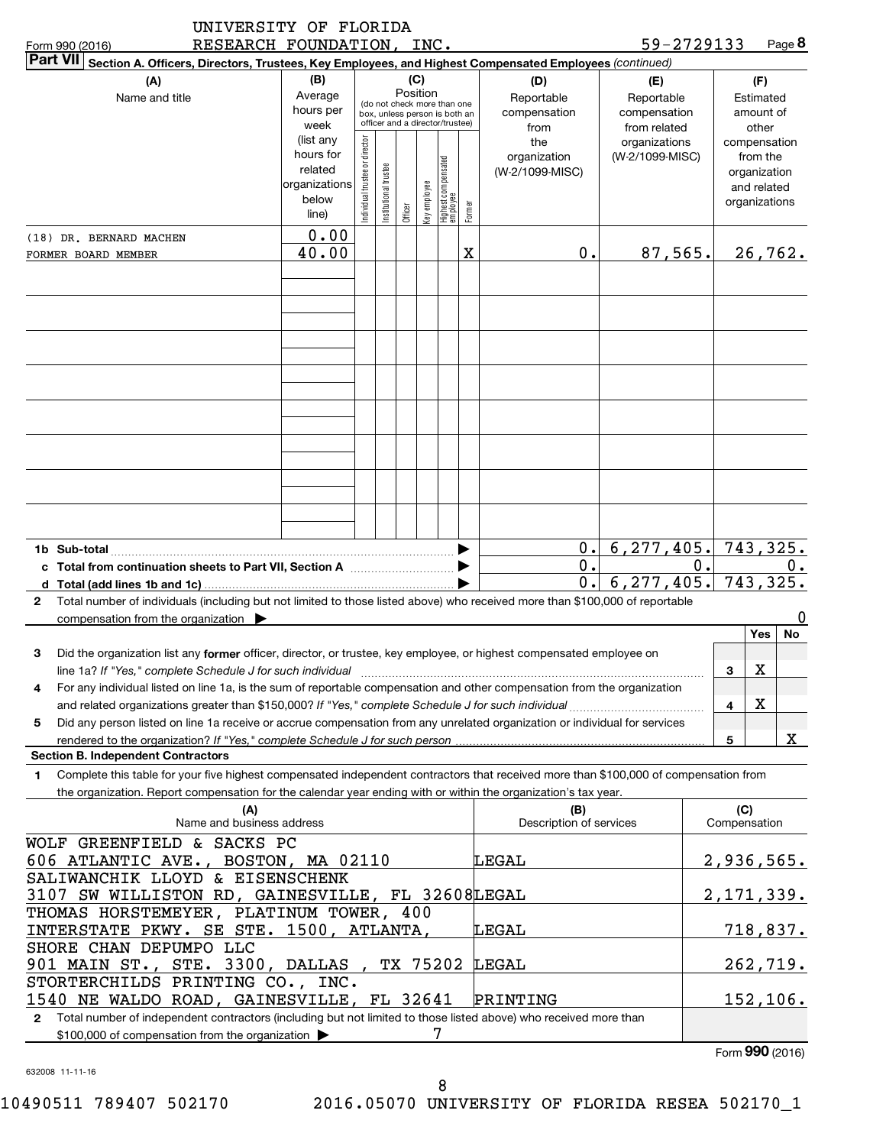|              | RESEARCH FOUNDATION, INC.<br>Form 990 (2016)                                                                                                                                                              |                                                                      |                                                                                                                    |                       |         |              |                                 |        |                                           |                                                   | 59-2729133   |                                                                          | Page 8        |
|--------------|-----------------------------------------------------------------------------------------------------------------------------------------------------------------------------------------------------------|----------------------------------------------------------------------|--------------------------------------------------------------------------------------------------------------------|-----------------------|---------|--------------|---------------------------------|--------|-------------------------------------------|---------------------------------------------------|--------------|--------------------------------------------------------------------------|---------------|
|              | <b>Part VII</b><br>Section A. Officers, Directors, Trustees, Key Employees, and Highest Compensated Employees (continued)                                                                                 |                                                                      |                                                                                                                    |                       |         |              |                                 |        |                                           |                                                   |              |                                                                          |               |
|              | (A)<br>Name and title                                                                                                                                                                                     | (B)<br>Average<br>hours per<br>week                                  | (C)<br>Position<br>(do not check more than one<br>box, unless person is both an<br>officer and a director/trustee) |                       |         |              |                                 |        | (D)<br>Reportable<br>compensation<br>from | (E)<br>Reportable<br>compensation<br>from related |              | (F)<br>Estimated<br>amount of<br>other                                   |               |
|              |                                                                                                                                                                                                           | (list any<br>hours for<br>related<br>organizations<br>below<br>line) | Individual trustee or director                                                                                     | Institutional trustee | Officer | Key employee | Highest compensated<br>employee | Former | the<br>organization<br>(W-2/1099-MISC)    | organizations<br>(W-2/1099-MISC)                  |              | compensation<br>from the<br>organization<br>and related<br>organizations |               |
|              | (18) DR. BERNARD MACHEN                                                                                                                                                                                   | 0.00                                                                 |                                                                                                                    |                       |         |              |                                 |        |                                           |                                                   |              |                                                                          |               |
|              | FORMER BOARD MEMBER                                                                                                                                                                                       | 40.00                                                                |                                                                                                                    |                       |         |              |                                 | Χ      | 0.                                        | 87,565.                                           |              |                                                                          | 26, 762.      |
|              |                                                                                                                                                                                                           |                                                                      |                                                                                                                    |                       |         |              |                                 |        |                                           |                                                   |              |                                                                          |               |
|              | 1b Sub-total                                                                                                                                                                                              |                                                                      |                                                                                                                    |                       |         |              |                                 |        | 0.                                        | 6, 277, 405.                                      |              |                                                                          | 743,325.      |
|              |                                                                                                                                                                                                           |                                                                      |                                                                                                                    |                       |         |              |                                 |        | 0.                                        |                                                   | 0.           |                                                                          | υ.            |
| $\mathbf{2}$ | Total number of individuals (including but not limited to those listed above) who received more than \$100,000 of reportable<br>compensation from the organization $\blacktriangleright$                  |                                                                      |                                                                                                                    |                       |         |              |                                 |        | 0.                                        | 6, 277, 405.                                      |              |                                                                          | 743,325.<br>0 |
|              |                                                                                                                                                                                                           |                                                                      |                                                                                                                    |                       |         |              |                                 |        |                                           |                                                   |              | Yes                                                                      | No            |
| 3            | Did the organization list any former officer, director, or trustee, key employee, or highest compensated employee on<br>line 1a? If "Yes," complete Schedule J for such individual                        |                                                                      |                                                                                                                    |                       |         |              |                                 |        |                                           |                                                   | 3            | Χ                                                                        |               |
| 4            | For any individual listed on line 1a, is the sum of reportable compensation and other compensation from the organization                                                                                  |                                                                      |                                                                                                                    |                       |         |              |                                 |        |                                           |                                                   |              |                                                                          |               |
|              | and related organizations greater than \$150,000? If "Yes," complete Schedule J for such individual                                                                                                       |                                                                      |                                                                                                                    |                       |         |              |                                 |        |                                           | .                                                 | 4            | х                                                                        |               |
| 5            | Did any person listed on line 1a receive or accrue compensation from any unrelated organization or individual for services<br>rendered to the organization? If "Yes," complete Schedule J for such person |                                                                      |                                                                                                                    |                       |         |              |                                 |        |                                           |                                                   | 5            |                                                                          | X.            |
|              | <b>Section B. Independent Contractors</b>                                                                                                                                                                 |                                                                      |                                                                                                                    |                       |         |              |                                 |        |                                           |                                                   |              |                                                                          |               |
| 1            | Complete this table for your five highest compensated independent contractors that received more than \$100,000 of compensation from                                                                      |                                                                      |                                                                                                                    |                       |         |              |                                 |        |                                           |                                                   |              |                                                                          |               |
|              | the organization. Report compensation for the calendar year ending with or within the organization's tax year.                                                                                            |                                                                      |                                                                                                                    |                       |         |              |                                 |        |                                           |                                                   |              |                                                                          |               |
|              | (A)<br>Name and business address                                                                                                                                                                          |                                                                      |                                                                                                                    |                       |         |              |                                 |        | (B)<br>Description of services            |                                                   | Compensation | (C)                                                                      |               |

| <b>IN</b><br>Name and business address                                                                                           | וטו<br>Description of services | יש<br>Compensation |
|----------------------------------------------------------------------------------------------------------------------------------|--------------------------------|--------------------|
| WOLF GREENFIELD & SACKS PC                                                                                                       |                                |                    |
| 606 ATLANTIC AVE., BOSTON, MA 02110                                                                                              | LEGAL                          | 2,936,565.         |
| SALIWANCHIK LLOYD & EISENSCHENK                                                                                                  |                                |                    |
| 3107 SW WILLISTON RD, GAINESVILLE, FL 32608LEGAL                                                                                 |                                | 2, 171, 339.       |
| THOMAS HORSTEMEYER, PLATINUM TOWER, 400                                                                                          |                                |                    |
| INTERSTATE PKWY. SE STE. 1500, ATLANTA,                                                                                          | LEGAL                          | 718,837.           |
| SHORE CHAN DEPUMPO LLC                                                                                                           |                                |                    |
| 901 MAIN ST., STE. 3300, DALLAS, TX 75202 LEGAL                                                                                  |                                | 262,719.           |
| STORTERCHILDS PRINTING CO., INC.                                                                                                 |                                |                    |
| 1540 NE WALDO ROAD, GAINESVILLE, FL 32641                                                                                        | PRINTING                       | 152, 106.          |
| Total number of independent contractors (including but not limited to those listed above) who received more than<br>$\mathbf{2}$ |                                |                    |
| \$100,000 of compensation from the organization $\blacktriangleright$                                                            |                                |                    |

632008 11-11-16

Form (2016) **990**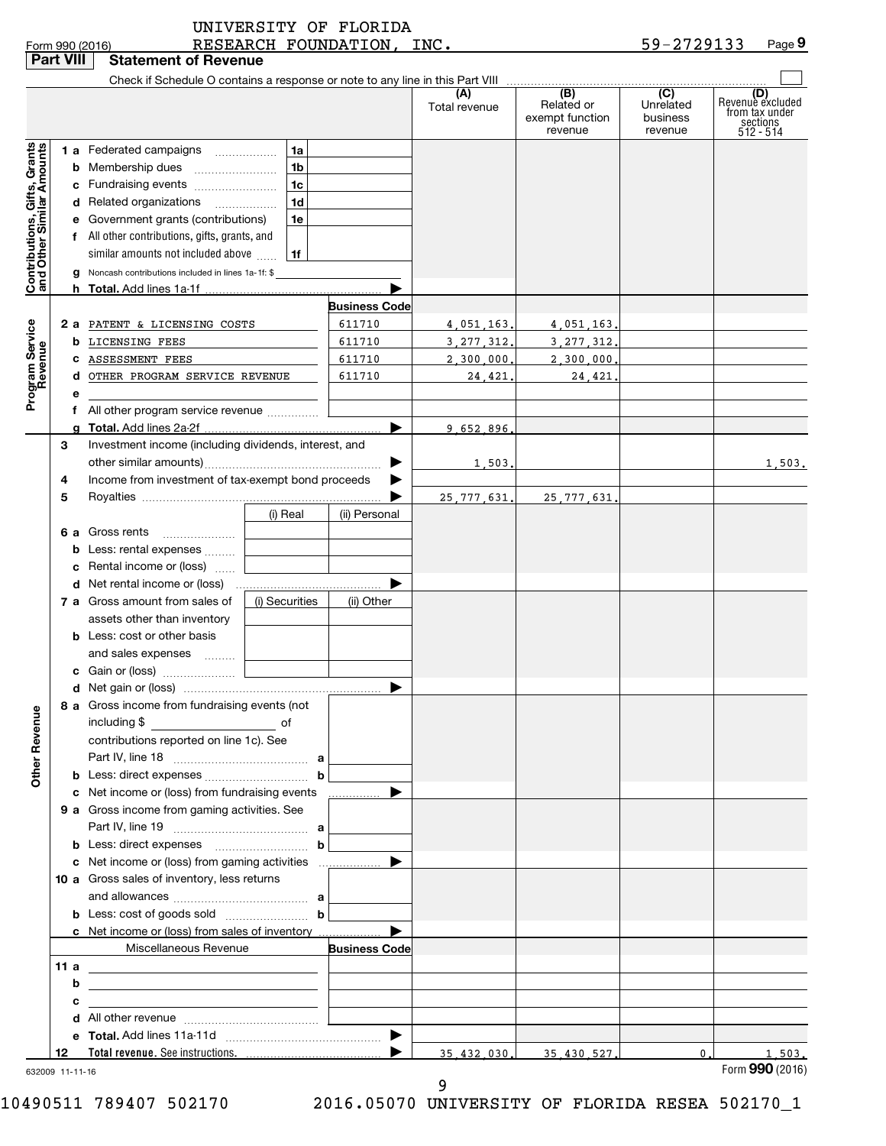| 59-2729133<br>RESEARCH FOUNDATION, INC.<br>Form 990 (2016)<br><b>Part VIII</b><br><b>Statement of Revenue</b><br>(B)<br>(C)<br>(A)<br>Related or<br>Unrelated<br>Total revenue<br>exempt function<br>business<br>sections<br>512 - 514<br>revenue<br>revenue<br>Contributions, Gifts, Grants<br>and Other Similar Amounts<br>1a<br>1 a Federated campaigns<br>1 <sub>b</sub><br>1 <sub>c</sub><br>c Fundraising events<br>1 <sub>d</sub><br>d Related organizations<br>e Government grants (contributions)<br>1e<br>f All other contributions, gifts, grants, and<br>similar amounts not included above<br>1f<br>g Noncash contributions included in lines 1a-1f: \$<br>h Total. Add lines 1a-1f<br><b>Business Code</b><br>Program Service<br>Revenue<br>611710<br>2 a PATENT & LICENSING COSTS<br>4,051,163.<br>4,051,163.<br><b>b</b> LICENSING FEES<br>611710<br>3, 277, 312.<br>3, 277, 312.<br>ASSESSMENT FEES<br>611710<br>2,300,000.<br>2,300,000<br>OTHER PROGRAM SERVICE REVENUE<br>611710<br>24,421,<br>24,421.<br>d<br>е<br>f All other program service revenue<br>9 652 896<br>Investment income (including dividends, interest, and<br>3<br>1,503.<br>Income from investment of tax-exempt bond proceeds<br>4<br>5<br>25, 777, 631.<br>25, 777, 631.<br>(i) Real<br>(ii) Personal<br>6 a Gross rents<br>Less: rental expenses<br>c Rental income or (loss)<br>7 a Gross amount from sales of<br>(i) Securities<br>(ii) Other<br>assets other than inventory<br><b>b</b> Less: cost or other basis<br>and sales expenses<br>.<br>8 a Gross income from fundraising events (not<br>Other Revenue<br>including \$<br>contributions reported on line 1c). See<br>c Net income or (loss) from fundraising events<br>▶<br>9 a Gross income from gaming activities. See<br><b>b</b> Less: direct expenses $\ldots$ <b>b</b><br>c Net income or (loss) from gaming activities<br>▶<br>10 a Gross sales of inventory, less returns<br><b>b</b> Less: cost of goods sold $\ldots$ <b>b</b><br>c Net income or (loss) from sales of inventory<br>Miscellaneous Revenue<br><b>Business Code</b><br>11 a<br>b<br>the contract of the contract of the contract of the contract of the contract of<br>с<br>Total revenue. See instructions.<br>$\mathbf{0}$ .<br>12<br>35.432.030.<br>35.430.527. |  |  | UNIVERSITY OF FLORIDA |  |                                           |
|--------------------------------------------------------------------------------------------------------------------------------------------------------------------------------------------------------------------------------------------------------------------------------------------------------------------------------------------------------------------------------------------------------------------------------------------------------------------------------------------------------------------------------------------------------------------------------------------------------------------------------------------------------------------------------------------------------------------------------------------------------------------------------------------------------------------------------------------------------------------------------------------------------------------------------------------------------------------------------------------------------------------------------------------------------------------------------------------------------------------------------------------------------------------------------------------------------------------------------------------------------------------------------------------------------------------------------------------------------------------------------------------------------------------------------------------------------------------------------------------------------------------------------------------------------------------------------------------------------------------------------------------------------------------------------------------------------------------------------------------------------------------------------------------------------------------------------------------------------------------------------------------------------------------------------------------------------------------------------------------------------------------------------------------------------------------------------------------------------------------------------------------------------------------------------------------------------------------------------------------------------------------------------------------------|--|--|-----------------------|--|-------------------------------------------|
|                                                                                                                                                                                                                                                                                                                                                                                                                                                                                                                                                                                                                                                                                                                                                                                                                                                                                                                                                                                                                                                                                                                                                                                                                                                                                                                                                                                                                                                                                                                                                                                                                                                                                                                                                                                                                                                                                                                                                                                                                                                                                                                                                                                                                                                                                                  |  |  |                       |  | Page 9                                    |
|                                                                                                                                                                                                                                                                                                                                                                                                                                                                                                                                                                                                                                                                                                                                                                                                                                                                                                                                                                                                                                                                                                                                                                                                                                                                                                                                                                                                                                                                                                                                                                                                                                                                                                                                                                                                                                                                                                                                                                                                                                                                                                                                                                                                                                                                                                  |  |  |                       |  |                                           |
|                                                                                                                                                                                                                                                                                                                                                                                                                                                                                                                                                                                                                                                                                                                                                                                                                                                                                                                                                                                                                                                                                                                                                                                                                                                                                                                                                                                                                                                                                                                                                                                                                                                                                                                                                                                                                                                                                                                                                                                                                                                                                                                                                                                                                                                                                                  |  |  |                       |  | (D)<br>Revenue excluded<br>from tax under |
|                                                                                                                                                                                                                                                                                                                                                                                                                                                                                                                                                                                                                                                                                                                                                                                                                                                                                                                                                                                                                                                                                                                                                                                                                                                                                                                                                                                                                                                                                                                                                                                                                                                                                                                                                                                                                                                                                                                                                                                                                                                                                                                                                                                                                                                                                                  |  |  |                       |  |                                           |
|                                                                                                                                                                                                                                                                                                                                                                                                                                                                                                                                                                                                                                                                                                                                                                                                                                                                                                                                                                                                                                                                                                                                                                                                                                                                                                                                                                                                                                                                                                                                                                                                                                                                                                                                                                                                                                                                                                                                                                                                                                                                                                                                                                                                                                                                                                  |  |  |                       |  |                                           |
|                                                                                                                                                                                                                                                                                                                                                                                                                                                                                                                                                                                                                                                                                                                                                                                                                                                                                                                                                                                                                                                                                                                                                                                                                                                                                                                                                                                                                                                                                                                                                                                                                                                                                                                                                                                                                                                                                                                                                                                                                                                                                                                                                                                                                                                                                                  |  |  |                       |  |                                           |
|                                                                                                                                                                                                                                                                                                                                                                                                                                                                                                                                                                                                                                                                                                                                                                                                                                                                                                                                                                                                                                                                                                                                                                                                                                                                                                                                                                                                                                                                                                                                                                                                                                                                                                                                                                                                                                                                                                                                                                                                                                                                                                                                                                                                                                                                                                  |  |  |                       |  |                                           |
|                                                                                                                                                                                                                                                                                                                                                                                                                                                                                                                                                                                                                                                                                                                                                                                                                                                                                                                                                                                                                                                                                                                                                                                                                                                                                                                                                                                                                                                                                                                                                                                                                                                                                                                                                                                                                                                                                                                                                                                                                                                                                                                                                                                                                                                                                                  |  |  |                       |  |                                           |
|                                                                                                                                                                                                                                                                                                                                                                                                                                                                                                                                                                                                                                                                                                                                                                                                                                                                                                                                                                                                                                                                                                                                                                                                                                                                                                                                                                                                                                                                                                                                                                                                                                                                                                                                                                                                                                                                                                                                                                                                                                                                                                                                                                                                                                                                                                  |  |  |                       |  |                                           |
|                                                                                                                                                                                                                                                                                                                                                                                                                                                                                                                                                                                                                                                                                                                                                                                                                                                                                                                                                                                                                                                                                                                                                                                                                                                                                                                                                                                                                                                                                                                                                                                                                                                                                                                                                                                                                                                                                                                                                                                                                                                                                                                                                                                                                                                                                                  |  |  |                       |  |                                           |
|                                                                                                                                                                                                                                                                                                                                                                                                                                                                                                                                                                                                                                                                                                                                                                                                                                                                                                                                                                                                                                                                                                                                                                                                                                                                                                                                                                                                                                                                                                                                                                                                                                                                                                                                                                                                                                                                                                                                                                                                                                                                                                                                                                                                                                                                                                  |  |  |                       |  |                                           |
|                                                                                                                                                                                                                                                                                                                                                                                                                                                                                                                                                                                                                                                                                                                                                                                                                                                                                                                                                                                                                                                                                                                                                                                                                                                                                                                                                                                                                                                                                                                                                                                                                                                                                                                                                                                                                                                                                                                                                                                                                                                                                                                                                                                                                                                                                                  |  |  |                       |  | 1,503.                                    |
|                                                                                                                                                                                                                                                                                                                                                                                                                                                                                                                                                                                                                                                                                                                                                                                                                                                                                                                                                                                                                                                                                                                                                                                                                                                                                                                                                                                                                                                                                                                                                                                                                                                                                                                                                                                                                                                                                                                                                                                                                                                                                                                                                                                                                                                                                                  |  |  |                       |  |                                           |
|                                                                                                                                                                                                                                                                                                                                                                                                                                                                                                                                                                                                                                                                                                                                                                                                                                                                                                                                                                                                                                                                                                                                                                                                                                                                                                                                                                                                                                                                                                                                                                                                                                                                                                                                                                                                                                                                                                                                                                                                                                                                                                                                                                                                                                                                                                  |  |  |                       |  |                                           |
|                                                                                                                                                                                                                                                                                                                                                                                                                                                                                                                                                                                                                                                                                                                                                                                                                                                                                                                                                                                                                                                                                                                                                                                                                                                                                                                                                                                                                                                                                                                                                                                                                                                                                                                                                                                                                                                                                                                                                                                                                                                                                                                                                                                                                                                                                                  |  |  |                       |  |                                           |
|                                                                                                                                                                                                                                                                                                                                                                                                                                                                                                                                                                                                                                                                                                                                                                                                                                                                                                                                                                                                                                                                                                                                                                                                                                                                                                                                                                                                                                                                                                                                                                                                                                                                                                                                                                                                                                                                                                                                                                                                                                                                                                                                                                                                                                                                                                  |  |  |                       |  |                                           |
|                                                                                                                                                                                                                                                                                                                                                                                                                                                                                                                                                                                                                                                                                                                                                                                                                                                                                                                                                                                                                                                                                                                                                                                                                                                                                                                                                                                                                                                                                                                                                                                                                                                                                                                                                                                                                                                                                                                                                                                                                                                                                                                                                                                                                                                                                                  |  |  |                       |  |                                           |
|                                                                                                                                                                                                                                                                                                                                                                                                                                                                                                                                                                                                                                                                                                                                                                                                                                                                                                                                                                                                                                                                                                                                                                                                                                                                                                                                                                                                                                                                                                                                                                                                                                                                                                                                                                                                                                                                                                                                                                                                                                                                                                                                                                                                                                                                                                  |  |  |                       |  |                                           |
|                                                                                                                                                                                                                                                                                                                                                                                                                                                                                                                                                                                                                                                                                                                                                                                                                                                                                                                                                                                                                                                                                                                                                                                                                                                                                                                                                                                                                                                                                                                                                                                                                                                                                                                                                                                                                                                                                                                                                                                                                                                                                                                                                                                                                                                                                                  |  |  |                       |  |                                           |
|                                                                                                                                                                                                                                                                                                                                                                                                                                                                                                                                                                                                                                                                                                                                                                                                                                                                                                                                                                                                                                                                                                                                                                                                                                                                                                                                                                                                                                                                                                                                                                                                                                                                                                                                                                                                                                                                                                                                                                                                                                                                                                                                                                                                                                                                                                  |  |  |                       |  |                                           |
|                                                                                                                                                                                                                                                                                                                                                                                                                                                                                                                                                                                                                                                                                                                                                                                                                                                                                                                                                                                                                                                                                                                                                                                                                                                                                                                                                                                                                                                                                                                                                                                                                                                                                                                                                                                                                                                                                                                                                                                                                                                                                                                                                                                                                                                                                                  |  |  |                       |  |                                           |
|                                                                                                                                                                                                                                                                                                                                                                                                                                                                                                                                                                                                                                                                                                                                                                                                                                                                                                                                                                                                                                                                                                                                                                                                                                                                                                                                                                                                                                                                                                                                                                                                                                                                                                                                                                                                                                                                                                                                                                                                                                                                                                                                                                                                                                                                                                  |  |  |                       |  |                                           |
|                                                                                                                                                                                                                                                                                                                                                                                                                                                                                                                                                                                                                                                                                                                                                                                                                                                                                                                                                                                                                                                                                                                                                                                                                                                                                                                                                                                                                                                                                                                                                                                                                                                                                                                                                                                                                                                                                                                                                                                                                                                                                                                                                                                                                                                                                                  |  |  |                       |  |                                           |
|                                                                                                                                                                                                                                                                                                                                                                                                                                                                                                                                                                                                                                                                                                                                                                                                                                                                                                                                                                                                                                                                                                                                                                                                                                                                                                                                                                                                                                                                                                                                                                                                                                                                                                                                                                                                                                                                                                                                                                                                                                                                                                                                                                                                                                                                                                  |  |  |                       |  |                                           |
|                                                                                                                                                                                                                                                                                                                                                                                                                                                                                                                                                                                                                                                                                                                                                                                                                                                                                                                                                                                                                                                                                                                                                                                                                                                                                                                                                                                                                                                                                                                                                                                                                                                                                                                                                                                                                                                                                                                                                                                                                                                                                                                                                                                                                                                                                                  |  |  |                       |  |                                           |
|                                                                                                                                                                                                                                                                                                                                                                                                                                                                                                                                                                                                                                                                                                                                                                                                                                                                                                                                                                                                                                                                                                                                                                                                                                                                                                                                                                                                                                                                                                                                                                                                                                                                                                                                                                                                                                                                                                                                                                                                                                                                                                                                                                                                                                                                                                  |  |  |                       |  |                                           |
|                                                                                                                                                                                                                                                                                                                                                                                                                                                                                                                                                                                                                                                                                                                                                                                                                                                                                                                                                                                                                                                                                                                                                                                                                                                                                                                                                                                                                                                                                                                                                                                                                                                                                                                                                                                                                                                                                                                                                                                                                                                                                                                                                                                                                                                                                                  |  |  |                       |  |                                           |
|                                                                                                                                                                                                                                                                                                                                                                                                                                                                                                                                                                                                                                                                                                                                                                                                                                                                                                                                                                                                                                                                                                                                                                                                                                                                                                                                                                                                                                                                                                                                                                                                                                                                                                                                                                                                                                                                                                                                                                                                                                                                                                                                                                                                                                                                                                  |  |  |                       |  |                                           |
|                                                                                                                                                                                                                                                                                                                                                                                                                                                                                                                                                                                                                                                                                                                                                                                                                                                                                                                                                                                                                                                                                                                                                                                                                                                                                                                                                                                                                                                                                                                                                                                                                                                                                                                                                                                                                                                                                                                                                                                                                                                                                                                                                                                                                                                                                                  |  |  |                       |  |                                           |
|                                                                                                                                                                                                                                                                                                                                                                                                                                                                                                                                                                                                                                                                                                                                                                                                                                                                                                                                                                                                                                                                                                                                                                                                                                                                                                                                                                                                                                                                                                                                                                                                                                                                                                                                                                                                                                                                                                                                                                                                                                                                                                                                                                                                                                                                                                  |  |  |                       |  |                                           |
|                                                                                                                                                                                                                                                                                                                                                                                                                                                                                                                                                                                                                                                                                                                                                                                                                                                                                                                                                                                                                                                                                                                                                                                                                                                                                                                                                                                                                                                                                                                                                                                                                                                                                                                                                                                                                                                                                                                                                                                                                                                                                                                                                                                                                                                                                                  |  |  |                       |  |                                           |
|                                                                                                                                                                                                                                                                                                                                                                                                                                                                                                                                                                                                                                                                                                                                                                                                                                                                                                                                                                                                                                                                                                                                                                                                                                                                                                                                                                                                                                                                                                                                                                                                                                                                                                                                                                                                                                                                                                                                                                                                                                                                                                                                                                                                                                                                                                  |  |  |                       |  |                                           |
|                                                                                                                                                                                                                                                                                                                                                                                                                                                                                                                                                                                                                                                                                                                                                                                                                                                                                                                                                                                                                                                                                                                                                                                                                                                                                                                                                                                                                                                                                                                                                                                                                                                                                                                                                                                                                                                                                                                                                                                                                                                                                                                                                                                                                                                                                                  |  |  |                       |  |                                           |
|                                                                                                                                                                                                                                                                                                                                                                                                                                                                                                                                                                                                                                                                                                                                                                                                                                                                                                                                                                                                                                                                                                                                                                                                                                                                                                                                                                                                                                                                                                                                                                                                                                                                                                                                                                                                                                                                                                                                                                                                                                                                                                                                                                                                                                                                                                  |  |  |                       |  |                                           |
|                                                                                                                                                                                                                                                                                                                                                                                                                                                                                                                                                                                                                                                                                                                                                                                                                                                                                                                                                                                                                                                                                                                                                                                                                                                                                                                                                                                                                                                                                                                                                                                                                                                                                                                                                                                                                                                                                                                                                                                                                                                                                                                                                                                                                                                                                                  |  |  |                       |  |                                           |
| 632009 11-11-16                                                                                                                                                                                                                                                                                                                                                                                                                                                                                                                                                                                                                                                                                                                                                                                                                                                                                                                                                                                                                                                                                                                                                                                                                                                                                                                                                                                                                                                                                                                                                                                                                                                                                                                                                                                                                                                                                                                                                                                                                                                                                                                                                                                                                                                                                  |  |  |                       |  | 1,503.<br>Form 990 (2016)                 |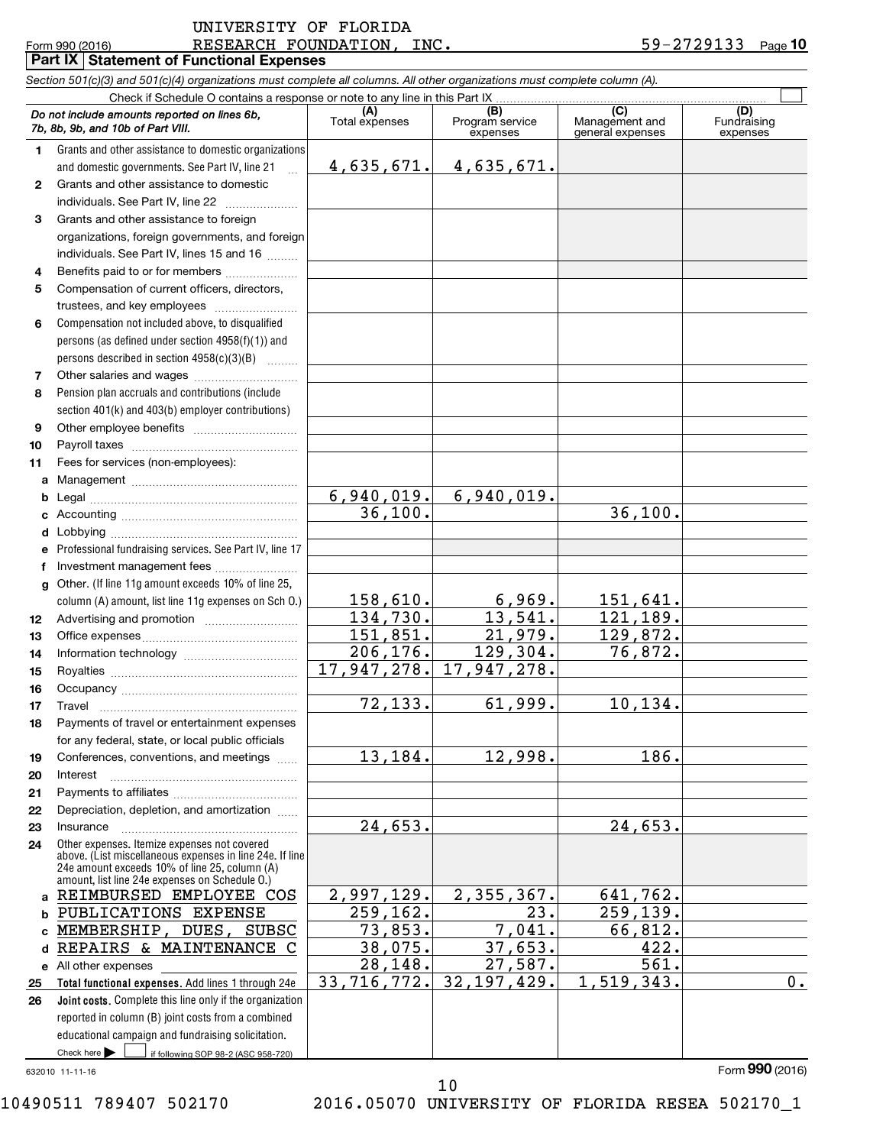|    | Part IX   Statement of Functional Expenses                                                                                 |                       |                                    |                                           |                                |  |
|----|----------------------------------------------------------------------------------------------------------------------------|-----------------------|------------------------------------|-------------------------------------------|--------------------------------|--|
|    | Section 501(c)(3) and 501(c)(4) organizations must complete all columns. All other organizations must complete column (A). |                       |                                    |                                           |                                |  |
|    |                                                                                                                            |                       |                                    |                                           |                                |  |
|    | Do not include amounts reported on lines 6b,<br>7b, 8b, 9b, and 10b of Part VIII.                                          | (A)<br>Total expenses | (B)<br>Program service<br>expenses | (C)<br>Management and<br>general expenses | (D)<br>Fundraising<br>expenses |  |
| 1. | Grants and other assistance to domestic organizations                                                                      |                       |                                    |                                           |                                |  |
|    | and domestic governments. See Part IV, line 21<br>$\ddotsc$                                                                | 4,635,671.            | <u>4,635,671.</u>                  |                                           |                                |  |
| 2  | Grants and other assistance to domestic                                                                                    |                       |                                    |                                           |                                |  |
|    | individuals. See Part IV, line 22                                                                                          |                       |                                    |                                           |                                |  |
| 3  | Grants and other assistance to foreign                                                                                     |                       |                                    |                                           |                                |  |
|    | organizations, foreign governments, and foreign                                                                            |                       |                                    |                                           |                                |  |
|    | individuals. See Part IV, lines 15 and 16                                                                                  |                       |                                    |                                           |                                |  |
| 4  | Benefits paid to or for members                                                                                            |                       |                                    |                                           |                                |  |
| 5  | Compensation of current officers, directors,                                                                               |                       |                                    |                                           |                                |  |
|    | trustees, and key employees                                                                                                |                       |                                    |                                           |                                |  |
| 6  | Compensation not included above, to disqualified                                                                           |                       |                                    |                                           |                                |  |
|    | persons (as defined under section 4958(f)(1)) and                                                                          |                       |                                    |                                           |                                |  |
|    | persons described in section 4958(c)(3)(B)                                                                                 |                       |                                    |                                           |                                |  |
| 7  |                                                                                                                            |                       |                                    |                                           |                                |  |
| 8  | Pension plan accruals and contributions (include                                                                           |                       |                                    |                                           |                                |  |
|    | section 401(k) and 403(b) employer contributions)                                                                          |                       |                                    |                                           |                                |  |
| 9  |                                                                                                                            |                       |                                    |                                           |                                |  |
| 10 |                                                                                                                            |                       |                                    |                                           |                                |  |
| 11 | Fees for services (non-employees):                                                                                         |                       |                                    |                                           |                                |  |
| a  |                                                                                                                            |                       |                                    |                                           |                                |  |
| b  |                                                                                                                            | 6,940,019.            | 6,940,019.                         |                                           |                                |  |
| c  |                                                                                                                            | 36,100.               |                                    | 36,100.                                   |                                |  |
| d  |                                                                                                                            |                       |                                    |                                           |                                |  |
| е  | Professional fundraising services. See Part IV, line 17                                                                    |                       |                                    |                                           |                                |  |
| f  | Investment management fees                                                                                                 |                       |                                    |                                           |                                |  |
| g  | Other. (If line 11g amount exceeds 10% of line 25,                                                                         |                       |                                    |                                           |                                |  |
|    | column (A) amount, list line 11g expenses on Sch 0.)                                                                       | 158,610.              | 6,969.                             | 151,641.                                  |                                |  |
| 12 | Advertising and promotion <i>manually contained</i>                                                                        | 134,730.              | 13,541.                            | 121,189.                                  |                                |  |
| 13 |                                                                                                                            | 151,851.              | 21,979.                            | 129,872.                                  |                                |  |
| 14 |                                                                                                                            | 206,176.              | 129,304.                           | 76,872.                                   |                                |  |
| 15 |                                                                                                                            | 17,947,278.           | 17,947,278.                        |                                           |                                |  |
| 16 |                                                                                                                            | 72, 133.              | 61,999.                            | 10,134.                                   |                                |  |
| 17 | Travel                                                                                                                     |                       |                                    |                                           |                                |  |
| 18 | Payments of travel or entertainment expenses                                                                               |                       |                                    |                                           |                                |  |
| 19 | for any federal, state, or local public officials<br>Conferences, conventions, and meetings                                | 13,184.               | 12,998.                            | 186.                                      |                                |  |
| 20 | Interest                                                                                                                   |                       |                                    |                                           |                                |  |
| 21 |                                                                                                                            |                       |                                    |                                           |                                |  |
| 22 | Depreciation, depletion, and amortization                                                                                  |                       |                                    |                                           |                                |  |
| 23 | Insurance                                                                                                                  | 24,653.               |                                    | 24,653.                                   |                                |  |
| 24 | Other expenses. Itemize expenses not covered                                                                               |                       |                                    |                                           |                                |  |
|    | above. (List miscellaneous expenses in line 24e. If line<br>24e amount exceeds 10% of line 25, column (A)                  |                       |                                    |                                           |                                |  |
|    | amount, list line 24e expenses on Schedule O.)                                                                             |                       |                                    |                                           |                                |  |
| a  | REIMBURSED EMPLOYEE COS                                                                                                    | 2,997,129.            | 2,355,367.                         | 641,762.                                  |                                |  |
| b  | PUBLICATIONS EXPENSE                                                                                                       | 259,162.              | 23.                                | 259,139.                                  |                                |  |
| c  | MEMBERSHIP,<br>DUES,<br><b>SUBSC</b>                                                                                       | ,853.<br>73           | 7,041.                             | 66,812.                                   |                                |  |
| d  | REPAIRS & MAINTENANCE C                                                                                                    | 38,075.               | 37,653.                            | 422.                                      |                                |  |
|    | e All other expenses                                                                                                       | 28,148.               | 27,587.                            | 561.                                      |                                |  |
| 25 | Total functional expenses. Add lines 1 through 24e                                                                         | 33,716,772.           | 32, 197, 429.                      | 1,519,343.                                | 0.                             |  |
| 26 | Joint costs. Complete this line only if the organization                                                                   |                       |                                    |                                           |                                |  |
|    | reported in column (B) joint costs from a combined                                                                         |                       |                                    |                                           |                                |  |
|    | educational campaign and fundraising solicitation.                                                                         |                       |                                    |                                           |                                |  |
|    | Check here $\blacktriangleright$<br>if following SOP 98-2 (ASC 958-720)                                                    |                       |                                    |                                           |                                |  |

632010 11-11-16

Form (2016) **990**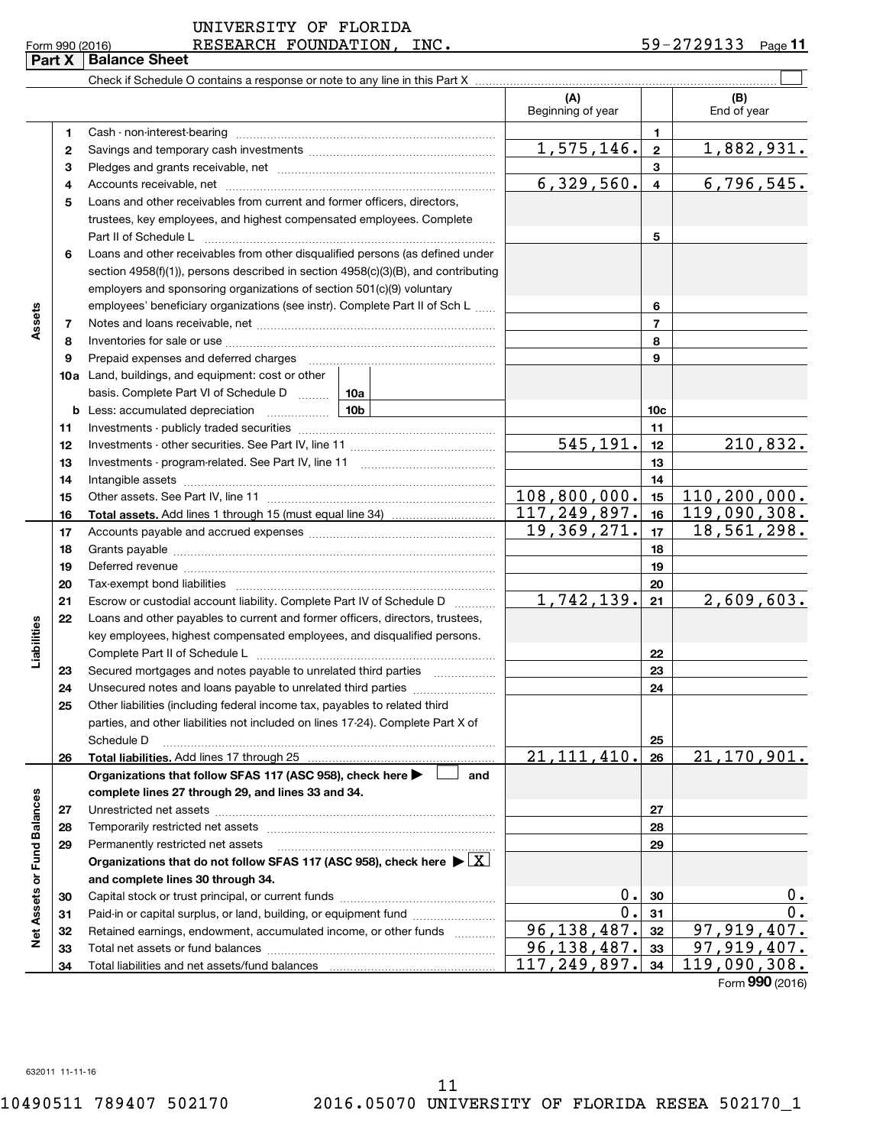$\frac{1}{2}$  Form 990 (2016) RESEARCH FOUNDATION, INC.  $\frac{1}{2}$   $\frac{59-2729133}{2}$  Page 59-2729133 Page 11

| <b>Part X   Balance Sheet</b> |
|-------------------------------|

|                             |              |                                                                                                                                                                                                                               | (A)<br>Beginning of year |                         | (B)<br>End of year |
|-----------------------------|--------------|-------------------------------------------------------------------------------------------------------------------------------------------------------------------------------------------------------------------------------|--------------------------|-------------------------|--------------------|
|                             | 1            |                                                                                                                                                                                                                               |                          | 1                       |                    |
|                             | $\mathbf{2}$ |                                                                                                                                                                                                                               | 1,575,146.               | $\overline{2}$          | <u>1,882,931.</u>  |
|                             | 3            |                                                                                                                                                                                                                               |                          | 3                       |                    |
|                             | 4            |                                                                                                                                                                                                                               | 6,329,560.               | $\overline{\mathbf{4}}$ | 6, 796, 545.       |
|                             | 5            | Loans and other receivables from current and former officers, directors,                                                                                                                                                      |                          |                         |                    |
|                             |              | trustees, key employees, and highest compensated employees. Complete                                                                                                                                                          |                          |                         |                    |
|                             |              | Part II of Schedule L                                                                                                                                                                                                         |                          | 5                       |                    |
|                             | 6            | Loans and other receivables from other disqualified persons (as defined under                                                                                                                                                 |                          |                         |                    |
|                             |              | section $4958(f)(1)$ , persons described in section $4958(c)(3)(B)$ , and contributing                                                                                                                                        |                          |                         |                    |
|                             |              | employers and sponsoring organizations of section 501(c)(9) voluntary                                                                                                                                                         |                          |                         |                    |
|                             |              | employees' beneficiary organizations (see instr). Complete Part II of Sch L                                                                                                                                                   |                          | 6                       |                    |
| Assets                      | 7            |                                                                                                                                                                                                                               |                          | 7                       |                    |
|                             | 8            |                                                                                                                                                                                                                               |                          | 8                       |                    |
|                             | 9            | Prepaid expenses and deferred charges [11] [11] Prepaid expenses and deferred charges [11] [11] Martin Martin (11] (11] Arthur Martin (11] Arthur Martin (11] Arthur Martin (11] Arthur Martin (11] Arthur Martin (11] Arthur |                          | 9                       |                    |
|                             |              | <b>10a</b> Land, buildings, and equipment: cost or other                                                                                                                                                                      |                          |                         |                    |
|                             |              | basis. Complete Part VI of Schedule D    10a                                                                                                                                                                                  |                          |                         |                    |
|                             |              |                                                                                                                                                                                                                               |                          | 10c                     |                    |
|                             | 11           |                                                                                                                                                                                                                               |                          | 11                      |                    |
|                             | 12           |                                                                                                                                                                                                                               | 545,191.                 | 12                      | 210,832.           |
|                             | 13           |                                                                                                                                                                                                                               |                          | 13                      |                    |
|                             | 14           |                                                                                                                                                                                                                               |                          | 14                      |                    |
|                             | 15           |                                                                                                                                                                                                                               | 108,800,000.             | 15                      | 110, 200, 000.     |
|                             | 16           |                                                                                                                                                                                                                               | 117, 249, 897.           | 16                      | 119,090,308.       |
|                             | 17           |                                                                                                                                                                                                                               | 19,369,271.              | 17                      | 18,561,298.        |
|                             | 18           |                                                                                                                                                                                                                               |                          | 18                      |                    |
|                             | 19           |                                                                                                                                                                                                                               |                          | 19                      |                    |
|                             | 20           |                                                                                                                                                                                                                               |                          | 20                      |                    |
|                             | 21           | Escrow or custodial account liability. Complete Part IV of Schedule D                                                                                                                                                         | 1,742,139.               | 21                      | 2,609,603.         |
|                             | 22           | Loans and other payables to current and former officers, directors, trustees,                                                                                                                                                 |                          |                         |                    |
| Liabilities                 |              | key employees, highest compensated employees, and disqualified persons.                                                                                                                                                       |                          |                         |                    |
|                             |              |                                                                                                                                                                                                                               |                          | 22                      |                    |
|                             | 23           | Secured mortgages and notes payable to unrelated third parties                                                                                                                                                                |                          | 23                      |                    |
|                             | 24           | Unsecured notes and loans payable to unrelated third parties                                                                                                                                                                  |                          | 24                      |                    |
|                             | 25           | Other liabilities (including federal income tax, payables to related third                                                                                                                                                    |                          |                         |                    |
|                             |              | parties, and other liabilities not included on lines 17-24). Complete Part X of                                                                                                                                               |                          |                         |                    |
|                             |              | Schedule D                                                                                                                                                                                                                    | 21, 111, 410.            | 25                      | 21,170,901.        |
|                             | 26           | Total liabilities. Add lines 17 through 25<br>Organizations that follow SFAS 117 (ASC 958), check here ><br>and                                                                                                               |                          | 26                      |                    |
|                             |              | complete lines 27 through 29, and lines 33 and 34.                                                                                                                                                                            |                          |                         |                    |
|                             | 27           |                                                                                                                                                                                                                               |                          | 27                      |                    |
|                             | 28           |                                                                                                                                                                                                                               |                          | 28                      |                    |
|                             | 29           | Permanently restricted net assets                                                                                                                                                                                             |                          | 29                      |                    |
|                             |              | Organizations that do not follow SFAS 117 (ASC 958), check here $\blacktriangleright \lfloor \underline{X} \rfloor$                                                                                                           |                          |                         |                    |
|                             |              | and complete lines 30 through 34.                                                                                                                                                                                             |                          |                         |                    |
|                             | 30           |                                                                                                                                                                                                                               | 0.                       | 30                      | 0.                 |
| Net Assets or Fund Balances | 31           | Paid-in or capital surplus, or land, building, or equipment fund                                                                                                                                                              | О.                       | 31                      | $0$ .              |
|                             | 32           | Retained earnings, endowment, accumulated income, or other funds                                                                                                                                                              | 96,138,487.              | 32                      | ,919,407.<br>97    |
|                             | 33           |                                                                                                                                                                                                                               | 96,138,487.              | 33                      | 97,919,407.        |
|                             | 34           | Total liabilities and net assets/fund balances                                                                                                                                                                                | 117,249,897.             | 34                      | 119,090,308.       |
|                             |              |                                                                                                                                                                                                                               |                          |                         |                    |

Form (2016) **990**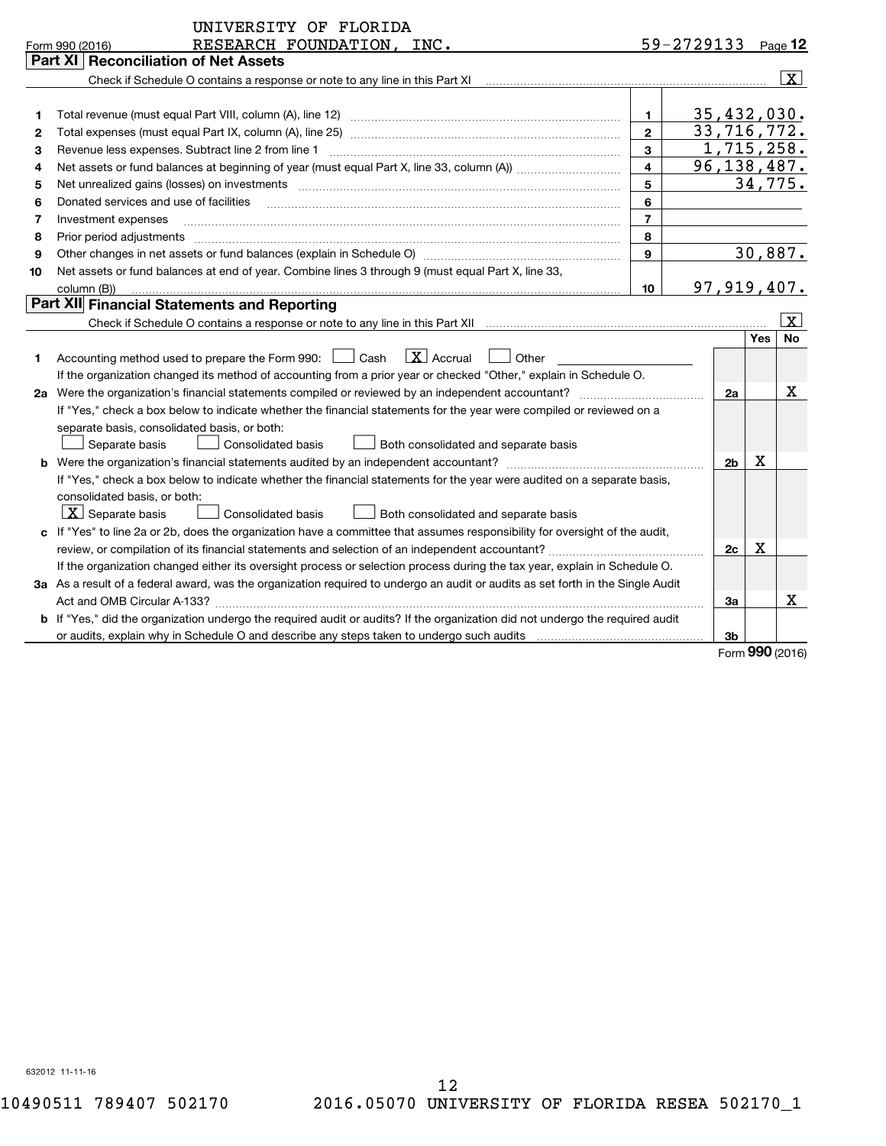|    | UNIVERSITY OF FLORIDA                                                                                                                                                                                                                                                                                                                                                                                                                                                |                |                        |     |                      |
|----|----------------------------------------------------------------------------------------------------------------------------------------------------------------------------------------------------------------------------------------------------------------------------------------------------------------------------------------------------------------------------------------------------------------------------------------------------------------------|----------------|------------------------|-----|----------------------|
|    | RESEARCH FOUNDATION, INC.<br>Form 990 (2016)                                                                                                                                                                                                                                                                                                                                                                                                                         |                | $59 - 2729133$ Page 12 |     |                      |
|    | Part XI   Reconciliation of Net Assets                                                                                                                                                                                                                                                                                                                                                                                                                               |                |                        |     |                      |
|    |                                                                                                                                                                                                                                                                                                                                                                                                                                                                      |                |                        |     | $\boxed{\textbf{X}}$ |
|    |                                                                                                                                                                                                                                                                                                                                                                                                                                                                      |                |                        |     |                      |
| 1  |                                                                                                                                                                                                                                                                                                                                                                                                                                                                      | 1              | 35,432,030.            |     |                      |
| 2  |                                                                                                                                                                                                                                                                                                                                                                                                                                                                      | $\overline{2}$ |                        |     | 33, 716, 772.        |
| З  | Revenue less expenses. Subtract line 2 from line 1                                                                                                                                                                                                                                                                                                                                                                                                                   | $\mathbf{3}$   |                        |     | 1,715,258.           |
| 4  |                                                                                                                                                                                                                                                                                                                                                                                                                                                                      | $\overline{4}$ |                        |     | 96, 138, 487.        |
| 5  | Net unrealized gains (losses) on investments [11] matter in the contract of the contract of the contract of the contract of the contract of the contract of the contract of the contract of the contract of the contract of th                                                                                                                                                                                                                                       | 5              |                        |     | 34,775.              |
| 6  | Donated services and use of facilities<br>$\overline{a_1, \ldots, a_n, \ldots, a_n, \ldots, a_n, \ldots, a_n, \ldots, a_n, \ldots, a_n, \ldots, a_n, \ldots, a_n, \ldots, a_n, \ldots, a_n, \ldots, a_n, \ldots, a_n, \ldots, a_n, \ldots, a_n, \ldots, a_n, \ldots, a_n, \ldots, a_n, \ldots, a_n, \ldots, a_n, \ldots, a_n, \ldots, a_n, \ldots, a_n, \ldots, a_n, \ldots, a_n, \ldots, a_n, \ldots, a_n, \ldots, a_n, \ldots, a_n, \ldots, a_n, \ldots, a_n, \ld$ | 6              |                        |     |                      |
| 7  | Investment expenses                                                                                                                                                                                                                                                                                                                                                                                                                                                  | $\overline{7}$ |                        |     |                      |
| 8  | Prior period adjustments www.communication.communication.com/news/communication.com/news/communication.com/news/                                                                                                                                                                                                                                                                                                                                                     | 8              |                        |     |                      |
| 9  |                                                                                                                                                                                                                                                                                                                                                                                                                                                                      | 9              |                        |     | 30,887.              |
| 10 | Net assets or fund balances at end of year. Combine lines 3 through 9 (must equal Part X, line 33,                                                                                                                                                                                                                                                                                                                                                                   |                |                        |     |                      |
|    | column (B))                                                                                                                                                                                                                                                                                                                                                                                                                                                          | 10             | 97,919,407.            |     |                      |
|    | Part XII Financial Statements and Reporting                                                                                                                                                                                                                                                                                                                                                                                                                          |                |                        |     |                      |
|    | Check if Schedule O contains a response or note to any line in this Part XII manufactured contains and contains a response or note to any line in this Part XII manufactured contains and contains a response or note to any l                                                                                                                                                                                                                                       |                |                        |     | $\lfloor x \rfloor$  |
|    |                                                                                                                                                                                                                                                                                                                                                                                                                                                                      |                |                        | Yes | <b>No</b>            |
| 1  | Accounting method used to prepare the Form 990: [10] Cash [X] Accrual [10] Other                                                                                                                                                                                                                                                                                                                                                                                     |                |                        |     |                      |
|    | If the organization changed its method of accounting from a prior year or checked "Other," explain in Schedule O.                                                                                                                                                                                                                                                                                                                                                    |                |                        |     |                      |
|    | 2a Were the organization's financial statements compiled or reviewed by an independent accountant?                                                                                                                                                                                                                                                                                                                                                                   |                | 2a                     |     | x                    |
|    | If "Yes," check a box below to indicate whether the financial statements for the year were compiled or reviewed on a                                                                                                                                                                                                                                                                                                                                                 |                |                        |     |                      |
|    | separate basis, consolidated basis, or both:                                                                                                                                                                                                                                                                                                                                                                                                                         |                |                        |     |                      |
|    | Both consolidated and separate basis<br>Separate basis<br>Consolidated basis                                                                                                                                                                                                                                                                                                                                                                                         |                |                        |     |                      |
|    |                                                                                                                                                                                                                                                                                                                                                                                                                                                                      |                | 2 <sub>b</sub>         | х   |                      |
|    | If "Yes," check a box below to indicate whether the financial statements for the year were audited on a separate basis,                                                                                                                                                                                                                                                                                                                                              |                |                        |     |                      |
|    | consolidated basis, or both:                                                                                                                                                                                                                                                                                                                                                                                                                                         |                |                        |     |                      |
|    | $X$ Separate basis<br>Consolidated basis<br>Both consolidated and separate basis                                                                                                                                                                                                                                                                                                                                                                                     |                |                        |     |                      |
|    | c If "Yes" to line 2a or 2b, does the organization have a committee that assumes responsibility for oversight of the audit,                                                                                                                                                                                                                                                                                                                                          |                |                        |     |                      |
|    |                                                                                                                                                                                                                                                                                                                                                                                                                                                                      |                | 2c                     | Х   |                      |
|    | If the organization changed either its oversight process or selection process during the tax year, explain in Schedule O.                                                                                                                                                                                                                                                                                                                                            |                |                        |     |                      |
|    | 3a As a result of a federal award, was the organization required to undergo an audit or audits as set forth in the Single Audit                                                                                                                                                                                                                                                                                                                                      |                |                        |     |                      |
|    |                                                                                                                                                                                                                                                                                                                                                                                                                                                                      |                | За                     |     | x                    |
|    | <b>b</b> If "Yes," did the organization undergo the required audit or audits? If the organization did not undergo the required audit                                                                                                                                                                                                                                                                                                                                 |                |                        |     |                      |
|    | or audits, explain why in Schedule O and describe any steps taken to undergo such audits                                                                                                                                                                                                                                                                                                                                                                             |                | 3 <sub>b</sub>         |     |                      |
|    |                                                                                                                                                                                                                                                                                                                                                                                                                                                                      |                |                        |     | Form 990 (2016)      |
|    |                                                                                                                                                                                                                                                                                                                                                                                                                                                                      |                |                        |     |                      |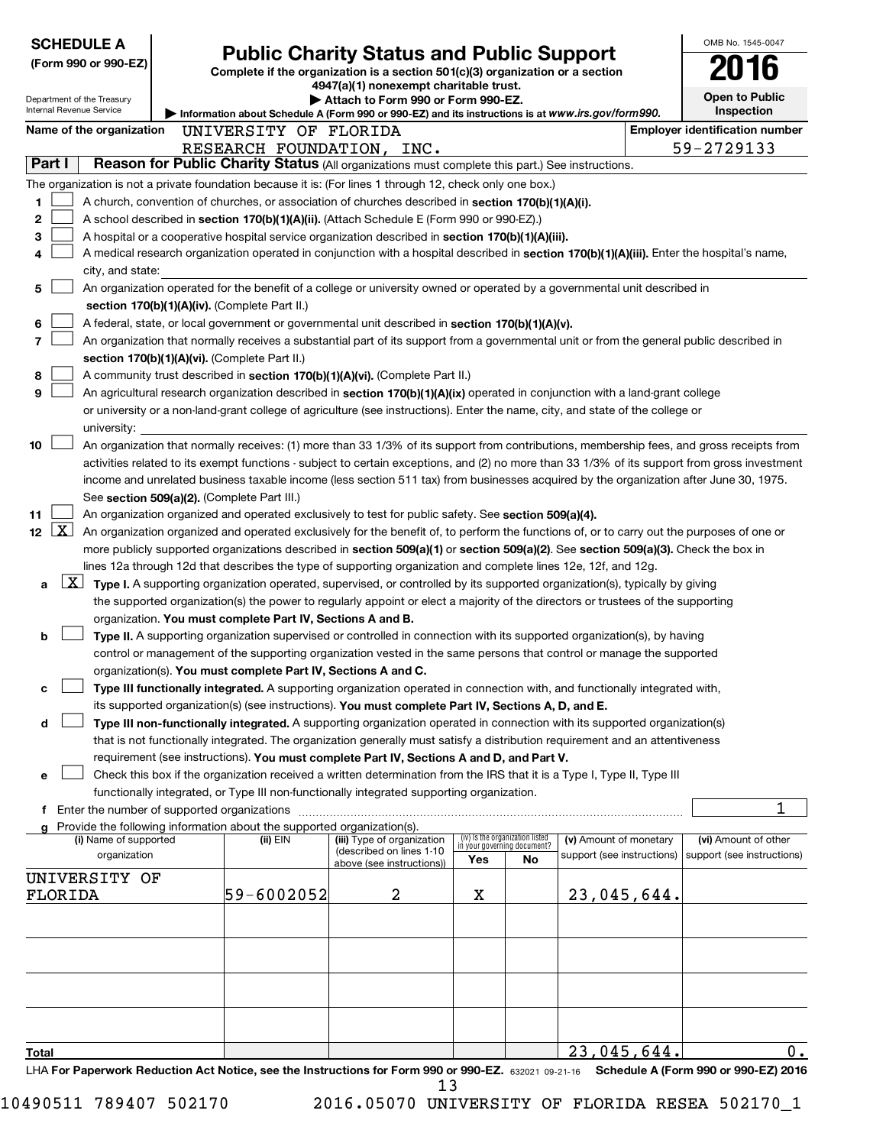| <b>SCHEDULE A</b>                                                                                         |                                                                                                                                                                     |                                                               |                                                                                                                                                                                                                                                                         |                                                                |     |                              |  | OMB No. 1545-0047                     |
|-----------------------------------------------------------------------------------------------------------|---------------------------------------------------------------------------------------------------------------------------------------------------------------------|---------------------------------------------------------------|-------------------------------------------------------------------------------------------------------------------------------------------------------------------------------------------------------------------------------------------------------------------------|----------------------------------------------------------------|-----|------------------------------|--|---------------------------------------|
| (Form 990 or 990-EZ)                                                                                      | <b>Public Charity Status and Public Support</b><br>Complete if the organization is a section 501(c)(3) organization or a section                                    |                                                               |                                                                                                                                                                                                                                                                         |                                                                |     |                              |  |                                       |
| 4947(a)(1) nonexempt charitable trust.                                                                    |                                                                                                                                                                     |                                                               |                                                                                                                                                                                                                                                                         |                                                                |     |                              |  |                                       |
| Department of the Treasury                                                                                | Attach to Form 990 or Form 990-EZ.<br>Internal Revenue Service<br>Information about Schedule A (Form 990 or 990-EZ) and its instructions is at www.irs.gov/form990. |                                                               |                                                                                                                                                                                                                                                                         |                                                                |     | Open to Public<br>Inspection |  |                                       |
| Name of the organization                                                                                  |                                                                                                                                                                     |                                                               |                                                                                                                                                                                                                                                                         |                                                                |     |                              |  | <b>Employer identification number</b> |
|                                                                                                           |                                                                                                                                                                     | UNIVERSITY OF FLORIDA                                         | RESEARCH FOUNDATION, INC.                                                                                                                                                                                                                                               |                                                                |     |                              |  | 59-2729133                            |
| Part I                                                                                                    |                                                                                                                                                                     |                                                               | Reason for Public Charity Status (All organizations must complete this part.) See instructions.                                                                                                                                                                         |                                                                |     |                              |  |                                       |
| The organization is not a private foundation because it is: (For lines 1 through 12, check only one box.) |                                                                                                                                                                     |                                                               |                                                                                                                                                                                                                                                                         |                                                                |     |                              |  |                                       |
| 1                                                                                                         |                                                                                                                                                                     |                                                               | A church, convention of churches, or association of churches described in section 170(b)(1)(A)(i).                                                                                                                                                                      |                                                                |     |                              |  |                                       |
| 2                                                                                                         |                                                                                                                                                                     |                                                               | A school described in section 170(b)(1)(A)(ii). (Attach Schedule E (Form 990 or 990-EZ).)                                                                                                                                                                               |                                                                |     |                              |  |                                       |
| 3                                                                                                         |                                                                                                                                                                     |                                                               | A hospital or a cooperative hospital service organization described in section 170(b)(1)(A)(iii).                                                                                                                                                                       |                                                                |     |                              |  |                                       |
| 4                                                                                                         |                                                                                                                                                                     |                                                               | A medical research organization operated in conjunction with a hospital described in section 170(b)(1)(A)(iii). Enter the hospital's name,                                                                                                                              |                                                                |     |                              |  |                                       |
| city, and state:                                                                                          |                                                                                                                                                                     |                                                               |                                                                                                                                                                                                                                                                         |                                                                |     |                              |  |                                       |
| 5                                                                                                         |                                                                                                                                                                     |                                                               | An organization operated for the benefit of a college or university owned or operated by a governmental unit described in                                                                                                                                               |                                                                |     |                              |  |                                       |
|                                                                                                           |                                                                                                                                                                     | section 170(b)(1)(A)(iv). (Complete Part II.)                 |                                                                                                                                                                                                                                                                         |                                                                |     |                              |  |                                       |
| 6                                                                                                         |                                                                                                                                                                     |                                                               | A federal, state, or local government or governmental unit described in section 170(b)(1)(A)(v).                                                                                                                                                                        |                                                                |     |                              |  |                                       |
| 7                                                                                                         |                                                                                                                                                                     |                                                               | An organization that normally receives a substantial part of its support from a governmental unit or from the general public described in                                                                                                                               |                                                                |     |                              |  |                                       |
| 8                                                                                                         |                                                                                                                                                                     | section 170(b)(1)(A)(vi). (Complete Part II.)                 | A community trust described in section 170(b)(1)(A)(vi). (Complete Part II.)                                                                                                                                                                                            |                                                                |     |                              |  |                                       |
| 9                                                                                                         |                                                                                                                                                                     |                                                               | An agricultural research organization described in section 170(b)(1)(A)(ix) operated in conjunction with a land-grant college                                                                                                                                           |                                                                |     |                              |  |                                       |
|                                                                                                           |                                                                                                                                                                     |                                                               | or university or a non-land-grant college of agriculture (see instructions). Enter the name, city, and state of the college or                                                                                                                                          |                                                                |     |                              |  |                                       |
| university:                                                                                               |                                                                                                                                                                     |                                                               |                                                                                                                                                                                                                                                                         |                                                                |     |                              |  |                                       |
| 10                                                                                                        |                                                                                                                                                                     |                                                               | An organization that normally receives: (1) more than 33 1/3% of its support from contributions, membership fees, and gross receipts from                                                                                                                               |                                                                |     |                              |  |                                       |
|                                                                                                           |                                                                                                                                                                     |                                                               | activities related to its exempt functions - subject to certain exceptions, and (2) no more than 33 1/3% of its support from gross investment                                                                                                                           |                                                                |     |                              |  |                                       |
|                                                                                                           |                                                                                                                                                                     |                                                               | income and unrelated business taxable income (less section 511 tax) from businesses acquired by the organization after June 30, 1975.                                                                                                                                   |                                                                |     |                              |  |                                       |
|                                                                                                           |                                                                                                                                                                     | See section 509(a)(2). (Complete Part III.)                   |                                                                                                                                                                                                                                                                         |                                                                |     |                              |  |                                       |
| 11                                                                                                        |                                                                                                                                                                     |                                                               | An organization organized and operated exclusively to test for public safety. See section 509(a)(4).                                                                                                                                                                    |                                                                |     |                              |  |                                       |
| $\lfloor x \rfloor$<br>12                                                                                 |                                                                                                                                                                     |                                                               | An organization organized and operated exclusively for the benefit of, to perform the functions of, or to carry out the purposes of one or                                                                                                                              |                                                                |     |                              |  |                                       |
|                                                                                                           |                                                                                                                                                                     |                                                               | more publicly supported organizations described in section 509(a)(1) or section 509(a)(2). See section 509(a)(3). Check the box in                                                                                                                                      |                                                                |     |                              |  |                                       |
|                                                                                                           |                                                                                                                                                                     |                                                               | lines 12a through 12d that describes the type of supporting organization and complete lines 12e, 12f, and 12g.                                                                                                                                                          |                                                                |     |                              |  |                                       |
| a                                                                                                         |                                                                                                                                                                     |                                                               | <b>X</b> Type I. A supporting organization operated, supervised, or controlled by its supported organization(s), typically by giving<br>the supported organization(s) the power to regularly appoint or elect a majority of the directors or trustees of the supporting |                                                                |     |                              |  |                                       |
|                                                                                                           |                                                                                                                                                                     | organization. You must complete Part IV, Sections A and B.    |                                                                                                                                                                                                                                                                         |                                                                |     |                              |  |                                       |
| b                                                                                                         |                                                                                                                                                                     |                                                               | Type II. A supporting organization supervised or controlled in connection with its supported organization(s), by having                                                                                                                                                 |                                                                |     |                              |  |                                       |
|                                                                                                           |                                                                                                                                                                     |                                                               | control or management of the supporting organization vested in the same persons that control or manage the supported                                                                                                                                                    |                                                                |     |                              |  |                                       |
|                                                                                                           |                                                                                                                                                                     | organization(s). You must complete Part IV, Sections A and C. |                                                                                                                                                                                                                                                                         |                                                                |     |                              |  |                                       |
| с                                                                                                         |                                                                                                                                                                     |                                                               | Type III functionally integrated. A supporting organization operated in connection with, and functionally integrated with,                                                                                                                                              |                                                                |     |                              |  |                                       |
|                                                                                                           |                                                                                                                                                                     |                                                               | its supported organization(s) (see instructions). You must complete Part IV, Sections A, D, and E.                                                                                                                                                                      |                                                                |     |                              |  |                                       |
| d                                                                                                         |                                                                                                                                                                     |                                                               | Type III non-functionally integrated. A supporting organization operated in connection with its supported organization(s)                                                                                                                                               |                                                                |     |                              |  |                                       |
|                                                                                                           |                                                                                                                                                                     |                                                               | that is not functionally integrated. The organization generally must satisfy a distribution requirement and an attentiveness                                                                                                                                            |                                                                |     |                              |  |                                       |
|                                                                                                           |                                                                                                                                                                     |                                                               | requirement (see instructions). You must complete Part IV, Sections A and D, and Part V.                                                                                                                                                                                |                                                                |     |                              |  |                                       |
| е                                                                                                         |                                                                                                                                                                     |                                                               | Check this box if the organization received a written determination from the IRS that it is a Type I, Type II, Type III                                                                                                                                                 |                                                                |     |                              |  |                                       |
| f Enter the number of supported organizations                                                             |                                                                                                                                                                     |                                                               | functionally integrated, or Type III non-functionally integrated supporting organization.                                                                                                                                                                               |                                                                |     |                              |  |                                       |
| g Provide the following information about the supported organization(s).                                  |                                                                                                                                                                     |                                                               |                                                                                                                                                                                                                                                                         |                                                                |     |                              |  |                                       |
| (i) Name of supported                                                                                     |                                                                                                                                                                     | (ii) EIN                                                      | (iii) Type of organization                                                                                                                                                                                                                                              | (iv) is the organization listed<br>in your governing document? |     | (v) Amount of monetary       |  | (vi) Amount of other                  |
| organization                                                                                              |                                                                                                                                                                     |                                                               | (described on lines 1-10<br>above (see instructions))                                                                                                                                                                                                                   | Yes                                                            | No. | support (see instructions)   |  | support (see instructions)            |
| UNIVERSITY OF                                                                                             |                                                                                                                                                                     |                                                               |                                                                                                                                                                                                                                                                         |                                                                |     |                              |  |                                       |
| FLORIDA                                                                                                   |                                                                                                                                                                     | 59-6002052                                                    | 2                                                                                                                                                                                                                                                                       | х                                                              |     | 23,045,644                   |  |                                       |
|                                                                                                           |                                                                                                                                                                     |                                                               |                                                                                                                                                                                                                                                                         |                                                                |     |                              |  |                                       |
|                                                                                                           |                                                                                                                                                                     |                                                               |                                                                                                                                                                                                                                                                         |                                                                |     |                              |  |                                       |
|                                                                                                           |                                                                                                                                                                     |                                                               |                                                                                                                                                                                                                                                                         |                                                                |     |                              |  |                                       |
|                                                                                                           |                                                                                                                                                                     |                                                               |                                                                                                                                                                                                                                                                         |                                                                |     |                              |  |                                       |
|                                                                                                           |                                                                                                                                                                     |                                                               |                                                                                                                                                                                                                                                                         |                                                                |     |                              |  |                                       |
|                                                                                                           |                                                                                                                                                                     |                                                               |                                                                                                                                                                                                                                                                         |                                                                |     |                              |  |                                       |
|                                                                                                           |                                                                                                                                                                     |                                                               |                                                                                                                                                                                                                                                                         |                                                                |     |                              |  |                                       |
| <u>Total</u>                                                                                              |                                                                                                                                                                     |                                                               |                                                                                                                                                                                                                                                                         |                                                                |     | 23,045,644                   |  | 0.                                    |
| LHA For Paperwork Reduction Act Notice, see the Instructions for Form 990 or 990-EZ. 632021 09-21-16      |                                                                                                                                                                     |                                                               |                                                                                                                                                                                                                                                                         |                                                                |     |                              |  | Schedule A (Form 990 or 990-EZ) 2016  |

10490511 789407 502170 2016.05070 UNIVERSITY OF FLORIDA RESEA 502170\_1 13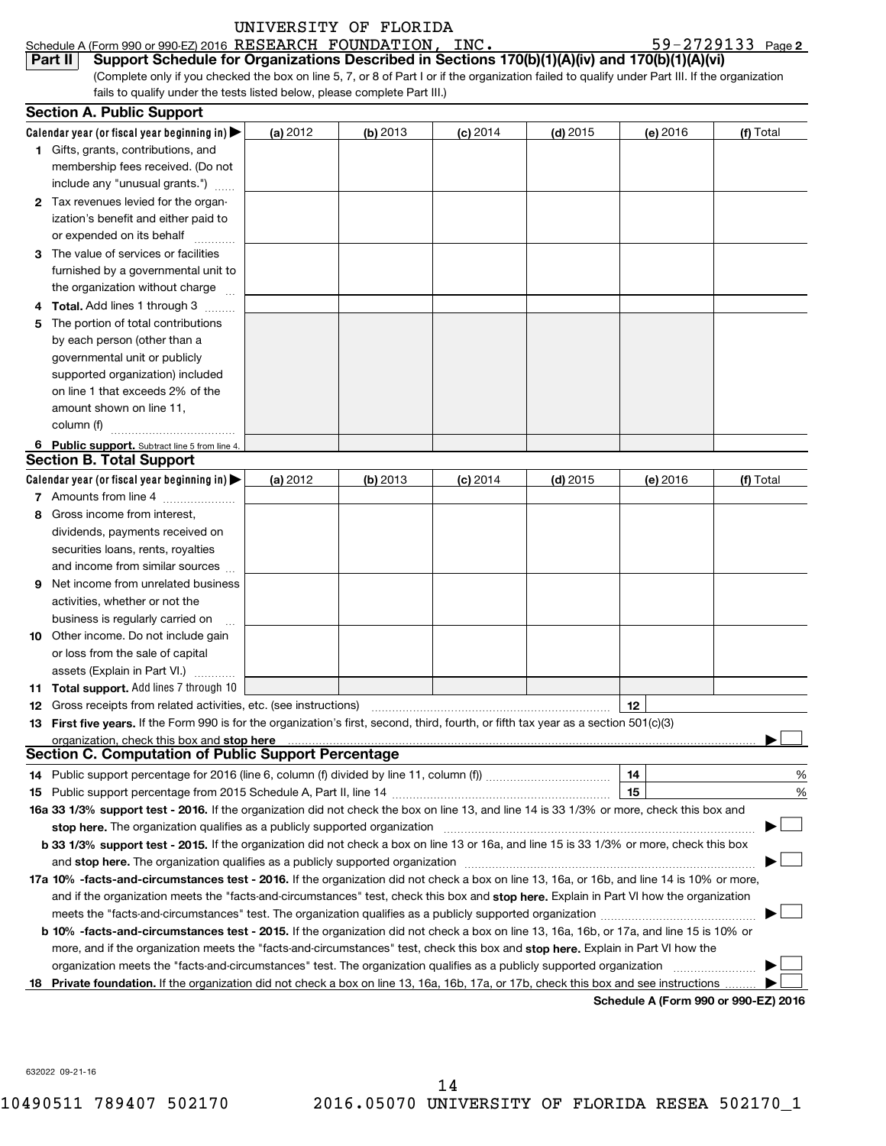|--|

|                                                                                                                                                                                                                               | Schedule A (Form 990 or 990-EZ) 2016 RESEARCH FOUNDATION, INC.                                                                                  |            |            |                                                                                 |            |          | 59-2729133 Page 2 |
|-------------------------------------------------------------------------------------------------------------------------------------------------------------------------------------------------------------------------------|-------------------------------------------------------------------------------------------------------------------------------------------------|------------|------------|---------------------------------------------------------------------------------|------------|----------|-------------------|
|                                                                                                                                                                                                                               | Support Schedule for Organizations Described in Sections 170(b)(1)(A)(iv) and 170(b)(1)(A)(vi)<br>Part II                                       |            |            |                                                                                 |            |          |                   |
|                                                                                                                                                                                                                               | (Complete only if you checked the box on line 5, 7, or 8 of Part I or if the organization failed to qualify under Part III. If the organization |            |            |                                                                                 |            |          |                   |
|                                                                                                                                                                                                                               | fails to qualify under the tests listed below, please complete Part III.)                                                                       |            |            |                                                                                 |            |          |                   |
|                                                                                                                                                                                                                               | <b>Section A. Public Support</b>                                                                                                                |            |            |                                                                                 |            |          |                   |
|                                                                                                                                                                                                                               | Calendar year (or fiscal year beginning in) $\blacktriangleright$                                                                               | (a) 2012   | (b) $2013$ | $(c)$ 2014                                                                      | $(d)$ 2015 | (e) 2016 | (f) Total         |
|                                                                                                                                                                                                                               | 1 Gifts, grants, contributions, and                                                                                                             |            |            |                                                                                 |            |          |                   |
|                                                                                                                                                                                                                               | membership fees received. (Do not                                                                                                               |            |            |                                                                                 |            |          |                   |
|                                                                                                                                                                                                                               | include any "unusual grants.")                                                                                                                  |            |            |                                                                                 |            |          |                   |
|                                                                                                                                                                                                                               | 2 Tax revenues levied for the organ-                                                                                                            |            |            |                                                                                 |            |          |                   |
|                                                                                                                                                                                                                               | ization's benefit and either paid to                                                                                                            |            |            |                                                                                 |            |          |                   |
|                                                                                                                                                                                                                               | or expended on its behalf                                                                                                                       |            |            |                                                                                 |            |          |                   |
|                                                                                                                                                                                                                               | The value of services or facilities                                                                                                             |            |            |                                                                                 |            |          |                   |
|                                                                                                                                                                                                                               | furnished by a governmental unit to                                                                                                             |            |            |                                                                                 |            |          |                   |
|                                                                                                                                                                                                                               | the organization without charge                                                                                                                 |            |            |                                                                                 |            |          |                   |
| 4                                                                                                                                                                                                                             | <b>Total.</b> Add lines 1 through 3                                                                                                             |            |            |                                                                                 |            |          |                   |
| 5                                                                                                                                                                                                                             | The portion of total contributions                                                                                                              |            |            |                                                                                 |            |          |                   |
|                                                                                                                                                                                                                               | by each person (other than a                                                                                                                    |            |            |                                                                                 |            |          |                   |
|                                                                                                                                                                                                                               | governmental unit or publicly                                                                                                                   |            |            |                                                                                 |            |          |                   |
|                                                                                                                                                                                                                               | supported organization) included                                                                                                                |            |            |                                                                                 |            |          |                   |
|                                                                                                                                                                                                                               | on line 1 that exceeds 2% of the                                                                                                                |            |            |                                                                                 |            |          |                   |
|                                                                                                                                                                                                                               | amount shown on line 11,                                                                                                                        |            |            |                                                                                 |            |          |                   |
|                                                                                                                                                                                                                               | column (f)                                                                                                                                      |            |            |                                                                                 |            |          |                   |
|                                                                                                                                                                                                                               |                                                                                                                                                 |            |            |                                                                                 |            |          |                   |
|                                                                                                                                                                                                                               | 6 Public support. Subtract line 5 from line 4.<br><b>Section B. Total Support</b>                                                               |            |            |                                                                                 |            |          |                   |
|                                                                                                                                                                                                                               |                                                                                                                                                 |            |            |                                                                                 |            |          |                   |
|                                                                                                                                                                                                                               | Calendar year (or fiscal year beginning in)                                                                                                     | (a) $2012$ | (b) $2013$ | $(c)$ 2014                                                                      | $(d)$ 2015 | (e) 2016 | (f) Total         |
|                                                                                                                                                                                                                               | 7 Amounts from line 4                                                                                                                           |            |            |                                                                                 |            |          |                   |
| 8                                                                                                                                                                                                                             | Gross income from interest,                                                                                                                     |            |            |                                                                                 |            |          |                   |
|                                                                                                                                                                                                                               | dividends, payments received on                                                                                                                 |            |            |                                                                                 |            |          |                   |
|                                                                                                                                                                                                                               | securities loans, rents, royalties                                                                                                              |            |            |                                                                                 |            |          |                   |
|                                                                                                                                                                                                                               | and income from similar sources                                                                                                                 |            |            |                                                                                 |            |          |                   |
| 9                                                                                                                                                                                                                             | Net income from unrelated business                                                                                                              |            |            |                                                                                 |            |          |                   |
|                                                                                                                                                                                                                               | activities, whether or not the                                                                                                                  |            |            |                                                                                 |            |          |                   |
|                                                                                                                                                                                                                               | business is regularly carried on                                                                                                                |            |            |                                                                                 |            |          |                   |
|                                                                                                                                                                                                                               | 10 Other income. Do not include gain                                                                                                            |            |            |                                                                                 |            |          |                   |
|                                                                                                                                                                                                                               | or loss from the sale of capital                                                                                                                |            |            |                                                                                 |            |          |                   |
|                                                                                                                                                                                                                               | assets (Explain in Part VI.)                                                                                                                    |            |            |                                                                                 |            |          |                   |
|                                                                                                                                                                                                                               | 11 Total support. Add lines 7 through 10                                                                                                        |            |            | the contract of the contract of the contract of the contract of the contract of |            |          |                   |
|                                                                                                                                                                                                                               |                                                                                                                                                 |            |            |                                                                                 |            | 12       |                   |
| 13.                                                                                                                                                                                                                           | First five years. If the Form 990 is for the organization's first, second, third, fourth, or fifth tax year as a section 501(c)(3)              |            |            |                                                                                 |            |          |                   |
|                                                                                                                                                                                                                               |                                                                                                                                                 |            |            |                                                                                 |            |          |                   |
|                                                                                                                                                                                                                               | <b>Section C. Computation of Public Support Percentage</b>                                                                                      |            |            |                                                                                 |            |          |                   |
| 14.                                                                                                                                                                                                                           |                                                                                                                                                 |            |            |                                                                                 |            | 14       | %                 |
| 15                                                                                                                                                                                                                            |                                                                                                                                                 |            |            |                                                                                 |            | 15       | %                 |
| 16a 33 1/3% support test - 2016. If the organization did not check the box on line 13, and line 14 is 33 1/3% or more, check this box and                                                                                     |                                                                                                                                                 |            |            |                                                                                 |            |          |                   |
| stop here. The organization qualifies as a publicly supported organization manufaction manufacture or the organization manufacture or the state of the state of the state of the state of the state of the state of the state |                                                                                                                                                 |            |            |                                                                                 |            |          |                   |
| b 33 1/3% support test - 2015. If the organization did not check a box on line 13 or 16a, and line 15 is 33 1/3% or more, check this box                                                                                      |                                                                                                                                                 |            |            |                                                                                 |            |          |                   |
| and stop here. The organization qualifies as a publicly supported organization [11] manuscription manuscription manuscription manuscription and stop here. The organization qualifies as a publicly supported organization    |                                                                                                                                                 |            |            |                                                                                 |            |          |                   |
| 17a 10% -facts-and-circumstances test - 2016. If the organization did not check a box on line 13, 16a, or 16b, and line 14 is 10% or more,                                                                                    |                                                                                                                                                 |            |            |                                                                                 |            |          |                   |
|                                                                                                                                                                                                                               | and if the organization meets the "facts-and-circumstances" test, check this box and stop here. Explain in Part VI how the organization         |            |            |                                                                                 |            |          |                   |
|                                                                                                                                                                                                                               |                                                                                                                                                 |            |            |                                                                                 |            |          |                   |
|                                                                                                                                                                                                                               | b 10% -facts-and-circumstances test - 2015. If the organization did not check a box on line 13, 16a, 16b, or 17a, and line 15 is 10% or         |            |            |                                                                                 |            |          |                   |
|                                                                                                                                                                                                                               | more, and if the organization meets the "facts-and-circumstances" test, check this box and stop here. Explain in Part VI how the                |            |            |                                                                                 |            |          |                   |
|                                                                                                                                                                                                                               |                                                                                                                                                 |            |            |                                                                                 |            |          |                   |
|                                                                                                                                                                                                                               | 18 Private foundation. If the organization did not check a box on line 13, 16a, 16b, 17a, or 17b, check this box and see instructions           |            |            |                                                                                 |            |          |                   |

**Schedule A (Form 990 or 990-EZ) 2016**

632022 09-21-16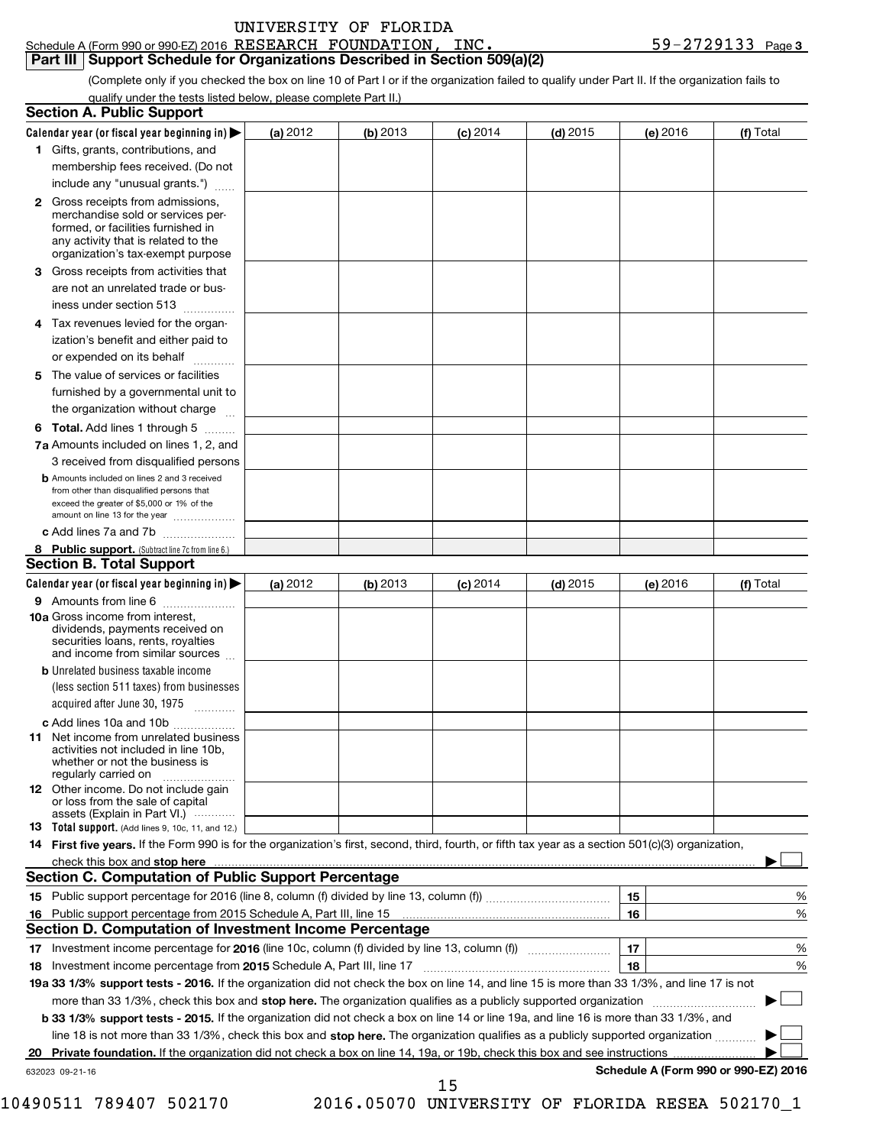| UNIVERSITY OF FLORIDA |  |
|-----------------------|--|
|                       |  |

#### Schedule A (Form 990 or 990-EZ) 2016  $\overline{\text{RESERARCH}}$   $\overline{\text{FOUNDATION}}$ ,  $\overline{\text{INC}}$ .  $\overline{\text{INC}}$   $\overline{\text{SVD}}$   $\overline{\text{SVD}}$   $\overline{\text{CVD}}$   $\overline{\text{CVD}}$ **Part III | Support Schedule for Organizations Described in Section 509(a)(2)** RESEARCH FOUNDATION, INC. 59-2729133

(Complete only if you checked the box on line 10 of Part I or if the organization failed to qualify under Part II. If the organization fails to qualify under the tests listed below, please complete Part II.)

| <b>Section A. Public Support</b>                                                                                                                                                         |            |          |            |            |          |                                      |
|------------------------------------------------------------------------------------------------------------------------------------------------------------------------------------------|------------|----------|------------|------------|----------|--------------------------------------|
| Calendar year (or fiscal year beginning in) $\blacktriangleright$                                                                                                                        | (a) 2012   | (b) 2013 | $(c)$ 2014 | $(d)$ 2015 | (e) 2016 | (f) Total                            |
| 1 Gifts, grants, contributions, and                                                                                                                                                      |            |          |            |            |          |                                      |
| membership fees received. (Do not                                                                                                                                                        |            |          |            |            |          |                                      |
| include any "unusual grants.")                                                                                                                                                           |            |          |            |            |          |                                      |
| 2 Gross receipts from admissions,<br>merchandise sold or services per-<br>formed, or facilities furnished in<br>any activity that is related to the<br>organization's tax-exempt purpose |            |          |            |            |          |                                      |
| <b>3</b> Gross receipts from activities that                                                                                                                                             |            |          |            |            |          |                                      |
| are not an unrelated trade or bus-<br>iness under section 513                                                                                                                            |            |          |            |            |          |                                      |
| 4 Tax revenues levied for the organ-                                                                                                                                                     |            |          |            |            |          |                                      |
| ization's benefit and either paid to<br>or expended on its behalf<br>.                                                                                                                   |            |          |            |            |          |                                      |
| 5 The value of services or facilities                                                                                                                                                    |            |          |            |            |          |                                      |
| furnished by a governmental unit to<br>the organization without charge                                                                                                                   |            |          |            |            |          |                                      |
| <b>6 Total.</b> Add lines 1 through 5                                                                                                                                                    |            |          |            |            |          |                                      |
| 7a Amounts included on lines 1, 2, and                                                                                                                                                   |            |          |            |            |          |                                      |
| 3 received from disqualified persons                                                                                                                                                     |            |          |            |            |          |                                      |
| <b>b</b> Amounts included on lines 2 and 3 received<br>from other than disqualified persons that<br>exceed the greater of \$5,000 or 1% of the<br>amount on line 13 for the year         |            |          |            |            |          |                                      |
| c Add lines 7a and 7b                                                                                                                                                                    |            |          |            |            |          |                                      |
| 8 Public support. (Subtract line 7c from line 6.)                                                                                                                                        |            |          |            |            |          |                                      |
| <b>Section B. Total Support</b>                                                                                                                                                          |            |          |            |            |          |                                      |
| Calendar year (or fiscal year beginning in) $\blacktriangleright$                                                                                                                        | (a) $2012$ | (b) 2013 | $(c)$ 2014 | $(d)$ 2015 | (e) 2016 | (f) Total                            |
| 9 Amounts from line 6                                                                                                                                                                    |            |          |            |            |          |                                      |
| <b>10a</b> Gross income from interest,<br>dividends, payments received on<br>securities loans, rents, royalties<br>and income from similar sources                                       |            |          |            |            |          |                                      |
| <b>b</b> Unrelated business taxable income                                                                                                                                               |            |          |            |            |          |                                      |
| (less section 511 taxes) from businesses<br>acquired after June 30, 1975                                                                                                                 |            |          |            |            |          |                                      |
| c Add lines 10a and 10b                                                                                                                                                                  |            |          |            |            |          |                                      |
| <b>11</b> Net income from unrelated business<br>activities not included in line 10b,<br>whether or not the business is<br>regularly carried on                                           |            |          |            |            |          |                                      |
| <b>12</b> Other income. Do not include gain<br>or loss from the sale of capital<br>assets (Explain in Part VI.) $\cdots$                                                                 |            |          |            |            |          |                                      |
| <b>13</b> Total support. (Add lines 9, 10c, 11, and 12.)                                                                                                                                 |            |          |            |            |          |                                      |
| 14 First five years. If the Form 990 is for the organization's first, second, third, fourth, or fifth tax year as a section 501(c)(3) organization,                                      |            |          |            |            |          |                                      |
| check this box and stop here                                                                                                                                                             |            |          |            |            |          |                                      |
| Section C. Computation of Public Support Percentage                                                                                                                                      |            |          |            |            |          |                                      |
|                                                                                                                                                                                          |            |          |            |            | 15       | %                                    |
| 16 Public support percentage from 2015 Schedule A, Part III, line 15                                                                                                                     |            |          |            |            | 16       | %                                    |
| Section D. Computation of Investment Income Percentage                                                                                                                                   |            |          |            |            |          |                                      |
|                                                                                                                                                                                          |            |          |            |            | 17       | $\%$                                 |
| 18 Investment income percentage from 2015 Schedule A, Part III, line 17                                                                                                                  |            |          |            |            | 18       | %                                    |
| 19a 33 1/3% support tests - 2016. If the organization did not check the box on line 14, and line 15 is more than 33 1/3%, and line 17 is not                                             |            |          |            |            |          |                                      |
| more than 33 1/3%, check this box and stop here. The organization qualifies as a publicly supported organization <i>managererigion</i>                                                   |            |          |            |            |          |                                      |
| b 33 1/3% support tests - 2015. If the organization did not check a box on line 14 or line 19a, and line 16 is more than 33 1/3%, and                                                    |            |          |            |            |          |                                      |
| line 18 is not more than 33 1/3%, check this box and stop here. The organization qualifies as a publicly supported organization                                                          |            |          |            |            |          |                                      |
| 20 Private foundation. If the organization did not check a box on line 14, 19a, or 19b, check this box and see instructions                                                              |            |          |            |            |          |                                      |
| 632023 09-21-16                                                                                                                                                                          |            |          |            |            |          | Schedule A (Form 990 or 990-EZ) 2016 |

10490511 789407 502170 2016.05070 UNIVERSITY OF FLORIDA RESEA 502170\_1

15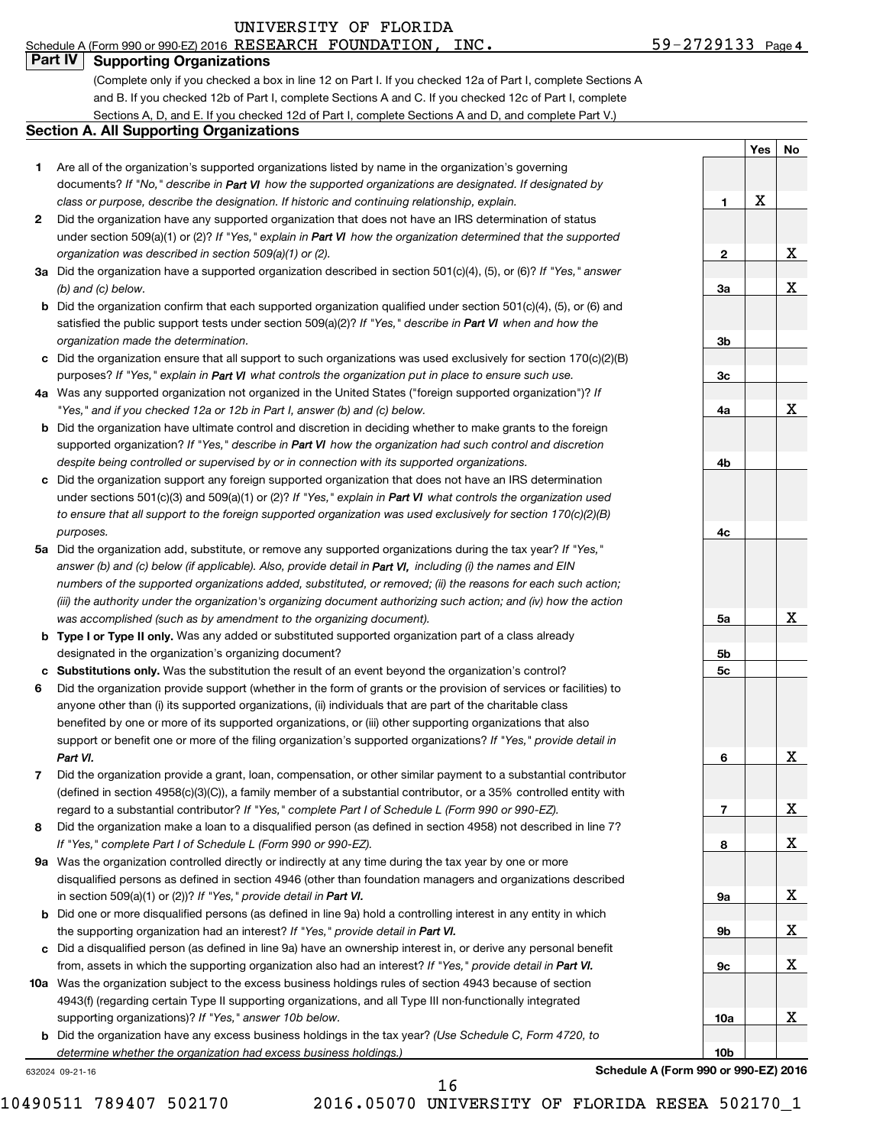#### 59-2729133 Page 4 Schedule A (Form 990 or 990-EZ) 2016 RESEARCH FOUNDATION, INC.  $59-2729133$  Page

|  | <b>Part IV   Supporting Organizations</b> |
|--|-------------------------------------------|

(Complete only if you checked a box in line 12 on Part I. If you checked 12a of Part I, complete Sections A and B. If you checked 12b of Part I, complete Sections A and C. If you checked 12c of Part I, complete Sections A, D, and E. If you checked 12d of Part I, complete Sections A and D, and complete Part V.)

### **Section A. All Supporting Organizations**

- **1** Are all of the organization's supported organizations listed by name in the organization's governing documents? If "No," describe in Part VI how the supported organizations are designated. If designated by *class or purpose, describe the designation. If historic and continuing relationship, explain.*
- **2** Did the organization have any supported organization that does not have an IRS determination of status under section 509(a)(1) or (2)? If "Yes," explain in Part VI how the organization determined that the supported *organization was described in section 509(a)(1) or (2).*
- **3a** Did the organization have a supported organization described in section 501(c)(4), (5), or (6)? If "Yes," answer *(b) and (c) below.*
- **b** Did the organization confirm that each supported organization qualified under section 501(c)(4), (5), or (6) and satisfied the public support tests under section 509(a)(2)? If "Yes," describe in Part VI when and how the *organization made the determination.*
- **c** Did the organization ensure that all support to such organizations was used exclusively for section 170(c)(2)(B) purposes? If "Yes," explain in Part VI what controls the organization put in place to ensure such use.
- **4 a** *If* Was any supported organization not organized in the United States ("foreign supported organization")? *"Yes," and if you checked 12a or 12b in Part I, answer (b) and (c) below.*
- **b** Did the organization have ultimate control and discretion in deciding whether to make grants to the foreign supported organization? If "Yes," describe in Part VI how the organization had such control and discretion *despite being controlled or supervised by or in connection with its supported organizations.*
- **c** Did the organization support any foreign supported organization that does not have an IRS determination under sections 501(c)(3) and 509(a)(1) or (2)? If "Yes," explain in Part VI what controls the organization used *to ensure that all support to the foreign supported organization was used exclusively for section 170(c)(2)(B) purposes.*
- **5a** Did the organization add, substitute, or remove any supported organizations during the tax year? If "Yes," answer (b) and (c) below (if applicable). Also, provide detail in Part VI, including (i) the names and EIN *numbers of the supported organizations added, substituted, or removed; (ii) the reasons for each such action; (iii) the authority under the organization's organizing document authorizing such action; and (iv) how the action was accomplished (such as by amendment to the organizing document).*
- **b** Type I or Type II only. Was any added or substituted supported organization part of a class already designated in the organization's organizing document?
- **c** Substitutions only. Was the substitution the result of an event beyond the organization's control?
- **6** support or benefit one or more of the filing organization's supported organizations? If "Yes," provide detail in Did the organization provide support (whether in the form of grants or the provision of services or facilities) to anyone other than (i) its supported organizations, (ii) individuals that are part of the charitable class benefited by one or more of its supported organizations, or (iii) other supporting organizations that also *Part VI.*
- **7** regard to a substantial contributor? If "Yes," complete Part I of Schedule L (Form 990 or 990-EZ). Did the organization provide a grant, loan, compensation, or other similar payment to a substantial contributor (defined in section 4958(c)(3)(C)), a family member of a substantial contributor, or a 35% controlled entity with
- **8** Did the organization make a loan to a disqualified person (as defined in section 4958) not described in line 7? *If "Yes," complete Part I of Schedule L (Form 990 or 990-EZ).*
- **9 a** Was the organization controlled directly or indirectly at any time during the tax year by one or more in section 509(a)(1) or (2))? If "Yes," provide detail in **Part VI.** disqualified persons as defined in section 4946 (other than foundation managers and organizations described
- **b** Did one or more disqualified persons (as defined in line 9a) hold a controlling interest in any entity in which the supporting organization had an interest? If "Yes," provide detail in Part VI.
- **c** Did a disqualified person (as defined in line 9a) have an ownership interest in, or derive any personal benefit from, assets in which the supporting organization also had an interest? If "Yes," provide detail in Part VI.
- **10 a** Was the organization subject to the excess business holdings rules of section 4943 because of section supporting organizations)? If "Yes," answer 10b below. 4943(f) (regarding certain Type II supporting organizations, and all Type III non-functionally integrated
	- **b** Did the organization have any excess business holdings in the tax year? (Use Schedule C, Form 4720, to *determine whether the organization had excess business holdings.)*

632024 09-21-16

16

|                 | J<br>ē<br>I              | Ľ<br>יט                 |
|-----------------|--------------------------|-------------------------|
|                 |                          |                         |
| 1               | $\underline{\mathbf{X}}$ |                         |
|                 |                          |                         |
| 2               |                          | $\underline{x}$         |
|                 |                          |                         |
| 3a              |                          | $\mathbf X$             |
|                 |                          |                         |
| 3 <sub>b</sub>  |                          |                         |
| 3c              |                          |                         |
|                 |                          |                         |
| <u>4a</u>       |                          | X                       |
|                 |                          |                         |
| 4 <sub>b</sub>  |                          |                         |
|                 |                          |                         |
| 4c              |                          |                         |
|                 |                          |                         |
| <u>5a</u>       |                          | x                       |
| <u>5b</u>       |                          |                         |
| <u>5c</u>       |                          |                         |
|                 |                          |                         |
| 6               |                          | Χ                       |
|                 |                          |                         |
| $\overline{1}$  |                          | X                       |
| 8               |                          | X                       |
|                 |                          |                         |
| <u>9a</u>       |                          | X                       |
| <u>9b</u>       |                          | $\overline{\mathbf{X}}$ |
|                 |                          |                         |
| <u>9c</u>       |                          | X                       |
|                 |                          |                         |
| <u>10a</u>      |                          | X                       |
| 10 <sub>b</sub> |                          |                         |

**Yes No**

10490511 789407 502170 2016.05070 UNIVERSITY OF FLORIDA RESEA 502170\_1

**Schedule A (Form 990 or 990-EZ) 2016**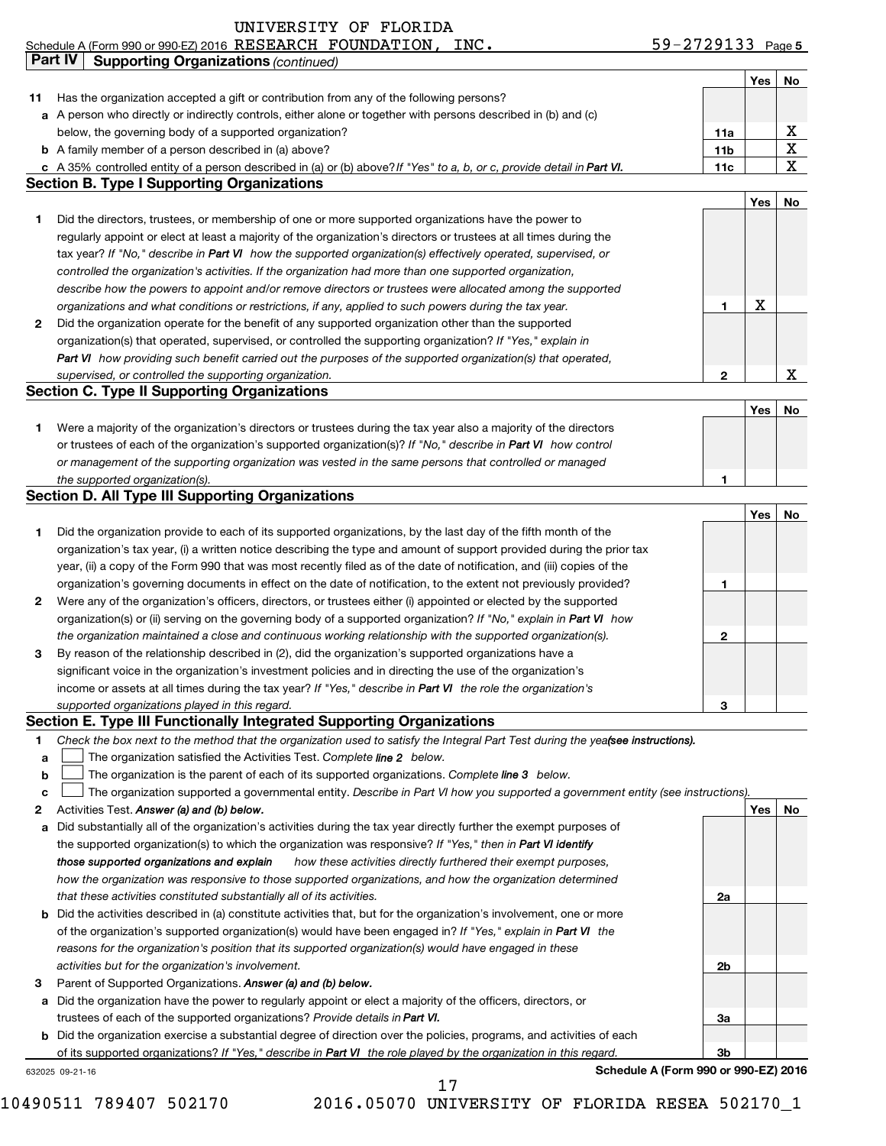### Schedule A (Form 990 or 990-EZ) 2016 RESEARCH FOUNDATION, INC.  $59-2729133$  Page **Part IV Supporting Organizations** *(continued)*

|    |                                                                                                                         |                 | Yes | No |
|----|-------------------------------------------------------------------------------------------------------------------------|-----------------|-----|----|
| 11 | Has the organization accepted a gift or contribution from any of the following persons?                                 |                 |     |    |
|    | a A person who directly or indirectly controls, either alone or together with persons described in (b) and (c)          |                 |     |    |
|    | below, the governing body of a supported organization?                                                                  | 11a             |     |    |
|    | <b>b</b> A family member of a person described in (a) above?                                                            | 11 <sub>b</sub> |     |    |
|    | c A 35% controlled entity of a person described in (a) or (b) above? If "Yes" to a, b, or c, provide detail in Part VI. | 11c             |     | v  |
|    | Section B. Type I Supporting Organizations                                                                              |                 |     |    |

|   |                                                                                                                    |   | Yes l | No. |
|---|--------------------------------------------------------------------------------------------------------------------|---|-------|-----|
|   | Did the directors, trustees, or membership of one or more supported organizations have the power to                |   |       |     |
|   | regularly appoint or elect at least a majority of the organization's directors or trustees at all times during the |   |       |     |
|   | tax year? If "No," describe in Part VI how the supported organization(s) effectively operated, supervised, or      |   |       |     |
|   | controlled the organization's activities. If the organization had more than one supported organization,            |   |       |     |
|   | describe how the powers to appoint and/or remove directors or trustees were allocated among the supported          |   |       |     |
|   | organizations and what conditions or restrictions, if any, applied to such powers during the tax year.             |   | x     |     |
| 2 | Did the organization operate for the benefit of any supported organization other than the supported                |   |       |     |
|   | organization(s) that operated, supervised, or controlled the supporting organization? If "Yes," explain in         |   |       |     |
|   | Part VI how providing such benefit carried out the purposes of the supported organization(s) that operated,        |   |       |     |
|   | supervised, or controlled the supporting organization.                                                             | ּ |       |     |
|   | Section C. Type II Supporting Organizations                                                                        |   |       |     |

|                                                                                                                  | Yes |  |
|------------------------------------------------------------------------------------------------------------------|-----|--|
| Were a majority of the organization's directors or trustees during the tax year also a majority of the directors |     |  |
| or trustees of each of the organization's supported organization(s)? If "No," describe in Part VI how control    |     |  |
| or management of the supporting organization was vested in the same persons that controlled or managed           |     |  |
| the supported organization(s).                                                                                   |     |  |

## **Section D. All Type III Supporting Organizations**

|              |                                                                                                                        |   | Yes | No |
|--------------|------------------------------------------------------------------------------------------------------------------------|---|-----|----|
|              | Did the organization provide to each of its supported organizations, by the last day of the fifth month of the         |   |     |    |
|              | organization's tax year, (i) a written notice describing the type and amount of support provided during the prior tax  |   |     |    |
|              | year, (ii) a copy of the Form 990 that was most recently filed as of the date of notification, and (iii) copies of the |   |     |    |
|              | organization's governing documents in effect on the date of notification, to the extent not previously provided?       |   |     |    |
| $\mathbf{2}$ | Were any of the organization's officers, directors, or trustees either (i) appointed or elected by the supported       |   |     |    |
|              | organization(s) or (ii) serving on the governing body of a supported organization? If "No," explain in Part VI how     |   |     |    |
|              | the organization maintained a close and continuous working relationship with the supported organization(s).            | 0 |     |    |
| 3            | By reason of the relationship described in (2), did the organization's supported organizations have a                  |   |     |    |
|              | significant voice in the organization's investment policies and in directing the use of the organization's             |   |     |    |
|              | income or assets at all times during the tax year? If "Yes," describe in Part VI the role the organization's           |   |     |    |
|              | supported organizations played in this regard.                                                                         | 3 |     |    |

## **Section E. Type III Functionally Integrated Supporting Organizations**

- **1** Check the box next to the method that the organization used to satisfy the Integral Part Test during the yeafsee instructions).
- **a** The organization satisfied the Activities Test. Complete line 2 below.
- **b** The organization is the parent of each of its supported organizations. Complete line 3 below.

| $\mathbf{c}$ | The organization supported a governmental entity. Describe in Part VI how you supported a government entity (see instructions). |                |       |    |
|--------------|---------------------------------------------------------------------------------------------------------------------------------|----------------|-------|----|
| $\mathbf{2}$ | Activities Test. Answer (a) and (b) below.                                                                                      |                | Yes l | No |
|              | a Did substantially all of the organization's activities during the tax year directly further the exempt purposes of            |                |       |    |
|              | the supported organization(s) to which the organization was responsive? If "Yes," then in Part VI identify                      |                |       |    |
|              | those supported organizations and explain how these activities directly furthered their exempt purposes,                        |                |       |    |
|              | how the organization was responsive to those supported organizations, and how the organization determined                       |                |       |    |
|              | that these activities constituted substantially all of its activities.                                                          | 2a             |       |    |
|              | <b>b</b> Did the activities described in (a) constitute activities that, but for the organization's involvement, one or more    |                |       |    |
|              | of the organization's supported organization(s) would have been engaged in? If "Yes," explain in Part VI the                    |                |       |    |
|              | reasons for the organization's position that its supported organization(s) would have engaged in these                          |                |       |    |
|              | activities but for the organization's involvement.                                                                              | 2 <sub>b</sub> |       |    |
| 3            | Parent of Supported Organizations. Answer (a) and (b) below.                                                                    |                |       |    |
|              | a Did the organization have the power to regularly appoint or elect a majority of the officers, directors, or                   |                |       |    |
|              | trustees of each of the supported organizations? Provide details in Part VI.                                                    | За             |       |    |
|              | <b>b</b> Did the organization exercise a substantial degree of direction over the policies, programs, and activities of each    |                |       |    |
|              | of its supported organizations? If "Yes," describe in Part VI the role played by the organization in this regard.               | 3b             |       |    |

**Schedule A (Form 990 or 990-EZ) 2016**

632025 09-21-16

10490511 789407 502170 2016.05070 UNIVERSITY OF FLORIDA RESEA 502170\_1 17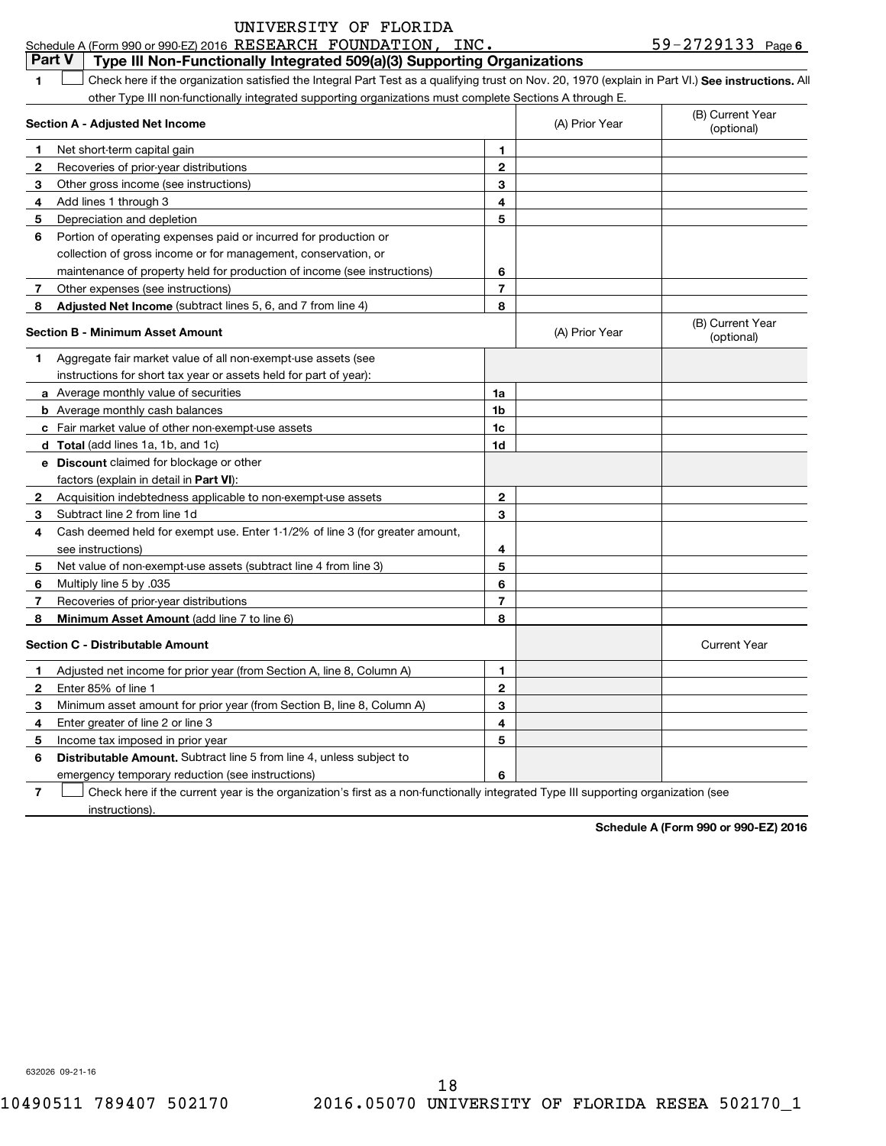| UNIVERSITY OF FLORIDA |  |  |
|-----------------------|--|--|
|                       |  |  |

|               | Schedule A (Form 990 or 990-EZ) 2016 RESEARCH FOUNDATION, INC.                                                                                     |                |                | $59 - 2729133$ Page 6          |
|---------------|----------------------------------------------------------------------------------------------------------------------------------------------------|----------------|----------------|--------------------------------|
| <b>Part V</b> | Type III Non-Functionally Integrated 509(a)(3) Supporting Organizations                                                                            |                |                |                                |
| 1             | Check here if the organization satisfied the Integral Part Test as a qualifying trust on Nov. 20, 1970 (explain in Part VI.) See instructions. All |                |                |                                |
|               | other Type III non-functionally integrated supporting organizations must complete Sections A through E.                                            |                |                |                                |
|               | Section A - Adjusted Net Income                                                                                                                    |                | (A) Prior Year | (B) Current Year<br>(optional) |
| $\mathbf 1$   | Net short-term capital gain                                                                                                                        | 1.             |                |                                |
| 2             | Recoveries of prior-year distributions                                                                                                             | $\mathbf{2}$   |                |                                |
| 3             | Other gross income (see instructions)                                                                                                              | 3              |                |                                |
| 4             | Add lines 1 through 3                                                                                                                              | 4              |                |                                |
| 5             | Depreciation and depletion                                                                                                                         | 5              |                |                                |
| 6             | Portion of operating expenses paid or incurred for production or                                                                                   |                |                |                                |
|               | collection of gross income or for management, conservation, or                                                                                     |                |                |                                |
|               | maintenance of property held for production of income (see instructions)                                                                           | 6              |                |                                |
| -7            | Other expenses (see instructions)                                                                                                                  | $\overline{7}$ |                |                                |
| 8             | Adjusted Net Income (subtract lines 5, 6, and 7 from line 4)                                                                                       | 8              |                |                                |
|               | <b>Section B - Minimum Asset Amount</b>                                                                                                            |                | (A) Prior Year | (B) Current Year<br>(optional) |
| 1             | Aggregate fair market value of all non-exempt-use assets (see                                                                                      |                |                |                                |
|               | instructions for short tax year or assets held for part of year):                                                                                  |                |                |                                |
|               | a Average monthly value of securities                                                                                                              | 1a             |                |                                |
|               | <b>b</b> Average monthly cash balances                                                                                                             | 1b             |                |                                |
|               | c Fair market value of other non-exempt-use assets                                                                                                 | 1c             |                |                                |
|               | d Total (add lines 1a, 1b, and 1c)                                                                                                                 | 1d             |                |                                |
|               | e Discount claimed for blockage or other                                                                                                           |                |                |                                |
|               | factors (explain in detail in Part VI):                                                                                                            |                |                |                                |
| 2             | Acquisition indebtedness applicable to non-exempt-use assets                                                                                       | $\mathbf{2}$   |                |                                |
| 3             | Subtract line 2 from line 1d                                                                                                                       | 3              |                |                                |
| 4             | Cash deemed held for exempt use. Enter 1-1/2% of line 3 (for greater amount,                                                                       |                |                |                                |
|               | see instructions)                                                                                                                                  | 4              |                |                                |
| 5             | Net value of non-exempt-use assets (subtract line 4 from line 3)                                                                                   | 5              |                |                                |
| 6             | Multiply line 5 by .035                                                                                                                            | 6              |                |                                |
| 7             | Recoveries of prior-year distributions                                                                                                             | 7              |                |                                |
| -8            | Minimum Asset Amount (add line 7 to line 6)                                                                                                        | 8              |                |                                |
|               | <b>Section C - Distributable Amount</b>                                                                                                            |                |                | <b>Current Year</b>            |
| 1             | Adjusted net income for prior year (from Section A, line 8, Column A)                                                                              | 1              |                |                                |
| 2             | Enter 85% of line 1                                                                                                                                | 2              |                |                                |
| 3             | Minimum asset amount for prior year (from Section B, line 8, Column A)                                                                             | 3              |                |                                |
| 4             | Enter greater of line 2 or line 3                                                                                                                  | 4              |                |                                |
| 5             | Income tax imposed in prior year                                                                                                                   | 5              |                |                                |
| 6             | Distributable Amount. Subtract line 5 from line 4, unless subject to                                                                               |                |                |                                |
|               | emergency temporary reduction (see instructions)                                                                                                   | 6              |                |                                |
| 7             | Check here if the current year is the organization's first as a non-functionally integrated Type III supporting organization (see                  |                |                |                                |
|               | instructions).                                                                                                                                     |                |                |                                |

**Schedule A (Form 990 or 990-EZ) 2016**

632026 09-21-16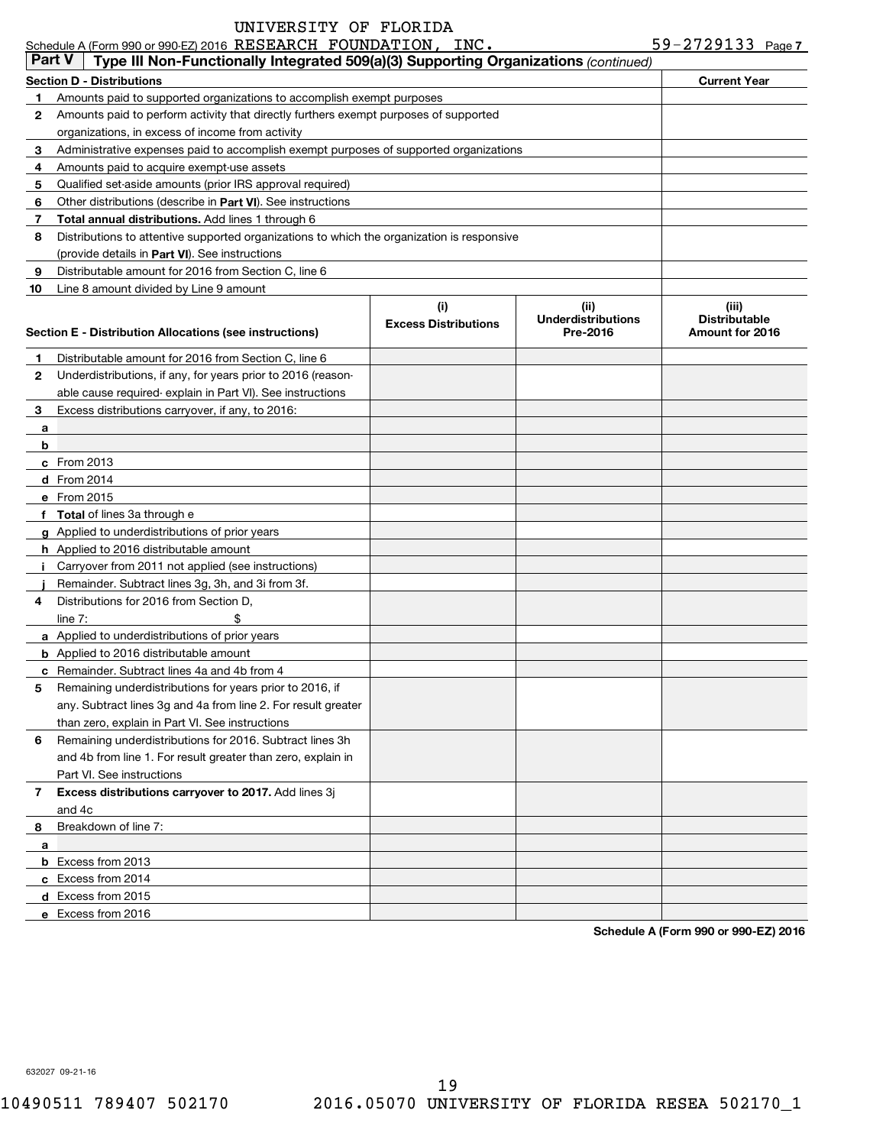|               | Schedule A (Form 990 or 990-EZ) 2016 RESEARCH FOUNDATION, INC.                             |                             |                                       | 59-2729133 Page 7                       |
|---------------|--------------------------------------------------------------------------------------------|-----------------------------|---------------------------------------|-----------------------------------------|
| <b>Part V</b> | Type III Non-Functionally Integrated 509(a)(3) Supporting Organizations (continued)        |                             |                                       |                                         |
|               | <b>Section D - Distributions</b>                                                           |                             |                                       | <b>Current Year</b>                     |
|               | Amounts paid to supported organizations to accomplish exempt purposes                      |                             |                                       |                                         |
| 2             | Amounts paid to perform activity that directly furthers exempt purposes of supported       |                             |                                       |                                         |
|               | organizations, in excess of income from activity                                           |                             |                                       |                                         |
| 3             | Administrative expenses paid to accomplish exempt purposes of supported organizations      |                             |                                       |                                         |
| 4             | Amounts paid to acquire exempt-use assets                                                  |                             |                                       |                                         |
| 5             | Qualified set-aside amounts (prior IRS approval required)                                  |                             |                                       |                                         |
| 6             | Other distributions (describe in Part VI). See instructions                                |                             |                                       |                                         |
| 7             | <b>Total annual distributions.</b> Add lines 1 through 6                                   |                             |                                       |                                         |
| 8             | Distributions to attentive supported organizations to which the organization is responsive |                             |                                       |                                         |
|               | (provide details in Part VI). See instructions                                             |                             |                                       |                                         |
| 9             | Distributable amount for 2016 from Section C, line 6                                       |                             |                                       |                                         |
| 10            | Line 8 amount divided by Line 9 amount                                                     |                             |                                       |                                         |
|               |                                                                                            | (i)                         | (ii)                                  | (iii)                                   |
|               | Section E - Distribution Allocations (see instructions)                                    | <b>Excess Distributions</b> | <b>Underdistributions</b><br>Pre-2016 | <b>Distributable</b><br>Amount for 2016 |
|               |                                                                                            |                             |                                       |                                         |
|               | Distributable amount for 2016 from Section C, line 6                                       |                             |                                       |                                         |
| 2             | Underdistributions, if any, for years prior to 2016 (reason-                               |                             |                                       |                                         |
|               | able cause required-explain in Part VI). See instructions                                  |                             |                                       |                                         |
| 3             | Excess distributions carryover, if any, to 2016:                                           |                             |                                       |                                         |
| a             |                                                                                            |                             |                                       |                                         |
| b             |                                                                                            |                             |                                       |                                         |
|               | c From 2013                                                                                |                             |                                       |                                         |
|               | d From 2014                                                                                |                             |                                       |                                         |
|               | e From 2015                                                                                |                             |                                       |                                         |
|               | f Total of lines 3a through e                                                              |                             |                                       |                                         |
|               | g Applied to underdistributions of prior years                                             |                             |                                       |                                         |
|               | <b>h</b> Applied to 2016 distributable amount                                              |                             |                                       |                                         |
|               | Carryover from 2011 not applied (see instructions)                                         |                             |                                       |                                         |
|               | Remainder. Subtract lines 3g, 3h, and 3i from 3f.                                          |                             |                                       |                                         |
| 4             | Distributions for 2016 from Section D.                                                     |                             |                                       |                                         |
|               | line $7:$                                                                                  |                             |                                       |                                         |
|               | a Applied to underdistributions of prior years                                             |                             |                                       |                                         |
|               | <b>b</b> Applied to 2016 distributable amount                                              |                             |                                       |                                         |
|               | c Remainder. Subtract lines 4a and 4b from 4                                               |                             |                                       |                                         |
|               | Remaining underdistributions for years prior to 2016, if                                   |                             |                                       |                                         |
|               | any. Subtract lines 3g and 4a from line 2. For result greater                              |                             |                                       |                                         |
|               | than zero, explain in Part VI. See instructions                                            |                             |                                       |                                         |
| 6             | Remaining underdistributions for 2016. Subtract lines 3h                                   |                             |                                       |                                         |
|               | and 4b from line 1. For result greater than zero, explain in                               |                             |                                       |                                         |
|               | Part VI. See instructions                                                                  |                             |                                       |                                         |
| 7             | Excess distributions carryover to 2017. Add lines 3j                                       |                             |                                       |                                         |
|               | and 4c                                                                                     |                             |                                       |                                         |
| 8             | Breakdown of line 7:                                                                       |                             |                                       |                                         |
| a             |                                                                                            |                             |                                       |                                         |
|               | <b>b</b> Excess from 2013                                                                  |                             |                                       |                                         |
|               | c Excess from 2014                                                                         |                             |                                       |                                         |
|               | d Excess from 2015                                                                         |                             |                                       |                                         |
|               | e Excess from 2016                                                                         |                             |                                       |                                         |

**Schedule A (Form 990 or 990-EZ) 2016**

632027 09-21-16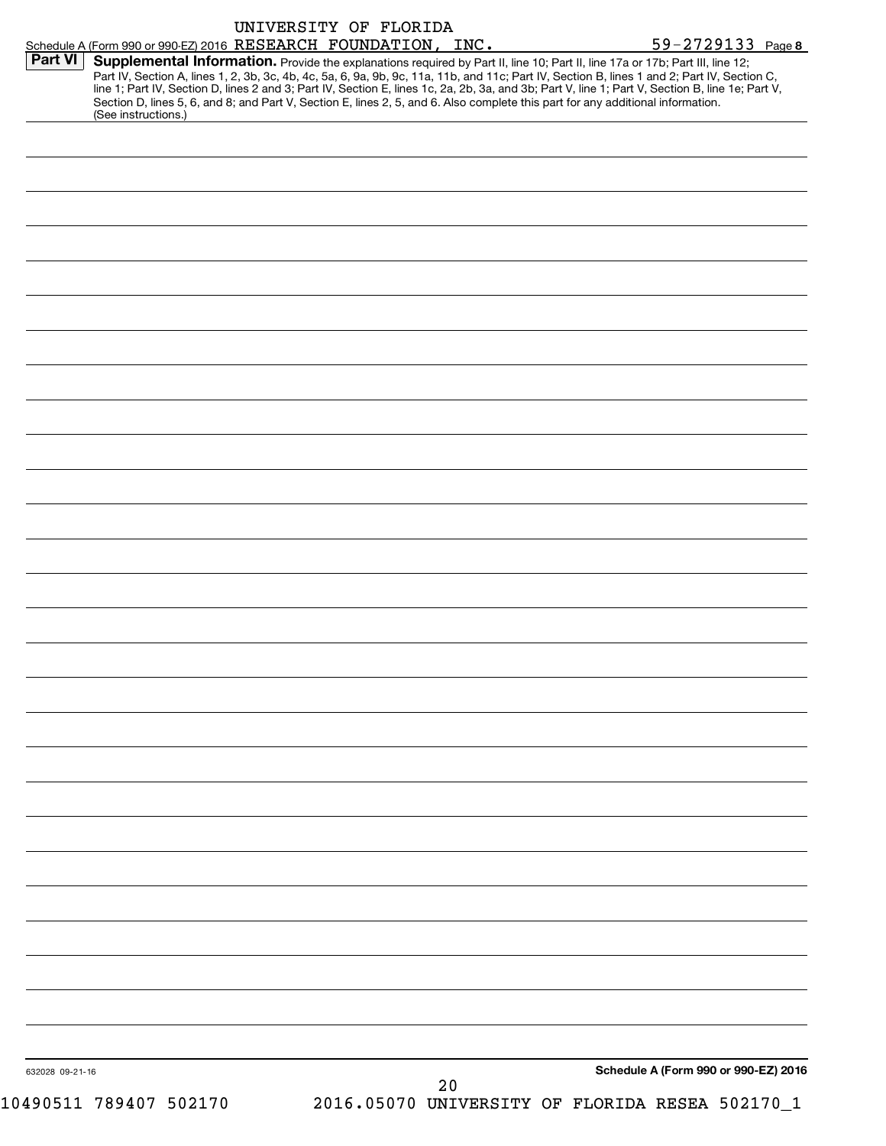| Part VI | Supplemental Information. Provide the explanations required by Part II, line 10; Part II, line 17a or 17b; Part III, line 12;<br>Part IV, Section A, lines 1, 2, 3b, 3c, 4b, 4c, 5a, 6, 9a, 9b, 9c, 11a, 11b, and 11c; Part IV, Section B, lines 1 and 2; Part IV, Section C,<br>line 1; Part IV, Section D, lines 2 and 3; Part IV, Section E, lines 1c, 2a, 2b, 3a, and 3b; Part V, line 1; Part V, Section B, line 1e; Part V,<br>Section D, lines 5, 6, and 8; and Part V, Section E, lines 2, 5, and 6. Also complete this part for any additional information.<br>(See instructions.) |  | Schedule A (Form 990 or 990-EZ) 2016 RESEARCH FOUNDATION, INC. |  | 59-2729133 Page 8                    |  |
|---------|---------------------------------------------------------------------------------------------------------------------------------------------------------------------------------------------------------------------------------------------------------------------------------------------------------------------------------------------------------------------------------------------------------------------------------------------------------------------------------------------------------------------------------------------------------------------------------------------|--|----------------------------------------------------------------|--|--------------------------------------|--|
|         |                                                                                                                                                                                                                                                                                                                                                                                                                                                                                                                                                                                             |  |                                                                |  |                                      |  |
|         |                                                                                                                                                                                                                                                                                                                                                                                                                                                                                                                                                                                             |  |                                                                |  |                                      |  |
|         |                                                                                                                                                                                                                                                                                                                                                                                                                                                                                                                                                                                             |  |                                                                |  |                                      |  |
|         |                                                                                                                                                                                                                                                                                                                                                                                                                                                                                                                                                                                             |  |                                                                |  |                                      |  |
|         |                                                                                                                                                                                                                                                                                                                                                                                                                                                                                                                                                                                             |  |                                                                |  |                                      |  |
|         |                                                                                                                                                                                                                                                                                                                                                                                                                                                                                                                                                                                             |  |                                                                |  |                                      |  |
|         |                                                                                                                                                                                                                                                                                                                                                                                                                                                                                                                                                                                             |  |                                                                |  |                                      |  |
|         |                                                                                                                                                                                                                                                                                                                                                                                                                                                                                                                                                                                             |  |                                                                |  |                                      |  |
|         |                                                                                                                                                                                                                                                                                                                                                                                                                                                                                                                                                                                             |  |                                                                |  |                                      |  |
|         |                                                                                                                                                                                                                                                                                                                                                                                                                                                                                                                                                                                             |  |                                                                |  |                                      |  |
|         |                                                                                                                                                                                                                                                                                                                                                                                                                                                                                                                                                                                             |  |                                                                |  |                                      |  |
|         |                                                                                                                                                                                                                                                                                                                                                                                                                                                                                                                                                                                             |  |                                                                |  |                                      |  |
|         |                                                                                                                                                                                                                                                                                                                                                                                                                                                                                                                                                                                             |  |                                                                |  |                                      |  |
|         |                                                                                                                                                                                                                                                                                                                                                                                                                                                                                                                                                                                             |  |                                                                |  |                                      |  |
|         |                                                                                                                                                                                                                                                                                                                                                                                                                                                                                                                                                                                             |  |                                                                |  |                                      |  |
|         |                                                                                                                                                                                                                                                                                                                                                                                                                                                                                                                                                                                             |  |                                                                |  |                                      |  |
|         |                                                                                                                                                                                                                                                                                                                                                                                                                                                                                                                                                                                             |  |                                                                |  |                                      |  |
|         |                                                                                                                                                                                                                                                                                                                                                                                                                                                                                                                                                                                             |  |                                                                |  |                                      |  |
|         |                                                                                                                                                                                                                                                                                                                                                                                                                                                                                                                                                                                             |  |                                                                |  |                                      |  |
|         |                                                                                                                                                                                                                                                                                                                                                                                                                                                                                                                                                                                             |  |                                                                |  |                                      |  |
|         |                                                                                                                                                                                                                                                                                                                                                                                                                                                                                                                                                                                             |  |                                                                |  |                                      |  |
|         |                                                                                                                                                                                                                                                                                                                                                                                                                                                                                                                                                                                             |  |                                                                |  |                                      |  |
|         |                                                                                                                                                                                                                                                                                                                                                                                                                                                                                                                                                                                             |  |                                                                |  |                                      |  |
|         |                                                                                                                                                                                                                                                                                                                                                                                                                                                                                                                                                                                             |  |                                                                |  |                                      |  |
|         |                                                                                                                                                                                                                                                                                                                                                                                                                                                                                                                                                                                             |  |                                                                |  |                                      |  |
|         |                                                                                                                                                                                                                                                                                                                                                                                                                                                                                                                                                                                             |  |                                                                |  |                                      |  |
|         |                                                                                                                                                                                                                                                                                                                                                                                                                                                                                                                                                                                             |  |                                                                |  |                                      |  |
|         |                                                                                                                                                                                                                                                                                                                                                                                                                                                                                                                                                                                             |  |                                                                |  |                                      |  |
|         |                                                                                                                                                                                                                                                                                                                                                                                                                                                                                                                                                                                             |  |                                                                |  |                                      |  |
|         |                                                                                                                                                                                                                                                                                                                                                                                                                                                                                                                                                                                             |  |                                                                |  |                                      |  |
|         |                                                                                                                                                                                                                                                                                                                                                                                                                                                                                                                                                                                             |  |                                                                |  |                                      |  |
|         |                                                                                                                                                                                                                                                                                                                                                                                                                                                                                                                                                                                             |  |                                                                |  |                                      |  |
|         |                                                                                                                                                                                                                                                                                                                                                                                                                                                                                                                                                                                             |  |                                                                |  |                                      |  |
|         |                                                                                                                                                                                                                                                                                                                                                                                                                                                                                                                                                                                             |  |                                                                |  |                                      |  |
|         |                                                                                                                                                                                                                                                                                                                                                                                                                                                                                                                                                                                             |  |                                                                |  |                                      |  |
|         | 632028 09-21-16                                                                                                                                                                                                                                                                                                                                                                                                                                                                                                                                                                             |  |                                                                |  | Schedule A (Form 990 or 990-EZ) 2016 |  |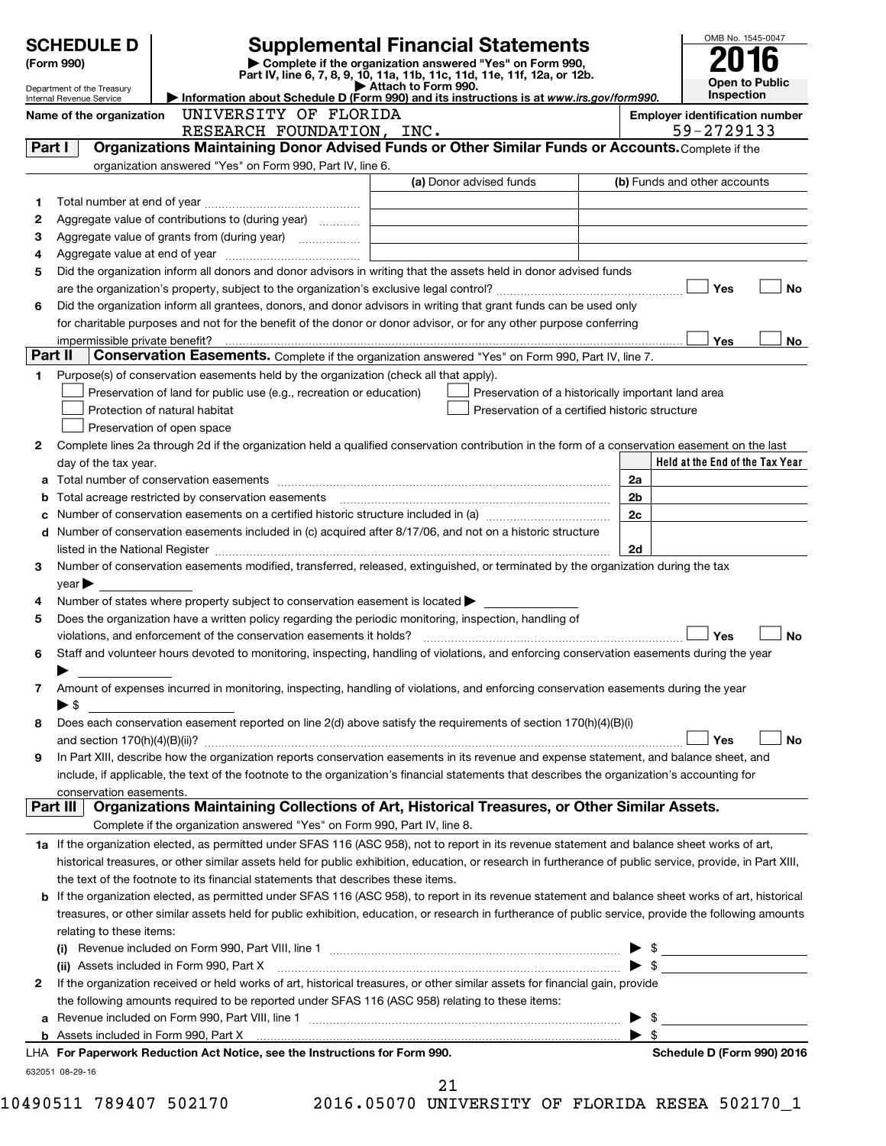|         | <b>SCHEDULE D</b><br>(Form 990)                                                                                     |                                                                                                                                                           | <b>Supplemental Financial Statements</b><br>Complete if the organization answered "Yes" on Form 990, |  |                          | OMB No. 1545-0047               |            |           |
|---------|---------------------------------------------------------------------------------------------------------------------|-----------------------------------------------------------------------------------------------------------------------------------------------------------|------------------------------------------------------------------------------------------------------|--|--------------------------|---------------------------------|------------|-----------|
|         | Department of the Treasury                                                                                          |                                                                                                                                                           | Part IV, line 6, 7, 8, 9, 10, 11a, 11b, 11c, 11d, 11e, 11f, 12a, or 12b.<br>Attach to Form 990.      |  |                          | <b>Open to Public</b>           |            |           |
|         | Information about Schedule D (Form 990) and its instructions is at www.irs.gov/form990.<br>Internal Revenue Service |                                                                                                                                                           |                                                                                                      |  |                          |                                 | Inspection |           |
|         | UNIVERSITY OF FLORIDA<br><b>Employer identification number</b><br>Name of the organization                          |                                                                                                                                                           |                                                                                                      |  |                          |                                 |            |           |
| Part I  |                                                                                                                     | RESEARCH FOUNDATION, INC.<br>Organizations Maintaining Donor Advised Funds or Other Similar Funds or Accounts. Complete if the                            |                                                                                                      |  |                          | 59-2729133                      |            |           |
|         |                                                                                                                     | organization answered "Yes" on Form 990, Part IV, line 6.                                                                                                 |                                                                                                      |  |                          |                                 |            |           |
|         |                                                                                                                     |                                                                                                                                                           | (a) Donor advised funds                                                                              |  |                          | (b) Funds and other accounts    |            |           |
| 1       |                                                                                                                     |                                                                                                                                                           |                                                                                                      |  |                          |                                 |            |           |
| 2       |                                                                                                                     | Aggregate value of contributions to (during year)                                                                                                         |                                                                                                      |  |                          |                                 |            |           |
| З       |                                                                                                                     |                                                                                                                                                           |                                                                                                      |  |                          |                                 |            |           |
| 4       |                                                                                                                     |                                                                                                                                                           |                                                                                                      |  |                          |                                 |            |           |
| 5       |                                                                                                                     | Did the organization inform all donors and donor advisors in writing that the assets held in donor advised funds                                          |                                                                                                      |  |                          |                                 |            |           |
|         |                                                                                                                     |                                                                                                                                                           |                                                                                                      |  |                          | Yes                             |            | <b>No</b> |
| 6       |                                                                                                                     | Did the organization inform all grantees, donors, and donor advisors in writing that grant funds can be used only                                         |                                                                                                      |  |                          |                                 |            |           |
|         |                                                                                                                     | for charitable purposes and not for the benefit of the donor or donor advisor, or for any other purpose conferring                                        |                                                                                                      |  |                          |                                 |            |           |
|         | impermissible private benefit?                                                                                      |                                                                                                                                                           |                                                                                                      |  |                          | Yes                             |            | No        |
| Part II |                                                                                                                     | Conservation Easements. Complete if the organization answered "Yes" on Form 990, Part IV, line 7.                                                         |                                                                                                      |  |                          |                                 |            |           |
| 1       |                                                                                                                     | Purpose(s) of conservation easements held by the organization (check all that apply).                                                                     |                                                                                                      |  |                          |                                 |            |           |
|         |                                                                                                                     | Preservation of land for public use (e.g., recreation or education)                                                                                       | Preservation of a historically important land area                                                   |  |                          |                                 |            |           |
|         |                                                                                                                     | Protection of natural habitat                                                                                                                             | Preservation of a certified historic structure                                                       |  |                          |                                 |            |           |
|         |                                                                                                                     | Preservation of open space                                                                                                                                |                                                                                                      |  |                          |                                 |            |           |
| 2       |                                                                                                                     | Complete lines 2a through 2d if the organization held a qualified conservation contribution in the form of a conservation easement on the last            |                                                                                                      |  |                          |                                 |            |           |
|         | day of the tax year.                                                                                                |                                                                                                                                                           |                                                                                                      |  |                          | Held at the End of the Tax Year |            |           |
| a       |                                                                                                                     |                                                                                                                                                           |                                                                                                      |  | 2a                       |                                 |            |           |
| b       |                                                                                                                     |                                                                                                                                                           |                                                                                                      |  | 2b                       |                                 |            |           |
| c       |                                                                                                                     |                                                                                                                                                           |                                                                                                      |  | 2c                       |                                 |            |           |
| d       |                                                                                                                     | Number of conservation easements included in (c) acquired after 8/17/06, and not on a historic structure                                                  |                                                                                                      |  |                          |                                 |            |           |
| 3       |                                                                                                                     | Number of conservation easements modified, transferred, released, extinguished, or terminated by the organization during the tax                          |                                                                                                      |  | 2d                       |                                 |            |           |
|         | year                                                                                                                |                                                                                                                                                           |                                                                                                      |  |                          |                                 |            |           |
| 4       |                                                                                                                     | Number of states where property subject to conservation easement is located $\blacktriangleright$                                                         |                                                                                                      |  |                          |                                 |            |           |
| 5       |                                                                                                                     | Does the organization have a written policy regarding the periodic monitoring, inspection, handling of                                                    |                                                                                                      |  |                          |                                 |            |           |
|         |                                                                                                                     |                                                                                                                                                           |                                                                                                      |  |                          | Yes                             |            | <b>No</b> |
| 6       |                                                                                                                     | Staff and volunteer hours devoted to monitoring, inspecting, handling of violations, and enforcing conservation easements during the year                 |                                                                                                      |  |                          |                                 |            |           |
|         |                                                                                                                     |                                                                                                                                                           |                                                                                                      |  |                          |                                 |            |           |
| 7       |                                                                                                                     | Amount of expenses incurred in monitoring, inspecting, handling of violations, and enforcing conservation easements during the year                       |                                                                                                      |  |                          |                                 |            |           |
|         | $\blacktriangleright$ \$                                                                                            |                                                                                                                                                           |                                                                                                      |  |                          |                                 |            |           |
| 8       |                                                                                                                     | Does each conservation easement reported on line 2(d) above satisfy the requirements of section 170(h)(4)(B)(i)                                           |                                                                                                      |  |                          |                                 |            |           |
|         |                                                                                                                     |                                                                                                                                                           |                                                                                                      |  |                          | Yes                             |            | No        |
| 9       |                                                                                                                     | In Part XIII, describe how the organization reports conservation easements in its revenue and expense statement, and balance sheet, and                   |                                                                                                      |  |                          |                                 |            |           |
|         |                                                                                                                     | include, if applicable, the text of the footnote to the organization's financial statements that describes the organization's accounting for              |                                                                                                      |  |                          |                                 |            |           |
|         | conservation easements.                                                                                             |                                                                                                                                                           |                                                                                                      |  |                          |                                 |            |           |
|         | Part III I                                                                                                          | Organizations Maintaining Collections of Art, Historical Treasures, or Other Similar Assets.                                                              |                                                                                                      |  |                          |                                 |            |           |
|         |                                                                                                                     | Complete if the organization answered "Yes" on Form 990, Part IV, line 8.                                                                                 |                                                                                                      |  |                          |                                 |            |           |
|         |                                                                                                                     | 1a If the organization elected, as permitted under SFAS 116 (ASC 958), not to report in its revenue statement and balance sheet works of art,             |                                                                                                      |  |                          |                                 |            |           |
|         |                                                                                                                     | historical treasures, or other similar assets held for public exhibition, education, or research in furtherance of public service, provide, in Part XIII, |                                                                                                      |  |                          |                                 |            |           |
|         |                                                                                                                     | the text of the footnote to its financial statements that describes these items.                                                                          |                                                                                                      |  |                          |                                 |            |           |
| b       |                                                                                                                     | If the organization elected, as permitted under SFAS 116 (ASC 958), to report in its revenue statement and balance sheet works of art, historical         |                                                                                                      |  |                          |                                 |            |           |
|         |                                                                                                                     | treasures, or other similar assets held for public exhibition, education, or research in furtherance of public service, provide the following amounts     |                                                                                                      |  |                          |                                 |            |           |
|         | relating to these items:                                                                                            |                                                                                                                                                           |                                                                                                      |  |                          |                                 |            |           |
|         |                                                                                                                     |                                                                                                                                                           |                                                                                                      |  |                          |                                 |            |           |
|         |                                                                                                                     | (ii) Assets included in Form 990, Part X [110] Marting and Martin Martin Martin Martin Martin Martin Martin Ma                                            |                                                                                                      |  | $\blacktriangleright$ \$ |                                 |            |           |
| 2       |                                                                                                                     | If the organization received or held works of art, historical treasures, or other similar assets for financial gain, provide                              |                                                                                                      |  |                          |                                 |            |           |
|         |                                                                                                                     | the following amounts required to be reported under SFAS 116 (ASC 958) relating to these items:                                                           |                                                                                                      |  |                          |                                 |            |           |
| a       |                                                                                                                     |                                                                                                                                                           |                                                                                                      |  |                          |                                 |            |           |
|         |                                                                                                                     |                                                                                                                                                           |                                                                                                      |  | $\blacktriangleright$ \$ |                                 |            |           |
|         |                                                                                                                     | LHA For Paperwork Reduction Act Notice, see the Instructions for Form 990.                                                                                |                                                                                                      |  |                          | Schedule D (Form 990) 2016      |            |           |
|         | 632051 08-29-16                                                                                                     |                                                                                                                                                           | 21                                                                                                   |  |                          |                                 |            |           |

10490511 789407 502170 2016.05070 UNIVERSITY OF FLORIDA RESEA 502170\_1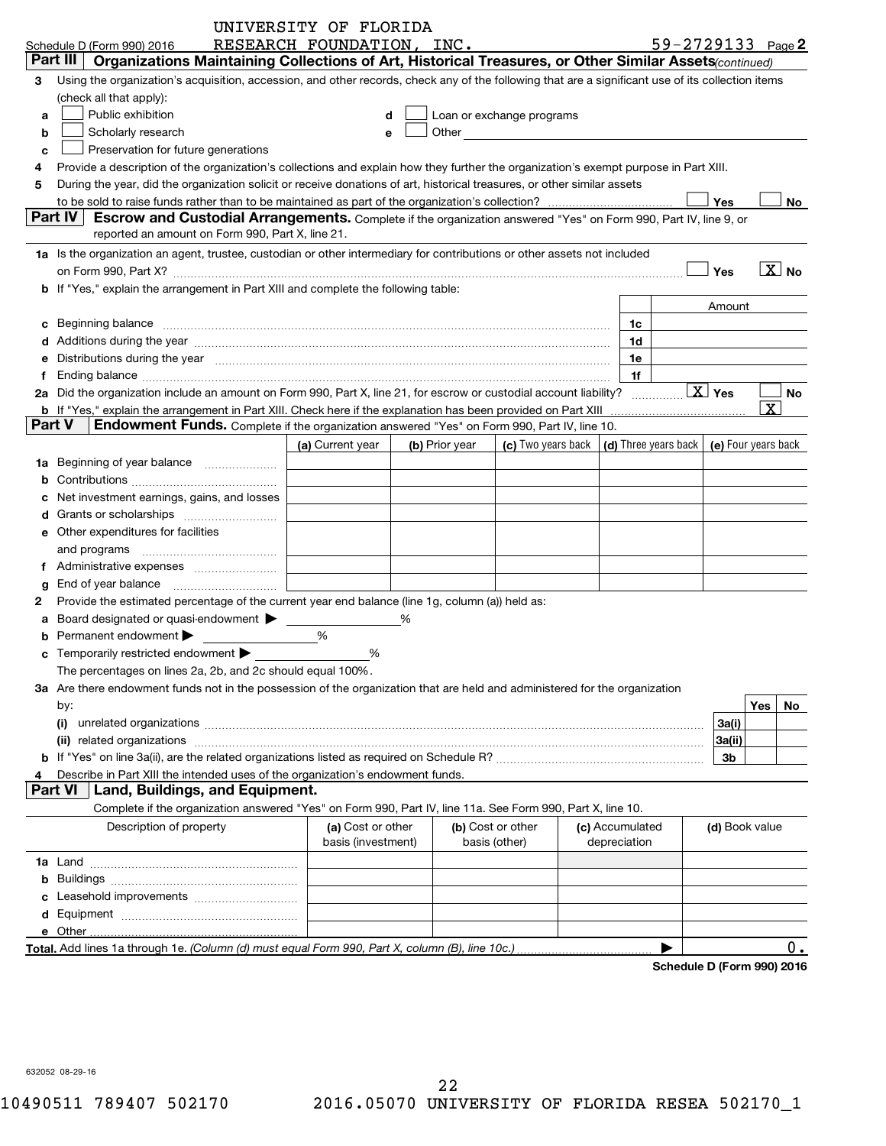|        |                                                                                                                                                                                                                                | UNIVERSITY OF FLORIDA     |                |                                                                                                                                                                                                                               |                 |    |                    |                |                       |
|--------|--------------------------------------------------------------------------------------------------------------------------------------------------------------------------------------------------------------------------------|---------------------------|----------------|-------------------------------------------------------------------------------------------------------------------------------------------------------------------------------------------------------------------------------|-----------------|----|--------------------|----------------|-----------------------|
|        | Schedule D (Form 990) 2016                                                                                                                                                                                                     | RESEARCH FOUNDATION, INC. |                |                                                                                                                                                                                                                               |                 |    | 59-2729133 Page 2  |                |                       |
|        | Part III<br>Organizations Maintaining Collections of Art, Historical Treasures, or Other Similar Assets(continued)                                                                                                             |                           |                |                                                                                                                                                                                                                               |                 |    |                    |                |                       |
| 3      | Using the organization's acquisition, accession, and other records, check any of the following that are a significant use of its collection items                                                                              |                           |                |                                                                                                                                                                                                                               |                 |    |                    |                |                       |
|        | (check all that apply):                                                                                                                                                                                                        |                           |                |                                                                                                                                                                                                                               |                 |    |                    |                |                       |
| a      | Public exhibition                                                                                                                                                                                                              | d                         |                | Loan or exchange programs                                                                                                                                                                                                     |                 |    |                    |                |                       |
| b      | Scholarly research                                                                                                                                                                                                             | e                         |                | Other and the contract of the contract of the contract of the contract of the contract of the contract of the contract of the contract of the contract of the contract of the contract of the contract of the contract of the |                 |    |                    |                |                       |
| c      | Preservation for future generations                                                                                                                                                                                            |                           |                |                                                                                                                                                                                                                               |                 |    |                    |                |                       |
| 4      | Provide a description of the organization's collections and explain how they further the organization's exempt purpose in Part XIII.                                                                                           |                           |                |                                                                                                                                                                                                                               |                 |    |                    |                |                       |
| 5      | During the year, did the organization solicit or receive donations of art, historical treasures, or other similar assets                                                                                                       |                           |                |                                                                                                                                                                                                                               |                 |    |                    |                |                       |
|        |                                                                                                                                                                                                                                |                           |                |                                                                                                                                                                                                                               |                 |    |                    | Yes            | No                    |
|        | Part IV<br><b>Escrow and Custodial Arrangements.</b> Complete if the organization answered "Yes" on Form 990, Part IV, line 9, or                                                                                              |                           |                |                                                                                                                                                                                                                               |                 |    |                    |                |                       |
|        | reported an amount on Form 990, Part X, line 21.                                                                                                                                                                               |                           |                |                                                                                                                                                                                                                               |                 |    |                    |                |                       |
|        | 1a Is the organization an agent, trustee, custodian or other intermediary for contributions or other assets not included                                                                                                       |                           |                |                                                                                                                                                                                                                               |                 |    |                    |                |                       |
|        |                                                                                                                                                                                                                                |                           |                |                                                                                                                                                                                                                               |                 |    |                    | Yes            | $\boxed{\text{X}}$ No |
|        | b If "Yes," explain the arrangement in Part XIII and complete the following table:                                                                                                                                             |                           |                |                                                                                                                                                                                                                               |                 |    |                    |                |                       |
|        |                                                                                                                                                                                                                                |                           |                |                                                                                                                                                                                                                               |                 |    |                    | Amount         |                       |
| с      | Beginning balance                                                                                                                                                                                                              |                           |                |                                                                                                                                                                                                                               |                 | 1c |                    |                |                       |
|        | Additions during the year manufactured and an annual contract of the state of the state of the state of the state of the state of the state of the state of the state of the state of the state of the state of the state of t |                           |                |                                                                                                                                                                                                                               |                 | 1d |                    |                |                       |
| е      |                                                                                                                                                                                                                                |                           |                |                                                                                                                                                                                                                               |                 | 1e |                    |                |                       |
| f      | Distributions during the year measurements and contained a state of the state of the state of the state of the                                                                                                                 |                           |                |                                                                                                                                                                                                                               |                 | 1f |                    |                |                       |
|        | 2a Did the organization include an amount on Form 990, Part X, line 21, for escrow or custodial account liability?                                                                                                             |                           |                |                                                                                                                                                                                                                               |                 |    | $\overline{X}$ Yes |                | No.                   |
|        | <b>b</b> If "Yes," explain the arrangement in Part XIII. Check here if the explanation has been provided on Part XIII                                                                                                          |                           |                |                                                                                                                                                                                                                               |                 |    |                    |                | $\vert X \vert$       |
| Part V | Endowment Funds. Complete if the organization answered "Yes" on Form 990, Part IV, line 10.                                                                                                                                    |                           |                |                                                                                                                                                                                                                               |                 |    |                    |                |                       |
|        |                                                                                                                                                                                                                                |                           | (b) Prior year | (c) Two years back $\vert$ (d) Three years back $\vert$ (e) Four years back                                                                                                                                                   |                 |    |                    |                |                       |
|        |                                                                                                                                                                                                                                | (a) Current year          |                |                                                                                                                                                                                                                               |                 |    |                    |                |                       |
| 1a     | Beginning of year balance <i>manument</i>                                                                                                                                                                                      |                           |                |                                                                                                                                                                                                                               |                 |    |                    |                |                       |
| b      |                                                                                                                                                                                                                                |                           |                |                                                                                                                                                                                                                               |                 |    |                    |                |                       |
| c      | Net investment earnings, gains, and losses                                                                                                                                                                                     |                           |                |                                                                                                                                                                                                                               |                 |    |                    |                |                       |
| d      |                                                                                                                                                                                                                                |                           |                |                                                                                                                                                                                                                               |                 |    |                    |                |                       |
| е      | Other expenditures for facilities                                                                                                                                                                                              |                           |                |                                                                                                                                                                                                                               |                 |    |                    |                |                       |
|        | and programs                                                                                                                                                                                                                   |                           |                |                                                                                                                                                                                                                               |                 |    |                    |                |                       |
| f      |                                                                                                                                                                                                                                |                           |                |                                                                                                                                                                                                                               |                 |    |                    |                |                       |
| g      | End of year balance                                                                                                                                                                                                            |                           |                |                                                                                                                                                                                                                               |                 |    |                    |                |                       |
| 2      | Provide the estimated percentage of the current year end balance (line 1g, column (a)) held as:                                                                                                                                |                           |                |                                                                                                                                                                                                                               |                 |    |                    |                |                       |
| a      | Board designated or quasi-endowment >                                                                                                                                                                                          |                           | $\frac{0}{0}$  |                                                                                                                                                                                                                               |                 |    |                    |                |                       |
| b      | Permanent endowment >                                                                                                                                                                                                          | %                         |                |                                                                                                                                                                                                                               |                 |    |                    |                |                       |
| c      | Temporarily restricted endowment >                                                                                                                                                                                             | %                         |                |                                                                                                                                                                                                                               |                 |    |                    |                |                       |
|        | The percentages on lines 2a, 2b, and 2c should equal 100%                                                                                                                                                                      |                           |                |                                                                                                                                                                                                                               |                 |    |                    |                |                       |
|        | 3a Are there endowment funds not in the possession of the organization that are held and administered for the organization                                                                                                     |                           |                |                                                                                                                                                                                                                               |                 |    |                    |                |                       |
|        | by:                                                                                                                                                                                                                            |                           |                |                                                                                                                                                                                                                               |                 |    |                    |                | Yes<br>No             |
|        |                                                                                                                                                                                                                                |                           |                |                                                                                                                                                                                                                               |                 |    |                    | 3a(i)          |                       |
|        |                                                                                                                                                                                                                                |                           |                |                                                                                                                                                                                                                               |                 |    |                    | 3a(ii)         |                       |
|        |                                                                                                                                                                                                                                |                           |                |                                                                                                                                                                                                                               |                 |    |                    | 3b             |                       |
| 4      | Describe in Part XIII the intended uses of the organization's endowment funds.                                                                                                                                                 |                           |                |                                                                                                                                                                                                                               |                 |    |                    |                |                       |
|        | <b>Part VI</b><br>Land, Buildings, and Equipment.                                                                                                                                                                              |                           |                |                                                                                                                                                                                                                               |                 |    |                    |                |                       |
|        | Complete if the organization answered "Yes" on Form 990, Part IV, line 11a. See Form 990, Part X, line 10.                                                                                                                     |                           |                |                                                                                                                                                                                                                               |                 |    |                    |                |                       |
|        | Description of property                                                                                                                                                                                                        | (a) Cost or other         |                | (b) Cost or other                                                                                                                                                                                                             | (c) Accumulated |    |                    | (d) Book value |                       |
|        |                                                                                                                                                                                                                                | basis (investment)        |                | basis (other)                                                                                                                                                                                                                 | depreciation    |    |                    |                |                       |
|        |                                                                                                                                                                                                                                |                           |                |                                                                                                                                                                                                                               |                 |    |                    |                |                       |
|        |                                                                                                                                                                                                                                |                           |                |                                                                                                                                                                                                                               |                 |    |                    |                |                       |
| c      |                                                                                                                                                                                                                                |                           |                |                                                                                                                                                                                                                               |                 |    |                    |                |                       |
|        |                                                                                                                                                                                                                                |                           |                |                                                                                                                                                                                                                               |                 |    |                    |                |                       |
|        |                                                                                                                                                                                                                                |                           |                |                                                                                                                                                                                                                               |                 |    |                    |                |                       |
|        | Total. Add lines 1a through 1e. (Column (d) must equal Form 990, Part X, column (B), line 10c.).                                                                                                                               |                           |                |                                                                                                                                                                                                                               |                 |    |                    |                | $0$ .                 |

**Schedule D (Form 990) 2016**

632052 08-29-16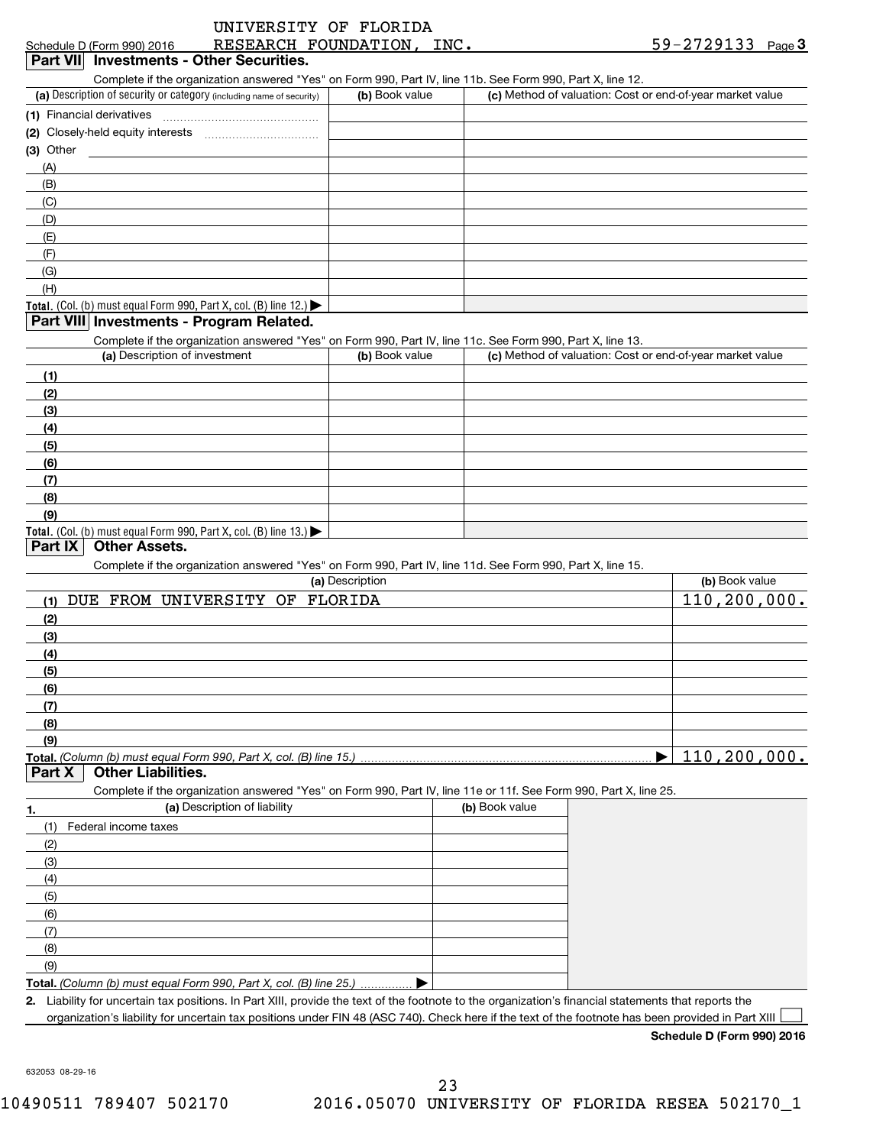| Complete if the organization answered "Yes" on Form 990, Part IV, line 11b. See Form 990, Part X, line 12.<br>(a) Description of security or category (including name of security)<br>(b) Book value<br>(c) Method of valuation: Cost or end-of-year market value<br>(1) Financial derivatives<br>(2) Closely-held equity interests<br>(3) Other<br>(A)<br>(B)<br>(C)<br>(D)<br>(E)<br>(F)<br>(G)<br>(H)<br>Total. (Col. (b) must equal Form 990, Part X, col. (B) line 12.)<br>Part VIII Investments - Program Related.<br>Complete if the organization answered "Yes" on Form 990, Part IV, line 11c. See Form 990, Part X, line 13.<br>(a) Description of investment<br>(b) Book value<br>(c) Method of valuation: Cost or end-of-year market value<br>(1)<br>(2)<br>(3)<br>(4)<br>(5)<br>(6)<br>(7)<br>(8)<br>(9)<br>Total. (Col. (b) must equal Form 990, Part X, col. (B) line 13.)<br><b>Other Assets.</b><br>Part IX<br>Complete if the organization answered "Yes" on Form 990, Part IV, line 11d. See Form 990, Part X, line 15.<br>(a) Description<br>(b) Book value<br>110,200,000.<br>DUE FROM UNIVERSITY OF FLORIDA<br>(1)<br>(2)<br>(3)<br>(4)<br>(5)<br>(6)<br>(7)<br>(8)<br>(9)<br><b>Other Liabilities.</b><br>Part X<br>Complete if the organization answered "Yes" on Form 990, Part IV, line 11e or 11f. See Form 990, Part X, line 25.<br>(a) Description of liability<br>(b) Book value<br>(1)<br>Federal income taxes<br>(2)<br>(3)<br>(4)<br>(5)<br>(6)<br>(7)<br>(8)<br>(9)<br>Total. (Column (b) must equal Form 990, Part X, col. (B) line 25.) | Schedule D (Form 990) 2016<br>Part VII Investments - Other Securities. | RESEARCH FOUNDATION, INC. | $59 - 2729133$ Page 3 |
|-----------------------------------------------------------------------------------------------------------------------------------------------------------------------------------------------------------------------------------------------------------------------------------------------------------------------------------------------------------------------------------------------------------------------------------------------------------------------------------------------------------------------------------------------------------------------------------------------------------------------------------------------------------------------------------------------------------------------------------------------------------------------------------------------------------------------------------------------------------------------------------------------------------------------------------------------------------------------------------------------------------------------------------------------------------------------------------------------------------------------------------------------------------------------------------------------------------------------------------------------------------------------------------------------------------------------------------------------------------------------------------------------------------------------------------------------------------------------------------------------------------------------------------------------------------------------------|------------------------------------------------------------------------|---------------------------|-----------------------|
|                                                                                                                                                                                                                                                                                                                                                                                                                                                                                                                                                                                                                                                                                                                                                                                                                                                                                                                                                                                                                                                                                                                                                                                                                                                                                                                                                                                                                                                                                                                                                                             |                                                                        |                           |                       |
|                                                                                                                                                                                                                                                                                                                                                                                                                                                                                                                                                                                                                                                                                                                                                                                                                                                                                                                                                                                                                                                                                                                                                                                                                                                                                                                                                                                                                                                                                                                                                                             |                                                                        |                           |                       |
|                                                                                                                                                                                                                                                                                                                                                                                                                                                                                                                                                                                                                                                                                                                                                                                                                                                                                                                                                                                                                                                                                                                                                                                                                                                                                                                                                                                                                                                                                                                                                                             |                                                                        |                           |                       |
|                                                                                                                                                                                                                                                                                                                                                                                                                                                                                                                                                                                                                                                                                                                                                                                                                                                                                                                                                                                                                                                                                                                                                                                                                                                                                                                                                                                                                                                                                                                                                                             |                                                                        |                           |                       |
|                                                                                                                                                                                                                                                                                                                                                                                                                                                                                                                                                                                                                                                                                                                                                                                                                                                                                                                                                                                                                                                                                                                                                                                                                                                                                                                                                                                                                                                                                                                                                                             |                                                                        |                           |                       |
|                                                                                                                                                                                                                                                                                                                                                                                                                                                                                                                                                                                                                                                                                                                                                                                                                                                                                                                                                                                                                                                                                                                                                                                                                                                                                                                                                                                                                                                                                                                                                                             |                                                                        |                           |                       |
|                                                                                                                                                                                                                                                                                                                                                                                                                                                                                                                                                                                                                                                                                                                                                                                                                                                                                                                                                                                                                                                                                                                                                                                                                                                                                                                                                                                                                                                                                                                                                                             |                                                                        |                           |                       |
|                                                                                                                                                                                                                                                                                                                                                                                                                                                                                                                                                                                                                                                                                                                                                                                                                                                                                                                                                                                                                                                                                                                                                                                                                                                                                                                                                                                                                                                                                                                                                                             |                                                                        |                           |                       |
|                                                                                                                                                                                                                                                                                                                                                                                                                                                                                                                                                                                                                                                                                                                                                                                                                                                                                                                                                                                                                                                                                                                                                                                                                                                                                                                                                                                                                                                                                                                                                                             |                                                                        |                           |                       |
|                                                                                                                                                                                                                                                                                                                                                                                                                                                                                                                                                                                                                                                                                                                                                                                                                                                                                                                                                                                                                                                                                                                                                                                                                                                                                                                                                                                                                                                                                                                                                                             |                                                                        |                           |                       |
|                                                                                                                                                                                                                                                                                                                                                                                                                                                                                                                                                                                                                                                                                                                                                                                                                                                                                                                                                                                                                                                                                                                                                                                                                                                                                                                                                                                                                                                                                                                                                                             |                                                                        |                           |                       |
|                                                                                                                                                                                                                                                                                                                                                                                                                                                                                                                                                                                                                                                                                                                                                                                                                                                                                                                                                                                                                                                                                                                                                                                                                                                                                                                                                                                                                                                                                                                                                                             |                                                                        |                           |                       |
|                                                                                                                                                                                                                                                                                                                                                                                                                                                                                                                                                                                                                                                                                                                                                                                                                                                                                                                                                                                                                                                                                                                                                                                                                                                                                                                                                                                                                                                                                                                                                                             |                                                                        |                           |                       |
|                                                                                                                                                                                                                                                                                                                                                                                                                                                                                                                                                                                                                                                                                                                                                                                                                                                                                                                                                                                                                                                                                                                                                                                                                                                                                                                                                                                                                                                                                                                                                                             |                                                                        |                           |                       |
|                                                                                                                                                                                                                                                                                                                                                                                                                                                                                                                                                                                                                                                                                                                                                                                                                                                                                                                                                                                                                                                                                                                                                                                                                                                                                                                                                                                                                                                                                                                                                                             |                                                                        |                           |                       |
|                                                                                                                                                                                                                                                                                                                                                                                                                                                                                                                                                                                                                                                                                                                                                                                                                                                                                                                                                                                                                                                                                                                                                                                                                                                                                                                                                                                                                                                                                                                                                                             |                                                                        |                           |                       |
|                                                                                                                                                                                                                                                                                                                                                                                                                                                                                                                                                                                                                                                                                                                                                                                                                                                                                                                                                                                                                                                                                                                                                                                                                                                                                                                                                                                                                                                                                                                                                                             |                                                                        |                           |                       |
|                                                                                                                                                                                                                                                                                                                                                                                                                                                                                                                                                                                                                                                                                                                                                                                                                                                                                                                                                                                                                                                                                                                                                                                                                                                                                                                                                                                                                                                                                                                                                                             |                                                                        |                           |                       |
|                                                                                                                                                                                                                                                                                                                                                                                                                                                                                                                                                                                                                                                                                                                                                                                                                                                                                                                                                                                                                                                                                                                                                                                                                                                                                                                                                                                                                                                                                                                                                                             |                                                                        |                           |                       |
|                                                                                                                                                                                                                                                                                                                                                                                                                                                                                                                                                                                                                                                                                                                                                                                                                                                                                                                                                                                                                                                                                                                                                                                                                                                                                                                                                                                                                                                                                                                                                                             |                                                                        |                           |                       |
|                                                                                                                                                                                                                                                                                                                                                                                                                                                                                                                                                                                                                                                                                                                                                                                                                                                                                                                                                                                                                                                                                                                                                                                                                                                                                                                                                                                                                                                                                                                                                                             |                                                                        |                           |                       |
|                                                                                                                                                                                                                                                                                                                                                                                                                                                                                                                                                                                                                                                                                                                                                                                                                                                                                                                                                                                                                                                                                                                                                                                                                                                                                                                                                                                                                                                                                                                                                                             |                                                                        |                           |                       |
|                                                                                                                                                                                                                                                                                                                                                                                                                                                                                                                                                                                                                                                                                                                                                                                                                                                                                                                                                                                                                                                                                                                                                                                                                                                                                                                                                                                                                                                                                                                                                                             |                                                                        |                           |                       |
|                                                                                                                                                                                                                                                                                                                                                                                                                                                                                                                                                                                                                                                                                                                                                                                                                                                                                                                                                                                                                                                                                                                                                                                                                                                                                                                                                                                                                                                                                                                                                                             |                                                                        |                           |                       |
|                                                                                                                                                                                                                                                                                                                                                                                                                                                                                                                                                                                                                                                                                                                                                                                                                                                                                                                                                                                                                                                                                                                                                                                                                                                                                                                                                                                                                                                                                                                                                                             |                                                                        |                           |                       |
|                                                                                                                                                                                                                                                                                                                                                                                                                                                                                                                                                                                                                                                                                                                                                                                                                                                                                                                                                                                                                                                                                                                                                                                                                                                                                                                                                                                                                                                                                                                                                                             |                                                                        |                           |                       |
|                                                                                                                                                                                                                                                                                                                                                                                                                                                                                                                                                                                                                                                                                                                                                                                                                                                                                                                                                                                                                                                                                                                                                                                                                                                                                                                                                                                                                                                                                                                                                                             |                                                                        |                           |                       |
|                                                                                                                                                                                                                                                                                                                                                                                                                                                                                                                                                                                                                                                                                                                                                                                                                                                                                                                                                                                                                                                                                                                                                                                                                                                                                                                                                                                                                                                                                                                                                                             |                                                                        |                           |                       |
|                                                                                                                                                                                                                                                                                                                                                                                                                                                                                                                                                                                                                                                                                                                                                                                                                                                                                                                                                                                                                                                                                                                                                                                                                                                                                                                                                                                                                                                                                                                                                                             |                                                                        |                           |                       |
|                                                                                                                                                                                                                                                                                                                                                                                                                                                                                                                                                                                                                                                                                                                                                                                                                                                                                                                                                                                                                                                                                                                                                                                                                                                                                                                                                                                                                                                                                                                                                                             |                                                                        |                           |                       |
|                                                                                                                                                                                                                                                                                                                                                                                                                                                                                                                                                                                                                                                                                                                                                                                                                                                                                                                                                                                                                                                                                                                                                                                                                                                                                                                                                                                                                                                                                                                                                                             |                                                                        |                           |                       |
|                                                                                                                                                                                                                                                                                                                                                                                                                                                                                                                                                                                                                                                                                                                                                                                                                                                                                                                                                                                                                                                                                                                                                                                                                                                                                                                                                                                                                                                                                                                                                                             |                                                                        |                           |                       |
|                                                                                                                                                                                                                                                                                                                                                                                                                                                                                                                                                                                                                                                                                                                                                                                                                                                                                                                                                                                                                                                                                                                                                                                                                                                                                                                                                                                                                                                                                                                                                                             |                                                                        |                           |                       |
|                                                                                                                                                                                                                                                                                                                                                                                                                                                                                                                                                                                                                                                                                                                                                                                                                                                                                                                                                                                                                                                                                                                                                                                                                                                                                                                                                                                                                                                                                                                                                                             |                                                                        |                           |                       |
|                                                                                                                                                                                                                                                                                                                                                                                                                                                                                                                                                                                                                                                                                                                                                                                                                                                                                                                                                                                                                                                                                                                                                                                                                                                                                                                                                                                                                                                                                                                                                                             |                                                                        |                           |                       |
|                                                                                                                                                                                                                                                                                                                                                                                                                                                                                                                                                                                                                                                                                                                                                                                                                                                                                                                                                                                                                                                                                                                                                                                                                                                                                                                                                                                                                                                                                                                                                                             |                                                                        |                           |                       |
|                                                                                                                                                                                                                                                                                                                                                                                                                                                                                                                                                                                                                                                                                                                                                                                                                                                                                                                                                                                                                                                                                                                                                                                                                                                                                                                                                                                                                                                                                                                                                                             |                                                                        |                           |                       |
|                                                                                                                                                                                                                                                                                                                                                                                                                                                                                                                                                                                                                                                                                                                                                                                                                                                                                                                                                                                                                                                                                                                                                                                                                                                                                                                                                                                                                                                                                                                                                                             |                                                                        |                           |                       |
|                                                                                                                                                                                                                                                                                                                                                                                                                                                                                                                                                                                                                                                                                                                                                                                                                                                                                                                                                                                                                                                                                                                                                                                                                                                                                                                                                                                                                                                                                                                                                                             |                                                                        |                           |                       |
|                                                                                                                                                                                                                                                                                                                                                                                                                                                                                                                                                                                                                                                                                                                                                                                                                                                                                                                                                                                                                                                                                                                                                                                                                                                                                                                                                                                                                                                                                                                                                                             |                                                                        |                           |                       |
|                                                                                                                                                                                                                                                                                                                                                                                                                                                                                                                                                                                                                                                                                                                                                                                                                                                                                                                                                                                                                                                                                                                                                                                                                                                                                                                                                                                                                                                                                                                                                                             |                                                                        |                           |                       |
|                                                                                                                                                                                                                                                                                                                                                                                                                                                                                                                                                                                                                                                                                                                                                                                                                                                                                                                                                                                                                                                                                                                                                                                                                                                                                                                                                                                                                                                                                                                                                                             |                                                                        |                           | 110,200,000.          |
|                                                                                                                                                                                                                                                                                                                                                                                                                                                                                                                                                                                                                                                                                                                                                                                                                                                                                                                                                                                                                                                                                                                                                                                                                                                                                                                                                                                                                                                                                                                                                                             |                                                                        |                           |                       |
|                                                                                                                                                                                                                                                                                                                                                                                                                                                                                                                                                                                                                                                                                                                                                                                                                                                                                                                                                                                                                                                                                                                                                                                                                                                                                                                                                                                                                                                                                                                                                                             |                                                                        |                           |                       |
|                                                                                                                                                                                                                                                                                                                                                                                                                                                                                                                                                                                                                                                                                                                                                                                                                                                                                                                                                                                                                                                                                                                                                                                                                                                                                                                                                                                                                                                                                                                                                                             |                                                                        |                           |                       |
|                                                                                                                                                                                                                                                                                                                                                                                                                                                                                                                                                                                                                                                                                                                                                                                                                                                                                                                                                                                                                                                                                                                                                                                                                                                                                                                                                                                                                                                                                                                                                                             |                                                                        |                           |                       |
|                                                                                                                                                                                                                                                                                                                                                                                                                                                                                                                                                                                                                                                                                                                                                                                                                                                                                                                                                                                                                                                                                                                                                                                                                                                                                                                                                                                                                                                                                                                                                                             |                                                                        |                           |                       |
|                                                                                                                                                                                                                                                                                                                                                                                                                                                                                                                                                                                                                                                                                                                                                                                                                                                                                                                                                                                                                                                                                                                                                                                                                                                                                                                                                                                                                                                                                                                                                                             |                                                                        |                           |                       |
|                                                                                                                                                                                                                                                                                                                                                                                                                                                                                                                                                                                                                                                                                                                                                                                                                                                                                                                                                                                                                                                                                                                                                                                                                                                                                                                                                                                                                                                                                                                                                                             |                                                                        |                           |                       |
|                                                                                                                                                                                                                                                                                                                                                                                                                                                                                                                                                                                                                                                                                                                                                                                                                                                                                                                                                                                                                                                                                                                                                                                                                                                                                                                                                                                                                                                                                                                                                                             |                                                                        |                           |                       |
|                                                                                                                                                                                                                                                                                                                                                                                                                                                                                                                                                                                                                                                                                                                                                                                                                                                                                                                                                                                                                                                                                                                                                                                                                                                                                                                                                                                                                                                                                                                                                                             |                                                                        |                           |                       |
|                                                                                                                                                                                                                                                                                                                                                                                                                                                                                                                                                                                                                                                                                                                                                                                                                                                                                                                                                                                                                                                                                                                                                                                                                                                                                                                                                                                                                                                                                                                                                                             |                                                                        |                           |                       |
|                                                                                                                                                                                                                                                                                                                                                                                                                                                                                                                                                                                                                                                                                                                                                                                                                                                                                                                                                                                                                                                                                                                                                                                                                                                                                                                                                                                                                                                                                                                                                                             |                                                                        |                           |                       |
|                                                                                                                                                                                                                                                                                                                                                                                                                                                                                                                                                                                                                                                                                                                                                                                                                                                                                                                                                                                                                                                                                                                                                                                                                                                                                                                                                                                                                                                                                                                                                                             |                                                                        |                           |                       |
|                                                                                                                                                                                                                                                                                                                                                                                                                                                                                                                                                                                                                                                                                                                                                                                                                                                                                                                                                                                                                                                                                                                                                                                                                                                                                                                                                                                                                                                                                                                                                                             |                                                                        |                           |                       |
|                                                                                                                                                                                                                                                                                                                                                                                                                                                                                                                                                                                                                                                                                                                                                                                                                                                                                                                                                                                                                                                                                                                                                                                                                                                                                                                                                                                                                                                                                                                                                                             |                                                                        |                           |                       |
| 2. Liability for uncertain tax positions. In Part XIII, provide the text of the footnote to the organization's financial statements that reports the                                                                                                                                                                                                                                                                                                                                                                                                                                                                                                                                                                                                                                                                                                                                                                                                                                                                                                                                                                                                                                                                                                                                                                                                                                                                                                                                                                                                                        |                                                                        |                           |                       |

**Schedule D (Form 990) 2016**

632053 08-29-16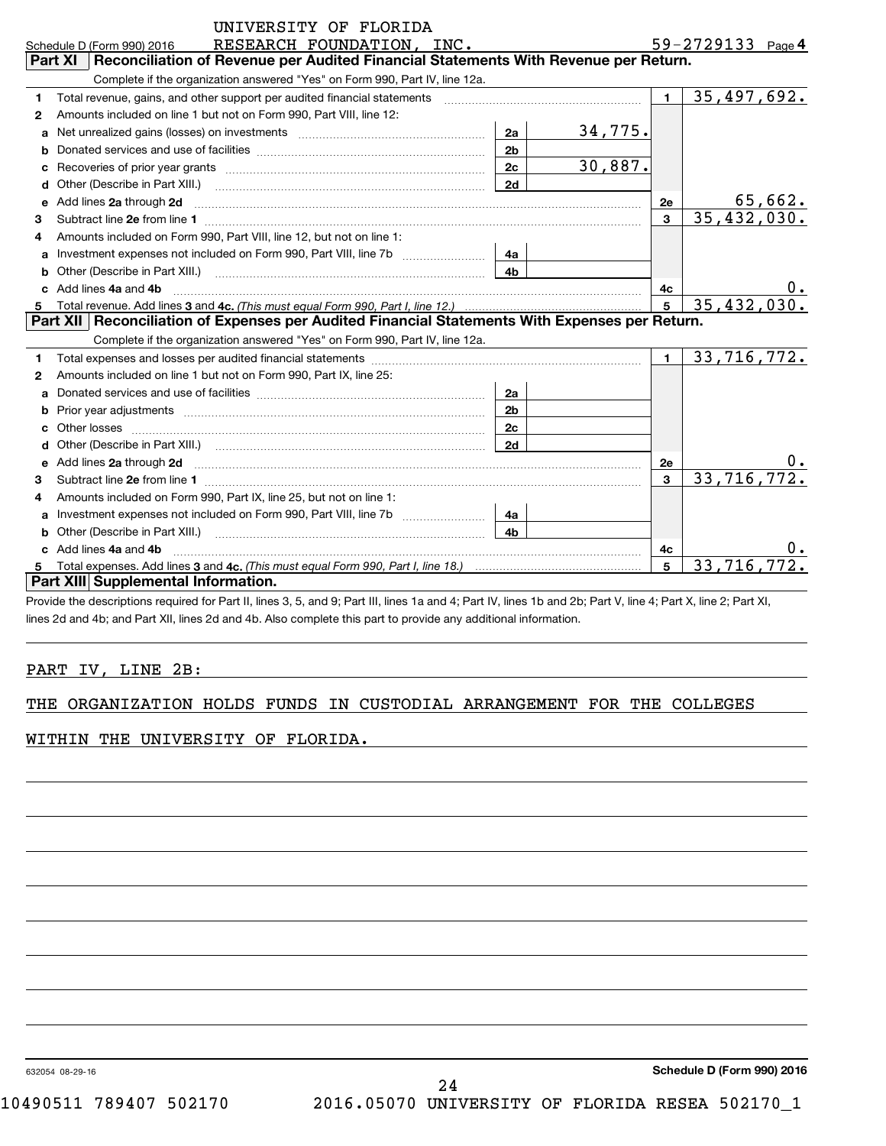**4**

|    | RESEARCH FOUNDATION, INC.<br>Schedule D (Form 990) 2016                                                                                                                                                                             |                |         |                | 59-2729133 Page 4           |
|----|-------------------------------------------------------------------------------------------------------------------------------------------------------------------------------------------------------------------------------------|----------------|---------|----------------|-----------------------------|
|    | Part XI<br>Reconciliation of Revenue per Audited Financial Statements With Revenue per Return.                                                                                                                                      |                |         |                |                             |
|    | Complete if the organization answered "Yes" on Form 990, Part IV, line 12a.                                                                                                                                                         |                |         |                |                             |
| 1  | Total revenue, gains, and other support per audited financial statements                                                                                                                                                            |                |         | $\blacksquare$ | 35,497,692.                 |
| 2  | Amounts included on line 1 but not on Form 990, Part VIII, line 12:                                                                                                                                                                 |                |         |                |                             |
| a  |                                                                                                                                                                                                                                     | 2a             | 34,775. |                |                             |
|    |                                                                                                                                                                                                                                     | 2 <sub>b</sub> |         |                |                             |
|    | Recoveries of prior year grants [11,111] [11] Recoveries of prior year grants [11] [11] Recoveries of prior year grants                                                                                                             | 2c             | 30,887. |                |                             |
| d  | Other (Describe in Part XIII.) <b>2006</b> 2007 2010 2010 2010 2010 2011 2012 2013 2014 2015 2016 2017 2018 2019 2016 2016 2017 2018 2019 2016 2017 2018 2019 2016 2017 2018 2019 2018 2019 2016 2017 2018 2019 2018 2019 2018 2019 | 2d             |         |                |                             |
| е  | Add lines 2a through 2d <b>manufactures</b> in the contract of the state of the state of the state of the state of the state of the state of the state of the state of the state of the state of the state of the state of the stat |                |         | 2e             | 65,662.                     |
| з. |                                                                                                                                                                                                                                     |                |         | $\mathbf{3}$   | 35,432,030.                 |
| 4  | Amounts included on Form 990, Part VIII, line 12, but not on line 1:                                                                                                                                                                |                |         |                |                             |
|    |                                                                                                                                                                                                                                     | 4a             |         |                |                             |
| b  |                                                                                                                                                                                                                                     | 4 <sub>b</sub> |         |                |                             |
|    | Add lines 4a and 4b                                                                                                                                                                                                                 |                |         | 4c             | υ.                          |
|    | Total revenue. Add lines 3 and 4c. (This must equal Form 990, Part I, line 12.)                                                                                                                                                     |                |         | 5              | $\overline{35, 432, 030}$ . |
|    | Part XII   Reconciliation of Expenses per Audited Financial Statements With Expenses per Return.                                                                                                                                    |                |         |                |                             |
|    | Complete if the organization answered "Yes" on Form 990, Part IV, line 12a.                                                                                                                                                         |                |         |                |                             |
|    |                                                                                                                                                                                                                                     |                |         |                |                             |
| 1  |                                                                                                                                                                                                                                     |                |         |                | $1 \mid 33,716,772.$        |
| 2  | Amounts included on line 1 but not on Form 990, Part IX, line 25:                                                                                                                                                                   |                |         |                |                             |
|    |                                                                                                                                                                                                                                     |                |         |                |                             |
| b  |                                                                                                                                                                                                                                     | 2 <sub>b</sub> |         |                |                             |
|    |                                                                                                                                                                                                                                     | 2 <sub>c</sub> |         |                |                             |
|    |                                                                                                                                                                                                                                     | 2d             |         |                |                             |
| e  | Add lines 2a through 2d <b>manufactures</b> in the contract of the state of the state of the state of the state of the state of the state of the state of the state of the state of the state of the state of the state of the stat |                |         | 2e             |                             |
| 3  |                                                                                                                                                                                                                                     |                |         | $\mathbf{3}$   | 33,716,772.                 |
| 4  | Amounts included on Form 990, Part IX, line 25, but not on line 1:                                                                                                                                                                  |                |         |                |                             |
| a  | Investment expenses not included on Form 990, Part VIII, line 7b [11, 111, 111, 111]                                                                                                                                                | 4a             |         |                |                             |
| b. | Other (Describe in Part XIII.) [100] [2010] [2010] [2010] [2010] [2010] [2010] [2010] [2010] [2010] [2010] [20                                                                                                                      | 4 <sub>b</sub> |         |                |                             |
|    | Add lines 4a and 4b                                                                                                                                                                                                                 |                |         | 4c             |                             |
|    | Part XIII Supplemental Information.                                                                                                                                                                                                 |                |         | 5              | 33,716,                     |

Provide the descriptions required for Part II, lines 3, 5, and 9; Part III, lines 1a and 4; Part IV, lines 1b and 2b; Part V, line 4; Part X, line 2; Part XI, lines 2d and 4b; and Part XII, lines 2d and 4b. Also complete this part to provide any additional information.

## PART IV, LINE 2B:

### THE ORGANIZATION HOLDS FUNDS IN CUSTODIAL ARRANGEMENT FOR THE COLLEGES

WITHIN THE UNIVERSITY OF FLORIDA.

632054 08-29-16

**Schedule D (Form 990) 2016**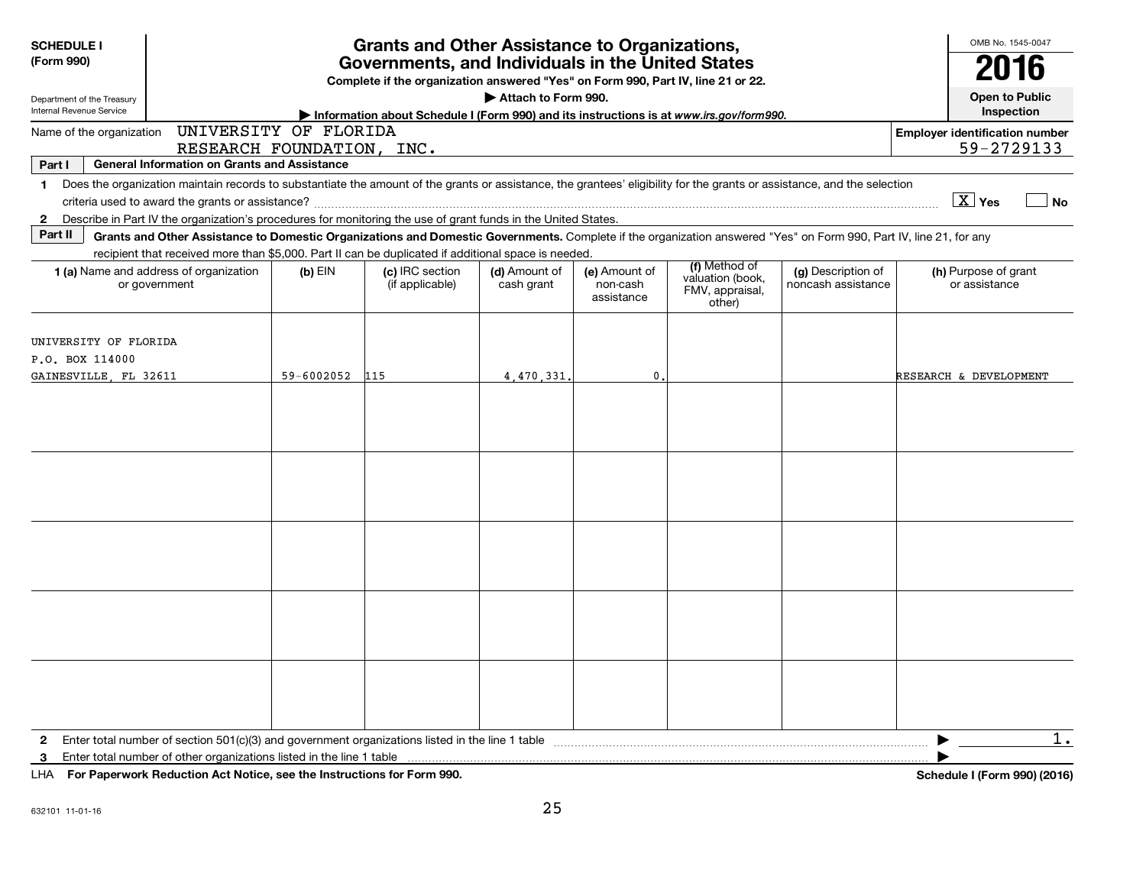| <b>SCHEDULE I</b><br>(Form 990)                                   |                                                                                                                                                                                                                                                                                           |            | <b>Grants and Other Assistance to Organizations,</b><br>Governments, and Individuals in the United States<br>Complete if the organization answered "Yes" on Form 990, Part IV, line 21 or 22. |                             |                                         |                                                                |                                          | OMB No. 1545-0047<br>2016                           |  |  |  |  |
|-------------------------------------------------------------------|-------------------------------------------------------------------------------------------------------------------------------------------------------------------------------------------------------------------------------------------------------------------------------------------|------------|-----------------------------------------------------------------------------------------------------------------------------------------------------------------------------------------------|-----------------------------|-----------------------------------------|----------------------------------------------------------------|------------------------------------------|-----------------------------------------------------|--|--|--|--|
| Department of the Treasury<br>Internal Revenue Service            | Attach to Form 990.<br>Information about Schedule I (Form 990) and its instructions is at www.irs.gov/form990.                                                                                                                                                                            |            |                                                                                                                                                                                               |                             |                                         |                                                                |                                          |                                                     |  |  |  |  |
| Name of the organization                                          | UNIVERSITY OF FLORIDA<br>RESEARCH FOUNDATION, INC.                                                                                                                                                                                                                                        |            |                                                                                                                                                                                               |                             |                                         |                                                                |                                          | <b>Employer identification number</b><br>59-2729133 |  |  |  |  |
| Part I                                                            | <b>General Information on Grants and Assistance</b>                                                                                                                                                                                                                                       |            |                                                                                                                                                                                               |                             |                                         |                                                                |                                          |                                                     |  |  |  |  |
| 1.<br>$\mathbf{2}$                                                | Does the organization maintain records to substantiate the amount of the grants or assistance, the grantees' eligibility for the grants or assistance, and the selection<br>Describe in Part IV the organization's procedures for monitoring the use of grant funds in the United States. |            |                                                                                                                                                                                               |                             |                                         |                                                                |                                          | $\overline{X}$ Yes<br>N <sub>o</sub>                |  |  |  |  |
| Part II                                                           | Grants and Other Assistance to Domestic Organizations and Domestic Governments. Complete if the organization answered "Yes" on Form 990, Part IV, line 21, for any<br>recipient that received more than \$5,000. Part II can be duplicated if additional space is needed.                 |            |                                                                                                                                                                                               |                             |                                         |                                                                |                                          |                                                     |  |  |  |  |
|                                                                   | 1 (a) Name and address of organization<br>or government                                                                                                                                                                                                                                   | $(b)$ EIN  | (c) IRC section<br>(if applicable)                                                                                                                                                            | (d) Amount of<br>cash grant | (e) Amount of<br>non-cash<br>assistance | (f) Method of<br>valuation (book,<br>FMV, appraisal,<br>other) | (g) Description of<br>noncash assistance | (h) Purpose of grant<br>or assistance               |  |  |  |  |
| UNIVERSITY OF FLORIDA<br>P.O. BOX 114000<br>GAINESVILLE, FL 32611 |                                                                                                                                                                                                                                                                                           | 59-6002052 | 115                                                                                                                                                                                           | 4,470,331                   | $\mathbf 0$                             |                                                                |                                          | RESEARCH & DEVELOPMENT                              |  |  |  |  |
|                                                                   |                                                                                                                                                                                                                                                                                           |            |                                                                                                                                                                                               |                             |                                         |                                                                |                                          |                                                     |  |  |  |  |
|                                                                   |                                                                                                                                                                                                                                                                                           |            |                                                                                                                                                                                               |                             |                                         |                                                                |                                          |                                                     |  |  |  |  |
|                                                                   |                                                                                                                                                                                                                                                                                           |            |                                                                                                                                                                                               |                             |                                         |                                                                |                                          |                                                     |  |  |  |  |
|                                                                   |                                                                                                                                                                                                                                                                                           |            |                                                                                                                                                                                               |                             |                                         |                                                                |                                          |                                                     |  |  |  |  |
|                                                                   |                                                                                                                                                                                                                                                                                           |            |                                                                                                                                                                                               |                             |                                         |                                                                |                                          |                                                     |  |  |  |  |
| $\mathbf{2}$<br>3                                                 | Enter total number of other organizations listed in the line 1 table<br>LHA For Paperwork Reduction Act Notice, see the Instructions for Form 990.                                                                                                                                        |            |                                                                                                                                                                                               |                             |                                         |                                                                |                                          | 1.<br>Schedule I (Form 990) (2016)                  |  |  |  |  |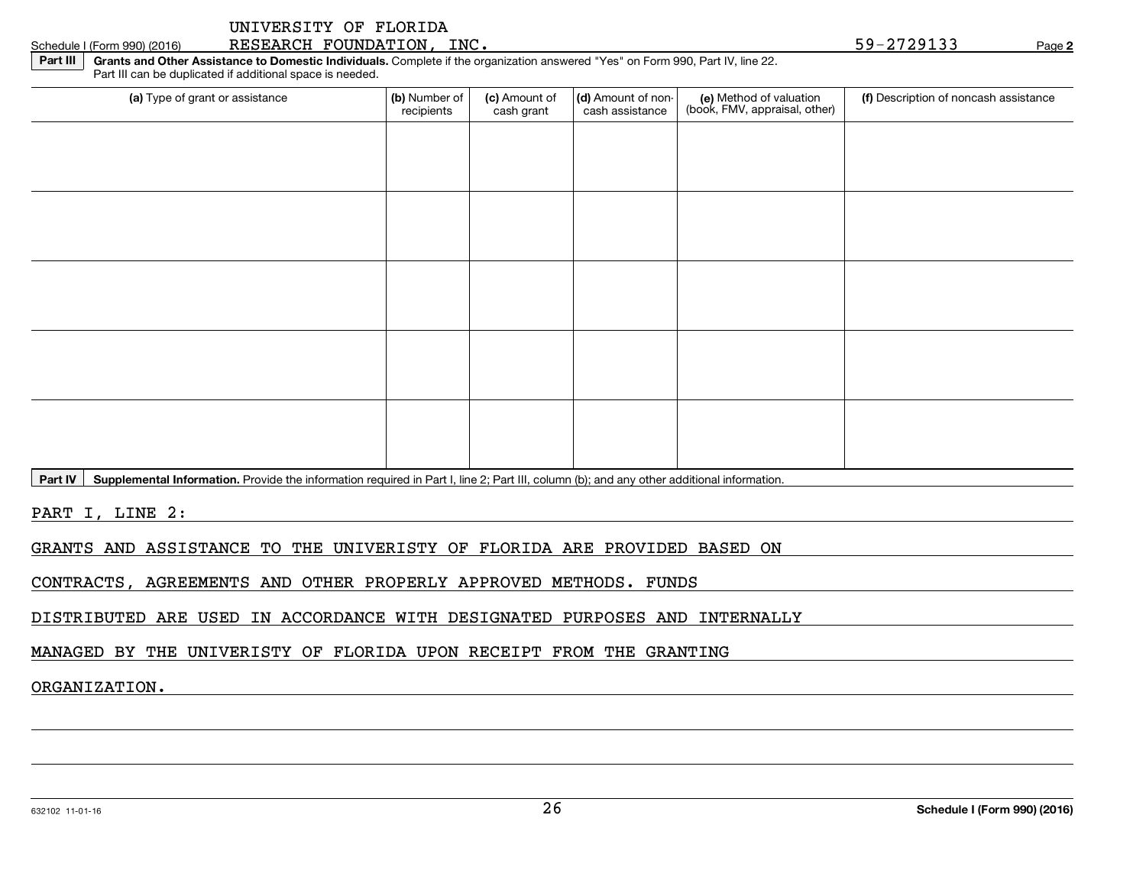| UNIVERSITY OF FLORIDA |  |
|-----------------------|--|
|-----------------------|--|

) RESEARCH FOUNDATION, INC.  $\rho_{\text{age}}$  59-2729133 Page

**2**

**Part III Grants and Other Assistance to Domestic Individuals.** Complete if the organization answered "Yes" on Form 990, Part IV, line 22.Part III can be duplicated if additional space is needed.

| (a) Type of grant or assistance                                                                                                          | (b) Number of<br>recipients | (c) Amount of<br>cash grant | (d) Amount of non-<br>cash assistance | (e) Method of valuation<br>(book, FMV, appraisal, other) | (f) Description of noncash assistance |
|------------------------------------------------------------------------------------------------------------------------------------------|-----------------------------|-----------------------------|---------------------------------------|----------------------------------------------------------|---------------------------------------|
|                                                                                                                                          |                             |                             |                                       |                                                          |                                       |
|                                                                                                                                          |                             |                             |                                       |                                                          |                                       |
|                                                                                                                                          |                             |                             |                                       |                                                          |                                       |
|                                                                                                                                          |                             |                             |                                       |                                                          |                                       |
|                                                                                                                                          |                             |                             |                                       |                                                          |                                       |
|                                                                                                                                          |                             |                             |                                       |                                                          |                                       |
|                                                                                                                                          |                             |                             |                                       |                                                          |                                       |
|                                                                                                                                          |                             |                             |                                       |                                                          |                                       |
|                                                                                                                                          |                             |                             |                                       |                                                          |                                       |
|                                                                                                                                          |                             |                             |                                       |                                                          |                                       |
| Dent BL Country and the Country Devide the information mention in Deat Line O. Deat III asking (b), and any other additional information |                             |                             |                                       |                                                          |                                       |

**Part IV Supplemental Information.** Provide the information required in Part I, line 2; Part III, column (b); and any other additional information.

PART I, LINE 2:

Schedule I (Form 990) (2016)

GRANTS AND ASSISTANCE TO THE UNIVERISTY OF FLORIDA ARE PROVIDED BASED ON

CONTRACTS, AGREEMENTS AND OTHER PROPERLY APPROVED METHODS. FUNDS

DISTRIBUTED ARE USED IN ACCORDANCE WITH DESIGNATED PURPOSES AND INTERNALLY

MANAGED BY THE UNIVERISTY OF FLORIDA UPON RECEIPT FROM THE GRANTING

ORGANIZATION.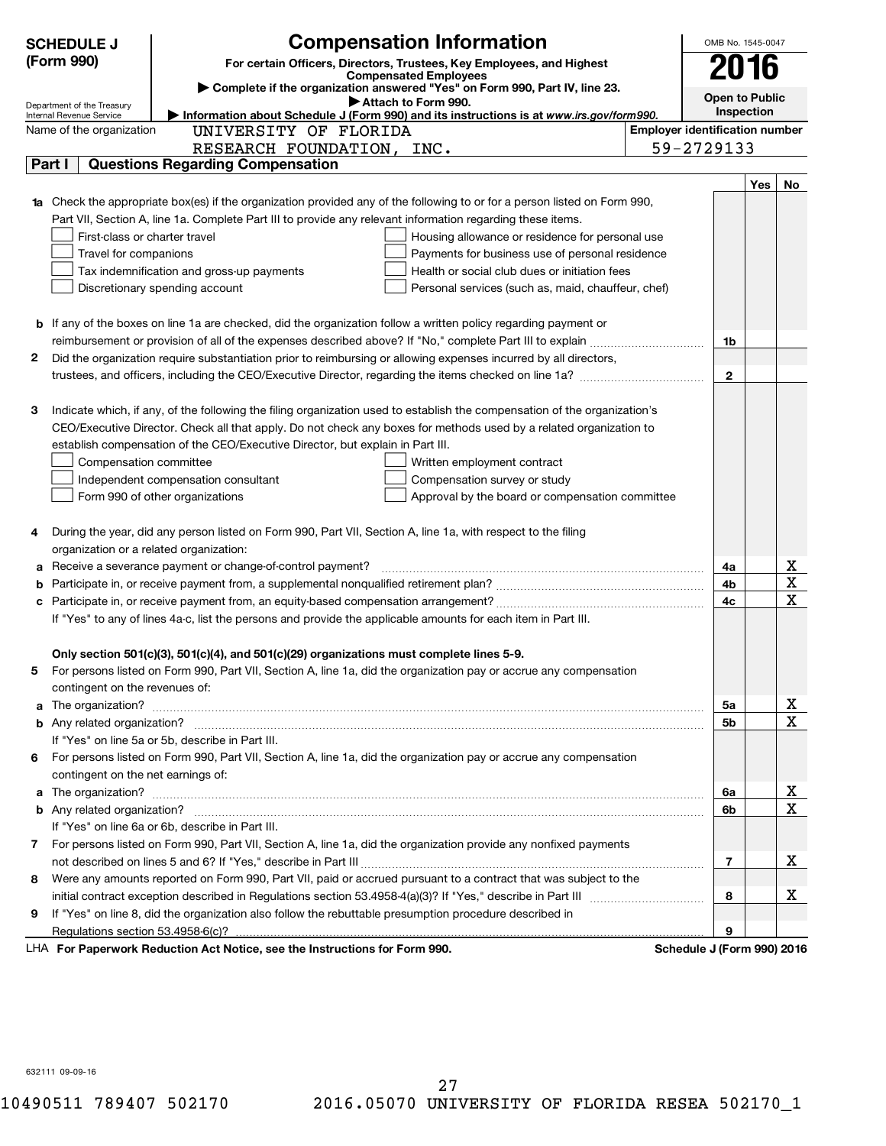|   | <b>SCHEDULE J</b>                                    | <b>Compensation Information</b>                                                                                           |                                       | OMB No. 1545-0047            |               |  |  |  |  |
|---|------------------------------------------------------|---------------------------------------------------------------------------------------------------------------------------|---------------------------------------|------------------------------|---------------|--|--|--|--|
|   | (Form 990)                                           | For certain Officers, Directors, Trustees, Key Employees, and Highest                                                     |                                       | 2016                         |               |  |  |  |  |
|   |                                                      | <b>Compensated Employees</b><br>Complete if the organization answered "Yes" on Form 990, Part IV, line 23.                |                                       |                              |               |  |  |  |  |
|   | Department of the Treasury                           | Attach to Form 990.                                                                                                       |                                       | Open to Public<br>Inspection |               |  |  |  |  |
|   | Internal Revenue Service<br>Name of the organization | Information about Schedule J (Form 990) and its instructions is at www.irs.gov/form990.<br>UNIVERSITY OF FLORIDA          | <b>Employer identification number</b> |                              |               |  |  |  |  |
|   |                                                      | RESEARCH FOUNDATION, INC.                                                                                                 | 59-2729133                            |                              |               |  |  |  |  |
|   | Part I                                               | <b>Questions Regarding Compensation</b>                                                                                   |                                       |                              |               |  |  |  |  |
|   |                                                      |                                                                                                                           |                                       | Yes                          | No            |  |  |  |  |
|   |                                                      | 1a Check the appropriate box(es) if the organization provided any of the following to or for a person listed on Form 990, |                                       |                              |               |  |  |  |  |
|   |                                                      | Part VII, Section A, line 1a. Complete Part III to provide any relevant information regarding these items.                |                                       |                              |               |  |  |  |  |
|   | First-class or charter travel                        | Housing allowance or residence for personal use                                                                           |                                       |                              |               |  |  |  |  |
|   | Travel for companions                                | Payments for business use of personal residence                                                                           |                                       |                              |               |  |  |  |  |
|   |                                                      | Tax indemnification and gross-up payments<br>Health or social club dues or initiation fees                                |                                       |                              |               |  |  |  |  |
|   |                                                      | Discretionary spending account<br>Personal services (such as, maid, chauffeur, chef)                                      |                                       |                              |               |  |  |  |  |
|   |                                                      |                                                                                                                           |                                       |                              |               |  |  |  |  |
|   |                                                      | <b>b</b> If any of the boxes on line 1a are checked, did the organization follow a written policy regarding payment or    |                                       |                              |               |  |  |  |  |
|   |                                                      |                                                                                                                           | 1b                                    |                              |               |  |  |  |  |
| 2 |                                                      | Did the organization require substantiation prior to reimbursing or allowing expenses incurred by all directors,          |                                       |                              |               |  |  |  |  |
|   |                                                      |                                                                                                                           | $\mathbf{2}$                          |                              |               |  |  |  |  |
|   |                                                      |                                                                                                                           |                                       |                              |               |  |  |  |  |
| З |                                                      | Indicate which, if any, of the following the filing organization used to establish the compensation of the organization's |                                       |                              |               |  |  |  |  |
|   |                                                      | CEO/Executive Director. Check all that apply. Do not check any boxes for methods used by a related organization to        |                                       |                              |               |  |  |  |  |
|   |                                                      | establish compensation of the CEO/Executive Director, but explain in Part III.                                            |                                       |                              |               |  |  |  |  |
|   | Compensation committee                               | Written employment contract                                                                                               |                                       |                              |               |  |  |  |  |
|   |                                                      | Independent compensation consultant<br>Compensation survey or study                                                       |                                       |                              |               |  |  |  |  |
|   |                                                      | Form 990 of other organizations<br>Approval by the board or compensation committee                                        |                                       |                              |               |  |  |  |  |
|   |                                                      |                                                                                                                           |                                       |                              |               |  |  |  |  |
| 4 |                                                      | During the year, did any person listed on Form 990, Part VII, Section A, line 1a, with respect to the filing              |                                       |                              |               |  |  |  |  |
|   |                                                      | organization or a related organization:                                                                                   |                                       |                              |               |  |  |  |  |
| a |                                                      | Receive a severance payment or change-of-control payment?                                                                 | 4a                                    |                              | <u>x</u>      |  |  |  |  |
| b |                                                      |                                                                                                                           | 4b                                    |                              | $\mathbf{x}$  |  |  |  |  |
|   |                                                      |                                                                                                                           | 4c                                    |                              | X             |  |  |  |  |
|   |                                                      | If "Yes" to any of lines 4a-c, list the persons and provide the applicable amounts for each item in Part III.             |                                       |                              |               |  |  |  |  |
|   |                                                      |                                                                                                                           |                                       |                              |               |  |  |  |  |
|   |                                                      | Only section 501(c)(3), 501(c)(4), and 501(c)(29) organizations must complete lines 5-9.                                  |                                       |                              |               |  |  |  |  |
|   |                                                      | For persons listed on Form 990, Part VII, Section A, line 1a, did the organization pay or accrue any compensation         |                                       |                              |               |  |  |  |  |
|   | contingent on the revenues of:                       |                                                                                                                           |                                       |                              |               |  |  |  |  |
|   |                                                      |                                                                                                                           | 5a                                    |                              | <u>x</u>      |  |  |  |  |
|   |                                                      |                                                                                                                           | 5b                                    |                              | X             |  |  |  |  |
|   |                                                      | If "Yes" on line 5a or 5b, describe in Part III.                                                                          |                                       |                              |               |  |  |  |  |
|   |                                                      | 6 For persons listed on Form 990, Part VII, Section A, line 1a, did the organization pay or accrue any compensation       |                                       |                              |               |  |  |  |  |
|   | contingent on the net earnings of:                   |                                                                                                                           |                                       |                              |               |  |  |  |  |
|   |                                                      |                                                                                                                           | 6a                                    |                              | <u>x</u><br>X |  |  |  |  |
|   |                                                      | If "Yes" on line 6a or 6b, describe in Part III.                                                                          | 6b                                    |                              |               |  |  |  |  |
|   |                                                      | 7 For persons listed on Form 990, Part VII, Section A, line 1a, did the organization provide any nonfixed payments        |                                       |                              |               |  |  |  |  |
|   |                                                      |                                                                                                                           | 7                                     |                              | x             |  |  |  |  |
| 8 |                                                      | Were any amounts reported on Form 990, Part VII, paid or accrued pursuant to a contract that was subject to the           |                                       |                              |               |  |  |  |  |
|   |                                                      |                                                                                                                           | 8                                     |                              | x             |  |  |  |  |
| 9 |                                                      | If "Yes" on line 8, did the organization also follow the rebuttable presumption procedure described in                    |                                       |                              |               |  |  |  |  |
|   | Regulations section 53.4958-6(c)?                    |                                                                                                                           | 9                                     |                              |               |  |  |  |  |
|   |                                                      | LHA For Paperwork Reduction Act Notice, see the Instructions for Form 990.                                                | Schedule J (Form 990) 2016            |                              |               |  |  |  |  |

632111 09-09-16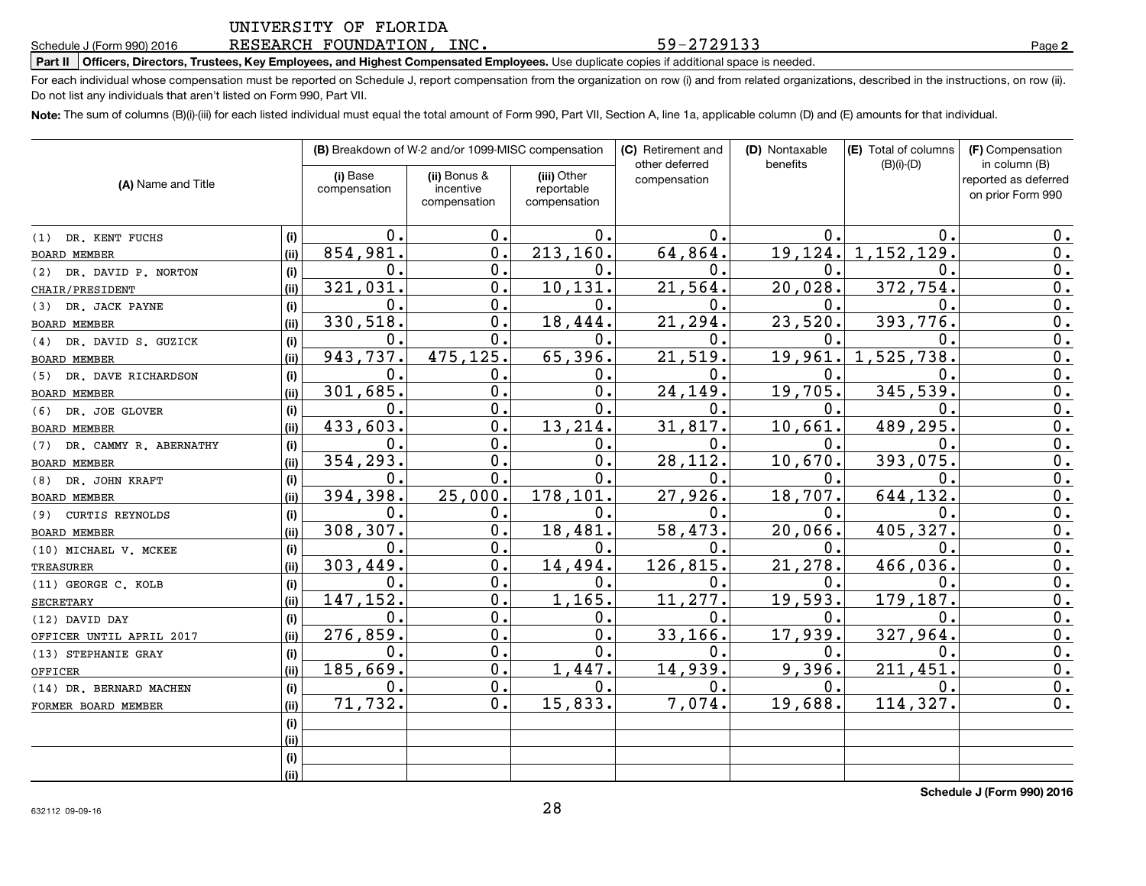#### 6 RESEARCH FOUNDATION, INC. 59-2729133 Rage

#### **Part II Officers, Directors, Trustees, Key Employees, and Highest Compensated Employees.** Use duplicate copies if additional space is needed.

For each individual whose compensation must be reported on Schedule J, report compensation from the organization on row (i) and from related organizations, described in the instructions, on row (ii). Do not list any individuals that aren't listed on Form 990, Part VII.

**Note:** The sum of columns (B)(i)-(iii) for each listed individual must equal the total amount of Form 990, Part VII, Section A, line 1a, applicable column (D) and (E) amounts for that individual.

|                            |      |                          | (B) Breakdown of W-2 and/or 1099-MISC compensation |                                           | (C) Retirement and<br>other deferred | (D) Nontaxable<br>benefits | (E) Total of columns<br>$(B)(i)-(D)$ | (F) Compensation<br>in column (B)         |
|----------------------------|------|--------------------------|----------------------------------------------------|-------------------------------------------|--------------------------------------|----------------------------|--------------------------------------|-------------------------------------------|
| (A) Name and Title         |      | (i) Base<br>compensation | (ii) Bonus &<br>incentive<br>compensation          | (iii) Other<br>reportable<br>compensation | compensation                         |                            |                                      | reported as deferred<br>on prior Form 990 |
| (1) DR. KENT FUCHS         | (i)  | 0.                       | 0.                                                 | 0.                                        | 0.                                   | 0.                         | 0                                    | 0.                                        |
| BOARD MEMBER               | (ii) | 854,981.                 | $\mathbf 0$ .                                      | 213,160.                                  | 64,864.                              | 19,124.                    | 1,152,129                            | 0.                                        |
| (2) DR. DAVID P. NORTON    | (i)  | 0.                       | $\mathbf 0$ .                                      | 0.                                        | 0.                                   | 0.                         | 0                                    | 0.                                        |
| CHAIR/PRESIDENT            | (ii) | 321,031.                 | $\mathbf 0$ .                                      | 10, 131.                                  | 21,564                               | 20,028.                    | 372,754                              | 0.                                        |
| (3) DR. JACK PAYNE         | (i)  | 0.                       | $\mathbf 0$ .                                      | $\mathbf{0}$ .                            | 0                                    | 0.                         | 0                                    | 0.                                        |
| BOARD MEMBER               | (ii) | 330,518.                 | $\mathbf 0$ .                                      | 18,444.                                   | 21,294                               | 23,520.                    | 393,776                              | 0.                                        |
| (4) DR. DAVID S. GUZICK    | (i)  | 0.                       | 0.                                                 | $\mathbf 0$ .                             | 0                                    | 0.                         | 0                                    | 0.                                        |
| <b>BOARD MEMBER</b>        | (ii) | 943,737.                 | 475,125.                                           | 65,396.                                   | 21,519                               | 19,961                     | 1,525,738                            | $\mathbf 0$ .                             |
| (5) DR. DAVE RICHARDSON    | (i)  | 0.                       | 0.                                                 | 0.                                        | 0.                                   | 0.                         | 0                                    | 0.                                        |
| <b>BOARD MEMBER</b>        | (ii) | 301,685.                 | $\mathbf 0$ .                                      | $\mathbf 0$ .                             | 24,149                               | 19,705.                    | 345,539                              | 0.                                        |
| (6) DR. JOE GLOVER         | (i)  | Ω.                       | 0.                                                 | 0.                                        | 0                                    | 0.                         | 0                                    | 0.                                        |
| BOARD MEMBER               | (ii) | 433,603                  | 0.                                                 | 13,214.                                   | 31,817                               | 10,661                     | 489,295                              | 0.                                        |
| (7) DR. CAMMY R. ABERNATHY | (i)  | 0.                       | 0.                                                 | о.                                        | 0.                                   | 0.                         | 0                                    | $\mathbf 0$ .                             |
| <b>BOARD MEMBER</b>        | (ii) | 354,293.                 | 0.                                                 | $\mathbf 0$ .                             | 28,112                               | 10,670.                    | 393,075                              | 0.                                        |
| (8) DR. JOHN KRAFT         | (i)  |                          | 0.                                                 | 0.                                        | 0.                                   | Ο.                         | 0                                    | 0.                                        |
| <b>BOARD MEMBER</b>        | (ii) | 394,398.                 | 25,000.                                            | 178,101.                                  | 27,926                               | 18,707.                    | 644,132                              | 0.                                        |
| (9) CURTIS REYNOLDS        | (i)  | 0.                       | 0.                                                 | 0.                                        | 0                                    | 0.                         | 0                                    | 0.                                        |
| <b>BOARD MEMBER</b>        | (ii) | 308,307.                 | $\mathbf 0$ .                                      | 18,481.                                   | 58,473                               | 20,066.                    | 405,327                              | 0.                                        |
| (10) MICHAEL V. MCKEE      | (i)  | 0.                       | 0.                                                 | $0$ .                                     | 0                                    | 0.                         | 0                                    | 0.                                        |
| <b>TREASURER</b>           | (ii) | 303,449.                 | $\mathbf 0$ .                                      | 14,494.                                   | 126,815                              | 21,278.                    | 466,036                              | 0.                                        |
| (11) GEORGE C. KOLB        | (i)  | 0.                       | $\mathbf 0$ .                                      | 0.                                        | 0                                    | 0.                         | 0                                    | 0.                                        |
| SECRETARY                  | (ii) | 147,152.                 | $\mathbf 0$ .                                      | 1,165.                                    | 11,277.                              | 19,593.                    | 179,187                              | 0.                                        |
| (12) DAVID DAY             | (i)  | $\overline{0}$ .         | $\mathbf 0$ .                                      | 0.                                        | 0                                    | 0.                         | $\Omega$                             | 0.                                        |
| OFFICER UNTIL APRIL 2017   | (ii) | 276,859.                 | 0.                                                 | $\mathbf{0}$ .                            | 33,166.                              | 17,939.                    | 327,964                              | 0.                                        |
| (13) STEPHANIE GRAY        | (i)  | 0.                       | 0.                                                 | $\mathbf 0$ .                             | 0.                                   | О.                         | $\mathbf{0}$                         | 0.                                        |
| OFFICER                    | (ii) | 185,669.                 | 0.                                                 | 1,447.                                    | 14,939.                              | 9,396.                     | 211,451                              | 0.                                        |
| (14) DR. BERNARD MACHEN    | (i)  | 0.                       | 0.                                                 | 0.                                        | 0.                                   | 0.                         | $\Omega$ .                           | 0.                                        |
| FORMER BOARD MEMBER        | (ii) | 71,732.                  | 0.                                                 | 15,833.                                   | 7,074.                               | 19,688.                    | 114,327                              | 0.                                        |
|                            | (i)  |                          |                                                    |                                           |                                      |                            |                                      |                                           |
|                            | (ii) |                          |                                                    |                                           |                                      |                            |                                      |                                           |
|                            | (i)  |                          |                                                    |                                           |                                      |                            |                                      |                                           |
|                            | (ii) |                          |                                                    |                                           |                                      |                            |                                      |                                           |

28

Schedule J (Form 990) 2016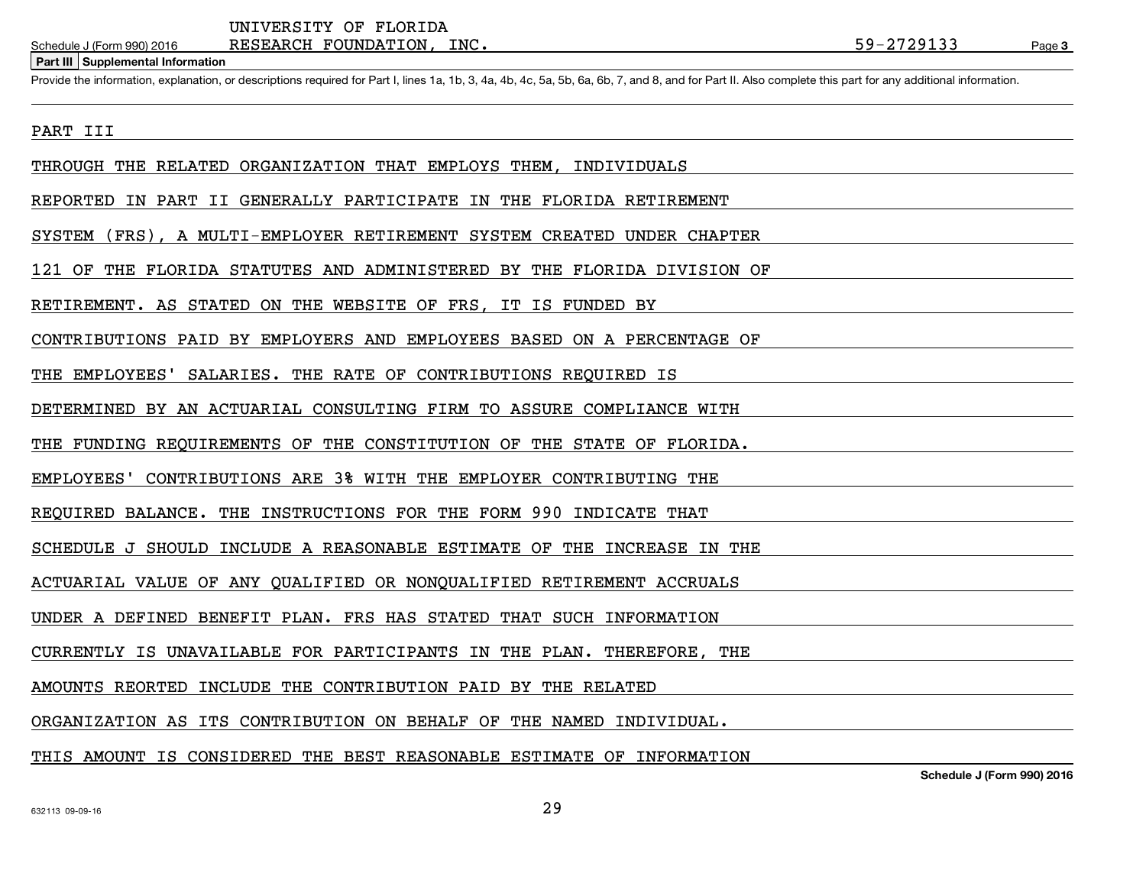#### Schedule J (Form 990) 2016

**Part III Supplemental Information**

Provide the information, explanation, or descriptions required for Part I, lines 1a, 1b, 3, 4a, 4b, 4c, 5a, 5b, 6a, 6b, 7, and 8, and for Part II. Also complete this part for any additional information.

#### PART III

THROUGH THE RELATED ORGANIZATION THAT EMPLOYS THEM, INDIVIDUALS

REPORTED IN PART II GENERALLY PARTICIPATE IN THE FLORIDA RETIREMENT

SYSTEM (FRS), A MULTI-EMPLOYER RETIREMENT SYSTEM CREATED UNDER CHAPTER

121 OF THE FLORIDA STATUTES AND ADMINISTERED BY THE FLORIDA DIVISION OF

RETIREMENT. AS STATED ON THE WEBSITE OF FRS, IT IS FUNDED BY

CONTRIBUTIONS PAID BY EMPLOYERS AND EMPLOYEES BASED ON A PERCENTAGE OF

THE EMPLOYEES' SALARIES. THE RATE OF CONTRIBUTIONS REQUIRED IS

DETERMINED BY AN ACTUARIAL CONSULTING FIRM TO ASSURE COMPLIANCE WITH

THE FUNDING REQUIREMENTS OF THE CONSTITUTION OF THE STATE OF FLORIDA.

EMPLOYEES' CONTRIBUTIONS ARE 3% WITH THE EMPLOYER CONTRIBUTING THE

REQUIRED BALANCE. THE INSTRUCTIONS FOR THE FORM 990 INDICATE THAT

SCHEDULE J SHOULD INCLUDE A REASONABLE ESTIMATE OF THE INCREASE IN THE

ACTUARIAL VALUE OF ANY QUALIFIED OR NONQUALIFIED RETIREMENT ACCRUALS

UNDER A DEFINED BENEFIT PLAN. FRS HAS STATED THAT SUCH INFORMATION

CURRENTLY IS UNAVAILABLE FOR PARTICIPANTS IN THE PLAN. THEREFORE, THE

AMOUNTS REORTED INCLUDE THE CONTRIBUTION PAID BY THE RELATED

ORGANIZATION AS ITS CONTRIBUTION ON BEHALF OF THE NAMED INDIVIDUAL.

THIS AMOUNT IS CONSIDERED THE BEST REASONABLE ESTIMATE OF INFORMATION

**Schedule J (Form 990) 2016**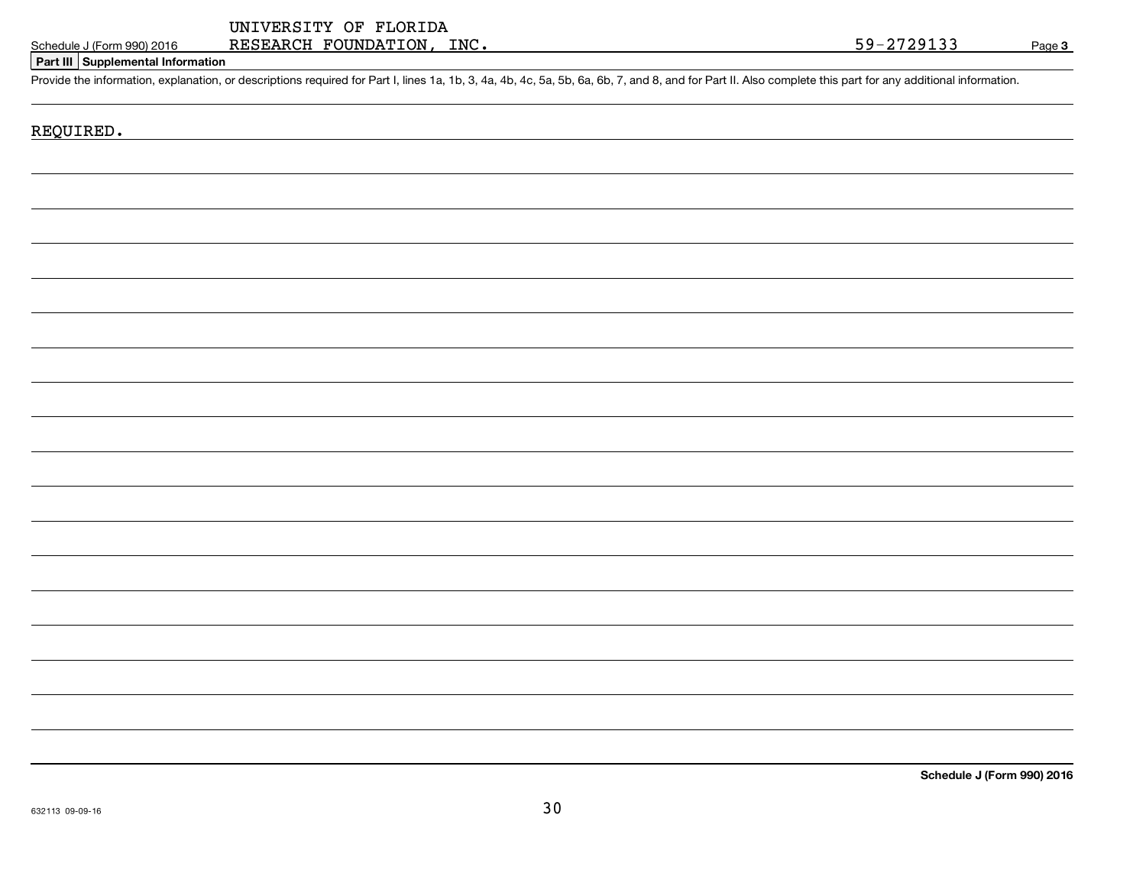### Schedule J (Form 990) 2016

**Part III Supplemental Information**

Provide the information, explanation, or descriptions required for Part I, lines 1a, 1b, 3, 4a, 4b, 4c, 5a, 5b, 6a, 6b, 7, and 8, and for Part II. Also complete this part for any additional information.

### REQUIRED.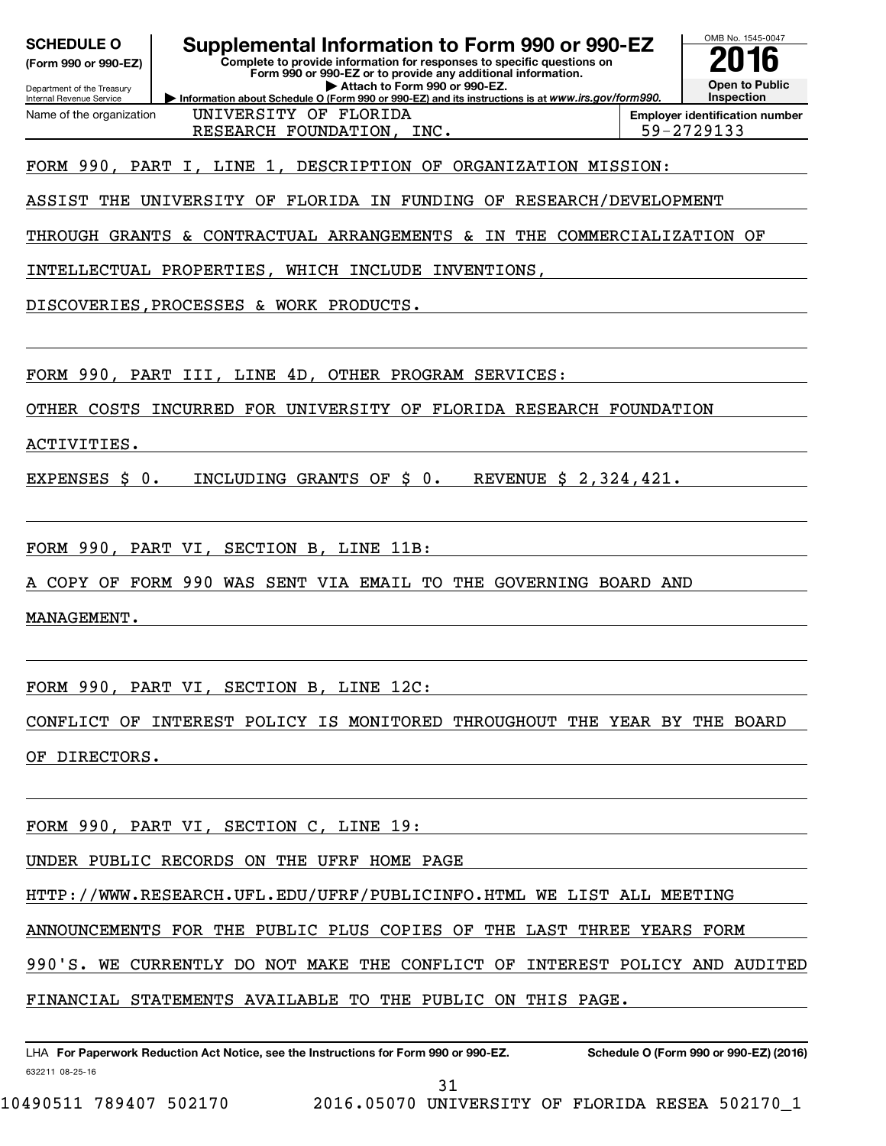**(Form 990 or 990-EZ)**

**Complete to provide information for responses to specific questions on Form 990 or 990-EZ or to provide any additional information. SCHEDULE O Supplemental Information to Form 990 or 990-EZ 2016**

Department of the Treasury **Internal Revenue Service** Name of the organization **Information about Schedule O (Form 990 or 990-EZ) and its instructions is at www.irs.gov/form990. | Attach to Form 990 or 990-EZ.**

UNIVERSITY OF FLORIDA RESEARCH FOUNDATION, INC. 199-2729133

**Inspection Employer identification number**

OMB No. 1545-0047

**Open to Public**

FORM 990, PART I, LINE 1, DESCRIPTION OF ORGANIZATION MISSION:

ASSIST THE UNIVERSITY OF FLORIDA IN FUNDING OF RESEARCH/DEVELOPMENT

THROUGH GRANTS & CONTRACTUAL ARRANGEMENTS & IN THE COMMERCIALIZATION OF

INTELLECTUAL PROPERTIES, WHICH INCLUDE INVENTIONS,

DISCOVERIES,PROCESSES & WORK PRODUCTS.

FORM 990, PART III, LINE 4D, OTHER PROGRAM SERVICES:

OTHER COSTS INCURRED FOR UNIVERSITY OF FLORIDA RESEARCH FOUNDATION

ACTIVITIES.

EXPENSES \$ 0. INCLUDING GRANTS OF \$ 0. REVENUE \$ 2,324,421.

FORM 990, PART VI, SECTION B, LINE 11B:

A COPY OF FORM 990 WAS SENT VIA EMAIL TO THE GOVERNING BOARD AND

MANAGEMENT.

FORM 990, PART VI, SECTION B, LINE 12C:

CONFLICT OF INTEREST POLICY IS MONITORED THROUGHOUT THE YEAR BY THE BOARD OF DIRECTORS.

FORM 990, PART VI, SECTION C, LINE 19:

UNDER PUBLIC RECORDS ON THE UFRF HOME PAGE

HTTP://WWW.RESEARCH.UFL.EDU/UFRF/PUBLICINFO.HTML WE LIST ALL MEETING

ANNOUNCEMENTS FOR THE PUBLIC PLUS COPIES OF THE LAST THREE YEARS FORM

990'S. WE CURRENTLY DO NOT MAKE THE CONFLICT OF INTEREST POLICY AND AUDITED

FINANCIAL STATEMENTS AVAILABLE TO THE PUBLIC ON THIS PAGE.

31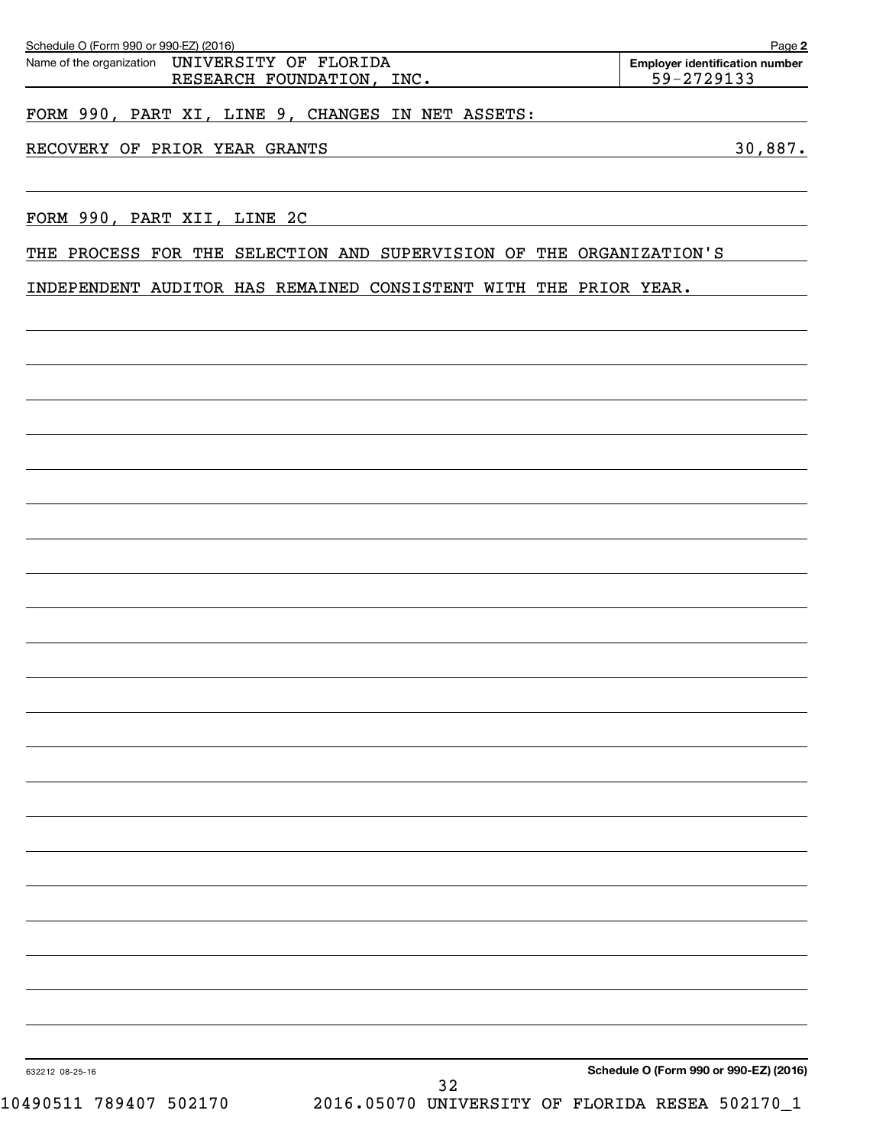| Schedule O (Form 990 or 990-EZ) (2016)                                      | Page 2                                              |
|-----------------------------------------------------------------------------|-----------------------------------------------------|
| Name of the organization UNIVERSITY OF FLORIDA<br>RESEARCH FOUNDATION, INC. | <b>Employer identification number</b><br>59-2729133 |
| FORM 990, PART XI, LINE 9,<br>CHANGES IN NET ASSETS:                        |                                                     |

### RECOVERY OF PRIOR YEAR GRANTS **30,887.**

FORM 990, PART XII, LINE 2C

THE PROCESS FOR THE SELECTION AND SUPERVISION OF THE ORGANIZATION'S

INDEPENDENT AUDITOR HAS REMAINED CONSISTENT WITH THE PRIOR YEAR.

**Schedule O (Form 990 or 990-EZ) (2016)**

632212 08-25-16

10490511 789407 502170 2016.05070 UNIVERSITY OF FLORIDA RESEA 502170\_1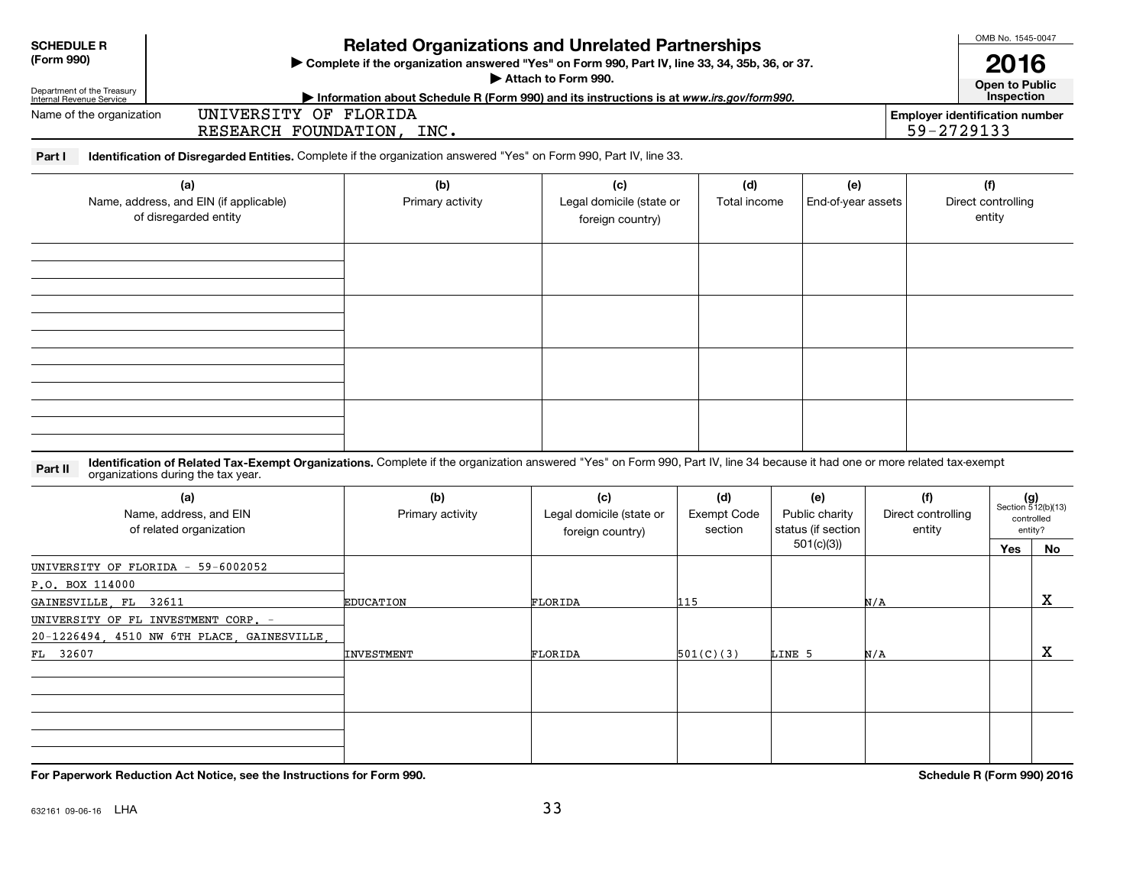**SCHEDULE R(Form 990)**

**Complete if the organizations and Unrelated Partnerships**<br> **Related Organization answered "Yes" on Form 990, Part IV, line 33, 34, 35b, 36, or 37.**<br> **Related Organization answered "Yes" on Form 990, Part IV, line 33, 34,** 

Attach to Form 990.

**Attach to Form 990. Open to Public**

OMB No. 1545-0047

Department of the Treasury Internal Revenue Service

### **Motomation about Schedule R (Form 990) and its instructions is at www.irs.gov/form990.** This pection

Name of the organizationUNIVERSITY OF FLORIDA RESEARCH FOUNDATION, INC. THE SERVICE OF SALE RESEARCH FOUNDATION, INC.

**Employer identification number**

**Part I Identification of Disregarded Entities.** Complete if the organization answered "Yes" on Form 990, Part IV, line 33.

| (a)<br>Name, address, and EIN (if applicable)<br>of disregarded entity | (b)<br>Primary activity | (c)<br>Legal domicile (state or<br>foreign country) | (d)<br>Total income | (e)<br>End-of-year assets | (f)<br>Direct controlling<br>entity |
|------------------------------------------------------------------------|-------------------------|-----------------------------------------------------|---------------------|---------------------------|-------------------------------------|
|                                                                        |                         |                                                     |                     |                           |                                     |
|                                                                        |                         |                                                     |                     |                           |                                     |
|                                                                        |                         |                                                     |                     |                           |                                     |
|                                                                        |                         |                                                     |                     |                           |                                     |

**Part II Lidentification of Related Tax-Exempt Organizations.** Complete if the organization answered "Yes" on Form 990, Part IV, line 34 because it had one or more related tax-exempt<br>Computations during the tax vear organizations during the tax year.

| (a)<br>Name, address, and EIN<br>of related organization | (b)<br>Primary activity | (c)<br>Legal domicile (state or<br>foreign country) | (d)<br><b>Exempt Code</b><br>section | (e)<br>Public charity<br>status (if section | (f)<br>Direct controlling<br>entity |     | $(g)$<br>Section 512(b)(13)<br>controlled<br>entity? |
|----------------------------------------------------------|-------------------------|-----------------------------------------------------|--------------------------------------|---------------------------------------------|-------------------------------------|-----|------------------------------------------------------|
|                                                          |                         |                                                     |                                      | 501(c)(3))                                  |                                     | Yes | No                                                   |
| UNIVERSITY OF FLORIDA - 59-6002052                       |                         |                                                     |                                      |                                             |                                     |     |                                                      |
| P.O. BOX 114000                                          |                         |                                                     |                                      |                                             |                                     |     |                                                      |
| GAINESVILLE, FL 32611                                    | <b>EDUCATION</b>        | FLORIDA                                             | 115                                  |                                             | N/A                                 |     | x                                                    |
| UNIVERSITY OF FL INVESTMENT CORP. -                      |                         |                                                     |                                      |                                             |                                     |     |                                                      |
| 20-1226494, 4510 NW 6TH PLACE, GAINESVILLE,              |                         |                                                     |                                      |                                             |                                     |     |                                                      |
| FL 32607                                                 | INVESTMENT              | FLORIDA                                             | 501(C)(3)                            | LINE 5                                      | N/A                                 |     | х                                                    |
|                                                          |                         |                                                     |                                      |                                             |                                     |     |                                                      |
|                                                          |                         |                                                     |                                      |                                             |                                     |     |                                                      |
|                                                          |                         |                                                     |                                      |                                             |                                     |     |                                                      |
|                                                          |                         |                                                     |                                      |                                             |                                     |     |                                                      |
|                                                          |                         |                                                     |                                      |                                             |                                     |     |                                                      |
|                                                          |                         |                                                     |                                      |                                             |                                     |     |                                                      |

**For Paperwork Reduction Act Notice, see the Instructions for Form 990.**

**Schedule R (Form 990) 2016**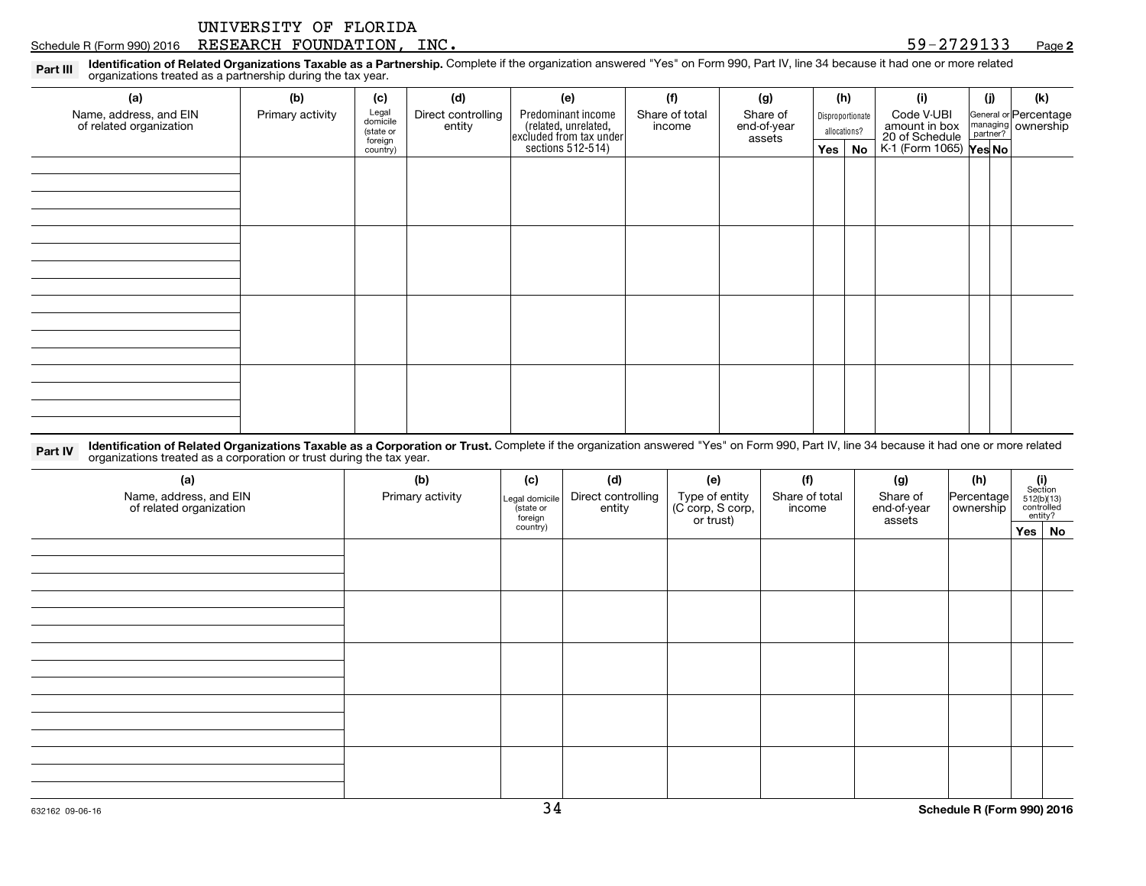Part III Pl**dentification of Related Organizations Taxable as a Partnership.** Complete if the organization answered "Yes" on Form 990, Part IV, line 34 because it had one or more related<br>Part IIIP organizations treated as

| (a)                                               | (b)              | (c)                            | (d)                          | (e)                                                                                        | (f)                      | (g)                     | (h)                              | (i)                                                                            | (j) | (k)                                           |
|---------------------------------------------------|------------------|--------------------------------|------------------------------|--------------------------------------------------------------------------------------------|--------------------------|-------------------------|----------------------------------|--------------------------------------------------------------------------------|-----|-----------------------------------------------|
| Name, address, and EIN<br>of related organization | Primary activity | Legal<br>domicile<br>(state or | Direct controlling<br>entity | Predominant income<br>(related, unrelated,<br>excluded from tax under<br>sections 512-514) | Share of total<br>income | Share of<br>end-of-year | Disproportionate<br>allocations? | Code V-UBI<br>amount in box<br>20 of Schedule<br>K-1 (Form 1065) <b>Yes No</b> |     | General or Percentage<br>managing<br>partner? |
|                                                   |                  | foreign                        |                              |                                                                                            |                          | assets                  |                                  |                                                                                |     |                                               |
|                                                   |                  | country)                       |                              |                                                                                            |                          |                         | Yes No                           |                                                                                |     |                                               |
|                                                   |                  |                                |                              |                                                                                            |                          |                         |                                  |                                                                                |     |                                               |
|                                                   |                  |                                |                              |                                                                                            |                          |                         |                                  |                                                                                |     |                                               |
|                                                   |                  |                                |                              |                                                                                            |                          |                         |                                  |                                                                                |     |                                               |
|                                                   |                  |                                |                              |                                                                                            |                          |                         |                                  |                                                                                |     |                                               |
|                                                   |                  |                                |                              |                                                                                            |                          |                         |                                  |                                                                                |     |                                               |
|                                                   |                  |                                |                              |                                                                                            |                          |                         |                                  |                                                                                |     |                                               |
|                                                   |                  |                                |                              |                                                                                            |                          |                         |                                  |                                                                                |     |                                               |
|                                                   |                  |                                |                              |                                                                                            |                          |                         |                                  |                                                                                |     |                                               |
|                                                   |                  |                                |                              |                                                                                            |                          |                         |                                  |                                                                                |     |                                               |
|                                                   |                  |                                |                              |                                                                                            |                          |                         |                                  |                                                                                |     |                                               |
|                                                   |                  |                                |                              |                                                                                            |                          |                         |                                  |                                                                                |     |                                               |
|                                                   |                  |                                |                              |                                                                                            |                          |                         |                                  |                                                                                |     |                                               |
|                                                   |                  |                                |                              |                                                                                            |                          |                         |                                  |                                                                                |     |                                               |
|                                                   |                  |                                |                              |                                                                                            |                          |                         |                                  |                                                                                |     |                                               |
|                                                   |                  |                                |                              |                                                                                            |                          |                         |                                  |                                                                                |     |                                               |
|                                                   |                  |                                |                              |                                                                                            |                          |                         |                                  |                                                                                |     |                                               |
|                                                   |                  |                                |                              |                                                                                            |                          |                         |                                  |                                                                                |     |                                               |
|                                                   |                  |                                |                              |                                                                                            |                          |                         |                                  |                                                                                |     |                                               |
|                                                   |                  |                                |                              |                                                                                            |                          |                         |                                  |                                                                                |     |                                               |
|                                                   |                  |                                |                              |                                                                                            |                          |                         |                                  |                                                                                |     |                                               |

Part IV Identification of Related Organizations Taxable as a Corporation or Trust. Complete if the organization answered "Yes" on Form 990, Part IV, line 34 because it had one or more related and a perception or trust duri organizations treated as a corporation or trust during the tax year.

| Share of<br>end-of-year | (h)           | $\begin{array}{c} \textbf{(i)}\\ \text{Section}\\ 5\,12 \text{(b)} \text{(13)}\\ \text{controlled}\end{array}$<br>entity? |
|-------------------------|---------------|---------------------------------------------------------------------------------------------------------------------------|
|                         |               | Yes No                                                                                                                    |
|                         |               |                                                                                                                           |
|                         |               |                                                                                                                           |
|                         |               |                                                                                                                           |
|                         |               |                                                                                                                           |
|                         |               |                                                                                                                           |
|                         |               |                                                                                                                           |
|                         |               |                                                                                                                           |
|                         |               |                                                                                                                           |
|                         |               |                                                                                                                           |
|                         |               |                                                                                                                           |
|                         |               |                                                                                                                           |
|                         |               |                                                                                                                           |
|                         |               |                                                                                                                           |
|                         |               |                                                                                                                           |
|                         |               |                                                                                                                           |
|                         | (g)<br>assets | Percentage<br>ownership                                                                                                   |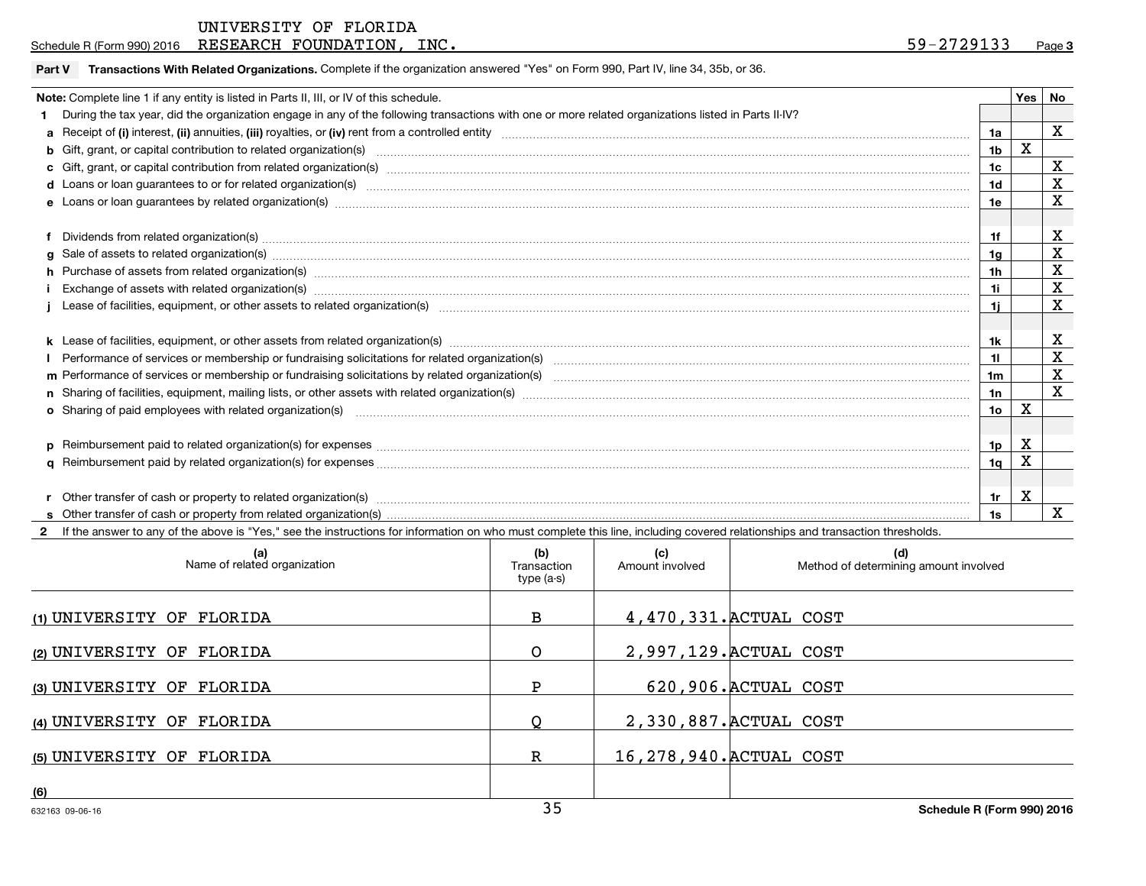| UNIVERSITY OF FLORIDA |  |  |
|-----------------------|--|--|
|-----------------------|--|--|

Schedule R (Form 990) 2016  $\rm{RESERARCH}$   $\rm{FOUNDATION}$  ,  $\rm{INC}$  .  $\rm{SUSR}$  . The set of the set of the set of the set of the set of the set of the set of the set of the set of the set of the set of the set of the set of the s

#### **Part V Transactions With Related Organizations.** Complete if the organization answered "Yes" on Form 990, Part IV, line 34, 35b, or 36.

| Note: Complete line 1 if any entity is listed in Parts II, III, or IV of this schedule. |                                                                                                                                                                                                                                |     |   |   |  |  |
|-----------------------------------------------------------------------------------------|--------------------------------------------------------------------------------------------------------------------------------------------------------------------------------------------------------------------------------|-----|---|---|--|--|
|                                                                                         | During the tax year, did the organization engage in any of the following transactions with one or more related organizations listed in Parts II-IV?                                                                            |     |   |   |  |  |
|                                                                                         |                                                                                                                                                                                                                                | 1a  |   | X |  |  |
|                                                                                         |                                                                                                                                                                                                                                | 1b  | x |   |  |  |
|                                                                                         |                                                                                                                                                                                                                                | 1c  |   | X |  |  |
|                                                                                         | d Loans or loan guarantees to or for related organization(s) www.communities.com/www.communities.com/www.communities.com/www.communities.com/www.communities.com/www.communities.com/www.communities.com/www.communities.com/w | 1d  |   | X |  |  |
|                                                                                         |                                                                                                                                                                                                                                | 1e  |   | X |  |  |
|                                                                                         |                                                                                                                                                                                                                                |     |   |   |  |  |
|                                                                                         |                                                                                                                                                                                                                                | 1f  |   | X |  |  |
|                                                                                         | g Sale of assets to related organization(s) www.assettion.com/www.assettion.com/www.assettion.com/www.assettion.com/www.assettion.com/www.assettion.com/www.assettion.com/www.assettion.com/www.assettion.com/www.assettion.co | 1g  |   | X |  |  |
|                                                                                         | h Purchase of assets from related organization(s) manufactured content to the content of the content of the content of the content of the content of the content of the content of the content of the content of the content o | 1h  |   | X |  |  |
|                                                                                         |                                                                                                                                                                                                                                | 1i. |   | X |  |  |
|                                                                                         |                                                                                                                                                                                                                                | 1i. |   | X |  |  |
|                                                                                         |                                                                                                                                                                                                                                |     |   |   |  |  |
|                                                                                         |                                                                                                                                                                                                                                | 1k  |   | х |  |  |
|                                                                                         |                                                                                                                                                                                                                                | 11  |   | X |  |  |
|                                                                                         |                                                                                                                                                                                                                                | 1m  |   | X |  |  |
|                                                                                         |                                                                                                                                                                                                                                | 1n  |   | X |  |  |
|                                                                                         |                                                                                                                                                                                                                                | 1о  |   |   |  |  |
|                                                                                         |                                                                                                                                                                                                                                |     |   |   |  |  |
|                                                                                         |                                                                                                                                                                                                                                | 1p  | х |   |  |  |
|                                                                                         |                                                                                                                                                                                                                                | 1q  |   |   |  |  |
|                                                                                         |                                                                                                                                                                                                                                |     |   |   |  |  |
|                                                                                         |                                                                                                                                                                                                                                | 1r  | х |   |  |  |
|                                                                                         |                                                                                                                                                                                                                                | 1s  |   | x |  |  |
|                                                                                         |                                                                                                                                                                                                                                |     |   |   |  |  |

**2** If the answer to any of the above is "Yes," see the instructions for information on who must complete this line, including covered relationships and transaction thresholds.

| (a)<br>Name of related organization | (b)<br>Transaction<br>type (a-s) | (c)<br>Amount involved | (d)<br>Method of determining amount involved |
|-------------------------------------|----------------------------------|------------------------|----------------------------------------------|
| (1) UNIVERSITY OF FLORIDA           | В                                |                        | 4,470,331. ACTUAL COST                       |
| (2) UNIVERSITY OF FLORIDA           | O                                |                        | 2,997,129. ACTUAL COST                       |
| (3) UNIVERSITY OF FLORIDA           | P                                |                        | 620,906. ACTUAL COST                         |
| (4) UNIVERSITY OF FLORIDA           |                                  |                        | 2,330,887. ACTUAL COST                       |
| (5) UNIVERSITY OF FLORIDA           | $\mathbf R$                      |                        | 16,278,940. ACTUAL COST                      |
| (6)                                 | n El                             |                        |                                              |

÷,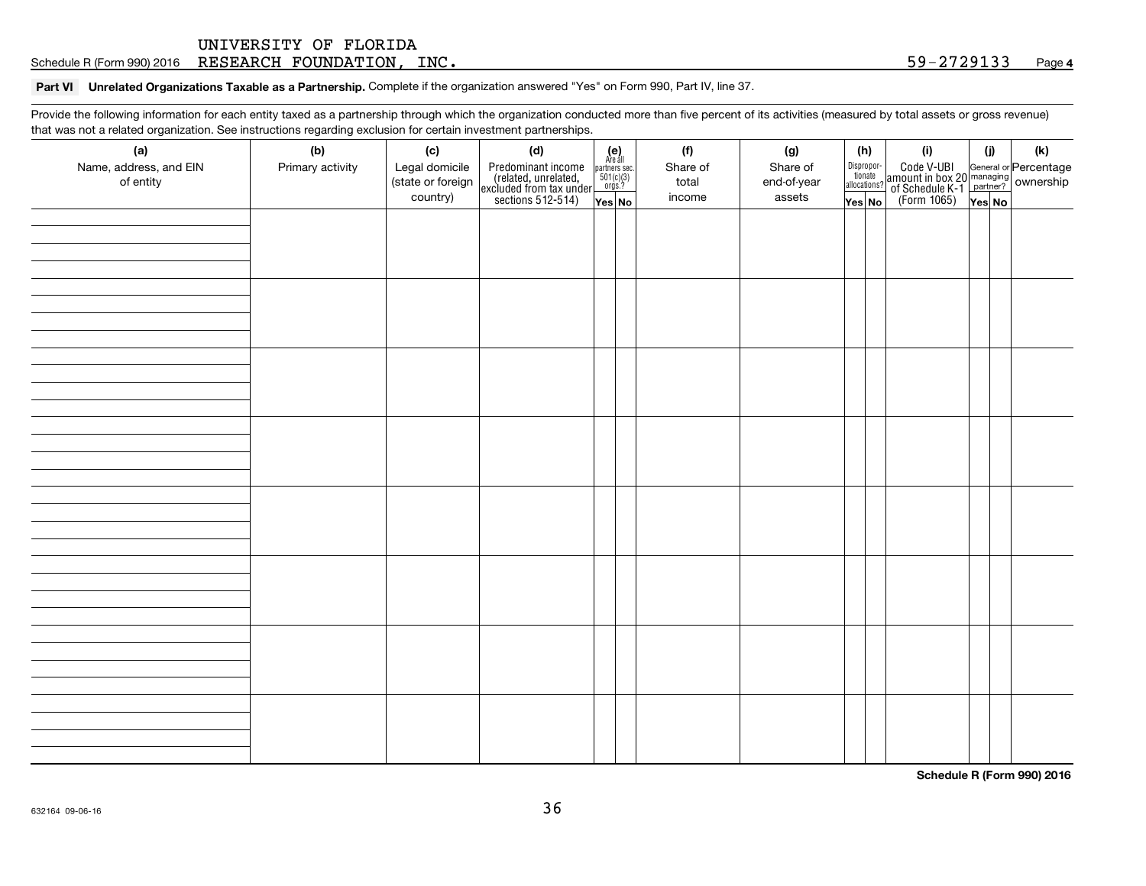Schedule R (Form 990) 2016  $\rm{RESERARCH}$   $\rm{FOUNDATION}$  ,  $\rm{INC}$  .  $\rm{SUSR}$  . The set of the set of the set of the set of the set of the set of the set of the set of the set of the set of the set of the set of the set of the s

#### **Part VI Unrelated Organizations Taxable as a Partnership.** Complete if the organization answered "Yes" on Form 990, Part IV, line 37.

Provide the following information for each entity taxed as a partnership through which the organization conducted more than five percent of its activities (measured by total assets or gross revenue) that was not a related organization. See instructions regarding exclusion for certain investment partnerships.

| (a)<br>Name, address, and EIN<br>of entity | (b)<br>Primary activity | (c)<br>Legal domicile<br>(state or foreign<br>country) | (d)<br>Predominant income<br>(related, unrelated,<br>excluded from tax under<br>sections 512-514) | $\begin{array}{c} \textbf{(e)}\\ \text{Are all} \\ \text{partners sec.}\\ 501(c)(3)\\ \text{orgs.?} \end{array}$<br>Yes No | (f)<br>Share of<br>total<br>income | (g)<br>Share of<br>end-of-year<br>assets | Dispropor-<br><sup>tionate</sup><br>allocations?<br>Yes No | (h) | (i)<br>Code V-UBI<br>  General or Percentage<br>  of Schedule K-1   partner?   ownership<br>  of Schedule K-1   partner?   ownership<br>  (Form 1065)   Yes   No | (j)<br>Yes No | $(\mathsf{k})$ |
|--------------------------------------------|-------------------------|--------------------------------------------------------|---------------------------------------------------------------------------------------------------|----------------------------------------------------------------------------------------------------------------------------|------------------------------------|------------------------------------------|------------------------------------------------------------|-----|------------------------------------------------------------------------------------------------------------------------------------------------------------------|---------------|----------------|
|                                            |                         |                                                        |                                                                                                   |                                                                                                                            |                                    |                                          |                                                            |     |                                                                                                                                                                  |               |                |
|                                            |                         |                                                        |                                                                                                   |                                                                                                                            |                                    |                                          |                                                            |     |                                                                                                                                                                  |               |                |
|                                            |                         |                                                        |                                                                                                   |                                                                                                                            |                                    |                                          |                                                            |     |                                                                                                                                                                  |               |                |
|                                            |                         |                                                        |                                                                                                   |                                                                                                                            |                                    |                                          |                                                            |     |                                                                                                                                                                  |               |                |
|                                            |                         |                                                        |                                                                                                   |                                                                                                                            |                                    |                                          |                                                            |     |                                                                                                                                                                  |               |                |
|                                            |                         |                                                        |                                                                                                   |                                                                                                                            |                                    |                                          |                                                            |     |                                                                                                                                                                  |               |                |
|                                            |                         |                                                        |                                                                                                   |                                                                                                                            |                                    |                                          |                                                            |     |                                                                                                                                                                  |               |                |
|                                            |                         |                                                        |                                                                                                   |                                                                                                                            |                                    |                                          |                                                            |     |                                                                                                                                                                  |               |                |

**Schedule R (Form 990) 2016**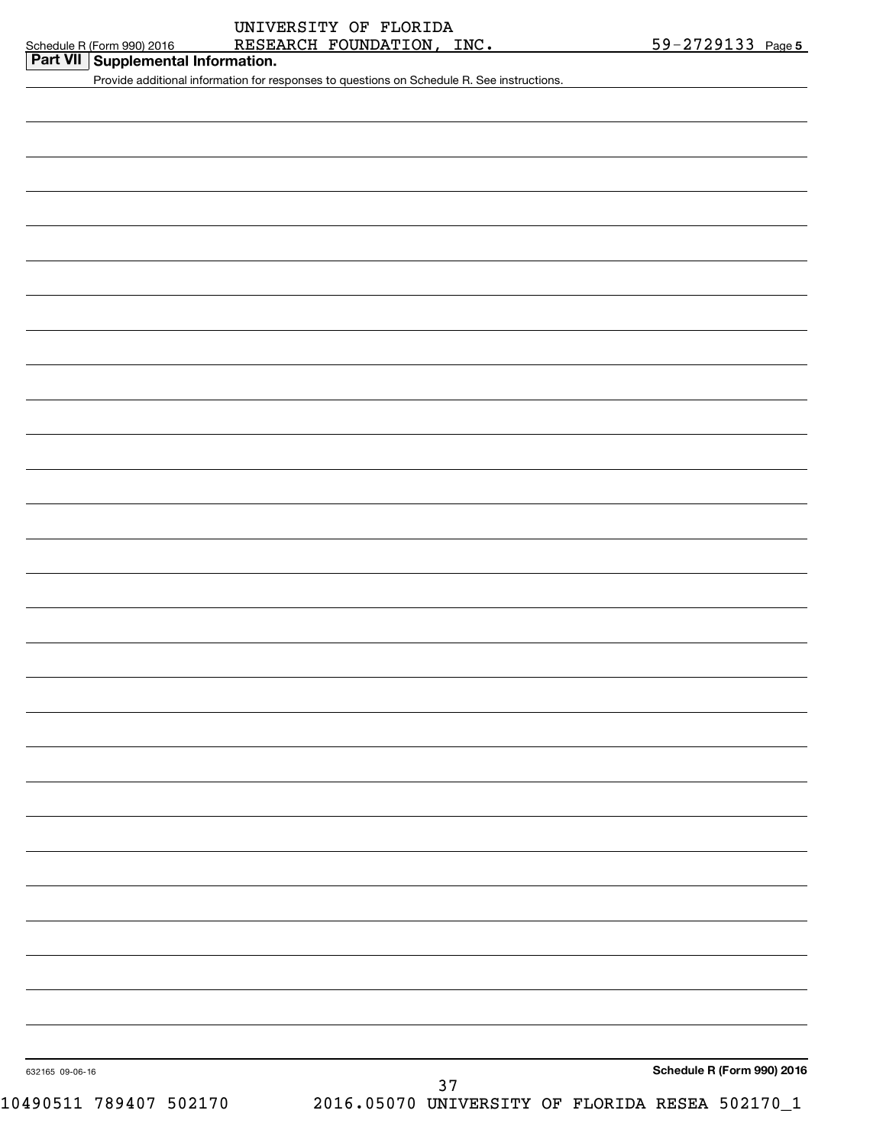| Schadula R (Eorm 000) 2016 |  |  |  |
|----------------------------|--|--|--|

| Schedule R (Form 990) 2016         | RESEARCH FOUNDATION,                                                                       | INC.                                            | 59-2729133 Page 5          |
|------------------------------------|--------------------------------------------------------------------------------------------|-------------------------------------------------|----------------------------|
| Part VII Supplemental Information. |                                                                                            |                                                 |                            |
|                                    | Provide additional information for responses to questions on Schedule R. See instructions. |                                                 |                            |
|                                    |                                                                                            |                                                 |                            |
|                                    |                                                                                            |                                                 |                            |
|                                    |                                                                                            |                                                 |                            |
|                                    |                                                                                            |                                                 |                            |
|                                    |                                                                                            |                                                 |                            |
|                                    |                                                                                            |                                                 |                            |
|                                    |                                                                                            |                                                 |                            |
|                                    |                                                                                            |                                                 |                            |
|                                    |                                                                                            |                                                 |                            |
|                                    |                                                                                            |                                                 |                            |
|                                    |                                                                                            |                                                 |                            |
|                                    |                                                                                            |                                                 |                            |
|                                    |                                                                                            |                                                 |                            |
|                                    |                                                                                            |                                                 |                            |
|                                    |                                                                                            |                                                 |                            |
|                                    |                                                                                            |                                                 |                            |
|                                    |                                                                                            |                                                 |                            |
|                                    |                                                                                            |                                                 |                            |
|                                    |                                                                                            |                                                 |                            |
|                                    |                                                                                            |                                                 |                            |
|                                    |                                                                                            |                                                 |                            |
|                                    |                                                                                            |                                                 |                            |
|                                    |                                                                                            |                                                 |                            |
|                                    |                                                                                            |                                                 |                            |
|                                    |                                                                                            |                                                 |                            |
|                                    |                                                                                            |                                                 |                            |
|                                    |                                                                                            |                                                 |                            |
|                                    |                                                                                            |                                                 |                            |
|                                    |                                                                                            |                                                 |                            |
|                                    |                                                                                            |                                                 |                            |
|                                    |                                                                                            |                                                 |                            |
|                                    |                                                                                            |                                                 |                            |
|                                    |                                                                                            |                                                 |                            |
|                                    |                                                                                            |                                                 |                            |
|                                    |                                                                                            |                                                 |                            |
|                                    |                                                                                            |                                                 |                            |
|                                    |                                                                                            |                                                 |                            |
|                                    |                                                                                            |                                                 |                            |
|                                    |                                                                                            |                                                 |                            |
|                                    |                                                                                            |                                                 |                            |
|                                    |                                                                                            |                                                 |                            |
|                                    |                                                                                            |                                                 |                            |
|                                    |                                                                                            |                                                 |                            |
|                                    |                                                                                            |                                                 |                            |
|                                    |                                                                                            |                                                 |                            |
|                                    |                                                                                            |                                                 |                            |
|                                    |                                                                                            |                                                 |                            |
|                                    |                                                                                            |                                                 |                            |
|                                    |                                                                                            |                                                 |                            |
| 632165 09-06-16                    |                                                                                            |                                                 | Schedule R (Form 990) 2016 |
|                                    | 37                                                                                         |                                                 |                            |
| 10490511 789407 502170             |                                                                                            | 2016.05070 UNIVERSITY OF FLORIDA RESEA 502170_1 |                            |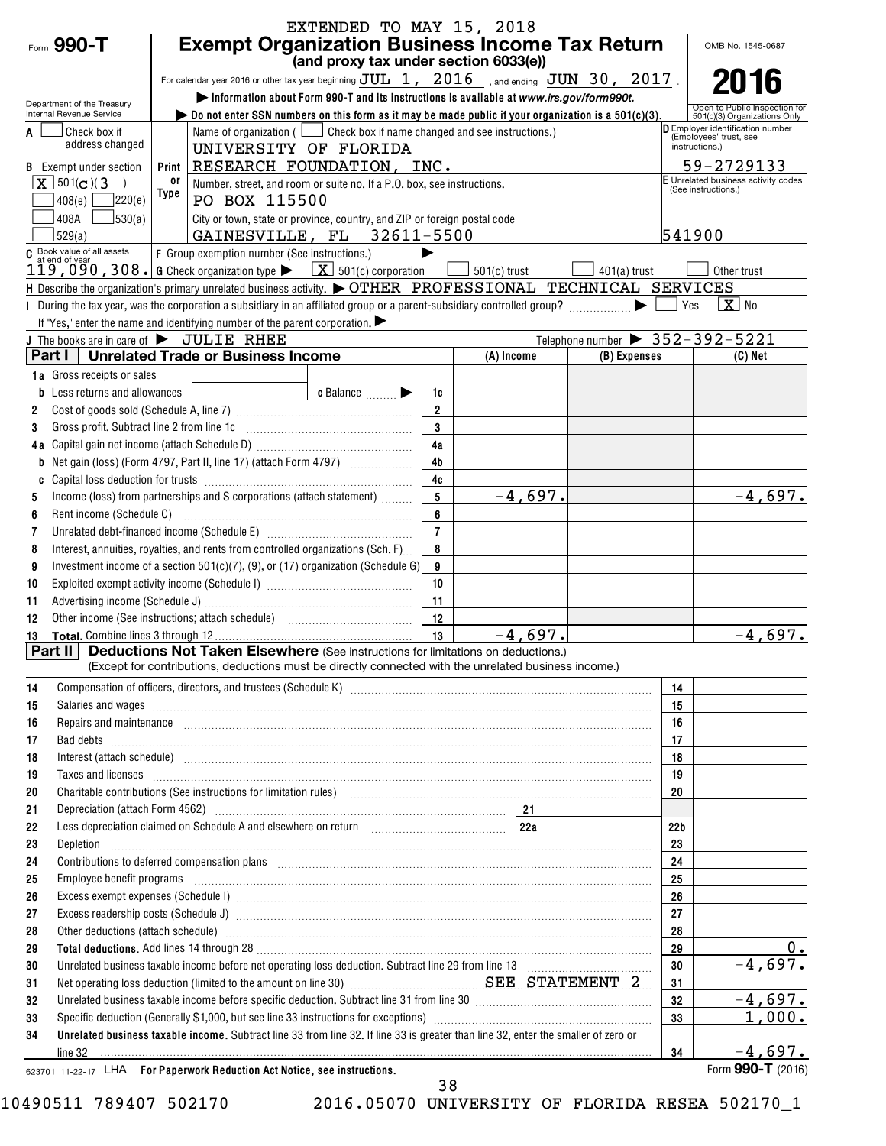|        |                                                           |                                                                            | EXTENDED TO MAY 15, 2018                                                                                                                                                                                                             |                     |                |                                                                   |          |                                                               |  |  |
|--------|-----------------------------------------------------------|----------------------------------------------------------------------------|--------------------------------------------------------------------------------------------------------------------------------------------------------------------------------------------------------------------------------------|---------------------|----------------|-------------------------------------------------------------------|----------|---------------------------------------------------------------|--|--|
|        | Form 990-T                                                | <b>Exempt Organization Business Income Tax Return</b><br>OMB No. 1545-0687 |                                                                                                                                                                                                                                      |                     |                |                                                                   |          |                                                               |  |  |
|        |                                                           |                                                                            | (and proxy tax under section 6033(e))                                                                                                                                                                                                |                     |                |                                                                   |          |                                                               |  |  |
|        |                                                           |                                                                            | For calendar year 2016 or other tax year beginning $JUL$ 1, $2016$ , and ending $JUN$ 30, 2017.                                                                                                                                      |                     |                | 2016                                                              |          |                                                               |  |  |
|        | Department of the Treasury                                |                                                                            | Information about Form 990-T and its instructions is available at www.irs.gov/form990t.                                                                                                                                              |                     |                |                                                                   |          |                                                               |  |  |
|        | Internal Revenue Service                                  |                                                                            | Do not enter SSN numbers on this form as it may be made public if your organization is a 501(c)(3).                                                                                                                                  |                     |                |                                                                   |          | Open to Public Inspection for<br>501(c)(3) Organizations Only |  |  |
| A      | <b>Check box if</b>                                       |                                                                            | Name of organization ( $\Box$ Check box if name changed and see instructions.)                                                                                                                                                       |                     |                | <b>D</b> Employer identification number<br>(Employees' trust, see |          |                                                               |  |  |
|        | address changed                                           |                                                                            |                                                                                                                                                                                                                                      | instructions.)      |                |                                                                   |          |                                                               |  |  |
|        | <b>B</b> Exempt under section                             | Print                                                                      | RESEARCH FOUNDATION, INC.                                                                                                                                                                                                            |                     |                |                                                                   |          | 59-2729133                                                    |  |  |
|        | $\boxed{\mathbf{X}}$ 501(c)(3<br>$\rightarrow$            | or                                                                         | Number, street, and room or suite no. If a P.O. box, see instructions.                                                                                                                                                               |                     |                |                                                                   |          | E Unrelated business activity codes<br>(See instructions.)    |  |  |
|        | 7220(e)<br>408(e)                                         | Type                                                                       | PO BOX 115500                                                                                                                                                                                                                        |                     |                |                                                                   |          |                                                               |  |  |
|        | 30(a)<br>408A                                             |                                                                            | City or town, state or province, country, and ZIP or foreign postal code                                                                                                                                                             |                     |                |                                                                   |          |                                                               |  |  |
|        | 529(a)                                                    |                                                                            | GAINESVILLE, FL 32611-5500                                                                                                                                                                                                           |                     |                |                                                                   | 541900   |                                                               |  |  |
|        | C Book value of all assets                                |                                                                            | F Group exemption number (See instructions.)<br>119, 090, 308. G Check organization type $\blacktriangleright$ $\boxed{\textbf{X}}$ 501(c) corporation                                                                               |                     |                |                                                                   |          |                                                               |  |  |
|        |                                                           |                                                                            |                                                                                                                                                                                                                                      |                     | $501(c)$ trust | $401(a)$ trust                                                    |          | Other trust                                                   |  |  |
|        |                                                           |                                                                            | H Describe the organization's primary unrelated business activity. $\blacktriangleright$ OTHER PROFESSIONAL TECHNICAL SERVICES                                                                                                       |                     |                |                                                                   |          |                                                               |  |  |
|        |                                                           |                                                                            | I During the tax year, was the corporation a subsidiary in an affiliated group or a parent-subsidiary controlled group?                                                                                                              |                     |                |                                                                   | ⊥ Yes    | $X$ No                                                        |  |  |
|        |                                                           |                                                                            | If "Yes," enter the name and identifying number of the parent corporation.                                                                                                                                                           |                     |                |                                                                   |          |                                                               |  |  |
|        | The books are in care of $\blacktriangleright$ JULIE RHEE |                                                                            |                                                                                                                                                                                                                                      |                     |                | Telephone number $\triangleright$ 352-392-5221                    |          |                                                               |  |  |
|        | Part I                                                    |                                                                            | <b>Unrelated Trade or Business Income</b>                                                                                                                                                                                            |                     | (A) Income     | (B) Expenses                                                      |          | $(C)$ Net                                                     |  |  |
|        | 1a Gross receipts or sales                                |                                                                            |                                                                                                                                                                                                                                      |                     |                |                                                                   |          |                                                               |  |  |
|        | Less returns and allowances                               |                                                                            | c Balance<br>$\frac{1}{2}$ and $\frac{1}{2}$ and $\frac{1}{2}$ and $\frac{1}{2}$                                                                                                                                                     | 1c                  |                |                                                                   |          |                                                               |  |  |
| 2      |                                                           |                                                                            |                                                                                                                                                                                                                                      | $\mathfrak{p}$<br>3 |                |                                                                   |          |                                                               |  |  |
| 3      | Gross profit. Subtract line 2 from line 1c                |                                                                            |                                                                                                                                                                                                                                      |                     |                |                                                                   |          |                                                               |  |  |
| 4a     |                                                           |                                                                            |                                                                                                                                                                                                                                      | 4a<br>4b            |                |                                                                   |          |                                                               |  |  |
|        |                                                           |                                                                            |                                                                                                                                                                                                                                      | 4c                  |                |                                                                   |          |                                                               |  |  |
| C<br>5 |                                                           |                                                                            | Income (loss) from partnerships and S corporations (attach statement)                                                                                                                                                                | 5                   | $-4,697.$      |                                                                   |          | $-4,697.$                                                     |  |  |
| 6      | Rent income (Schedule C)                                  |                                                                            |                                                                                                                                                                                                                                      | 6                   |                |                                                                   |          |                                                               |  |  |
| 7      |                                                           |                                                                            |                                                                                                                                                                                                                                      | $\overline{7}$      |                |                                                                   |          |                                                               |  |  |
| 8      |                                                           |                                                                            | Interest, annuities, royalties, and rents from controlled organizations (Sch. F)                                                                                                                                                     | 8                   |                |                                                                   |          |                                                               |  |  |
| 9      |                                                           |                                                                            | Investment income of a section 501(c)(7), (9), or (17) organization (Schedule G)                                                                                                                                                     | 9                   |                |                                                                   |          |                                                               |  |  |
| 10     |                                                           |                                                                            |                                                                                                                                                                                                                                      | 10                  |                |                                                                   |          |                                                               |  |  |
| 11     |                                                           |                                                                            |                                                                                                                                                                                                                                      | 11                  |                |                                                                   |          |                                                               |  |  |
| 12     |                                                           |                                                                            |                                                                                                                                                                                                                                      | 12                  |                |                                                                   |          |                                                               |  |  |
| 13     | Total, Combine lines 3 through 12                         |                                                                            |                                                                                                                                                                                                                                      | 13                  | $-4.697.$      |                                                                   |          | $-4,697.$                                                     |  |  |
|        | <b>Part II</b>                                            |                                                                            | Deductions Not Taken Elsewhere (See instructions for limitations on deductions.)                                                                                                                                                     |                     |                |                                                                   |          |                                                               |  |  |
|        |                                                           |                                                                            | (Except for contributions, deductions must be directly connected with the unrelated business income.)                                                                                                                                |                     |                |                                                                   |          |                                                               |  |  |
| 14     |                                                           |                                                                            |                                                                                                                                                                                                                                      |                     |                |                                                                   | 14       |                                                               |  |  |
| 15     |                                                           |                                                                            | Salaries and wages information continuous contracts and was a statement of the statement of the statement of the statement of the statement of the statement of the statement of the statement of the statement of the stateme       |                     |                |                                                                   | 15       |                                                               |  |  |
| 16     |                                                           |                                                                            | Repairs and maintenance <i>maintenance</i> and contained and anti-                                                                                                                                                                   |                     |                |                                                                   | 16       |                                                               |  |  |
| 17     |                                                           |                                                                            |                                                                                                                                                                                                                                      |                     |                |                                                                   | 17       |                                                               |  |  |
| 18     |                                                           |                                                                            | Interest (attach schedule) <i>machine and accordinational content and accordinational content and accordination</i> and accordination and accordination and accordination and accordination and accordination and accordination and  |                     |                |                                                                   | 18       |                                                               |  |  |
| 19     |                                                           |                                                                            | Taxes and licenses <b>contract the contract of the contract of the contract of the contract of the contract of the contract of the contract of the contract of the contract of the contract of the contract of the contract of t</b> |                     |                |                                                                   | 19       |                                                               |  |  |
| 20     |                                                           |                                                                            | Charitable contributions (See instructions for limitation rules) [11] manufacture in the contributions (See instructions for limitation rules) [11] manufacture in the contributions (See instructions for limitation rules) [       |                     |                |                                                                   | 20       |                                                               |  |  |
| 21     |                                                           |                                                                            |                                                                                                                                                                                                                                      |                     |                |                                                                   |          |                                                               |  |  |
| 22     |                                                           |                                                                            | Less depreciation claimed on Schedule A and elsewhere on return [11] [228] [228]                                                                                                                                                     |                     |                |                                                                   | 22b      |                                                               |  |  |
| 23     | Depletion                                                 |                                                                            |                                                                                                                                                                                                                                      |                     |                |                                                                   | 23       |                                                               |  |  |
| 24     |                                                           |                                                                            | Contributions to deferred compensation plans [11] manufactured manufactured manufactured manufactured manufactured manufactured manufactured manufactured manufactured manufactured manufactured manufactured manufactured man       |                     |                |                                                                   | 24       |                                                               |  |  |
| 25     |                                                           |                                                                            | Employee benefit programs with an accommodation of the contract of the contract of the contract of the contract of the contract of the contract of the contract of the contract of the contract of the contract of the contrac       |                     |                |                                                                   | 25       |                                                               |  |  |
| 26     |                                                           |                                                                            |                                                                                                                                                                                                                                      |                     |                |                                                                   | 26       |                                                               |  |  |
| 27     |                                                           |                                                                            |                                                                                                                                                                                                                                      |                     |                |                                                                   | 27       |                                                               |  |  |
| 28     |                                                           |                                                                            | Other deductions (attach schedule) www.communications.communications.communications.communications.communications.com                                                                                                                |                     |                |                                                                   | 28       |                                                               |  |  |
| 29     |                                                           |                                                                            |                                                                                                                                                                                                                                      |                     |                |                                                                   | 29       | $0_{.}$                                                       |  |  |
| 30     |                                                           |                                                                            | Unrelated business taxable income before net operating loss deduction. Subtract line 29 from line 13 [111] [120] [120] [120] [120] [120] [120] [120] [120] [120] [120] [120] [120] [120] [120] [120] [120] [120] [120] [120] [       |                     |                |                                                                   | 30       | $-4,697.$                                                     |  |  |
| 31     |                                                           |                                                                            | Net operating loss deduction (limited to the amount on line 30) <b>Manual Commission SEE STATEMENT 2</b>                                                                                                                             |                     |                |                                                                   | 31       |                                                               |  |  |
| 32     |                                                           |                                                                            |                                                                                                                                                                                                                                      |                     |                |                                                                   | 32<br>33 | $-4,697$ .<br>1,000.                                          |  |  |
| 33     |                                                           |                                                                            |                                                                                                                                                                                                                                      |                     |                |                                                                   |          |                                                               |  |  |
| 34     |                                                           |                                                                            | Unrelated business taxable income. Subtract line 33 from line 32. If line 33 is greater than line 32, enter the smaller of zero or                                                                                                   |                     |                |                                                                   | 34       | $-4,697.$                                                     |  |  |
|        | line 32                                                   |                                                                            | 623701 11-22-17 LHA For Paperwork Reduction Act Notice, see instructions.                                                                                                                                                            |                     |                |                                                                   |          | Form 990-T $(2016)$                                           |  |  |
|        |                                                           |                                                                            |                                                                                                                                                                                                                                      |                     |                |                                                                   |          |                                                               |  |  |

10490511 789407 502170 2016.05070 UNIVERSITY OF FLORIDA RESEA 502170\_1

38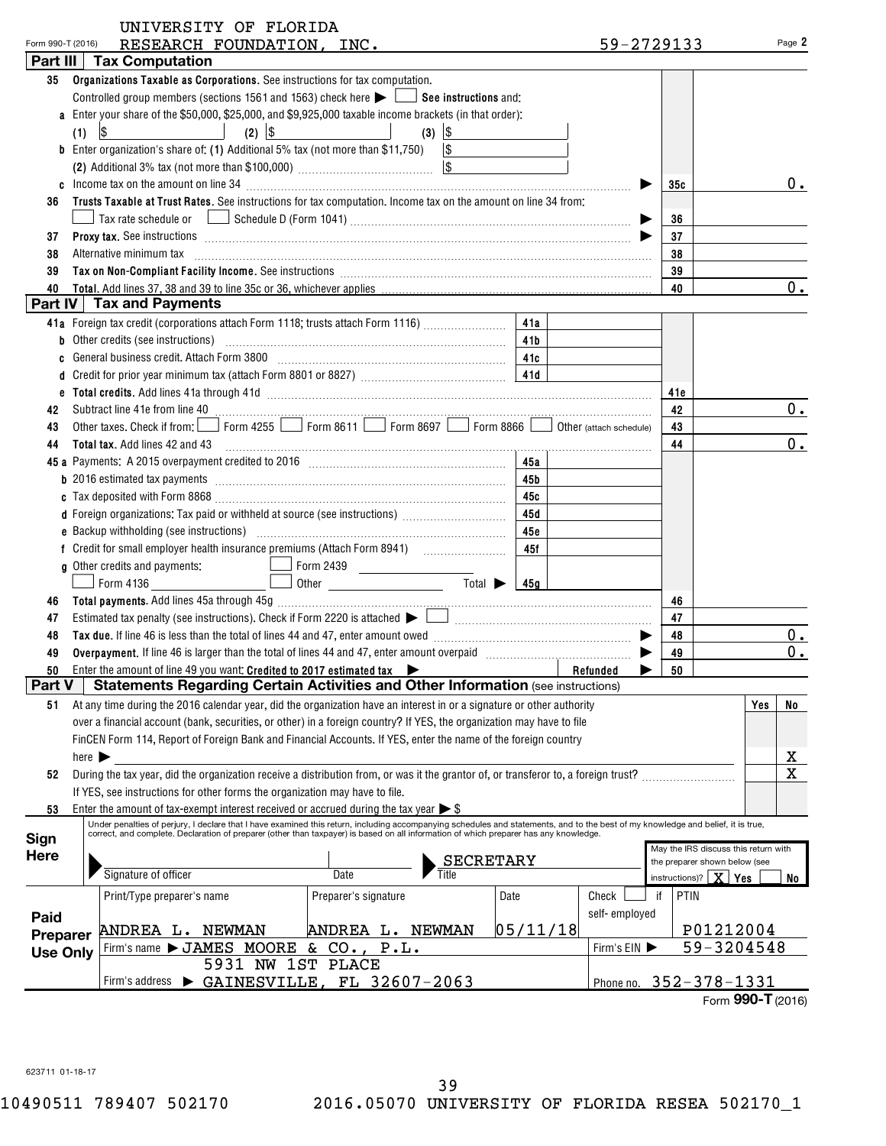| Form 990-T (2016) | RESEARCH FOUNDATION, INC.                                                                                                                                                                                                                                                               |          | 59-2729133             |            |                                      |     | Page 2  |
|-------------------|-----------------------------------------------------------------------------------------------------------------------------------------------------------------------------------------------------------------------------------------------------------------------------------------|----------|------------------------|------------|--------------------------------------|-----|---------|
|                   | Part III   Tax Computation                                                                                                                                                                                                                                                              |          |                        |            |                                      |     |         |
| 35                | Organizations Taxable as Corporations. See instructions for tax computation.                                                                                                                                                                                                            |          |                        |            |                                      |     |         |
|                   | Controlled group members (sections 1561 and 1563) check here $\blacktriangleright$ $\Box$ See instructions and:                                                                                                                                                                         |          |                        |            |                                      |     |         |
|                   | a Enter your share of the \$50,000, \$25,000, and \$9,925,000 taxable income brackets (in that order):                                                                                                                                                                                  |          |                        |            |                                      |     |         |
|                   | $(2)$ \$<br>$(3)$ \$<br>(1)                                                                                                                                                                                                                                                             |          |                        |            |                                      |     |         |
|                   | <b>b</b> Enter organization's share of: (1) Additional 5% tax (not more than \$11,750) $\vert$ \$                                                                                                                                                                                       |          |                        |            |                                      |     |         |
|                   | (2) Additional 3% tax (not more than \$100,000) $\frac{1}{2}$ [\$                                                                                                                                                                                                                       |          |                        |            |                                      |     |         |
|                   |                                                                                                                                                                                                                                                                                         |          |                        | 35c        |                                      |     | $0$ .   |
| 36                | Trusts Taxable at Trust Rates. See instructions for tax computation. Income tax on the amount on line 34 from:                                                                                                                                                                          |          |                        |            |                                      |     |         |
|                   |                                                                                                                                                                                                                                                                                         |          |                        | 36         |                                      |     |         |
| 37                | <b>Proxy tax.</b> See instructions <b>contained a contained a contained a contained a contained a contained a contained a contained a contained a contact of the contact of the contact of the contact of the contact of the contact </b>                                               |          |                        | 37         |                                      |     |         |
| 38                | Alternative minimum tax information and continuum contracts and alternative minimum tax increased and contact the state of the state of the state of the state of the state of the state of the state of the state of the stat                                                          |          |                        | 38         |                                      |     |         |
| 39                |                                                                                                                                                                                                                                                                                         |          |                        | 39         |                                      |     |         |
| 40                |                                                                                                                                                                                                                                                                                         |          |                        | 40         |                                      |     | $0$ .   |
|                   | Part IV   Tax and Payments                                                                                                                                                                                                                                                              |          |                        |            |                                      |     |         |
|                   | 41a Foreign tax credit (corporations attach Form 1118; trusts attach Form 1116)                                                                                                                                                                                                         | 41a      |                        |            |                                      |     |         |
|                   |                                                                                                                                                                                                                                                                                         | 41b      |                        |            |                                      |     |         |
|                   | General business credit. Attach Form 3800 [11] Martin Martin Martin Martin Martin 16. 110                                                                                                                                                                                               |          |                        |            |                                      |     |         |
|                   |                                                                                                                                                                                                                                                                                         |          |                        |            |                                      |     |         |
|                   | e Total credits. Add lines 41a through 41d (entertainment) and the control of the control of the control of the control of the control of the control of the control of the control of the control of the control of the contr                                                          |          |                        | 41e        |                                      |     |         |
| 42                |                                                                                                                                                                                                                                                                                         |          |                        | 42         |                                      |     | 0.      |
| 43                | Other taxes. Check if from: Form 4255 Form 8611 Form 8697 Form 8866 O Other (attach schedule)                                                                                                                                                                                           |          |                        | 43         |                                      |     |         |
| 44                | Total tax. Add lines 42 and 43 [11] manufacture manufacture manufacture manufacture manufacture manufacture manufacture manufacture manufacture manufacture manufacture manufacture manufacture manufacture manufacture manufa                                                          |          |                        | 44         |                                      |     | $0$ .   |
|                   |                                                                                                                                                                                                                                                                                         |          |                        |            |                                      |     |         |
|                   | <b>b</b> 2016 estimated tax payments <i>manumental container container and assemble to the set as a 45b</i>                                                                                                                                                                             |          |                        |            |                                      |     |         |
|                   |                                                                                                                                                                                                                                                                                         |          |                        |            |                                      |     |         |
|                   | d Foreign organizations: Tax paid or withheld at source (see instructions)                                                                                                                                                                                                              | 45 d     |                        |            |                                      |     |         |
|                   |                                                                                                                                                                                                                                                                                         | 45е      |                        |            |                                      |     |         |
|                   |                                                                                                                                                                                                                                                                                         |          |                        |            |                                      |     |         |
|                   |                                                                                                                                                                                                                                                                                         | 45f      |                        |            |                                      |     |         |
|                   | g Other credits and payments:<br>Total $\triangleright$ 45g                                                                                                                                                                                                                             |          |                        |            |                                      |     |         |
|                   | $\Box$ Other<br>$\Box$ Form 4136                                                                                                                                                                                                                                                        |          |                        |            |                                      |     |         |
| 46                |                                                                                                                                                                                                                                                                                         |          |                        | 46         |                                      |     |         |
| 47                |                                                                                                                                                                                                                                                                                         |          |                        | 47         |                                      |     |         |
| 48                | Tax due. If line 46 is less than the total of lines 44 and 47, enter amount owed <i>manuformance and the 46</i> is less than the total of lines 44 and 47, enter amount owed                                                                                                            |          |                        | 48         |                                      |     | $0_{.}$ |
| 49                |                                                                                                                                                                                                                                                                                         |          |                        | 49         |                                      |     | $0_{.}$ |
| 50                | Enter the amount of line 49 you want: Credited to 2017 estimated tax <b>Exercise 2018</b><br>Part V   Statements Regarding Certain Activities and Other Information (see instructions)                                                                                                  |          | Refunded               | 50         |                                      |     |         |
|                   |                                                                                                                                                                                                                                                                                         |          |                        |            |                                      |     |         |
| 51                | At any time during the 2016 calendar year, did the organization have an interest in or a signature or other authority                                                                                                                                                                   |          |                        |            |                                      | Yes | No      |
|                   | over a financial account (bank, securities, or other) in a foreign country? If YES, the organization may have to file                                                                                                                                                                   |          |                        |            |                                      |     |         |
|                   | FinCEN Form 114, Report of Foreign Bank and Financial Accounts. If YES, enter the name of the foreign country                                                                                                                                                                           |          |                        |            |                                      |     |         |
|                   | here $\blacktriangleright$                                                                                                                                                                                                                                                              |          |                        |            |                                      |     | х       |
| 52                | During the tax year, did the organization receive a distribution from, or was it the grantor of, or transferor to, a foreign trust?                                                                                                                                                     |          |                        |            |                                      |     | x       |
|                   | If YES, see instructions for other forms the organization may have to file.                                                                                                                                                                                                             |          |                        |            |                                      |     |         |
| 53                | Enter the amount of tax-exempt interest received or accrued during the tax year $\triangleright$ \$<br>Under penalties of perjury, I declare that I have examined this return, including accompanying schedules and statements, and to the best of my knowledge and belief, it is true, |          |                        |            |                                      |     |         |
| Sign              | correct, and complete. Declaration of preparer (other than taxpayer) is based on all information of which preparer has any knowledge.                                                                                                                                                   |          |                        |            |                                      |     |         |
| Here              |                                                                                                                                                                                                                                                                                         |          |                        |            | May the IRS discuss this return with |     |         |
|                   | <b>SECRETARY</b><br>Signature of officer<br>Date                                                                                                                                                                                                                                        |          |                        |            | the preparer shown below (see        |     |         |
|                   |                                                                                                                                                                                                                                                                                         |          |                        |            | instructions)? $X$ Yes               |     | No      |
|                   | Print/Type preparer's name<br>Preparer's signature<br>Date                                                                                                                                                                                                                              |          | Check                  | PTIN<br>if |                                      |     |         |
| Paid              |                                                                                                                                                                                                                                                                                         |          | self-employed          |            |                                      |     |         |
| Preparer          | ANDREA L. NEWMAN<br><b>ANDREA L. NEWMAN</b>                                                                                                                                                                                                                                             | 05/11/18 |                        |            | P01212004                            |     |         |
| <b>Use Only</b>   | Firm's name > JAMES MOORE<br>& CO.,<br>P.L.                                                                                                                                                                                                                                             |          | Firm's $EIN$           |            | 59-3204548                           |     |         |
|                   | 5931 NW 1ST PLACE                                                                                                                                                                                                                                                                       |          |                        |            |                                      |     |         |
|                   | Firm's address > GAINESVILLE, FL 32607-2063                                                                                                                                                                                                                                             |          | Phone no. 352-378-1331 |            |                                      |     |         |

623711 01-18-17

|  |  | יות המזיחות היו |  |  |  |  |
|--|--|-----------------|--|--|--|--|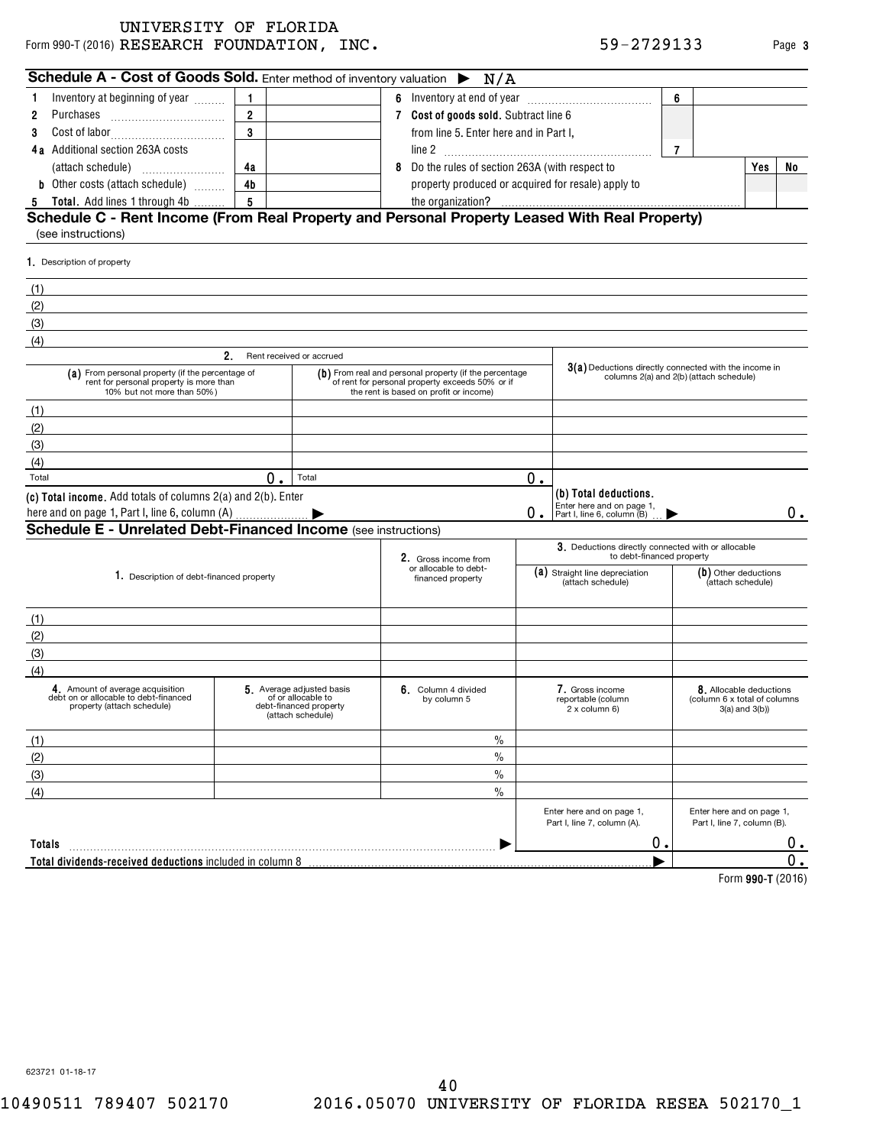Form 990-T (2016)  $\bf{RESEARCH}$   $\bf{FOUNDATION}$  ,  $\bf{INC.}$   $\bf{S9-2729133}$  Page UNIVERSITY OF FLORIDA

|  | 59-2729133 |  |  |  |  |
|--|------------|--|--|--|--|
|  |            |  |  |  |  |

| Inventory at beginning of year<br>1<br>Purchases<br>2<br>3<br>4a Additional section 263A costs<br>(attach schedule)<br><b>b</b> Other costs (attach schedule)<br>Total. Add lines 1 through 4b<br>5<br>Schedule C - Rent Income (From Real Property and Personal Property Leased With Real Property)<br>(see instructions)<br>1. Description of property | $\mathbf{1}$<br>$\overline{2}$<br>$\overline{\mathbf{3}}$<br>4a<br>4 <sub>b</sub><br>5 |                                                                                                | 8 | 7 Cost of goods sold. Subtract line 6<br>from line 5. Enter here and in Part I,<br>Do the rules of section 263A (with respect to                    |                                                                                                  |                                                                                 | 6              |                                                                                      |    |
|----------------------------------------------------------------------------------------------------------------------------------------------------------------------------------------------------------------------------------------------------------------------------------------------------------------------------------------------------------|----------------------------------------------------------------------------------------|------------------------------------------------------------------------------------------------|---|-----------------------------------------------------------------------------------------------------------------------------------------------------|--------------------------------------------------------------------------------------------------|---------------------------------------------------------------------------------|----------------|--------------------------------------------------------------------------------------|----|
|                                                                                                                                                                                                                                                                                                                                                          |                                                                                        |                                                                                                |   |                                                                                                                                                     |                                                                                                  |                                                                                 |                |                                                                                      |    |
|                                                                                                                                                                                                                                                                                                                                                          |                                                                                        |                                                                                                |   |                                                                                                                                                     |                                                                                                  |                                                                                 |                |                                                                                      |    |
|                                                                                                                                                                                                                                                                                                                                                          |                                                                                        |                                                                                                |   |                                                                                                                                                     |                                                                                                  |                                                                                 |                |                                                                                      |    |
|                                                                                                                                                                                                                                                                                                                                                          |                                                                                        |                                                                                                |   |                                                                                                                                                     |                                                                                                  |                                                                                 | $\overline{7}$ |                                                                                      |    |
|                                                                                                                                                                                                                                                                                                                                                          |                                                                                        |                                                                                                |   |                                                                                                                                                     |                                                                                                  |                                                                                 |                | Yes                                                                                  | No |
|                                                                                                                                                                                                                                                                                                                                                          |                                                                                        |                                                                                                |   | property produced or acquired for resale) apply to                                                                                                  |                                                                                                  |                                                                                 |                |                                                                                      |    |
|                                                                                                                                                                                                                                                                                                                                                          |                                                                                        |                                                                                                |   | the organization?                                                                                                                                   |                                                                                                  |                                                                                 |                |                                                                                      |    |
|                                                                                                                                                                                                                                                                                                                                                          |                                                                                        |                                                                                                |   |                                                                                                                                                     |                                                                                                  |                                                                                 |                |                                                                                      |    |
|                                                                                                                                                                                                                                                                                                                                                          |                                                                                        |                                                                                                |   |                                                                                                                                                     |                                                                                                  |                                                                                 |                |                                                                                      |    |
|                                                                                                                                                                                                                                                                                                                                                          |                                                                                        |                                                                                                |   |                                                                                                                                                     |                                                                                                  |                                                                                 |                |                                                                                      |    |
| (1)                                                                                                                                                                                                                                                                                                                                                      |                                                                                        |                                                                                                |   |                                                                                                                                                     |                                                                                                  |                                                                                 |                |                                                                                      |    |
| (2)                                                                                                                                                                                                                                                                                                                                                      |                                                                                        |                                                                                                |   |                                                                                                                                                     |                                                                                                  |                                                                                 |                |                                                                                      |    |
| (3)                                                                                                                                                                                                                                                                                                                                                      |                                                                                        |                                                                                                |   |                                                                                                                                                     |                                                                                                  |                                                                                 |                |                                                                                      |    |
| (4)                                                                                                                                                                                                                                                                                                                                                      |                                                                                        |                                                                                                |   |                                                                                                                                                     |                                                                                                  |                                                                                 |                |                                                                                      |    |
| 2.                                                                                                                                                                                                                                                                                                                                                       |                                                                                        | Rent received or accrued                                                                       |   |                                                                                                                                                     |                                                                                                  |                                                                                 |                |                                                                                      |    |
| (a) From personal property (if the percentage of<br>rent for personal property is more than<br>10% but not more than 50%)                                                                                                                                                                                                                                |                                                                                        |                                                                                                |   | (b) From real and personal property (if the percentage<br>of rent for personal property exceeds 50% or if<br>the rent is based on profit or income) | 3(a) Deductions directly connected with the income in<br>columns 2(a) and 2(b) (attach schedule) |                                                                                 |                |                                                                                      |    |
| (1)                                                                                                                                                                                                                                                                                                                                                      |                                                                                        |                                                                                                |   |                                                                                                                                                     |                                                                                                  |                                                                                 |                |                                                                                      |    |
| (2)                                                                                                                                                                                                                                                                                                                                                      |                                                                                        |                                                                                                |   |                                                                                                                                                     |                                                                                                  |                                                                                 |                |                                                                                      |    |
| (3)                                                                                                                                                                                                                                                                                                                                                      |                                                                                        |                                                                                                |   |                                                                                                                                                     |                                                                                                  |                                                                                 |                |                                                                                      |    |
| (4)                                                                                                                                                                                                                                                                                                                                                      |                                                                                        |                                                                                                |   |                                                                                                                                                     |                                                                                                  |                                                                                 |                |                                                                                      |    |
| Total                                                                                                                                                                                                                                                                                                                                                    | 0.                                                                                     | Total                                                                                          |   |                                                                                                                                                     | 0.                                                                                               |                                                                                 |                |                                                                                      |    |
| (c) Total income. Add totals of columns 2(a) and 2(b). Enter                                                                                                                                                                                                                                                                                             |                                                                                        |                                                                                                |   |                                                                                                                                                     |                                                                                                  | (b) Total deductions.                                                           |                |                                                                                      |    |
| here and on page 1, Part I, line 6, column (A)                                                                                                                                                                                                                                                                                                           |                                                                                        |                                                                                                |   |                                                                                                                                                     | 0                                                                                                | Enter here and on page 1,<br>Part I, line 6, column (B)                         |                |                                                                                      | 0. |
| <b>Schedule E - Unrelated Debt-Financed Income (see instructions)</b>                                                                                                                                                                                                                                                                                    |                                                                                        |                                                                                                |   |                                                                                                                                                     |                                                                                                  |                                                                                 |                |                                                                                      |    |
|                                                                                                                                                                                                                                                                                                                                                          |                                                                                        |                                                                                                |   | 2. Gross income from                                                                                                                                |                                                                                                  | 3. Deductions directly connected with or allocable<br>to debt-financed property |                |                                                                                      |    |
| 1. Description of debt-financed property                                                                                                                                                                                                                                                                                                                 |                                                                                        |                                                                                                |   | or allocable to debt-<br>financed property                                                                                                          |                                                                                                  | (a) Straight line depreciation<br>(attach schedule)                             |                | (b) Other deductions<br>(attach schedule)                                            |    |
| (1)                                                                                                                                                                                                                                                                                                                                                      |                                                                                        |                                                                                                |   |                                                                                                                                                     |                                                                                                  |                                                                                 |                |                                                                                      |    |
| (2)                                                                                                                                                                                                                                                                                                                                                      |                                                                                        |                                                                                                |   |                                                                                                                                                     |                                                                                                  |                                                                                 |                |                                                                                      |    |
| (3)                                                                                                                                                                                                                                                                                                                                                      |                                                                                        |                                                                                                |   |                                                                                                                                                     |                                                                                                  |                                                                                 |                |                                                                                      |    |
| (4)                                                                                                                                                                                                                                                                                                                                                      |                                                                                        |                                                                                                |   |                                                                                                                                                     |                                                                                                  |                                                                                 |                |                                                                                      |    |
| 4. Amount of average acquisition<br>debt on or allocable to debt-financed<br>property (attach schedule)                                                                                                                                                                                                                                                  |                                                                                        | 5. Average adjusted basis<br>of or allocable to<br>debt-financed property<br>(attach schedule) |   | 6. Column 4 divided<br>by column 5                                                                                                                  |                                                                                                  | 7. Gross income<br>reportable (column<br>2 x column 6)                          |                | <b>8</b> . Allocable deductions<br>(column 6 x total of columns<br>$3(a)$ and $3(b)$ |    |
| (1)                                                                                                                                                                                                                                                                                                                                                      |                                                                                        |                                                                                                |   | $\%$                                                                                                                                                |                                                                                                  |                                                                                 |                |                                                                                      |    |
| (2)                                                                                                                                                                                                                                                                                                                                                      |                                                                                        |                                                                                                |   | $\%$                                                                                                                                                |                                                                                                  |                                                                                 |                |                                                                                      |    |
| (3)                                                                                                                                                                                                                                                                                                                                                      |                                                                                        |                                                                                                |   | $\%$                                                                                                                                                |                                                                                                  |                                                                                 |                |                                                                                      |    |
| (4)                                                                                                                                                                                                                                                                                                                                                      |                                                                                        |                                                                                                |   | $\%$                                                                                                                                                |                                                                                                  |                                                                                 |                |                                                                                      |    |
|                                                                                                                                                                                                                                                                                                                                                          |                                                                                        |                                                                                                |   |                                                                                                                                                     |                                                                                                  | Enter here and on page 1,<br>Part I, line 7, column (A).                        |                | Enter here and on page 1,<br>Part I, line 7, column (B).                             |    |
| Totals                                                                                                                                                                                                                                                                                                                                                   |                                                                                        |                                                                                                |   |                                                                                                                                                     |                                                                                                  | О.                                                                              |                |                                                                                      | υ. |
| Total dividends-received deductions included in column 8                                                                                                                                                                                                                                                                                                 |                                                                                        |                                                                                                |   |                                                                                                                                                     |                                                                                                  |                                                                                 |                |                                                                                      | Ω. |

**990-T**  Form (2016)

623721 01-18-17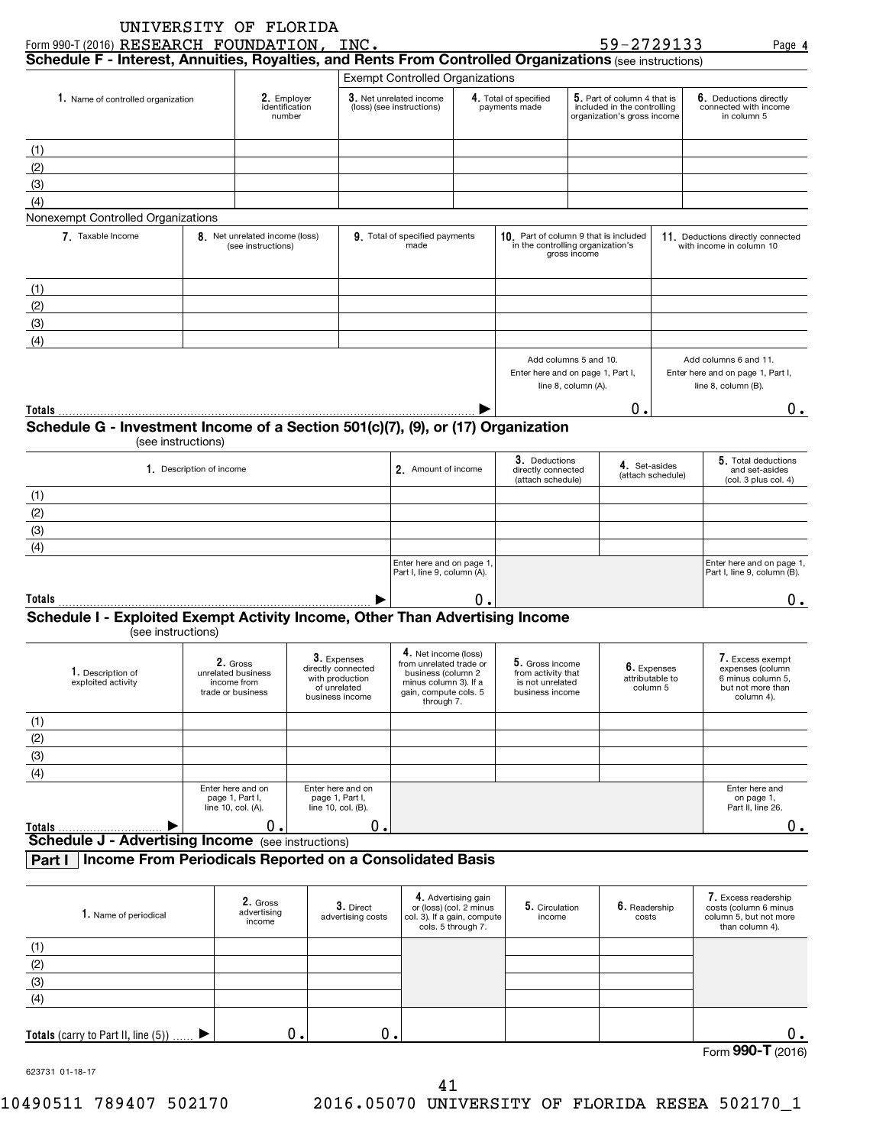| Schedule F - Interest, Annuities, Royalties, and Rents From Controlled Organizations (see instructions)  |                          | Form 990-T (2016) RESEARCH FOUNDATION, INC.          |                                                          |                                                                                            | 59-2729133                                                                                |                                                               | Page 4                                                                            |
|----------------------------------------------------------------------------------------------------------|--------------------------|------------------------------------------------------|----------------------------------------------------------|--------------------------------------------------------------------------------------------|-------------------------------------------------------------------------------------------|---------------------------------------------------------------|-----------------------------------------------------------------------------------|
|                                                                                                          |                          |                                                      | <b>Exempt Controlled Organizations</b>                   |                                                                                            |                                                                                           |                                                               |                                                                                   |
| 1. Name of controlled organization                                                                       |                          | 2. Emplover<br>identification<br>number              | 3. Net unrelated income<br>(loss) (see instructions)     | 4. Total of specified<br>payments made                                                     | 5. Part of column 4 that is<br>included in the controlling<br>organization's gross income |                                                               | 6. Deductions directly<br>connected with income<br>in column 5                    |
| (1)                                                                                                      |                          |                                                      |                                                          |                                                                                            |                                                                                           |                                                               |                                                                                   |
| (2)                                                                                                      |                          |                                                      |                                                          |                                                                                            |                                                                                           |                                                               |                                                                                   |
| (3)                                                                                                      |                          |                                                      |                                                          |                                                                                            |                                                                                           |                                                               |                                                                                   |
| (4)                                                                                                      |                          |                                                      |                                                          |                                                                                            |                                                                                           |                                                               |                                                                                   |
| Nonexempt Controlled Organizations                                                                       |                          |                                                      |                                                          |                                                                                            |                                                                                           |                                                               |                                                                                   |
| 7. Taxable Income                                                                                        |                          | 8. Net unrelated income (loss)<br>(see instructions) | 9. Total of specified payments<br>made                   | 10. Part of column 9 that is included<br>in the controlling organization's<br>gross income |                                                                                           | 11. Deductions directly connected<br>with income in column 10 |                                                                                   |
| (1)                                                                                                      |                          |                                                      |                                                          |                                                                                            |                                                                                           |                                                               |                                                                                   |
| (2)                                                                                                      |                          |                                                      |                                                          |                                                                                            |                                                                                           |                                                               |                                                                                   |
| (3)                                                                                                      |                          |                                                      |                                                          |                                                                                            |                                                                                           |                                                               |                                                                                   |
| (4)                                                                                                      |                          |                                                      |                                                          |                                                                                            |                                                                                           |                                                               |                                                                                   |
|                                                                                                          |                          |                                                      |                                                          | Add columns 5 and 10.<br>line 8, column (A).                                               | Enter here and on page 1, Part I,                                                         |                                                               | Add columns 6 and 11.<br>Enter here and on page 1, Part I,<br>line 8, column (B). |
|                                                                                                          |                          |                                                      |                                                          |                                                                                            | 0.                                                                                        |                                                               | $0$ .                                                                             |
|                                                                                                          |                          |                                                      |                                                          |                                                                                            |                                                                                           |                                                               |                                                                                   |
|                                                                                                          | (see instructions)       |                                                      |                                                          |                                                                                            |                                                                                           |                                                               |                                                                                   |
|                                                                                                          | 1. Description of income |                                                      | 2. Amount of income                                      | 3. Deductions<br>directly connected<br>(attach schedule)                                   | 4. Set-asides                                                                             | (attach schedule)                                             | 5. Total deductions<br>and set-asides<br>(col. 3 plus col. 4)                     |
|                                                                                                          |                          |                                                      |                                                          |                                                                                            |                                                                                           |                                                               |                                                                                   |
|                                                                                                          |                          |                                                      |                                                          |                                                                                            |                                                                                           |                                                               |                                                                                   |
| (3)                                                                                                      |                          |                                                      |                                                          |                                                                                            |                                                                                           |                                                               |                                                                                   |
| (4)                                                                                                      |                          |                                                      |                                                          |                                                                                            |                                                                                           |                                                               |                                                                                   |
| Totals<br>Schedule G - Investment Income of a Section 501(c)(7), (9), or (17) Organization<br>(1)<br>(2) |                          |                                                      | Enter here and on page 1,<br>Part I, line 9, column (A). |                                                                                            |                                                                                           |                                                               | Enter here and on page 1,<br>Part I, line 9, column (B).                          |

(see instructions)

| ן או טווטטוואס פא                       |                                                                    |                                                                                         |                                                                                                                                       |                                                                              |                                            |                                                                                              |  |  |
|-----------------------------------------|--------------------------------------------------------------------|-----------------------------------------------------------------------------------------|---------------------------------------------------------------------------------------------------------------------------------------|------------------------------------------------------------------------------|--------------------------------------------|----------------------------------------------------------------------------------------------|--|--|
| 1. Description of<br>exploited activity | 2. Gross<br>unrelated business<br>income from<br>trade or business | 3. Expenses<br>directly connected<br>with production<br>of unrelated<br>business income | 4. Net income (loss)<br>from unrelated trade or<br>business (column 2<br>minus column 3). If a<br>gain, compute cols. 5<br>through 7. | 5. Gross income<br>from activity that<br>is not unrelated<br>business income | 6. Expenses<br>attributable to<br>column 5 | 7. Excess exempt<br>expenses (column<br>6 minus column 5.<br>but not more than<br>column 4). |  |  |
| (1)                                     |                                                                    |                                                                                         |                                                                                                                                       |                                                                              |                                            |                                                                                              |  |  |
| (2)                                     |                                                                    |                                                                                         |                                                                                                                                       |                                                                              |                                            |                                                                                              |  |  |
| (3)                                     |                                                                    |                                                                                         |                                                                                                                                       |                                                                              |                                            |                                                                                              |  |  |
| (4)                                     |                                                                    |                                                                                         |                                                                                                                                       |                                                                              |                                            |                                                                                              |  |  |
|                                         | Enter here and on<br>page 1, Part I,<br>line 10, col. (A).         | Enter here and on<br>page 1, Part I,<br>line 10, col. (B).                              |                                                                                                                                       |                                                                              |                                            | Enter here and<br>on page 1,<br>Part II, line 26.                                            |  |  |
| Totals                                  | О.                                                                 | 0.I                                                                                     |                                                                                                                                       |                                                                              |                                            |                                                                                              |  |  |
|                                         | <b>Schedule J - Advertising Income</b><br>(see instructions)       |                                                                                         |                                                                                                                                       |                                                                              |                                            |                                                                                              |  |  |

## **Part I Income From Periodicals Reported on a Consolidated Basis**

| 1. Name of periodical                               | 2. Gross<br>advertising<br>income | 3. Direct<br>advertising costs | 4. Advertising gain<br>or (loss) (col. 2 minus<br>col. 3). If a gain, compute<br>cols. 5 through 7. | 5. Circulation<br>income | 6. Readership<br>costs | 7. Excess readership<br>costs (column 6 minus<br>column 5, but not more<br>than column 4). |
|-----------------------------------------------------|-----------------------------------|--------------------------------|-----------------------------------------------------------------------------------------------------|--------------------------|------------------------|--------------------------------------------------------------------------------------------|
| (1)                                                 |                                   |                                |                                                                                                     |                          |                        |                                                                                            |
| (2)                                                 |                                   |                                |                                                                                                     |                          |                        |                                                                                            |
| (3)                                                 |                                   |                                |                                                                                                     |                          |                        |                                                                                            |
| (4)                                                 |                                   |                                |                                                                                                     |                          |                        |                                                                                            |
|                                                     |                                   |                                |                                                                                                     |                          |                        |                                                                                            |
| <b>Totals</b> (carry to Part II, line (5)) $\ldots$ |                                   | 0.                             |                                                                                                     |                          |                        | О.                                                                                         |

623731 01-18-17

Form (2016) **990-T**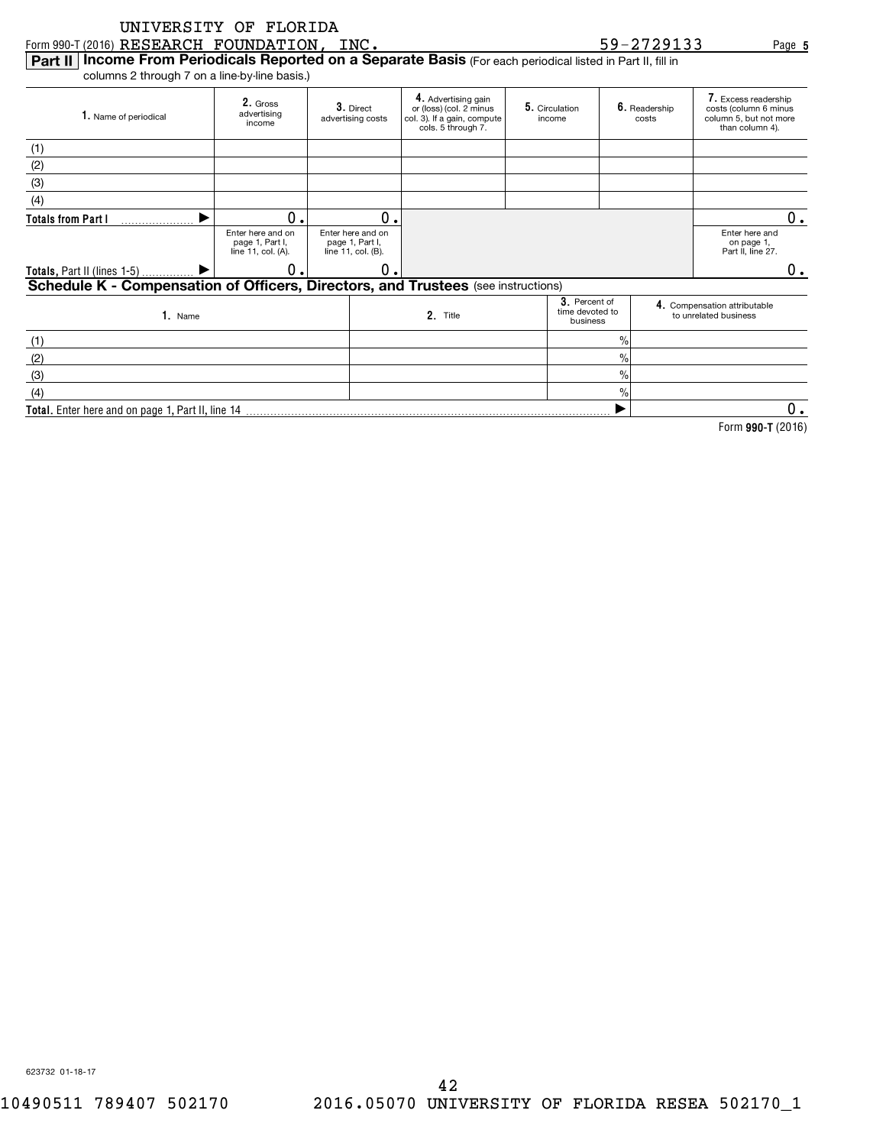|                                                                                                                 | UNIVERSITY OF FLORIDA                                      |                                                            |                                                                                                     |                          |                                              |                        |                                                                                            |
|-----------------------------------------------------------------------------------------------------------------|------------------------------------------------------------|------------------------------------------------------------|-----------------------------------------------------------------------------------------------------|--------------------------|----------------------------------------------|------------------------|--------------------------------------------------------------------------------------------|
| Form 990-T (2016) RESEARCH FOUNDATION,                                                                          |                                                            | INC.                                                       |                                                                                                     |                          |                                              | 59-2729133             | Page 5                                                                                     |
| Income From Periodicals Reported on a Separate Basis (For each periodical listed in Part II, fill in<br>Part II |                                                            |                                                            |                                                                                                     |                          |                                              |                        |                                                                                            |
| columns 2 through 7 on a line-by-line basis.)                                                                   |                                                            |                                                            |                                                                                                     |                          |                                              |                        |                                                                                            |
| 1. Name of periodical                                                                                           | 2. Gross<br>advertising<br>income                          | 3. Direct<br>advertising costs                             | 4. Advertising gain<br>or (loss) (col. 2 minus<br>col. 3). If a gain, compute<br>cols. 5 through 7. | 5. Circulation<br>income |                                              | 6. Readership<br>costs | 7. Excess readership<br>costs (column 6 minus<br>column 5, but not more<br>than column 4). |
| (1)                                                                                                             |                                                            |                                                            |                                                                                                     |                          |                                              |                        |                                                                                            |
| (2)                                                                                                             |                                                            |                                                            |                                                                                                     |                          |                                              |                        |                                                                                            |
| (3)                                                                                                             |                                                            |                                                            |                                                                                                     |                          |                                              |                        |                                                                                            |
| (4)                                                                                                             |                                                            |                                                            |                                                                                                     |                          |                                              |                        |                                                                                            |
| <b>Totals from Part I</b>                                                                                       | О.                                                         | О.                                                         |                                                                                                     |                          |                                              |                        | $0$ .                                                                                      |
|                                                                                                                 | Enter here and on<br>page 1, Part I,<br>line 11, col. (A). | Enter here and on<br>page 1, Part I,<br>line 11, col. (B). |                                                                                                     |                          |                                              |                        | Enter here and<br>on page 1,<br>Part II, line 27.                                          |
| Totals, Part II (lines 1-5)                                                                                     | 0                                                          | $\Omega$                                                   |                                                                                                     |                          |                                              |                        | 0.                                                                                         |
| Schedule K - Compensation of Officers, Directors, and Trustees (see instructions)                               |                                                            |                                                            |                                                                                                     |                          |                                              |                        |                                                                                            |
| 1. Name                                                                                                         |                                                            |                                                            | 2. Title                                                                                            |                          | 3. Percent of<br>time devoted to<br>business |                        | 4. Compensation attributable<br>to unrelated business                                      |
| (1)                                                                                                             |                                                            |                                                            |                                                                                                     |                          | $\frac{0}{0}$                                |                        |                                                                                            |
| (2)                                                                                                             |                                                            |                                                            |                                                                                                     |                          | $\frac{0}{0}$                                |                        |                                                                                            |
| (3)                                                                                                             |                                                            |                                                            |                                                                                                     |                          | $\frac{0}{0}$                                |                        |                                                                                            |
| (4)                                                                                                             |                                                            |                                                            |                                                                                                     |                          | $\%$                                         |                        |                                                                                            |
| Total. Enter here and on page 1, Part II, line 14                                                               |                                                            |                                                            |                                                                                                     |                          |                                              |                        | 0.                                                                                         |
|                                                                                                                 |                                                            |                                                            |                                                                                                     |                          |                                              |                        | Form 990-T (2016)                                                                          |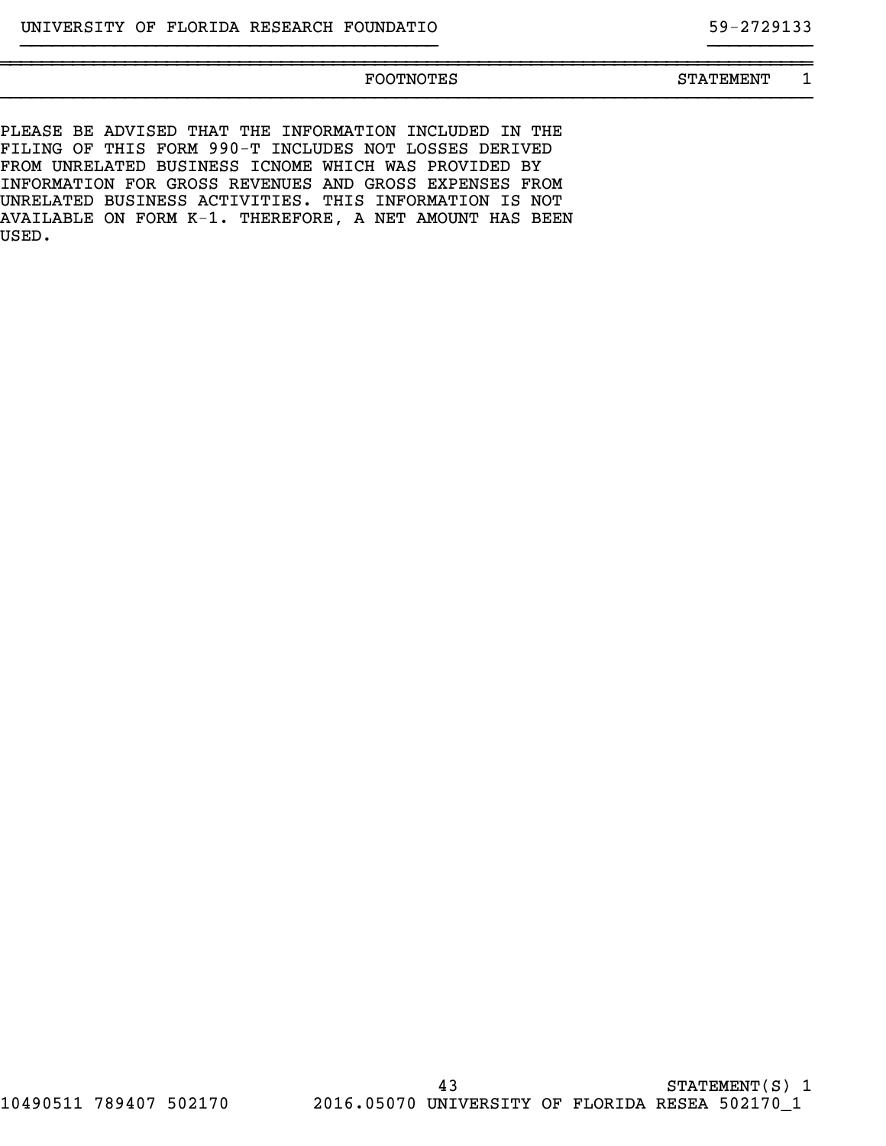# ~~~~~~~~~~~~~~~~~~~~~~~~~~~~~~~~~~~~~~~~~~~~~~~~~~~~~~~~~~~~~~~~~~~~~~~~~~~~~~ }}}}}}}}}}}}}}}}}}}}}}}}}}}}}}}}}}}}}}}}}}}}}}}}}}}}}}}}}}}}}}}}}}}}}}}}}}}}}}

}}}}}}}}}}}}}}}}}}}}}}}}}}}}}}}}}}}}}}}} }}}}}}}}}}

FOOTNOTES STATEMENT 1

PLEASE BE ADVISED THAT THE INFORMATION INCLUDED IN THE FILING OF THIS FORM 990-T INCLUDES NOT LOSSES DERIVED FROM UNRELATED BUSINESS ICNOME WHICH WAS PROVIDED BY INFORMATION FOR GROSS REVENUES AND GROSS EXPENSES FROM UNRELATED BUSINESS ACTIVITIES. THIS INFORMATION IS NOT AVAILABLE ON FORM K-1. THEREFORE, A NET AMOUNT HAS BEEN USED.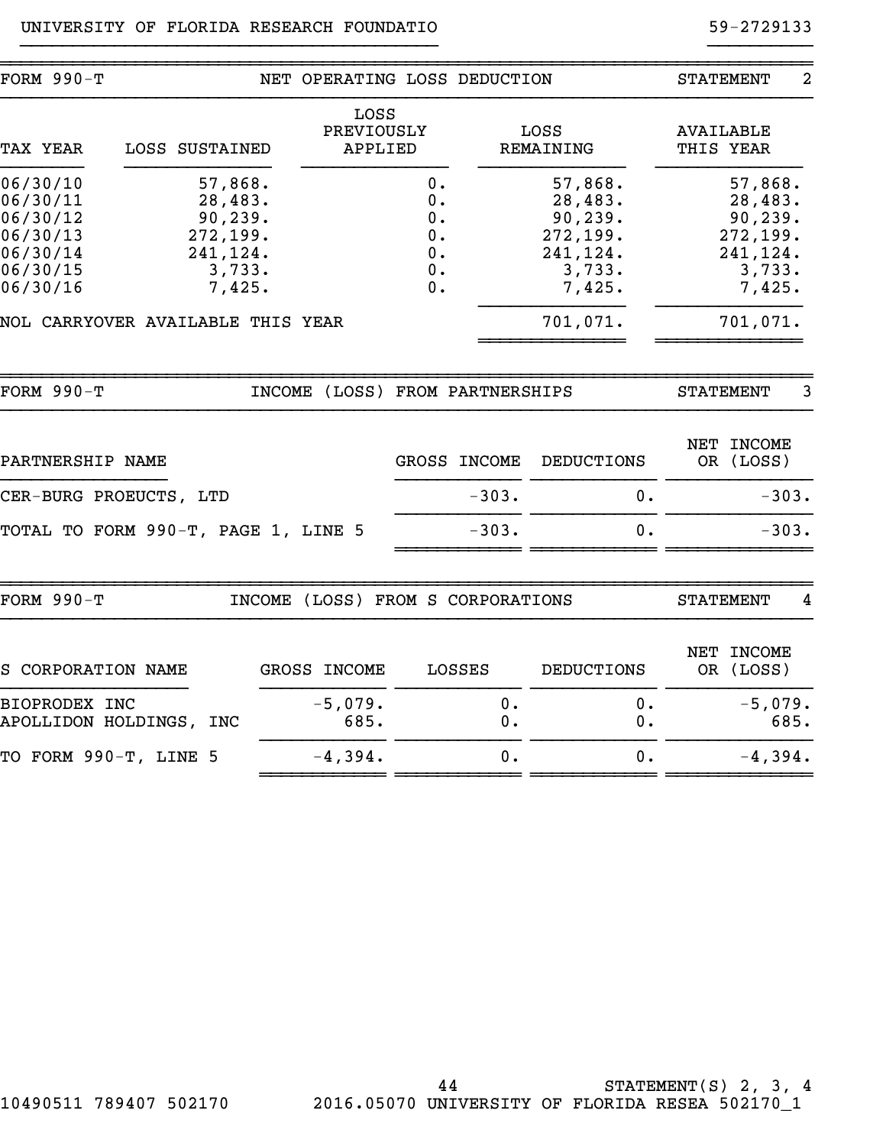## UNIVERSITY OF FLORIDA RESEARCH FOUNDATIO **12000** 12000 59-2729133

| <b>FORM 990-T</b>                                                                |                |                                                                           | NET OPERATING LOSS DEDUCTION                |                                                   |                          |                                                                           | <b>STATEMENT</b>                                                          | $\overline{2}$ |
|----------------------------------------------------------------------------------|----------------|---------------------------------------------------------------------------|---------------------------------------------|---------------------------------------------------|--------------------------|---------------------------------------------------------------------------|---------------------------------------------------------------------------|----------------|
| <b>TAX YEAR</b>                                                                  | LOSS SUSTAINED |                                                                           | LOSS<br>PREVIOUSLY<br>APPLIED               |                                                   |                          | LOSS<br>REMAINING                                                         | <b>AVAILABLE</b><br>THIS YEAR                                             |                |
| 06/30/10<br>06/30/11<br>06/30/12<br>06/30/13<br>06/30/14<br>06/30/15<br>06/30/16 |                | 57,868.<br>28,483.<br>90,239.<br>272,199.<br>241,124.<br>3,733.<br>7,425. |                                             | 0.<br>0.<br>0.<br>0.<br>$\mathbf 0$ .<br>0.<br>0. |                          | 57,868.<br>28,483.<br>90,239.<br>272,199.<br>241,124.<br>3,733.<br>7,425. | 57,868.<br>28,483.<br>90,239.<br>272,199.<br>241,124.<br>3,733.<br>7,425. |                |
| NOL CARRYOVER AVAILABLE THIS YEAR                                                |                |                                                                           |                                             |                                                   |                          | 701,071.                                                                  | 701,071.                                                                  |                |
| <b>FORM 990-T</b>                                                                |                |                                                                           | <b>INCOME</b>                               |                                                   | (LOSS) FROM PARTNERSHIPS |                                                                           | <b>STATEMENT</b>                                                          | 3              |
| PARTNERSHIP NAME                                                                 |                |                                                                           |                                             |                                                   | GROSS INCOME             | <b>DEDUCTIONS</b>                                                         | NET INCOME<br>OR (LOSS)                                                   |                |
| CER-BURG PROEUCTS, LTD                                                           |                |                                                                           |                                             |                                                   | $-303.$                  | 0.                                                                        |                                                                           | $-303.$        |
| TOTAL TO FORM 990-T, PAGE 1, LINE 5                                              |                |                                                                           |                                             |                                                   | $-303.$                  | 0.                                                                        |                                                                           | $-303.$        |
| <b>FORM 990-T</b>                                                                |                |                                                                           | (LOSS) FROM S CORPORATIONS<br><b>INCOME</b> |                                                   |                          |                                                                           | <b>STATEMENT</b>                                                          | 4              |
| S CORPORATION NAME                                                               |                |                                                                           | <b>GROSS INCOME</b>                         |                                                   | LOSSES                   | DEDUCTIONS                                                                | NET<br><b>INCOME</b><br>OR (LOSS)                                         |                |
| BIOPRODEX INC<br>APOLLIDON HOLDINGS, INC                                         |                |                                                                           | $-5,079.$<br>685.                           |                                                   | 0.<br>0.                 | 0.<br>$0$ .                                                               | $-5,079.$                                                                 | 685.           |
| TO FORM 990-T, LINE 5                                                            |                |                                                                           | $-4,394.$                                   |                                                   | $\mathbf 0$ .            | 0.                                                                        | $-4,394.$                                                                 |                |
|                                                                                  |                |                                                                           |                                             |                                                   |                          |                                                                           |                                                                           |                |

}}}}}}}}}}}}}}}}}}}}}}}}}}}}}}}}}}}}}}}} }}}}}}}}}}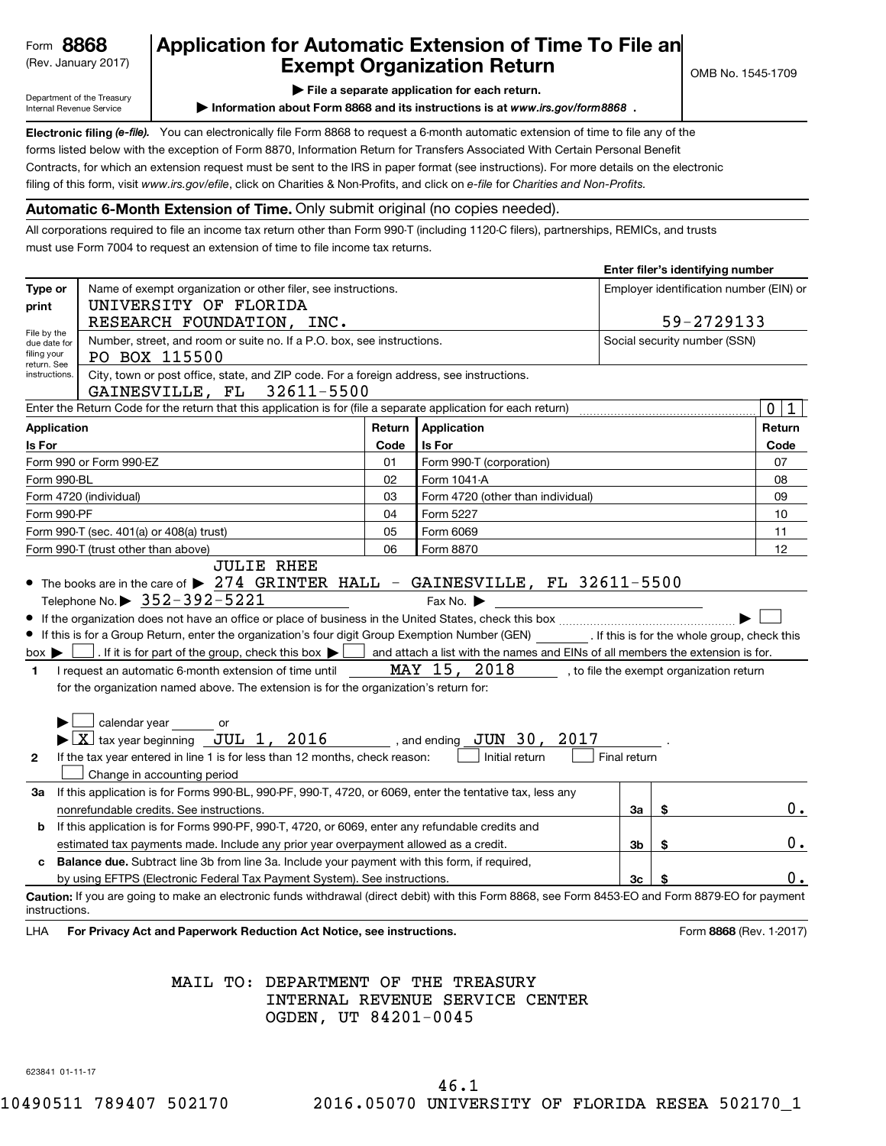## Form 8868

## (Rev. January 2017) **Exempt Organization Return**  $\bigcup_{\text{OMB No. 1545-1709}}$ **Form 8868** Application for Automatic Extension of Time To File an (Rev. January 2017)

**| File a separate application for each return.**

Department of the Treasury Internal Revenue Service

**Example 2 Information about Form 8868 and its instructions is at www.irs.gov/form8868**.

Electronic filing (e-file). You can electronically file Form 8868 to request a 6-month automatic extension of time to file any of the filing of this form, visit www.irs.gov/efile, click on Charities & Non-Profits, and click on e-file for Charities and Non-Profits. forms listed below with the exception of Form 8870, Information Return for Transfers Associated With Certain Personal Benefit Contracts, for which an extension request must be sent to the IRS in paper format (see instructions). For more details on the electronic

### **Automatic 6-Month Extension of Time.** Only submit original (no copies needed).

All corporations required to file an income tax return other than Form 990-T (including 1120-C filers), partnerships, REMICs, and trusts must use Form 7004 to request an extension of time to file income tax returns.

|                                                        |                                                                                                                                                       |        |                                   |                | Enter filer's identifying number         |                             |
|--------------------------------------------------------|-------------------------------------------------------------------------------------------------------------------------------------------------------|--------|-----------------------------------|----------------|------------------------------------------|-----------------------------|
| Type or                                                | Name of exempt organization or other filer, see instructions.                                                                                         |        |                                   |                | Employer identification number (EIN) or  |                             |
| print                                                  | UNIVERSITY OF FLORIDA                                                                                                                                 |        |                                   |                |                                          |                             |
|                                                        | RESEARCH FOUNDATION, INC.                                                                                                                             |        |                                   |                | 59-2729133                               |                             |
| File by the<br>due date for                            | Number, street, and room or suite no. If a P.O. box, see instructions.                                                                                |        |                                   |                | Social security number (SSN)             |                             |
| filing your<br>return. See                             | PO BOX 115500                                                                                                                                         |        |                                   |                |                                          |                             |
| instructions.                                          | City, town or post office, state, and ZIP code. For a foreign address, see instructions.                                                              |        |                                   |                |                                          |                             |
|                                                        | GAINESVILLE, FL 32611-5500                                                                                                                            |        |                                   |                |                                          |                             |
|                                                        | Enter the Return Code for the return that this application is for (file a separate application for each return)                                       |        |                                   |                |                                          | $\mathbf 0$<br>$\mathbf{1}$ |
| <b>Application</b>                                     |                                                                                                                                                       | Return | Application                       |                |                                          | Return                      |
| Is For                                                 | Is For<br>Code                                                                                                                                        |        |                                   |                |                                          | Code                        |
|                                                        | Form 990 or Form 990-EZ                                                                                                                               | 01     | Form 990-T (corporation)          |                |                                          | 07                          |
| Form 990-BL                                            |                                                                                                                                                       | 02     | Form 1041-A                       |                |                                          | 08                          |
|                                                        | Form 4720 (individual)                                                                                                                                | 03     | Form 4720 (other than individual) |                |                                          | 09                          |
| Form 990-PF                                            |                                                                                                                                                       | 04     | Form 5227                         |                |                                          | 10                          |
|                                                        | Form 990-T (sec. 401(a) or 408(a) trust)                                                                                                              | 05     | Form 6069                         |                |                                          | 11                          |
| 06<br>Form 990-T (trust other than above)<br>Form 8870 |                                                                                                                                                       |        |                                   |                | 12                                       |                             |
|                                                        | <b>JULIE RHEE</b>                                                                                                                                     |        |                                   |                |                                          |                             |
|                                                        | • The books are in the care of $\triangleright$ 274 GRINTER HALL - GAINESVILLE, FL 32611-5500                                                         |        |                                   |                |                                          |                             |
|                                                        | Telephone No. $\triangleright$ 352-392-5221                                                                                                           |        | Fax No. $\blacktriangleright$     |                |                                          |                             |
|                                                        |                                                                                                                                                       |        |                                   |                |                                          |                             |
|                                                        | If this is for a Group Return, enter the organization's four digit Group Exemption Number (GEN) [15] If this is for the whole group, check this       |        |                                   |                |                                          |                             |
| $box \blacktriangleright$                              | . If it is for part of the group, check this box $\blacktriangleright$ and attach a list with the names and EINs of all members the extension is for. |        |                                   |                |                                          |                             |
| $\mathbf{1}$                                           | I request an automatic 6-month extension of time until                                                                                                |        | MAY 15, 2018                      |                | , to file the exempt organization return |                             |
|                                                        | for the organization named above. The extension is for the organization's return for:                                                                 |        |                                   |                |                                          |                             |
|                                                        |                                                                                                                                                       |        |                                   |                |                                          |                             |
|                                                        | calendar year or                                                                                                                                      |        |                                   |                |                                          |                             |
|                                                        | $\blacktriangleright$ $\boxed{\text{X}}$ tax year beginning $\boxed{\text{JUL}}$ 1, 2016 , and ending $\boxed{\text{JUN}}$ 30,                        |        | 2017                              |                |                                          |                             |
| $\mathbf{2}$                                           | If the tax year entered in line 1 is for less than 12 months, check reason:                                                                           |        | Initial return                    | Final return   |                                          |                             |
|                                                        | Change in accounting period                                                                                                                           |        |                                   |                |                                          |                             |
| За                                                     | If this application is for Forms 990-BL, 990-PF, 990-T, 4720, or 6069, enter the tentative tax, less any                                              |        |                                   |                |                                          |                             |
|                                                        | nonrefundable credits. See instructions.                                                                                                              |        |                                   | За             | \$                                       | 0.                          |
| b                                                      | If this application is for Forms 990-PF, 990-T, 4720, or 6069, enter any refundable credits and                                                       |        |                                   |                |                                          |                             |
|                                                        | estimated tax payments made. Include any prior year overpayment allowed as a credit.                                                                  |        |                                   | 3b             | \$                                       | 0.                          |
| c                                                      | Balance due. Subtract line 3b from line 3a. Include your payment with this form, if required,                                                         |        |                                   |                |                                          |                             |
|                                                        | by using EFTPS (Electronic Federal Tax Payment System). See instructions                                                                              |        |                                   | 3 <sub>c</sub> |                                          | ο.                          |
| instructions.                                          | Caution: If you are going to make an electronic funds withdrawal (direct debit) with this Form 8868, see Form 8453-EO and Form 8879-EO for payment    |        |                                   |                |                                          |                             |
|                                                        |                                                                                                                                                       |        |                                   |                |                                          |                             |

LHA For Privacy Act and Paperwork Reduction Act Notice, see instructions. **8868** CRS 686 (Rev. 1-2017)

## MAIL TO: DEPARTMENT OF THE TREASURY INTERNAL REVENUE SERVICE CENTER OGDEN, UT 84201-0045

623841 01-11-17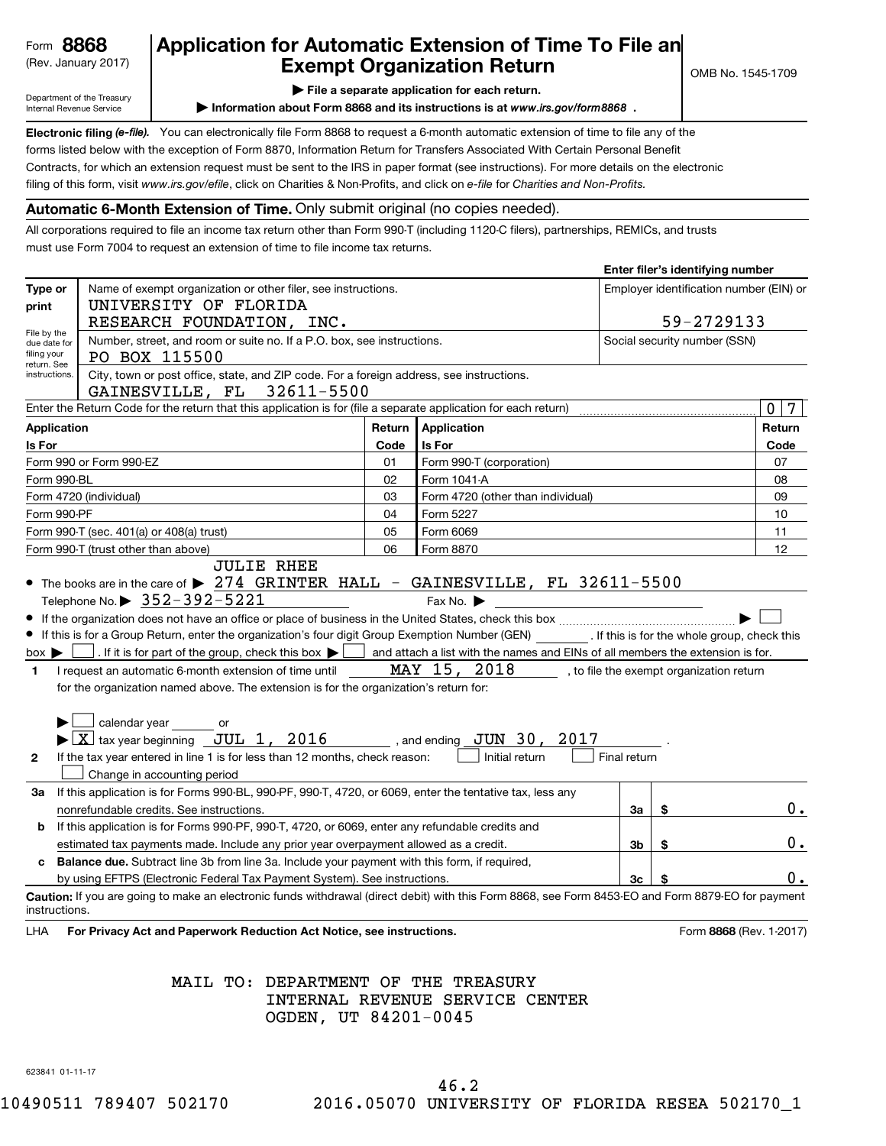## Form 8868

## (Rev. January 2017) **Exempt Organization Return**  $\bigcup_{\text{OMB No. 1545-1709}}$ **Form 8868** Application for Automatic Extension of Time To File an (Rev. January 2017)

**| File a separate application for each return.**

Department of the Treasury Internal Revenue Service

**Example 2 Information about Form 8868 and its instructions is at www.irs.gov/form8868**.

Electronic filing (e-file). You can electronically file Form 8868 to request a 6-month automatic extension of time to file any of the filing of this form, visit www.irs.gov/efile, click on Charities & Non-Profits, and click on e-file for Charities and Non-Profits. forms listed below with the exception of Form 8870, Information Return for Transfers Associated With Certain Personal Benefit Contracts, for which an extension request must be sent to the IRS in paper format (see instructions). For more details on the electronic

### **Automatic 6-Month Extension of Time.** Only submit original (no copies needed).

All corporations required to file an income tax return other than Form 990-T (including 1120-C filers), partnerships, REMICs, and trusts must use Form 7004 to request an extension of time to file income tax returns.

|                             |                                                                                                                                                       |        |                                   |                | Enter filer's identifying number         |                  |
|-----------------------------|-------------------------------------------------------------------------------------------------------------------------------------------------------|--------|-----------------------------------|----------------|------------------------------------------|------------------|
| Type or                     | Name of exempt organization or other filer, see instructions.                                                                                         |        |                                   |                | Employer identification number (EIN) or  |                  |
| print                       | UNIVERSITY OF FLORIDA                                                                                                                                 |        |                                   |                |                                          |                  |
|                             | RESEARCH FOUNDATION, INC.                                                                                                                             |        |                                   |                | 59-2729133                               |                  |
| File by the<br>due date for | Number, street, and room or suite no. If a P.O. box, see instructions.                                                                                |        |                                   |                | Social security number (SSN)             |                  |
| filing your<br>return. See  | PO BOX 115500                                                                                                                                         |        |                                   |                |                                          |                  |
| instructions.               | City, town or post office, state, and ZIP code. For a foreign address, see instructions.                                                              |        |                                   |                |                                          |                  |
|                             | GAINESVILLE, FL 32611-5500                                                                                                                            |        |                                   |                |                                          |                  |
|                             | Enter the Return Code for the return that this application is for (file a separate application for each return)                                       |        |                                   |                |                                          | $\mathbf 0$<br>7 |
| <b>Application</b>          |                                                                                                                                                       | Return | Application                       |                |                                          | Return           |
| Is For                      | Is For<br>Code                                                                                                                                        |        |                                   |                |                                          | Code             |
|                             | Form 990 or Form 990-EZ                                                                                                                               | 01     | Form 990-T (corporation)          |                |                                          | 07               |
| Form 990-BL                 |                                                                                                                                                       | 02     | Form 1041-A                       |                |                                          | 08               |
|                             | Form 4720 (individual)                                                                                                                                | 03     | Form 4720 (other than individual) |                |                                          | 09               |
| Form 990-PF                 |                                                                                                                                                       | 04     | Form 5227                         |                |                                          | 10               |
|                             | Form 990-T (sec. 401(a) or 408(a) trust)                                                                                                              | 05     | Form 6069                         |                |                                          | 11               |
|                             | 06<br>Form 990-T (trust other than above)<br>Form 8870                                                                                                |        |                                   |                |                                          | 12               |
|                             | <b>JULIE RHEE</b>                                                                                                                                     |        |                                   |                |                                          |                  |
|                             | • The books are in the care of $\triangleright$ 274 GRINTER HALL - GAINESVILLE, FL 32611-5500                                                         |        |                                   |                |                                          |                  |
|                             | Telephone No. $\triangleright$ 352-392-5221                                                                                                           |        | Fax No. $\blacktriangleright$     |                |                                          |                  |
|                             |                                                                                                                                                       |        |                                   |                |                                          |                  |
|                             | If this is for a Group Return, enter the organization's four digit Group Exemption Number (GEN) [15] If this is for the whole group, check this       |        |                                   |                |                                          |                  |
| $box \blacktriangleright$   | . If it is for part of the group, check this box $\blacktriangleright$ and attach a list with the names and EINs of all members the extension is for. |        |                                   |                |                                          |                  |
| $\mathbf{1}$                | I request an automatic 6-month extension of time until                                                                                                |        | MAY 15, 2018                      |                | , to file the exempt organization return |                  |
|                             | for the organization named above. The extension is for the organization's return for:                                                                 |        |                                   |                |                                          |                  |
|                             |                                                                                                                                                       |        |                                   |                |                                          |                  |
|                             | calendar year or                                                                                                                                      |        |                                   |                |                                          |                  |
|                             | $\blacktriangleright$ $\boxed{\text{X}}$ tax year beginning $\boxed{\text{JUL}}$ 1, 2016 , and ending $\boxed{\text{JUN}}$ 30,                        |        | 2017                              |                |                                          |                  |
| $\mathbf{2}$                | If the tax year entered in line 1 is for less than 12 months, check reason:                                                                           |        | Initial return                    | Final return   |                                          |                  |
|                             | Change in accounting period                                                                                                                           |        |                                   |                |                                          |                  |
| За                          | If this application is for Forms 990-BL, 990-PF, 990-T, 4720, or 6069, enter the tentative tax, less any                                              |        |                                   |                |                                          |                  |
|                             | nonrefundable credits. See instructions.                                                                                                              |        |                                   | За             | \$                                       | 0.               |
| b                           | If this application is for Forms 990-PF, 990-T, 4720, or 6069, enter any refundable credits and                                                       |        |                                   |                |                                          |                  |
|                             | estimated tax payments made. Include any prior year overpayment allowed as a credit.                                                                  |        |                                   | 3b             | \$                                       | 0.               |
| c                           | Balance due. Subtract line 3b from line 3a. Include your payment with this form, if required,                                                         |        |                                   |                |                                          |                  |
|                             | by using EFTPS (Electronic Federal Tax Payment System). See instructions                                                                              |        |                                   | 3 <sub>c</sub> |                                          | ο.               |
| instructions.               | Caution: If you are going to make an electronic funds withdrawal (direct debit) with this Form 8868, see Form 8453-EO and Form 8879-EO for payment    |        |                                   |                |                                          |                  |
|                             |                                                                                                                                                       |        |                                   |                |                                          |                  |

LHA For Privacy Act and Paperwork Reduction Act Notice, see instructions. **8868** CRS 686 (Rev. 1-2017)

## MAIL TO: DEPARTMENT OF THE TREASURY INTERNAL REVENUE SERVICE CENTER OGDEN, UT 84201-0045

623841 01-11-17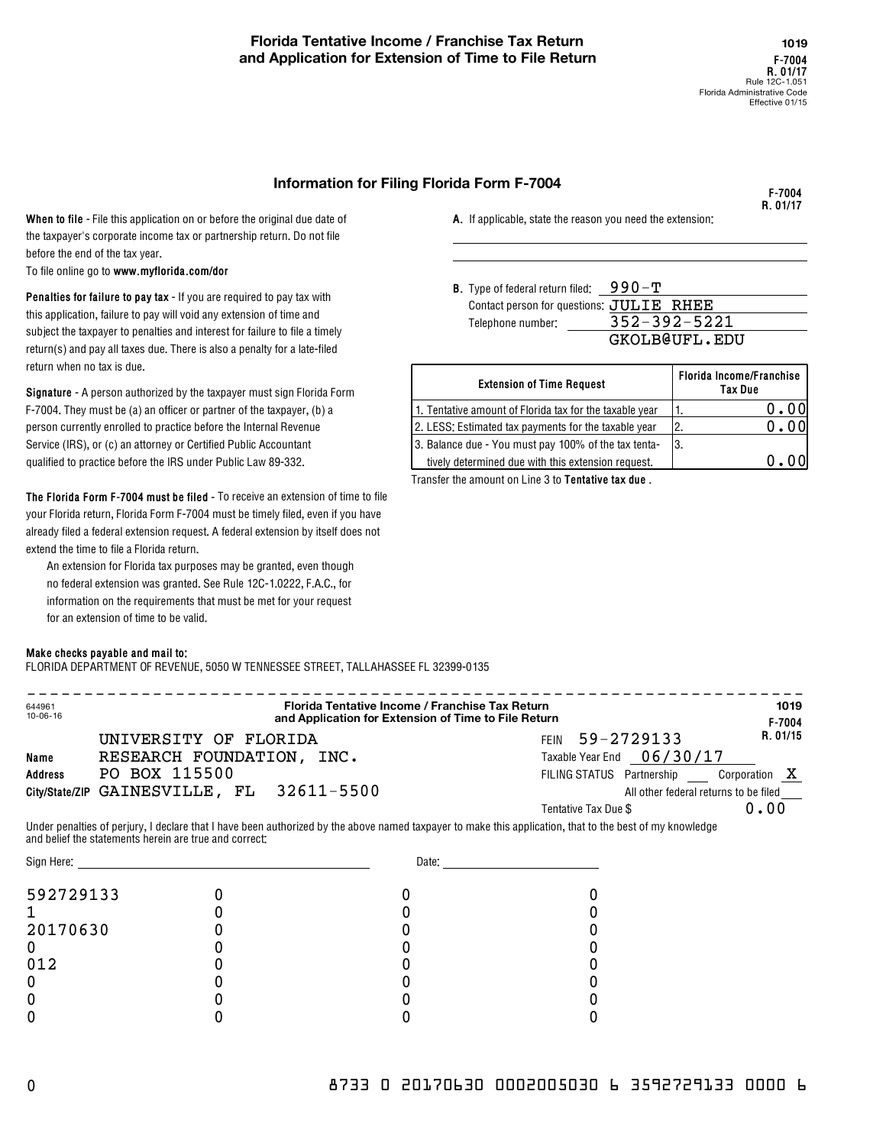### **Information for Filing Florida Form F-7004**

**F-7004 R. 01/17**

When to file - File this application on or before the original due date of the taxpayer's corporate income tax or partnership return. Do not file before the end of the tax year.

**www.myflorida.com/dor** To file online go to

**B. B. Penalties for failure to pay tax -** If you are required to pay tax with this application, failure to pay will void any extension of time and subject the taxpayer to penalties and interest for failure to file a timely return(s) and pay all taxes due. There is also a penalty for a late-filed return when no tax is due.

**The Florida Form F-7004 must be filed -**  To receive an extension of time to file your Florida return, Florida Form F-7004 must be timely filed, even if you have already filed a federal extension request. A federal extension by itself does not extend the time to file a Florida return.

An extension for Florida tax purposes may be granted, even though no federal extension was granted. See Rule 12C-1.0222, F.A.C., for information on the requirements that must be met for your request for an extension of time to be valid.

#### **Make checks payable and mail to:**

FLORIDA DEPARTMENT OF REVENUE, 5050 W TENNESSEE STREET, TALLAHASSEE FL 32399-0135

644961 10-06-16 **F-7004 R. 01/15 Name Address City/State/ZIP** GAINESVILLE, FL 32611-5500 **Florida Tentative Income / Franchise Tax Return** !!!!!!!!!!!!!!!!!!!!!!!!!!!!!!!!!!!!!!!!!!!!!!!!!!!!!!!!!!!!!!!!!!!! **and Application for Extension of Time to File Return 1019** FEIN 59-2729133 Taxable Year End 06/30/17 PO BOX 115500 **X** and the state of the state of the state of the state of the state of the state of the state of the state of the state of the state of the state of the state of the state of the state of the state of the s All other federal returns to be filed Tentative Tax Due \$ UNIVERSITY OF FLORIDA RESEARCH FOUNDATION, INC. 0.00

Under penalties of perjury, I declare that I have been authorized by the above named taxpayer to make this application, that to the best of my knowledge and belief the statements herein are true and correct:

| Sign Here: | Date: |  |  |
|------------|-------|--|--|
| 592729133  |       |  |  |
|            |       |  |  |
| 20170630   |       |  |  |
|            |       |  |  |
| 012        |       |  |  |
|            |       |  |  |
|            |       |  |  |
|            |       |  |  |

**A.**  If applicable, state the reason you need the extension:

Type of federal return filed:  $990$  –  ${\bf T}$ Contact person for questions:  $JULIE$  RHEE Telephone number: 352-392-5221 GKOLB@UFL.EDU

| return wnen no tax is que.<br><b>Signature -</b> A person authorized by the taxpayer must sign Florida Form | <b>Extension of Time Request</b>                        | Florida Income/Franchise<br>Tax Due |
|-------------------------------------------------------------------------------------------------------------|---------------------------------------------------------|-------------------------------------|
| F-7004. They must be (a) an officer or partner of the taxpayer, (b) a                                       | 1. Tentative amount of Florida tax for the taxable year | 0.00                                |
| person currently enrolled to practice before the Internal Revenue                                           | 2. LESS: Estimated tax payments for the taxable year    | 0.00                                |
| Service (IRS), or (c) an attorney or Certified Public Accountant                                            | 3. Balance due - You must pay 100% of the tax tenta-    | -13.                                |
| qualified to practice before the IRS under Public Law 89-332.                                               | tively determined due with this extension request.      | 0.00                                |
|                                                                                                             |                                                         |                                     |

Transfer the amount on Line 3 to **Tentative tax due** .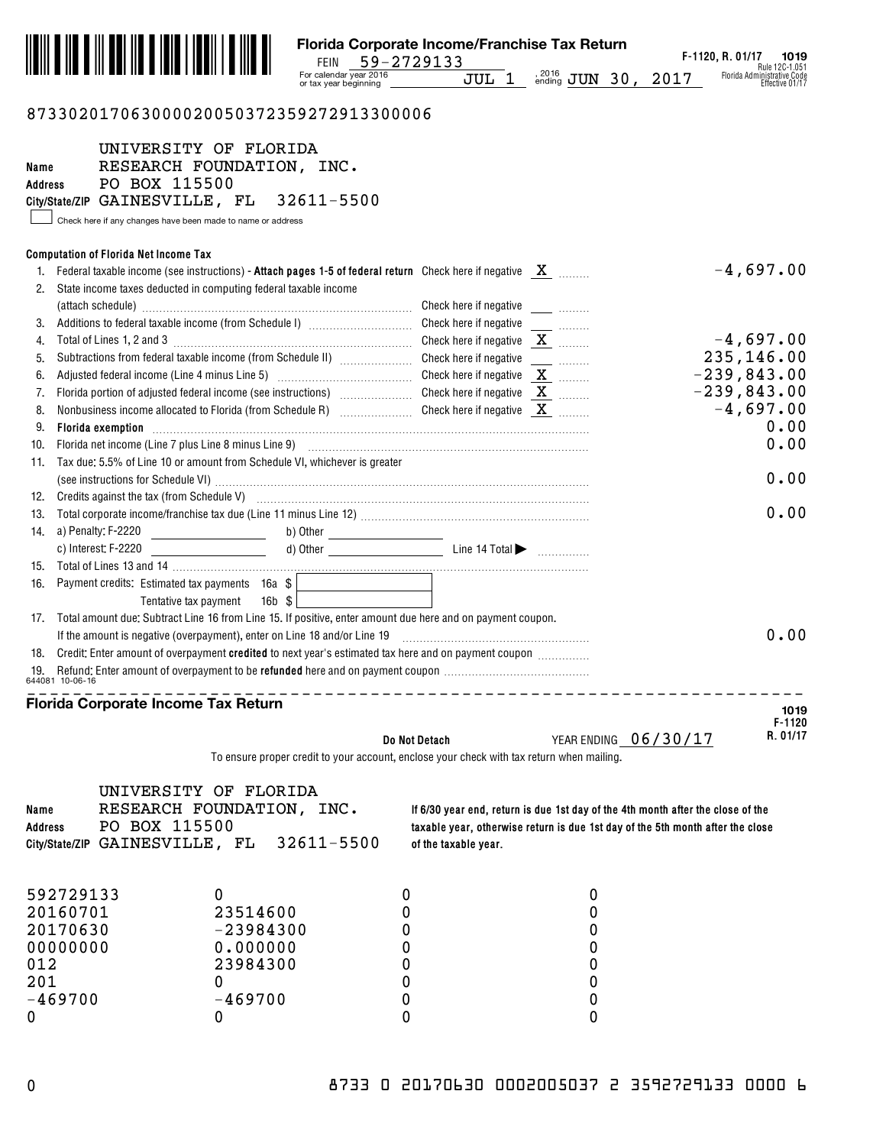

## 873302017063000020050372359272913300006

| Name<br><b>Address</b> | UNIVERSITY OF FLORIDA<br>RESEARCH FOUNDATION, INC.<br>PO BOX 115500<br>City/State/ZIP GAINESVILLE, FL 32611-5500                                                 |                                    |                                                                                                                                                                                                                               |                      |
|------------------------|------------------------------------------------------------------------------------------------------------------------------------------------------------------|------------------------------------|-------------------------------------------------------------------------------------------------------------------------------------------------------------------------------------------------------------------------------|----------------------|
|                        | Check here if any changes have been made to name or address                                                                                                      |                                    |                                                                                                                                                                                                                               |                      |
|                        | <b>Computation of Florida Net Income Tax</b>                                                                                                                     |                                    |                                                                                                                                                                                                                               |                      |
|                        | 1. Federal taxable income (see instructions) - Attach pages 1-5 of federal return Check here if negative $X$                                                     |                                    |                                                                                                                                                                                                                               | $-4,697.00$          |
|                        | 2. State income taxes deducted in computing federal taxable income                                                                                               |                                    |                                                                                                                                                                                                                               |                      |
|                        |                                                                                                                                                                  | Check here if negative             | $\overline{\phantom{a}}$                                                                                                                                                                                                      |                      |
|                        |                                                                                                                                                                  | Check here if negative             | and a construction of the construction of the construction of the construction of the construction of the construction of the construction of the construction of the construction of the construction of the construction of |                      |
| 4.                     |                                                                                                                                                                  | Check here if negative $X$         |                                                                                                                                                                                                                               | $-4,697.00$          |
| 5.                     |                                                                                                                                                                  | Check here if negative             | <u> 1966 - Jacques Ste</u>                                                                                                                                                                                                    | 235,146.00           |
| 6.                     |                                                                                                                                                                  | Check here if negative             | $\mathbf{X}_{\_ \text{ } \dots \dots \dots }$                                                                                                                                                                                 | $-239, 843.00$       |
| 7.                     |                                                                                                                                                                  | Check here if negative             |                                                                                                                                                                                                                               | $-239,843.00$        |
| 8.                     | Nonbusiness income allocated to Florida (from Schedule R) [10] [10] Check here if negative X [10] [10] Nonbusiness income allocated to Florida (from Schedule R) |                                    |                                                                                                                                                                                                                               | $-4,697.00$          |
| 9.                     | Florida exemption                                                                                                                                                |                                    |                                                                                                                                                                                                                               | 0.00                 |
| 10.                    |                                                                                                                                                                  |                                    |                                                                                                                                                                                                                               | 0.00                 |
| 11.                    | Tax due: 5.5% of Line 10 or amount from Schedule VI, whichever is greater                                                                                        |                                    |                                                                                                                                                                                                                               |                      |
|                        |                                                                                                                                                                  |                                    |                                                                                                                                                                                                                               | 0.00                 |
|                        |                                                                                                                                                                  |                                    |                                                                                                                                                                                                                               |                      |
| 13.                    |                                                                                                                                                                  |                                    |                                                                                                                                                                                                                               | 0.00                 |
|                        | 14. a) Penalty: F-2220<br>$(b)$ Other                                                                                                                            |                                    |                                                                                                                                                                                                                               |                      |
|                        | d) Other $\qquad \qquad$ Line 14 Total $\qquad \qquad$<br>c) Interest: F-2220<br><u> 1990 - Jan Barton, ameri</u> kansk f                                        |                                    |                                                                                                                                                                                                                               |                      |
|                        |                                                                                                                                                                  |                                    |                                                                                                                                                                                                                               |                      |
|                        | 16. Payment credits: Estimated tax payments 16a \$                                                                                                               |                                    |                                                                                                                                                                                                                               |                      |
|                        | $16b$ \$<br>Tentative tax payment                                                                                                                                |                                    |                                                                                                                                                                                                                               |                      |
|                        | 17. Total amount due: Subtract Line 16 from Line 15. If positive, enter amount due here and on payment coupon.                                                   |                                    |                                                                                                                                                                                                                               |                      |
|                        | If the amount is negative (overpayment), enter on Line 18 and/or Line 19 [10] [10] [10] [10] [10] [10] [10] [1                                                   |                                    |                                                                                                                                                                                                                               | 0.00                 |
| 18.                    | Credit: Enter amount of overpayment credited to next year's estimated tax here and on payment coupon                                                             |                                    |                                                                                                                                                                                                                               |                      |
|                        | 644081 10-06-16                                                                                                                                                  | __________________________________ |                                                                                                                                                                                                                               |                      |
|                        | Florida Corporate Income Tax Return                                                                                                                              |                                    |                                                                                                                                                                                                                               | 1019                 |
|                        |                                                                                                                                                                  |                                    |                                                                                                                                                                                                                               | $F-1120$<br>R. 01/17 |
|                        | Do Not Detach                                                                                                                                                    |                                    |                                                                                                                                                                                                                               | YEAR ENDING 06/30/17 |
|                        | To ensure proper credit to your account, enclose your check with tax return when mailing.                                                                        |                                    |                                                                                                                                                                                                                               |                      |
|                        | UNIVERSITY OF FLORIDA                                                                                                                                            |                                    |                                                                                                                                                                                                                               |                      |

| Name<br><b>Address</b> | PO BOX 115500<br>City/State/ZIP GAINESVILLE, FL | RESEARCH FOUNDATION, INC.<br>32611-5500 | of the taxable year. | If 6/30 year end, return is due 1st day of the 4th month after the close of the<br>taxable year, otherwise return is due 1st day of the 5th month after the close |
|------------------------|-------------------------------------------------|-----------------------------------------|----------------------|-------------------------------------------------------------------------------------------------------------------------------------------------------------------|
| 592729133              |                                                 |                                         |                      |                                                                                                                                                                   |
| 20160701               |                                                 | 23514600                                |                      |                                                                                                                                                                   |
| 20170630               |                                                 | $-23984300$                             |                      |                                                                                                                                                                   |
| 00000000               |                                                 | 0.000000                                |                      |                                                                                                                                                                   |
| 012                    |                                                 | 23984300                                |                      |                                                                                                                                                                   |
| 201                    |                                                 |                                         |                      |                                                                                                                                                                   |
| $-469700$              |                                                 | $-469700$                               |                      |                                                                                                                                                                   |
| 0                      |                                                 |                                         |                      |                                                                                                                                                                   |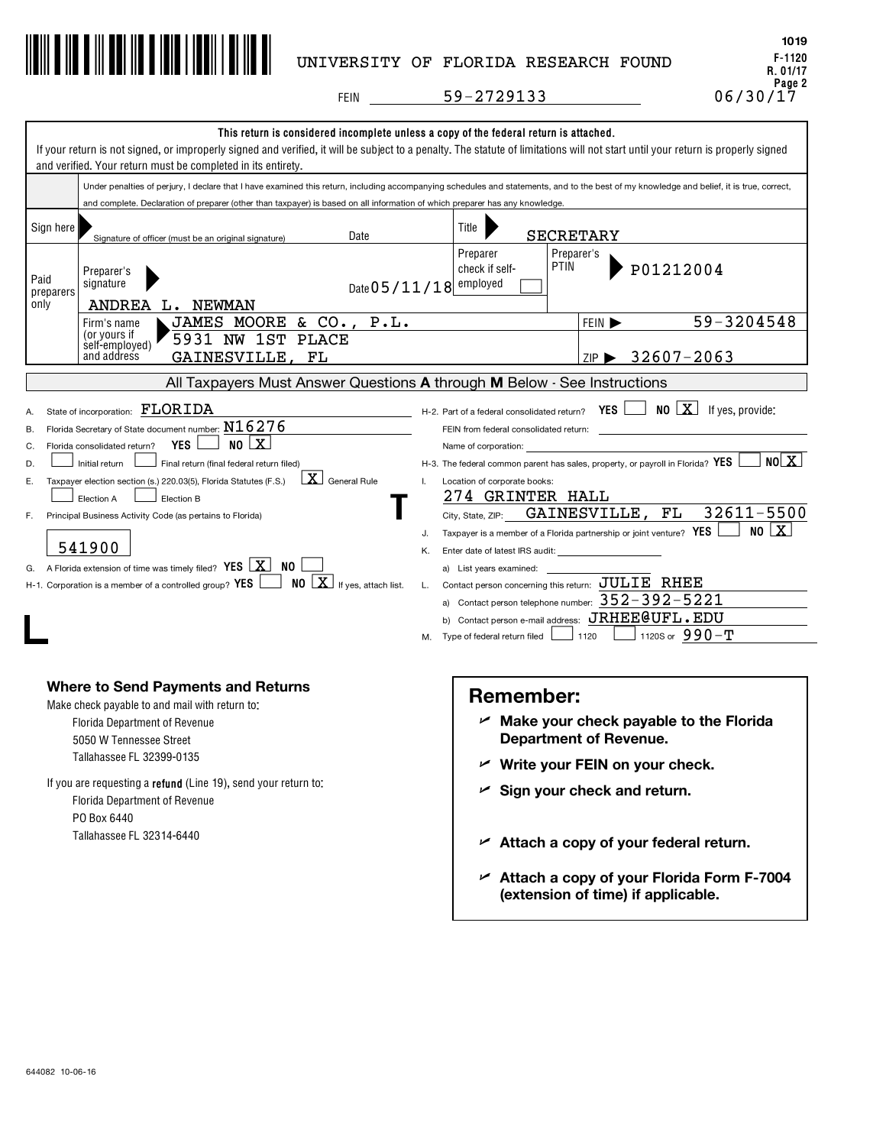

# UNIVERSITY OF FLORIDA RESEARCH FOUND

**F-1120 R. 01/17** Page 2<br>06/30/17 **1019**

**FEIN** 

59-2729133

|                                       | This return is considered incomplete unless a copy of the federal return is attached.<br>If your return is not signed, or improperly signed and verified, it will be subject to a penalty. The statute of limitations will not start until your return is properly signed<br>and verified. Your return must be completed in its entirety.                                                                                                                                                                                                                                          |                                      |                                                                                                                                                                                                                                                                                                                                                                                                                                                                                                                               |                               |                                                                                                                                                                                            |
|---------------------------------------|------------------------------------------------------------------------------------------------------------------------------------------------------------------------------------------------------------------------------------------------------------------------------------------------------------------------------------------------------------------------------------------------------------------------------------------------------------------------------------------------------------------------------------------------------------------------------------|--------------------------------------|-------------------------------------------------------------------------------------------------------------------------------------------------------------------------------------------------------------------------------------------------------------------------------------------------------------------------------------------------------------------------------------------------------------------------------------------------------------------------------------------------------------------------------|-------------------------------|--------------------------------------------------------------------------------------------------------------------------------------------------------------------------------------------|
|                                       | Under penalties of perjury, I declare that I have examined this return, including accompanying schedules and statements, and to the best of my knowledge and belief, it is true, correct,                                                                                                                                                                                                                                                                                                                                                                                          |                                      |                                                                                                                                                                                                                                                                                                                                                                                                                                                                                                                               |                               |                                                                                                                                                                                            |
|                                       | and complete. Declaration of preparer (other than taxpayer) is based on all information of which preparer has any knowledge.                                                                                                                                                                                                                                                                                                                                                                                                                                                       |                                      |                                                                                                                                                                                                                                                                                                                                                                                                                                                                                                                               |                               |                                                                                                                                                                                            |
| Sign here                             | Date<br>Signature of officer (must be an original signature)                                                                                                                                                                                                                                                                                                                                                                                                                                                                                                                       |                                      | Title                                                                                                                                                                                                                                                                                                                                                                                                                                                                                                                         | <b>SECRETARY</b>              |                                                                                                                                                                                            |
| Paid<br>preparers<br>only             | Preparer's<br>signature<br>Date 05/11/18 employed<br>ANDREA<br><b>NEWMAN</b><br>L.                                                                                                                                                                                                                                                                                                                                                                                                                                                                                                 |                                      | Preparer<br><b>PTIN</b><br>check if self-                                                                                                                                                                                                                                                                                                                                                                                                                                                                                     | Preparer's                    | P01212004                                                                                                                                                                                  |
|                                       | P.L.<br>& CO.<br>JAMES<br>MOORE<br>Firm's name                                                                                                                                                                                                                                                                                                                                                                                                                                                                                                                                     |                                      |                                                                                                                                                                                                                                                                                                                                                                                                                                                                                                                               | FEIN D                        | 59-3204548                                                                                                                                                                                 |
|                                       | (or yours if<br>5931 NW<br>1ST<br><b>PLACE</b><br>self-employed)<br>and address<br>GAINESVILLE,<br>FL                                                                                                                                                                                                                                                                                                                                                                                                                                                                              |                                      |                                                                                                                                                                                                                                                                                                                                                                                                                                                                                                                               | $ZIP$ $\blacktriangleright$   | 32607-2063                                                                                                                                                                                 |
|                                       | All Taxpayers Must Answer Questions A through M Below - See Instructions                                                                                                                                                                                                                                                                                                                                                                                                                                                                                                           |                                      |                                                                                                                                                                                                                                                                                                                                                                                                                                                                                                                               |                               |                                                                                                                                                                                            |
| А<br>В.<br>C.<br>D.<br>Ε.<br>F.<br>G. | State of incorporation: FLORIDA<br>Florida Secretary of State document number: $N16276$<br><b>YES</b><br>$NO$ $ X $<br>Florida consolidated return?<br>Initial return<br>Final return (final federal return filed)<br>$X$ General Rule<br>Taxpayer election section (s.) 220.03(5), Florida Statutes (F.S.)<br>Election A<br>Election B<br>Principal Business Activity Code (as pertains to Florida)<br>541900<br>NO.<br>A Florida extension of time was timely filed? YES $\Box X$<br>$NO \times$ If yes, attach list.<br>H-1. Corporation is a member of a controlled group? YES | $\mathsf{L}$<br>J.<br>Κ.<br>L.<br>М. | H-2. Part of a federal consolidated return?<br>FEIN from federal consolidated return:<br>Name of corporation:<br>Location of corporate books:<br>274 GRINTER HALL<br>City, State, ZIP:<br>Taxpayer is a member of a Florida partnership or joint venture? YES<br>Enter date of latest IRS audit:<br>a) List years examined:<br>Contact person concerning this return: JULIE RHEE<br>a) Contact person telephone number: $352 - 392 - 5221$<br>b) Contact person e-mail address: JRHEE@UFL.EDU<br>Type of federal return filed | YES  <br>GAINESVILLE.<br>1120 | $\Box$ NO $\Box X$ If yes, provide:<br>N0 X <br>H-3. The federal common parent has sales, property, or payroll in Florida? $YES$<br>5500<br>32611<br>FL<br>x<br>NO I<br>1120S or $990 - T$ |
|                                       | Where to Send Payments and Returns<br>Make check payable to and mail with return to:<br><b>Florida Department of Revenue</b><br>5050 W Tennessee Street<br>Tallahassee FL 32399-0135<br>If you are requesting a <b>refund</b> (Line 19), send your return to:<br><b>Florida Department of Revenue</b><br>PO Box 6440<br>Tallahassee FL 32314-6440                                                                                                                                                                                                                                  |                                      | <b>Remember:</b><br><b>Department of Revenue.</b><br>Sign your check and return.                                                                                                                                                                                                                                                                                                                                                                                                                                              |                               | $\nu$ Make your check payable to the Florida<br>Write your FEIN on your check.<br>$\mathcal{L}$ Attach a copy of your federal return.                                                      |

**Attach a copy of your Florida Form F-7004 (extension of time) if applicable.** U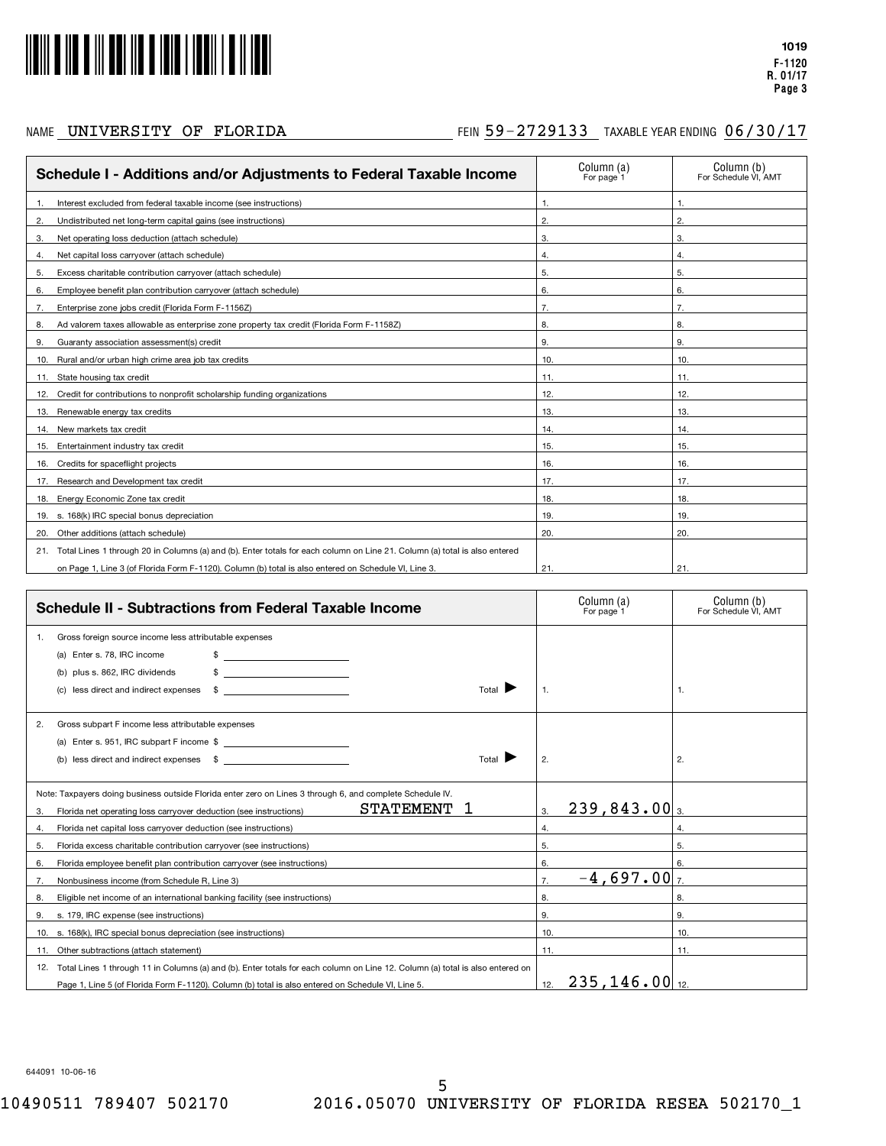

## NAME  $\,$  UNIVERSITY OF FLORIDA  $\,$  Fein 59-2729133 TAXABLE YEAR ENDING 06/30/17

| Schedule I - Additions and/or Adjustments to Federal Taxable Income                                                            | Column (a)<br>For page 1 | Column (b)<br>For Schedule VI. AMT |
|--------------------------------------------------------------------------------------------------------------------------------|--------------------------|------------------------------------|
| Interest excluded from federal taxable income (see instructions)                                                               | $\mathbf{1}$             | 1.                                 |
| Undistributed net long-term capital gains (see instructions)<br>2.                                                             | $\mathbf{2}$             | 2.                                 |
| Net operating loss deduction (attach schedule)<br>3.                                                                           | 3.                       | 3.                                 |
| Net capital loss carryover (attach schedule)<br>4.                                                                             | 4.                       | 4.                                 |
| Excess charitable contribution carryover (attach schedule)<br>5.                                                               | 5.                       | 5.                                 |
| Employee benefit plan contribution carryover (attach schedule)<br>6.                                                           | 6.                       | 6.                                 |
| Enterprise zone jobs credit (Florida Form F-1156Z)<br>7.                                                                       | 7.                       | 7.                                 |
| Ad valorem taxes allowable as enterprise zone property tax credit (Florida Form F-1158Z)<br>8.                                 | 8.                       | 8.                                 |
| Guaranty association assessment(s) credit<br>9.                                                                                | 9.                       | 9.                                 |
| Rural and/or urban high crime area job tax credits<br>10.                                                                      | 10.                      | 10.                                |
| 11. State housing tax credit                                                                                                   | 11.                      | 11.                                |
| Credit for contributions to nonprofit scholarship funding organizations<br>12.                                                 | 12.                      | 12.                                |
| Renewable energy tax credits<br>13.                                                                                            | 13.                      | 13.                                |
| New markets tax credit<br>14.                                                                                                  | 14.                      | 14.                                |
| Entertainment industry tax credit<br>15.                                                                                       | 15.                      | 15.                                |
| Credits for spaceflight projects<br>16.                                                                                        | 16.                      | 16.                                |
| Research and Development tax credit<br>17.                                                                                     | 17.                      | 17.                                |
| 18. Energy Economic Zone tax credit                                                                                            | 18.                      | 18.                                |
| 19. s. 168(k) IRC special bonus depreciation                                                                                   | 19.                      | 19.                                |
| 20. Other additions (attach schedule)                                                                                          | 20.                      | 20.                                |
| 21. Total Lines 1 through 20 in Columns (a) and (b). Enter totals for each column on Line 21. Column (a) total is also entered |                          |                                    |
| on Page 1, Line 3 (of Florida Form F-1120). Column (b) total is also entered on Schedule VI, Line 3.                           | 21.                      | 21.                                |

| <b>Schedule II - Subtractions from Federal Taxable Income</b>                                                                                                                                                                             | Column (a)<br>For page 1                      | Column (b)<br>For Schedule VI. AMT |
|-------------------------------------------------------------------------------------------------------------------------------------------------------------------------------------------------------------------------------------------|-----------------------------------------------|------------------------------------|
| Gross foreign source income less attributable expenses<br>(a) Enter s. 78, IRC income<br><u> 1989 - Jan Samuel Barbara, politik e</u> ta p<br>plus s. 862, IRC dividends<br>Total<br>less direct and indirect expenses<br>\$              | $\mathbf{1}$ .                                | -1.                                |
| Gross subpart F income less attributable expenses<br>2.<br>(a) Enter s. 951, IRC subpart F income \$<br>(b) less direct and indirect expenses \$<br>Total I                                                                               | 2.                                            | 2.                                 |
| Note: Taxpayers doing business outside Florida enter zero on Lines 3 through 6, and complete Schedule IV.<br><b>STATEMENT</b><br>Florida net operating loss carryover deduction (see instructions)<br>3.                                  | $239,843.00$ <sub>3.</sub><br>3.              |                                    |
| Florida net capital loss carryover deduction (see instructions)<br>4.                                                                                                                                                                     | 4.                                            | $\overline{4}$ .                   |
| Florida excess charitable contribution carryover (see instructions)<br>5.                                                                                                                                                                 | 5.                                            | 5.                                 |
| Florida employee benefit plan contribution carryover (see instructions)<br>6.                                                                                                                                                             | 6.                                            | 6.                                 |
| Nonbusiness income (from Schedule R. Line 3)<br>7.                                                                                                                                                                                        | $-4,697.00$ <sub>7.</sub><br>$\overline{7}$ . |                                    |
| Eligible net income of an international banking facility (see instructions)<br>8.                                                                                                                                                         | 8.                                            | 8.                                 |
| s. 179, IRC expense (see instructions)<br>9.                                                                                                                                                                                              | 9.                                            | 9.                                 |
| 10. s. 168(k), IRC special bonus depreciation (see instructions)                                                                                                                                                                          | 10.                                           | 10.                                |
| Other subtractions (attach statement)<br>11.                                                                                                                                                                                              | 11.                                           | 11.                                |
| Total Lines 1 through 11 in Columns (a) and (b). Enter totals for each column on Line 12. Column (a) total is also entered on<br>12.<br>Page 1, Line 5 (of Florida Form F-1120). Column (b) total is also entered on Schedule VI, Line 5. | $235, 146.00$ <sub>12.</sub><br>12.           |                                    |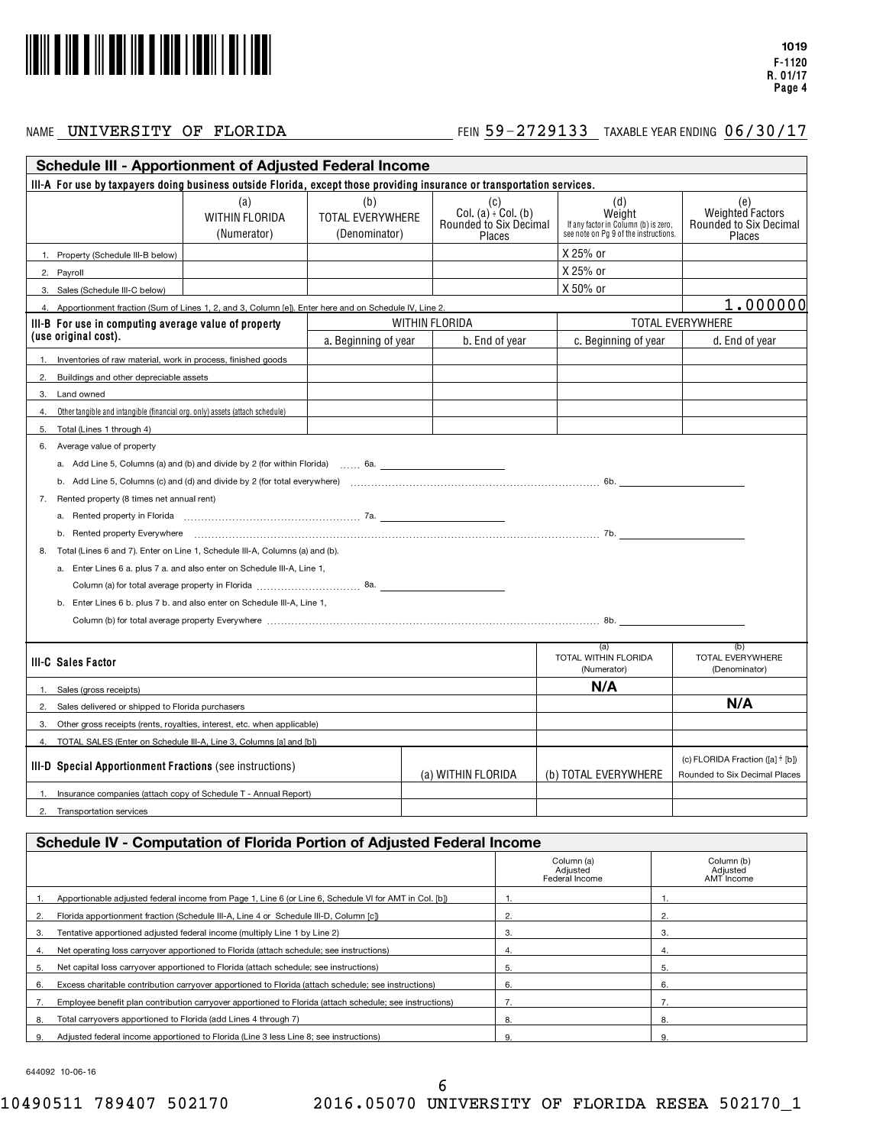

## NAME FEIN TAXABLE YEAR ENDING UNIVERSITY OF FLORIDA 59-2729133 06/30/17

|          | <b>Schedule III - Apportionment of Adjusted Federal Income</b>                                                          |                                                                                                                                                                                                                                |                                          |                    |                                                                        |                                                                                                |                                                                    |
|----------|-------------------------------------------------------------------------------------------------------------------------|--------------------------------------------------------------------------------------------------------------------------------------------------------------------------------------------------------------------------------|------------------------------------------|--------------------|------------------------------------------------------------------------|------------------------------------------------------------------------------------------------|--------------------------------------------------------------------|
|          | III-A For use by taxpayers doing business outside Florida, except those providing insurance or transportation services. |                                                                                                                                                                                                                                |                                          |                    |                                                                        |                                                                                                |                                                                    |
|          |                                                                                                                         | (a)<br>WITHIN FLORIDA<br>(Numerator)                                                                                                                                                                                           | (b)<br>TOTAL EVERYWHERE<br>(Denominator) |                    | (C)<br>Col. $(a) \cdot$ Col. $(b)$<br>Rounded to Six Decimal<br>Places | (d)<br>Weight<br>If any factor in Column (b) is zero,<br>see note on Pg 9 of the instructions. | (e)<br>Weighted Factors<br><b>Rounded to Six Decimal</b><br>Places |
|          | 1. Property (Schedule III-B below)                                                                                      |                                                                                                                                                                                                                                |                                          |                    |                                                                        | X 25% or                                                                                       |                                                                    |
|          | 2. Payroll                                                                                                              |                                                                                                                                                                                                                                |                                          |                    |                                                                        | X 25% or                                                                                       |                                                                    |
|          | 3. Sales (Schedule III-C below)                                                                                         |                                                                                                                                                                                                                                |                                          |                    |                                                                        | X 50% or                                                                                       |                                                                    |
|          | 4. Apportionment fraction (Sum of Lines 1, 2, and 3, Column [e]). Enter here and on Schedule IV, Line 2.                |                                                                                                                                                                                                                                |                                          |                    |                                                                        |                                                                                                | 1.000000                                                           |
|          | III-B For use in computing average value of property                                                                    |                                                                                                                                                                                                                                |                                          | WITHIN FLORIDA     |                                                                        |                                                                                                | TOTAL EVERYWHERE                                                   |
|          | (use original cost).                                                                                                    |                                                                                                                                                                                                                                | a. Beginning of year                     |                    | b. End of year                                                         | c. Beginning of year                                                                           | d. End of year                                                     |
|          | Inventories of raw material, work in process, finished goods                                                            |                                                                                                                                                                                                                                |                                          |                    |                                                                        |                                                                                                |                                                                    |
| 2.       | Buildings and other depreciable assets                                                                                  |                                                                                                                                                                                                                                |                                          |                    |                                                                        |                                                                                                |                                                                    |
| 3.       | Land owned                                                                                                              |                                                                                                                                                                                                                                |                                          |                    |                                                                        |                                                                                                |                                                                    |
| 4.       | Other tangible and intangible (financial org. only) assets (attach schedule)                                            |                                                                                                                                                                                                                                |                                          |                    |                                                                        |                                                                                                |                                                                    |
| 5.       | Total (Lines 1 through 4)                                                                                               |                                                                                                                                                                                                                                |                                          |                    |                                                                        |                                                                                                |                                                                    |
|          | 6. Average value of property                                                                                            |                                                                                                                                                                                                                                |                                          |                    |                                                                        |                                                                                                |                                                                    |
|          | a. Add Line 5, Columns (a) and (b) and divide by 2 (for within Florida) $\ldots$ 6a.                                    |                                                                                                                                                                                                                                |                                          |                    |                                                                        |                                                                                                |                                                                    |
|          |                                                                                                                         |                                                                                                                                                                                                                                |                                          |                    |                                                                        |                                                                                                |                                                                    |
|          | 7. Rented property (8 times net annual rent)                                                                            |                                                                                                                                                                                                                                |                                          |                    |                                                                        |                                                                                                |                                                                    |
|          |                                                                                                                         |                                                                                                                                                                                                                                |                                          |                    |                                                                        |                                                                                                |                                                                    |
|          | b. Rented property Everywhere encourage entertainment control and the control of the control of the control of          |                                                                                                                                                                                                                                |                                          |                    |                                                                        |                                                                                                |                                                                    |
| 8.       | Total (Lines 6 and 7). Enter on Line 1, Schedule III-A, Columns (a) and (b).                                            |                                                                                                                                                                                                                                |                                          |                    |                                                                        |                                                                                                |                                                                    |
|          | a. Enter Lines 6 a. plus 7 a. and also enter on Schedule III-A, Line 1,                                                 |                                                                                                                                                                                                                                |                                          |                    |                                                                        |                                                                                                |                                                                    |
|          |                                                                                                                         |                                                                                                                                                                                                                                |                                          |                    |                                                                        |                                                                                                |                                                                    |
|          | b. Enter Lines 6 b. plus 7 b. and also enter on Schedule III-A, Line 1,                                                 |                                                                                                                                                                                                                                |                                          |                    |                                                                        |                                                                                                |                                                                    |
|          |                                                                                                                         | Column (b) for total average property Everywhere [1, 1, 2010] The content content of the column (b) for total average property Everywhere [1, 1, 2010] The column (b) for total average property Everywhere [1, 1, 2010] The c |                                          |                    |                                                                        |                                                                                                |                                                                    |
|          |                                                                                                                         |                                                                                                                                                                                                                                |                                          |                    |                                                                        | (a)                                                                                            | (b)                                                                |
|          | <b>III-C Sales Factor</b>                                                                                               |                                                                                                                                                                                                                                |                                          |                    |                                                                        | TOTAL WITHIN FLORIDA<br>(Numerator)                                                            | TOTAL EVERYWHERE<br>(Denominator)                                  |
| 1.       | Sales (gross receipts)                                                                                                  |                                                                                                                                                                                                                                |                                          |                    |                                                                        | N/A                                                                                            |                                                                    |
| 2.       | Sales delivered or shipped to Florida purchasers                                                                        |                                                                                                                                                                                                                                |                                          |                    |                                                                        |                                                                                                | N/A                                                                |
| 3.       | Other gross receipts (rents, royalties, interest, etc. when applicable)                                                 |                                                                                                                                                                                                                                |                                          |                    |                                                                        |                                                                                                |                                                                    |
| $\Delta$ | TOTAL SALES (Enter on Schedule III-A, Line 3, Columns [a] and [b])                                                      |                                                                                                                                                                                                                                |                                          |                    |                                                                        |                                                                                                |                                                                    |
|          | <b>III-D Special Apportionment Fractions (see instructions)</b>                                                         |                                                                                                                                                                                                                                |                                          | (a) WITHIN FLORIDA |                                                                        | (b) TOTAL EVERYWHERE                                                                           | (c) FLORIDA Fraction ([a] ÷ [b])<br>Rounded to Six Decimal Places  |
| 1.       | Insurance companies (attach copy of Schedule T - Annual Report)                                                         |                                                                                                                                                                                                                                |                                          |                    |                                                                        |                                                                                                |                                                                    |
|          | 2. Transportation services                                                                                              |                                                                                                                                                                                                                                |                                          |                    |                                                                        |                                                                                                |                                                                    |
|          |                                                                                                                         |                                                                                                                                                                                                                                |                                          |                    |                                                                        |                                                                                                |                                                                    |
|          | Schedule IV - Computation of Florida Portion of Adjusted Federal Income                                                 |                                                                                                                                                                                                                                |                                          |                    |                                                                        |                                                                                                |                                                                    |
|          |                                                                                                                         |                                                                                                                                                                                                                                |                                          |                    |                                                                        | Column (a)<br>Adjusted<br>Eederal Income                                                       | Column (b)<br>Adjusted<br>AMT Income                               |

|    |                                                                                                         | Column (a)<br>Adjusted<br>Federal Income | Column (b)<br>Adjusted<br>AMT Income |
|----|---------------------------------------------------------------------------------------------------------|------------------------------------------|--------------------------------------|
|    | Apportionable adjusted federal income from Page 1, Line 6 (or Line 6, Schedule VI for AMT in Col. [b])  |                                          |                                      |
|    | Florida apportionment fraction (Schedule III-A, Line 4 or Schedule III-D, Column [c])                   |                                          |                                      |
| 3. | Tentative apportioned adjusted federal income (multiply Line 1 by Line 2)                               | 3.                                       | 3.                                   |
|    | Net operating loss carryover apportioned to Florida (attach schedule; see instructions)                 |                                          |                                      |
| 5. | Net capital loss carryover apportioned to Florida (attach schedule; see instructions)                   | 5.                                       | 5                                    |
| 6. | Excess charitable contribution carryover apportioned to Florida (attach schedule; see instructions)     | 6.                                       | 6.                                   |
|    | Employee benefit plan contribution carryover apportioned to Florida (attach schedule; see instructions) |                                          |                                      |
| 8. | Total carryovers apportioned to Florida (add Lines 4 through 7)                                         | 8.                                       | 8.                                   |
|    | Adjusted federal income apportioned to Florida (Line 3 less Line 8: see instructions)                   | 9.                                       | 9                                    |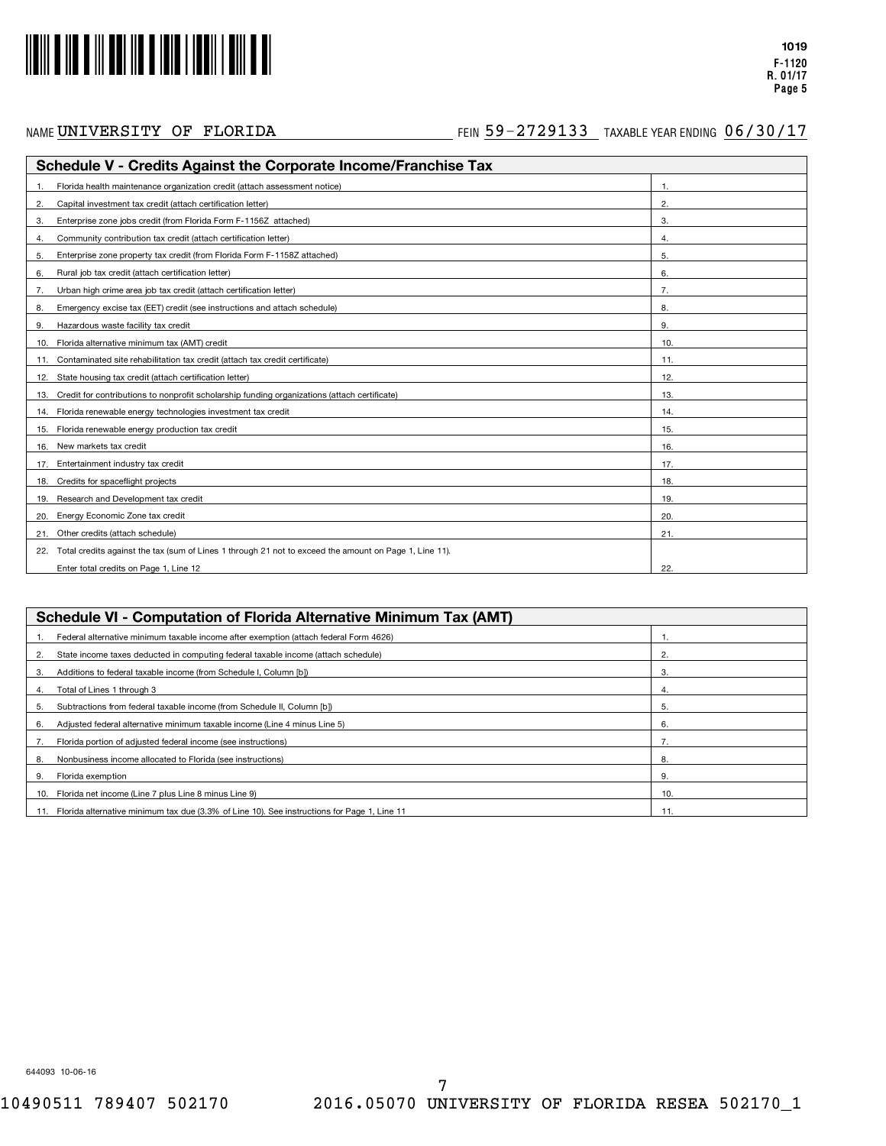

**F-1120 R. 01/17 Page 5**

**1019**

|     | Schedule V - Credits Against the Corporate Income/Franchise Tax                                        |     |  |  |  |
|-----|--------------------------------------------------------------------------------------------------------|-----|--|--|--|
|     | Florida health maintenance organization credit (attach assessment notice)                              |     |  |  |  |
| 2.  | Capital investment tax credit (attach certification letter)                                            | 2.  |  |  |  |
| 3.  | Enterprise zone jobs credit (from Florida Form F-1156Z attached)                                       | 3.  |  |  |  |
| 4.  | Community contribution tax credit (attach certification letter)                                        | 4.  |  |  |  |
| 5.  | Enterprise zone property tax credit (from Florida Form F-1158Z attached)                               | 5.  |  |  |  |
| 6.  | Rural job tax credit (attach certification letter)                                                     | 6.  |  |  |  |
| 7.  | Urban high crime area job tax credit (attach certification letter)                                     | 7.  |  |  |  |
| 8.  | Emergency excise tax (EET) credit (see instructions and attach schedule)                               | 8.  |  |  |  |
| 9.  | Hazardous waste facility tax credit                                                                    | 9.  |  |  |  |
| 10. | Florida alternative minimum tax (AMT) credit                                                           | 10. |  |  |  |
|     | Contaminated site rehabilitation tax credit (attach tax credit certificate)                            | 11. |  |  |  |
| 12. | State housing tax credit (attach certification letter)                                                 | 12. |  |  |  |
| 13. | Credit for contributions to nonprofit scholarship funding organizations (attach certificate)           | 13. |  |  |  |
| 14. | Florida renewable energy technologies investment tax credit                                            | 14. |  |  |  |
| 15. | Florida renewable energy production tax credit                                                         | 15  |  |  |  |
| 16. | New markets tax credit                                                                                 | 16. |  |  |  |
| 17. | Entertainment industry tax credit                                                                      | 17. |  |  |  |
| 18. | Credits for spaceflight projects                                                                       | 18. |  |  |  |
| 19. | Research and Development tax credit                                                                    | 19. |  |  |  |
| 20. | Energy Economic Zone tax credit                                                                        | 20. |  |  |  |
| 21. | Other credits (attach schedule)                                                                        | 21. |  |  |  |
| 22. | Total credits against the tax (sum of Lines 1 through 21 not to exceed the amount on Page 1, Line 11). |     |  |  |  |
|     | Enter total credits on Page 1, Line 12                                                                 | 22. |  |  |  |

| Schedule VI - Computation of Florida Alternative Minimum Tax (AMT)                              |     |  |  |  |
|-------------------------------------------------------------------------------------------------|-----|--|--|--|
| Federal alternative minimum taxable income after exemption (attach federal Form 4626)           |     |  |  |  |
| State income taxes deducted in computing federal taxable income (attach schedule)<br>2.         | 2.  |  |  |  |
| Additions to federal taxable income (from Schedule I, Column [b])<br>З.                         | 3.  |  |  |  |
| Total of Lines 1 through 3<br>4.                                                                | 4.  |  |  |  |
| Subtractions from federal taxable income (from Schedule II, Column [b])<br>5.                   | 5.  |  |  |  |
| Adjusted federal alternative minimum taxable income (Line 4 minus Line 5)<br>6.                 | 6.  |  |  |  |
| Florida portion of adjusted federal income (see instructions)                                   |     |  |  |  |
| Nonbusiness income allocated to Florida (see instructions)<br>8.                                | 8.  |  |  |  |
| Florida exemption<br>9.                                                                         | 9.  |  |  |  |
| Florida net income (Line 7 plus Line 8 minus Line 9)<br>10.                                     | 10. |  |  |  |
| 11. Florida alternative minimum tax due (3.3% of Line 10). See instructions for Page 1, Line 11 |     |  |  |  |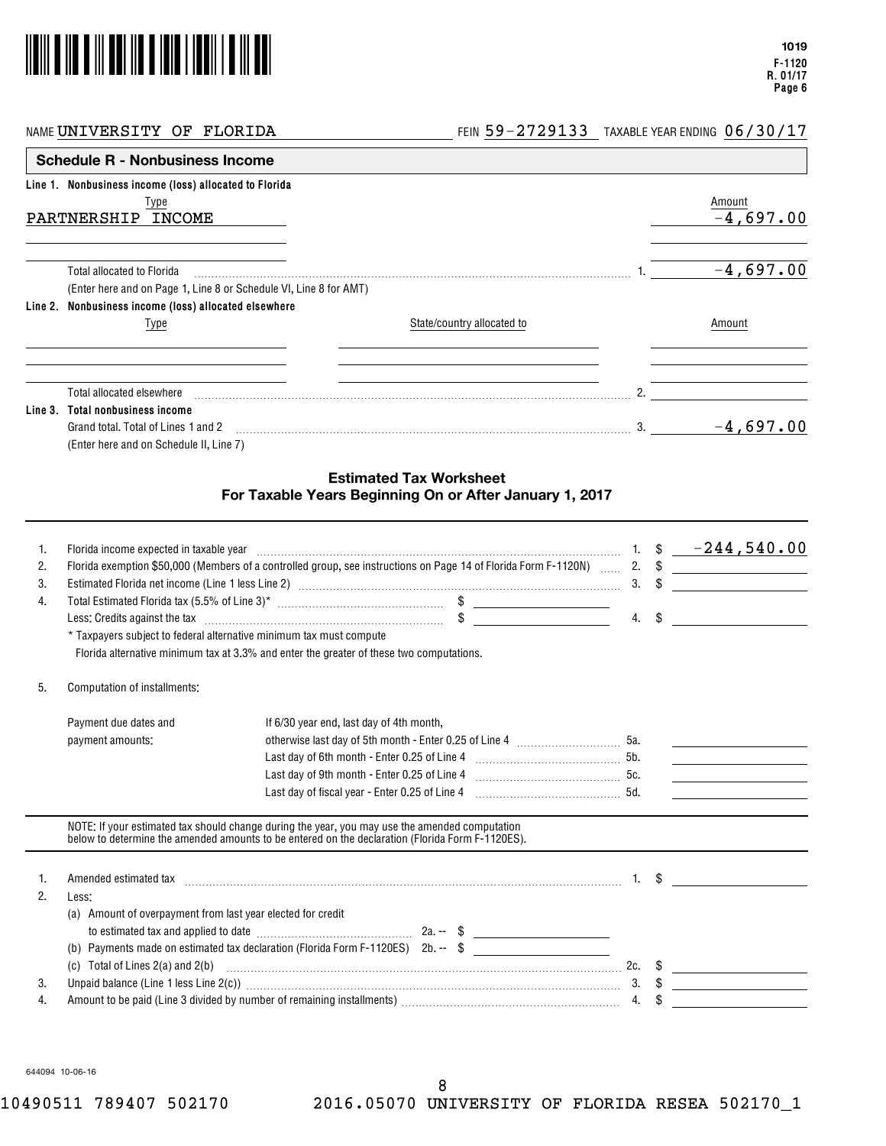

NAME  $\texttt{UNIVERSITY}$  of  $\texttt{FLORIDA}$   $\hspace{1.5mm}$   $\hspace{1.5mm}$   $\hspace{1.5mm}$   $\hspace{1.5mm}$   $\hspace{1.5mm}$   $\hspace{1.5mm}$   $\hspace{1.5mm}$   $\hspace{1.5mm}$   $\hspace{1.5mm}$   $\hspace{1.5mm}$   $\hspace{1.5mm}$   $\hspace{1.5mm}$   $\hspace{1.5mm}$   $\hspace{1.5mm}$   $\hspace{1.5mm}$   $\hspace{1.5mm$ 

|         | Line 1. Nonbusiness income (loss) allocated to Florida            |                            |    |             |
|---------|-------------------------------------------------------------------|----------------------------|----|-------------|
|         | Type                                                              |                            |    | Amount      |
|         | PARTNERSHIP<br>INCOME                                             |                            |    | $-4,697.00$ |
|         | <b>Total allocated to Florida</b>                                 |                            |    | $-4,697.00$ |
|         | (Enter here and on Page 1, Line 8 or Schedule VI, Line 8 for AMT) |                            |    |             |
|         | Line 2. Nonbusiness income (loss) allocated elsewhere             |                            |    |             |
|         | lype                                                              | State/country allocated to |    | Amount      |
|         | Total allocated elsewhere                                         |                            |    |             |
| Line 3. | Total nonbusiness income                                          |                            |    |             |
|         | Grand total. Total of Lines 1 and 2                               |                            | 3. | $-4,697.00$ |
|         | (Enter here and on Schedule II, Line 7)                           |                            |    |             |

#### **Estimated Tax Worksheet For Taxable Years Beginning On or After January 1, 2017**

| 1.<br>2.<br>3.<br>4. | Florida income expected in taxable year<br>* Taxpayers subject to federal alternative minimum tax must compute | $1.$ \$ $-244,540.00$<br>Florida exemption \$50,000 (Members of a controlled group, see instructions on Page 14 of Florida Form F-1120N)  2. \$<br>Less: Credits against the tax information in the context of the tax in the tax in the context of the context of the context of the context of the context of the context of the context of the context of the context of the c<br>Florida alternative minimum tax at 3.3% and enter the greater of these two computations.                                                       | $4. \quad$ | 3. $\frac{1}{2}$                                                                                                                                                       |
|----------------------|----------------------------------------------------------------------------------------------------------------|-------------------------------------------------------------------------------------------------------------------------------------------------------------------------------------------------------------------------------------------------------------------------------------------------------------------------------------------------------------------------------------------------------------------------------------------------------------------------------------------------------------------------------------|------------|------------------------------------------------------------------------------------------------------------------------------------------------------------------------|
| 5.                   | Computation of installments:                                                                                   |                                                                                                                                                                                                                                                                                                                                                                                                                                                                                                                                     |            |                                                                                                                                                                        |
|                      | Payment due dates and<br>payment amounts:                                                                      | If 6/30 year end, last day of 4th month,<br>otherwise last day of 5th month - Enter 0.25 of Line 4 [100] [100] [50.<br>Last day of fiscal year - Enter 0.25 of Line 4                                                                                                                                                                                                                                                                                                                                                               |            | <u> 1989 - Andrea State Barbara, politik e</u><br><u> 1989 - Andrea Station Barbara, prins a primeira a primeira a primeira a primeira a primeira a primeira a pri</u> |
|                      |                                                                                                                | NOTE: If your estimated tax should change during the year, you may use the amended computation<br>below to determine the amended amounts to be entered on the declaration (Florida Form F-1120ES).                                                                                                                                                                                                                                                                                                                                  |            |                                                                                                                                                                        |
| 1.<br>2.             | Less:<br>(a) Amount of overpayment from last year elected for credit                                           | Amended estimated tax with a substitution of the state of the state of the state of the state of the state of t                                                                                                                                                                                                                                                                                                                                                                                                                     |            |                                                                                                                                                                        |
| 3.<br>4.             |                                                                                                                | (b) Payments made on estimated tax declaration (Florida Form F-1120ES) 2b. -- $$$<br>(c) Total of Lines 2(a) and 2(b) $\ldots$ $\ldots$ $\ldots$ $\ldots$ $\ldots$ $\ldots$ $\ldots$ $\ldots$ $\ldots$ $\ldots$ $\ldots$ $\ldots$ $\ldots$ $\ldots$ $\ldots$ $\ldots$ $\ldots$ $\ldots$ $\ldots$ $\ldots$ $\ldots$ $\ldots$ $\ldots$ $\ldots$ $\ldots$ $\ldots$ $\ldots$ $\ldots$ $\ldots$ $\ldots$ $\ldots$ $\$<br>Unpaid balance (Line 1 less Line 2(c)) manufactured contract the contract of the state of the contract of the c |            | 3. $\sqrt[3]{}$                                                                                                                                                        |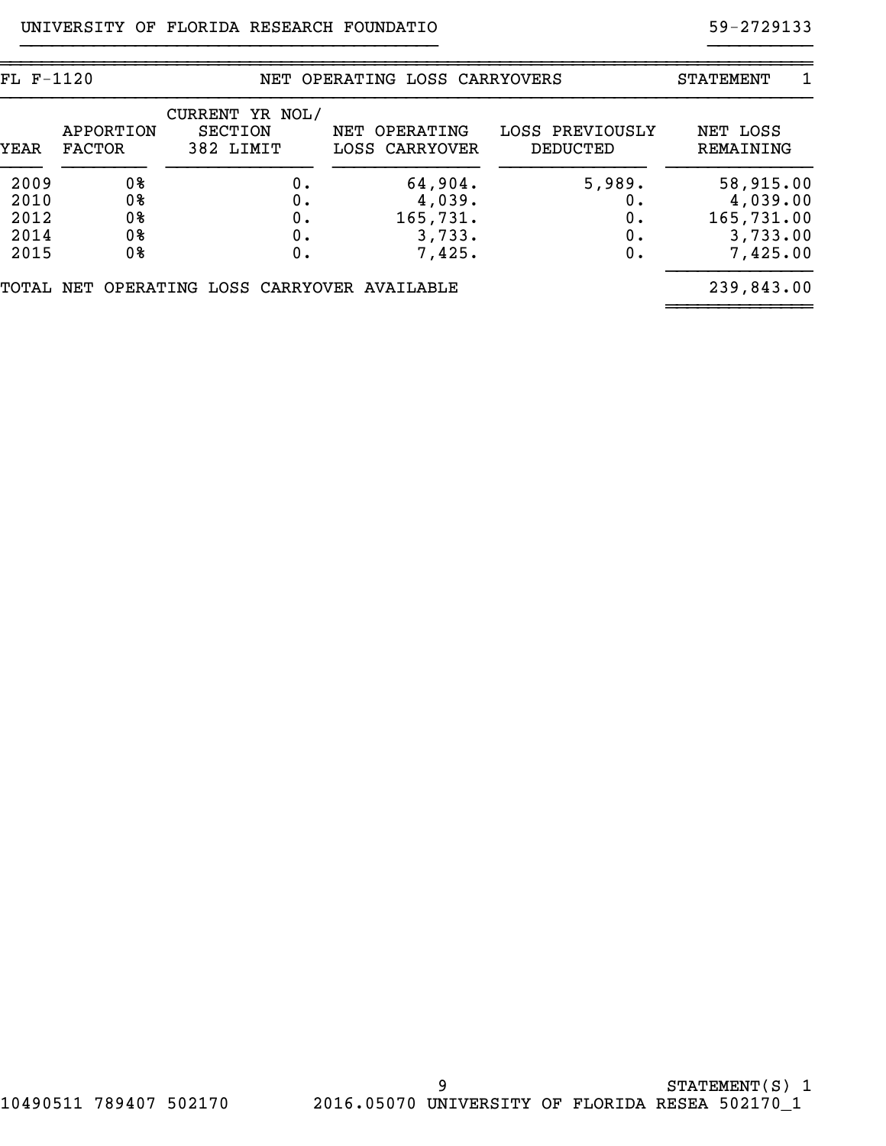| FL F-1120 |                            |                                                | NET OPERATING LOSS CARRYOVERS   |                             | 1<br>STATEMENT        |
|-----------|----------------------------|------------------------------------------------|---------------------------------|-----------------------------|-----------------------|
| YEAR      | APPORTION<br><b>FACTOR</b> | CURRENT YR NOL/<br><b>SECTION</b><br>382 LIMIT | NET OPERATING<br>LOSS CARRYOVER | LOSS PREVIOUSLY<br>DEDUCTED | NET LOSS<br>REMAINING |
| 2009      | 0%                         | 0.                                             | 64,904.                         | 5,989.                      | 58,915.00             |
| 2010      | 0%                         | 0.                                             | 4,039.                          | ο.                          | 4,039.00              |
| 2012      | 0%                         | Ο.                                             | 165,731.                        | 0.                          | 165,731.00            |
| 2014      | 0%                         | 0.                                             | 3,733.                          | 0.                          | 3,733.00              |
| 2015      | 0%                         | 0.                                             | 7,425.                          | 0.                          | 7,425.00              |
| TOTAL     |                            | NET OPERATING LOSS CARRYOVER AVAILABLE         |                                 |                             | 239,843.00            |

}}}}}}}}}}}}}}}}}}}}}}}}}}}}}}}}}}}}}}}} }}}}}}}}}}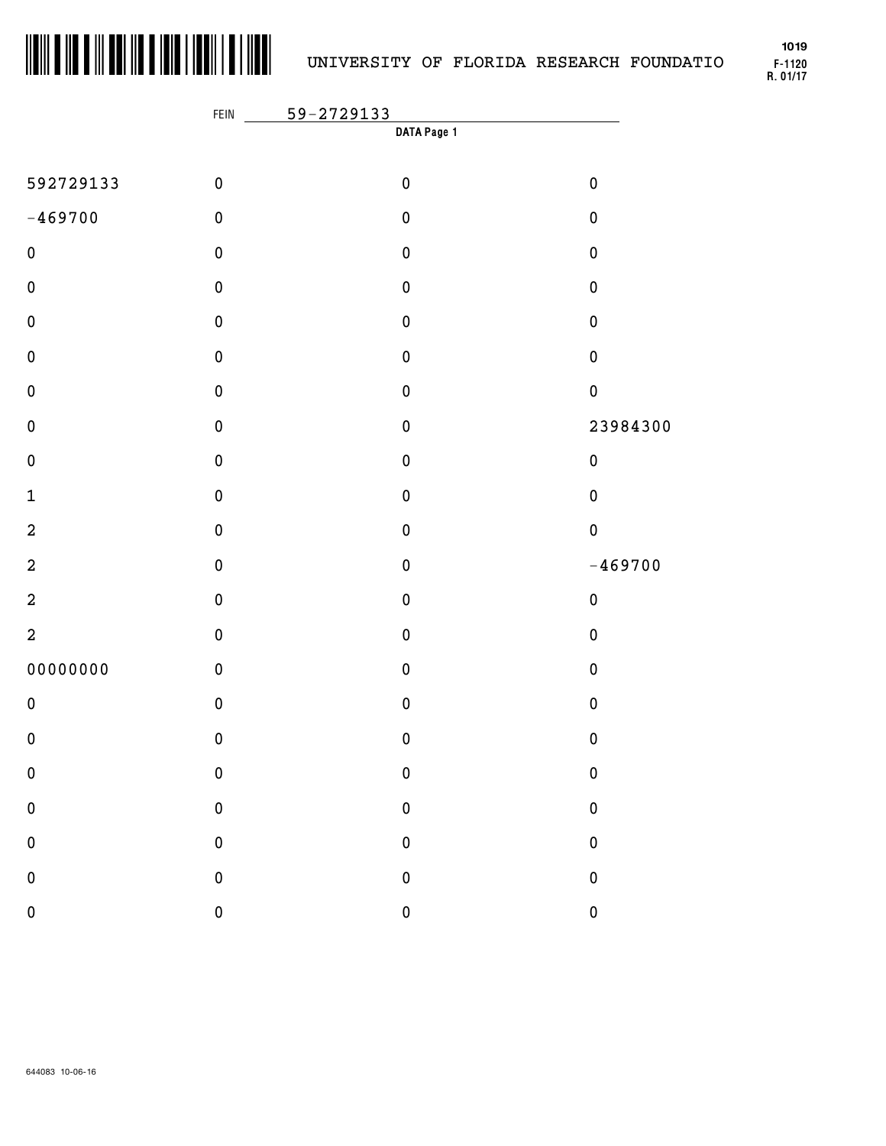

**F-1120 R. 01/17 1019**

|                | FEIN         | 59-2729133  |           |
|----------------|--------------|-------------|-----------|
|                |              | DATA Page 1 |           |
| 592729133      | $\pmb{0}$    | $\pmb{0}$   | $\pmb{0}$ |
| $-469700$      | $\pmb{0}$    | $\pmb{0}$   | $\pmb{0}$ |
| $\pmb{0}$      | $\pmb{0}$    | $\pmb{0}$   | $\pmb{0}$ |
| $\pmb{0}$      | $\pmb{0}$    | $\pmb{0}$   | $\pmb{0}$ |
| $\pmb{0}$      | $\pmb{0}$    | $\pmb{0}$   | $\pmb{0}$ |
| $\pmb{0}$      | $\pmb{0}$    | $\pmb{0}$   | $\pmb{0}$ |
| $\pmb{0}$      | $\pmb{0}$    | $\pmb{0}$   | $\pmb{0}$ |
| $\pmb{0}$      | $\pmb{0}$    | $\pmb{0}$   | 23984300  |
| $\pmb{0}$      | $\pmb{0}$    | $\pmb{0}$   | $\pmb{0}$ |
| $\mathbf 1$    | $\pmb{0}$    | $\pmb{0}$   | $\pmb{0}$ |
| $\mathbf 2$    | $\pmb{0}$    | $\pmb{0}$   | $\pmb{0}$ |
| $\mathbf 2$    | $\pmb{0}$    | $\pmb{0}$   | $-469700$ |
| $\overline{a}$ | $\pmb{0}$    | $\pmb{0}$   | $\pmb{0}$ |
| $\overline{a}$ | $\pmb{0}$    | $\pmb{0}$   | $\pmb{0}$ |
| 00000000       | $\pmb{0}$    | $\pmb{0}$   | $\pmb{0}$ |
| $\pmb{0}$      | $\pmb{0}$    | $\pmb{0}$   | $\pmb{0}$ |
| $\pmb{0}$      | $\pmb{0}$    | $\pmb{0}$   | 0         |
| ${\bf 0}$      | $\mathbf 0$  | $\pmb{0}$   | $\pmb{0}$ |
| $\pmb{0}$      | $\mathbf 0$  | $\mathbf 0$ | $\pmb{0}$ |
| $\pmb{0}$      | $\mathbf 0$  | $\pmb{0}$   | $\pmb{0}$ |
| $\pmb{0}$      | $\mathbf 0$  | $\pmb{0}$   | $\pmb{0}$ |
| $\pmb{0}$      | $\mathbf{0}$ | $\mathbf 0$ | $\pmb{0}$ |